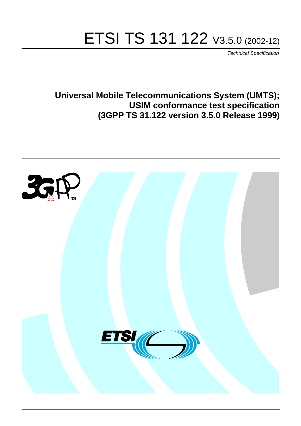# ETSI TS 131 122 V3.5.0 (2002-12)

Technical Specification

**Universal Mobile Telecommunications System (UMTS); USIM conformance test specification (3GPP TS 31.122 version 3.5.0 Release 1999)**

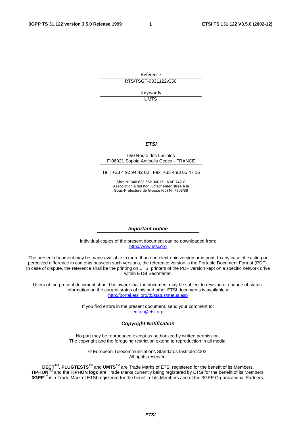Reference RTS/TSGT-0331122v350

> Keywords UMTS

#### **ETSI**

#### 650 Route des Lucioles F-06921 Sophia Antipolis Cedex - FRANCE

Tel.: +33 4 92 94 42 00 Fax: +33 4 93 65 47 16

Siret N° 348 623 562 00017 - NAF 742 C Association à but non lucratif enregistrée à la Sous-Préfecture de Grasse (06) N° 7803/88

#### **Important notice**

Individual copies of the present document can be downloaded from: [http://www.etsi.org](http://www.etsi.org/)

The present document may be made available in more than one electronic version or in print. In any case of existing or perceived difference in contents between such versions, the reference version is the Portable Document Format (PDF). In case of dispute, the reference shall be the printing on ETSI printers of the PDF version kept on a specific network drive within ETSI Secretariat.

Users of the present document should be aware that the document may be subject to revision or change of status. Information on the current status of this and other ETSI documents is available at <http://portal.etsi.org/tb/status/status.asp>

> If you find errors in the present document, send your comment to: [editor@etsi.org](mailto:editor@etsi.org)

#### **Copyright Notification**

No part may be reproduced except as authorized by written permission. The copyright and the foregoing restriction extend to reproduction in all media.

> © European Telecommunications Standards Institute 2002. All rights reserved.

**DECT**TM, **PLUGTESTS**TM and **UMTS**TM are Trade Marks of ETSI registered for the benefit of its Members. **TIPHON**TM and the **TIPHON logo** are Trade Marks currently being registered by ETSI for the benefit of its Members. **3GPP**TM is a Trade Mark of ETSI registered for the benefit of its Members and of the 3GPP Organizational Partners.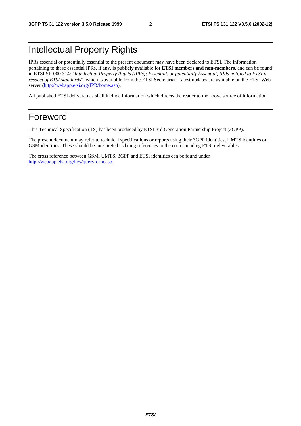### Intellectual Property Rights

IPRs essential or potentially essential to the present document may have been declared to ETSI. The information pertaining to these essential IPRs, if any, is publicly available for **ETSI members and non-members**, and can be found in ETSI SR 000 314: *"Intellectual Property Rights (IPRs); Essential, or potentially Essential, IPRs notified to ETSI in respect of ETSI standards"*, which is available from the ETSI Secretariat. Latest updates are available on the ETSI Web server ([http://webapp.etsi.org/IPR/home.asp\)](http://webapp.etsi.org/IPR/home.asp).

All published ETSI deliverables shall include information which directs the reader to the above source of information.

### Foreword

This Technical Specification (TS) has been produced by ETSI 3rd Generation Partnership Project (3GPP).

The present document may refer to technical specifications or reports using their 3GPP identities, UMTS identities or GSM identities. These should be interpreted as being references to the corresponding ETSI deliverables.

The cross reference between GSM, UMTS, 3GPP and ETSI identities can be found under <http://webapp.etsi.org/key/queryform.asp>.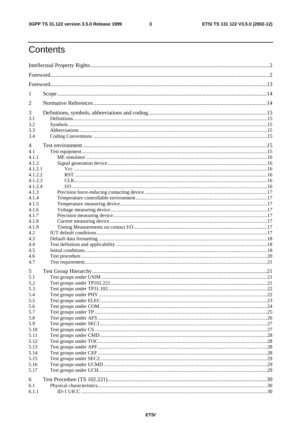$\mathbf{3}$ 

## Contents

| 1              |  |
|----------------|--|
| $\overline{2}$ |  |
| 3              |  |
| 3.1            |  |
| 3.2            |  |
| 3.3            |  |
| 3.4            |  |
| 4              |  |
| 4.1            |  |
| 4.1.1          |  |
| 4.1.2          |  |
| 4.1.2.1        |  |
| 4.1.2.2        |  |
| 4.1.2.3        |  |
| 4.1.2.4        |  |
| 4.1.3          |  |
| 4.1.4<br>4.1.5 |  |
| 4.1.6          |  |
| 4.1.7          |  |
| 4.1.8          |  |
| 4.1.9          |  |
| 4.2            |  |
| 4.3            |  |
| 4.4            |  |
| 4.5            |  |
| 4.6            |  |
| 4.7            |  |
| 5              |  |
| 5.1            |  |
| 5.2            |  |
| 5.3            |  |
| 5.4            |  |
| 5.5            |  |
| 5.6            |  |
| 5.7            |  |
| 5.8            |  |
| 5.9            |  |
| 5.10           |  |
| 5.11           |  |
| 5.12           |  |
| 5.13           |  |
| 5.14           |  |
| 5.15           |  |
| 5.16           |  |
| 5.17           |  |
| 6              |  |
| 6.1            |  |
| 6.1.1          |  |
|                |  |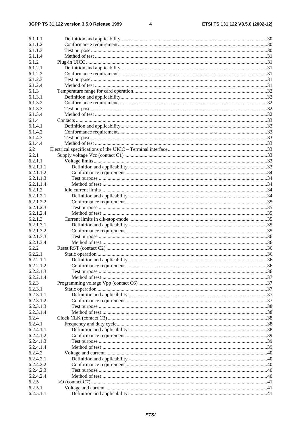$\overline{\mathbf{4}}$ 

| 6.1.1.1                |  |
|------------------------|--|
| 6.1.1.2                |  |
| 6.1.1.3                |  |
| 6.1.1.4                |  |
| 6.1.2                  |  |
| 6.1.2.1                |  |
| 6.1.2.2                |  |
| 6.1.2.3                |  |
| 6.1.2.4                |  |
| 6.1.3                  |  |
| 6.1.3.1                |  |
| 6.1.3.2                |  |
| 6.1.3.3                |  |
| 6.1.3.4                |  |
| 6.1.4                  |  |
| 6.1.4.1                |  |
| 6.1.4.2                |  |
| 6.1.4.3                |  |
| 6.1.4.4                |  |
| 6.2                    |  |
| 6.2.1                  |  |
| 6.2.1.1                |  |
| 6.2.1.1.1              |  |
| 6.2.1.1.2              |  |
| 6.2.1.1.3              |  |
| 6.2.1.1.4              |  |
| 6.2.1.2                |  |
| 6.2.1.2.1<br>6.2.1.2.2 |  |
| 6.2.1.2.3              |  |
| 6.2.1.2.4              |  |
| 6.2.1.3                |  |
| 6.2.1.3.1              |  |
| 6.2.1.3.2              |  |
| 6.2.1.3.3              |  |
| 6.2.1.3.4              |  |
| 6.2.2                  |  |
| 6.2.2.1                |  |
| 6.2.2.1.1              |  |
| 6.2.2.1.2              |  |
| 6.2.2.1.3              |  |
| 6.2.2.1.4              |  |
| 6.2.3                  |  |
| 6.2.3.1                |  |
| 6.2.3.1.1              |  |
| 6.2.3.1.2              |  |
| 6.2.3.1.3              |  |
| 6.2.3.1.4              |  |
| 6.2.4                  |  |
| 6.2.4.1                |  |
| 6.2.4.1.1              |  |
| 6.2.4.1.2              |  |
| 6.2.4.1.3              |  |
| 6.2.4.1.4              |  |
| 6.2.4.2                |  |
| 6.2.4.2.1              |  |
| 6.2.4.2.2              |  |
| 6.2.4.2.3              |  |
| 6.2.4.2.4              |  |
| 6.2.5                  |  |
| 6.2.5.1                |  |
| 6.2.5.1.1              |  |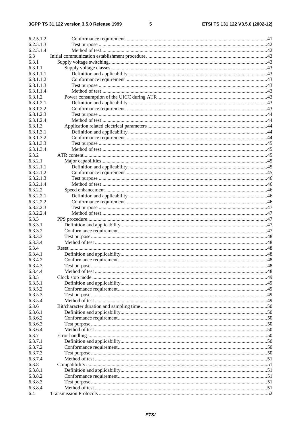#### $5\phantom{a}$

| 6.2.5.1.2              |    |
|------------------------|----|
| 6.2.5.1.3              |    |
| 6.2.5.1.4              |    |
| 6.3                    |    |
| 6.3.1                  |    |
| 6.3.1.1                |    |
| 6.3.1.1.1              |    |
| 6.3.1.1.2              |    |
| 6.3.1.1.3              |    |
| 6.3.1.1.4              |    |
| 6.3.1.2                |    |
| 6.3.1.2.1              |    |
| 6.3.1.2.2              |    |
| 6.3.1.2.3              |    |
| 6.3.1.2.4              |    |
| 6.3.1.3                |    |
| 6.3.1.3.1              |    |
| 6.3.1.3.2              |    |
| 6.3.1.3.3              |    |
| 6.3.1.3.4              |    |
| 6.3.2                  |    |
| 6.3.2.1                |    |
| 6.3.2.1.1              |    |
| 6.3.2.1.2              |    |
| 6.3.2.1.3              |    |
| 6.3.2.1.4              |    |
| 6.3.2.2                |    |
| 6.3.2.2.1              |    |
| 6.3.2.2.2              |    |
| 6.3.2.2.3<br>6.3.2.2.4 |    |
| 6.3.3                  |    |
| 6.3.3.1                |    |
| 6.3.3.2                |    |
| 6.3.3.3                |    |
| 6.3.3.4                |    |
| 6.3.4                  |    |
| 6.3.4.1                |    |
| 6.3.4.2                | 48 |
| 6.3.4.3                |    |
| 6.3.4.4                |    |
| 6.3.5                  |    |
| 6.3.5.1                |    |
| 6.3.5.2                |    |
| 6.3.5.3                |    |
| 6.3.5.4                |    |
| 6.3.6                  |    |
| 6.3.6.1                |    |
| 6.3.6.2                |    |
| 6.3.6.3                |    |
| 6.3.6.4                |    |
| 6.3.7                  |    |
| 6.3.7.1                |    |
| 6.3.7.2                |    |
| 6.3.7.3                |    |
| 6.3.7.4                |    |
| 6.3.8                  |    |
| 6.3.8.1                |    |
| 6.3.8.2                |    |
| 6.3.8.3                |    |
| 6.3.8.4                |    |
| 6.4                    |    |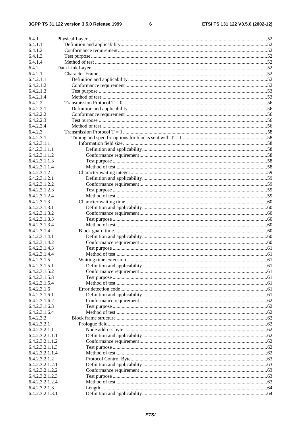$\bf 6$ 

| 6.4.1                          |     |
|--------------------------------|-----|
| 6.4.1.1                        |     |
| 6.4.1.2                        |     |
| 6.4.1.3                        |     |
| 6.4.1.4                        |     |
| 6.4.2                          |     |
| 6.4.2.1                        |     |
| 6.4.2.1.1                      |     |
| 6.4.2.1.2                      |     |
| 6.4.2.1.3                      |     |
| 6.4.2.1.4                      |     |
| 6.4.2.2                        |     |
| 6.4.2.2.1                      |     |
| 6.4.2.2.2                      |     |
| 6.4.2.2.3                      |     |
| 6.4.2.2.4                      |     |
| 6.4.2.3                        |     |
| 6.4.2.3.1                      |     |
| 6.4.2.3.1.1                    |     |
| 6.4.2.3.1.1.1                  |     |
| 6.4.2.3.1.1.2                  |     |
| 6.4.2.3.1.1.3                  |     |
| 6.4.2.3.1.1.4                  |     |
| 6.4.2.3.1.2                    |     |
| 6.4.2.3.1.2.1                  |     |
| 6.4.2.3.1.2.2                  |     |
| 6.4.2.3.1.2.3                  |     |
| 6.4.2.3.1.2.4                  |     |
|                                |     |
| 6.4.2.3.1.3                    |     |
| 6.4.2.3.1.3.1                  |     |
| 6.4.2.3.1.3.2                  |     |
| 6.4.2.3.1.3.3                  |     |
| 6.4.2.3.1.3.4                  |     |
| 6.4.2.3.1.4                    |     |
| 6.4.2.3.1.4.1                  |     |
| 6.4.2.3.1.4.2                  |     |
| 6.4.2.3.1.4.3<br>6.4.2.3.1.4.4 |     |
| 6.4.2.3.1.5                    |     |
| 6.4.2.3.1.5.1                  | .61 |
| 6.4.2.3.1.5.2                  |     |
|                                |     |
| 6.4.2.3.1.5.3                  |     |
| 6.4.2.3.1.5.4                  |     |
| 6.4.2.3.1.6                    |     |
| 6.4.2.3.1.6.1                  |     |
| 6.4.2.3.1.6.2<br>6.4.2.3.1.6.3 |     |
| 6.4.2.3.1.6.4                  |     |
| 6.4.2.3.2                      |     |
| 6.4.2.3.2.1                    |     |
| 6.4.2.3.2.1.1                  |     |
| 6.4.2.3.2.1.1.1                |     |
| 6.4.2.3.2.1.1.2                |     |
| 6.4.2.3.2.1.1.3                |     |
| 6.4.2.3.2.1.1.4                |     |
| 6.4.2.3.2.1.2                  |     |
| 6.4.2.3.2.1.2.1                |     |
| 6.4.2.3.2.1.2.2                |     |
| 6.4.2.3.2.1.2.3                |     |
| 6.4.2.3.2.1.2.4                |     |
| 6.4.2.3.2.1.3                  |     |
| 6.4.2.3.2.1.3.1                |     |
|                                |     |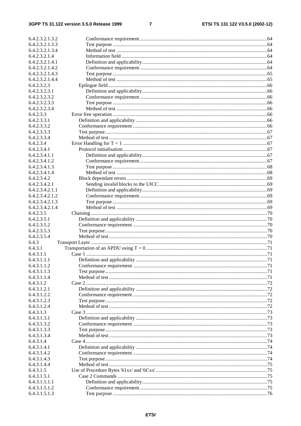$\overline{7}$ 

| 6.4.2.3.2.1.3.2 |  |
|-----------------|--|
| 6.4.2.3.2.1.3.3 |  |
| 6.4.2.3.2.1.3.4 |  |
| 6.4.2.3.2.1.4   |  |
| 6.4.2.3.2.1.4.1 |  |
| 6.4.2.3.2.1.4.2 |  |
| 6.4.2.3.2.1.4.3 |  |
| 6.4.2.3.2.1.4.4 |  |
| 6.4.2.3.2.3     |  |
| 6.4.2.3.2.3.1   |  |
| 6.4.2.3.2.3.2   |  |
| 6.4.2.3.2.3.3   |  |
| 6.4.2.3.2.3.4   |  |
| 6.4.2.3.3       |  |
|                 |  |
| 6.4.2.3.3.1     |  |
| 6.4.2.3.3.2     |  |
| 6.4.2.3.3.3     |  |
| 6.4.2.3.3.4     |  |
| 6.4.2.3.4       |  |
| 6.4.2.3.4.1     |  |
| 6.4.2.3.4.1.1   |  |
| 6.4.2.3.4.1.2   |  |
| 6.4.2.3.4.1.3   |  |
| 6.4.2.3.4.1.4   |  |
| 6.4.2.3.4.2     |  |
| 6.4.2.3.4.2.1   |  |
| 6.4.2.3.4.2.1.1 |  |
| 6.4.2.3.4.2.1.2 |  |
| 6.4.2.3.4.2.1.3 |  |
| 6.4.2.3.4.2.1.4 |  |
| 6.4.2.3.5       |  |
| 6.4.2.3.5.1     |  |
| 6.4.2.3.5.2     |  |
| 6.4.2.3.5.3     |  |
| 6.4.2.3.5.4     |  |
| 6.4.3           |  |
| 6.4.3.1         |  |
| 6.4.3.1.1       |  |
| 6.4.3.1.1.1     |  |
| 6.4.3.1.1.2     |  |
| 6.4.3.1.1.3     |  |
| 6.4.3.1.1.4     |  |
| 6.4.3.1.2       |  |
| 6.4.3.1.2.1     |  |
| 6.4.3.1.2.2     |  |
| 6.4.3.1.2.3     |  |
| 6.4.3.1.2.4     |  |
| 6.4.3.1.3       |  |
| 6.4.3.1.3.1     |  |
| 6.4.3.1.3.2     |  |
| 6.4.3.1.3.3     |  |
| 6.4.3.1.3.4     |  |
| 6.4.3.1.4       |  |
| 6.4.3.1.4.1     |  |
|                 |  |
| 6.4.3.1.4.2     |  |
| 6.4.3.1.4.3     |  |
| 6.4.3.1.4.4     |  |
| 6.4.3.1.5       |  |
| 6.4.3.1.5.1     |  |
| 6.4.3.1.5.1.1   |  |
| 6.4.3.1.5.1.2   |  |
| 6.4.3.1.5.1.3   |  |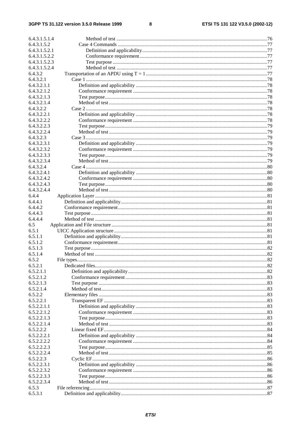$\bf 8$ 

| 6.4.3.1.5.1.4              |  |
|----------------------------|--|
| 6.4.3.1.5.2                |  |
| 6.4.3.1.5.2.1              |  |
| 6.4.3.1.5.2.2              |  |
| 6.4.3.1.5.2.3              |  |
| 6.4.3.1.5.2.4              |  |
| 6.4.3.2                    |  |
| 6.4.3.2.1                  |  |
| 6.4.3.2.1.1                |  |
| 6.4.3.2.1.2                |  |
| 6.4.3.2.1.3                |  |
| 6.4.3.2.1.4                |  |
| 6.4.3.2.2                  |  |
| 6.4.3.2.2.1                |  |
| 6.4.3.2.2.2                |  |
| 6.4.3.2.2.3                |  |
| 6.4.3.2.2.4                |  |
| 6.4.3.2.3                  |  |
| 6.4.3.2.3.1                |  |
| 6.4.3.2.3.2                |  |
| 6.4.3.2.3.3                |  |
| 6.4.3.2.3.4                |  |
| 6.4.3.2.4                  |  |
| 6.4.3.2.4.1                |  |
| 6.4.3.2.4.2                |  |
|                            |  |
| 6.4.3.2.4.3<br>6.4.3.2.4.4 |  |
| 6.4.4                      |  |
|                            |  |
| 6.4.4.1                    |  |
| 6.4.4.2<br>6.4.4.3         |  |
|                            |  |
| 6.4.4.4                    |  |
| 6.5                        |  |
| 6.5.1                      |  |
| 6.5.1.1                    |  |
| 6.5.1.2                    |  |
| 6.5.1.3                    |  |
| 6.5.1.4                    |  |
| 6.5.2                      |  |
| 6.5.2.1                    |  |
| 6.5.2.1.1                  |  |
| 6.5.2.1.2                  |  |
| 6.5.2.1.3                  |  |
| 6.5.2.1.4                  |  |
| 6.5.2.2                    |  |
| 6.5.2.2.1                  |  |
| 6.5.2.2.1.1                |  |
| 6.5.2.2.1.2                |  |
| 6.5.2.2.1.3                |  |
| 6.5.2.2.1.4                |  |
| 6.5.2.2.2                  |  |
| 6.5.2.2.2.1                |  |
|                            |  |
| 6.5.2.2.2.2                |  |
| 6.5.2.2.2.3                |  |
| 6.5.2.2.2.4                |  |
| 6.5.2.2.3                  |  |
| 6.5.2.2.3.1                |  |
| 6.5.2.2.3.2                |  |
| 6.5.2.2.3.3                |  |
| 6.5.2.2.3.4                |  |
| 6.5.3                      |  |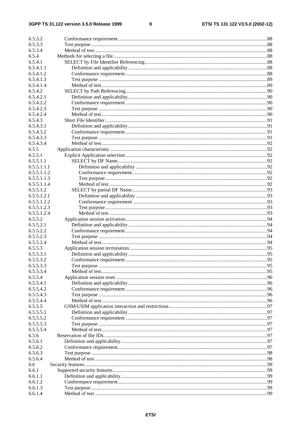#### $\boldsymbol{9}$

| 6.5.3.2     |  |
|-------------|--|
| 6.5.3.3     |  |
| 6.5.3.4     |  |
| 6.5.4       |  |
| 6.5.4.1     |  |
| 6.5.4.1.1   |  |
| 6.5.4.1.2   |  |
|             |  |
| 6.5.4.1.3   |  |
| 6.5.4.1.4   |  |
| 6.5.4.2     |  |
| 6.5.4.2.1   |  |
| 6.5.4.2.2   |  |
| 6.5.4.2.3   |  |
| 6.5.4.2.4   |  |
| 6.5.4.3     |  |
| 6.5.4.3.1   |  |
| 6.5.4.3.2   |  |
| 6.5.4.3.3   |  |
| 6.5.4.3.4   |  |
| 6.5.5       |  |
| 6.5.5.1     |  |
| 6.5.5.1.1   |  |
| 6.5.5.1.1.1 |  |
| 6.5.5.1.1.2 |  |
| 6.5.5.1.1.3 |  |
| 6.5.5.1.1.4 |  |
| 6.5.5.1.2   |  |
| 6.5.5.1.2.1 |  |
| 6.5.5.1.2.2 |  |
| 6.5.5.1.2.3 |  |
| 6.5.5.1.2.4 |  |
| 6.5.5.2     |  |
| 6.5.5.2.1   |  |
| 6.5.5.2.2   |  |
| 6.5.5.2.3   |  |
| 6.5.5.2.4   |  |
| 6.5.5.3     |  |
| 6.5.5.3.1   |  |
| 6.5.5.3.2   |  |
| 6.5.5.3.3   |  |
| 6.5.5.3.4   |  |
| 6.5.5.4     |  |
| 6.5.5.4.1   |  |
| 6.5.5.4.2   |  |
| 6.5.5.4.3   |  |
| 6.5.5.4.4   |  |
| 6.5.5.5     |  |
| 6.5.5.5.1   |  |
| 6.5.5.5.2   |  |
| 6.5.5.5.3   |  |
| 6.5.5.5.4   |  |
| 6.5.6       |  |
| 6.5.6.1     |  |
| 6.5.6.2     |  |
| 6.5.6.3     |  |
| 6.5.6.4     |  |
| 6.6         |  |
| 6.6.1       |  |
| 6.6.1.1     |  |
| 6.6.1.2     |  |
| 6.6.1.3     |  |
| 6.6.1.4     |  |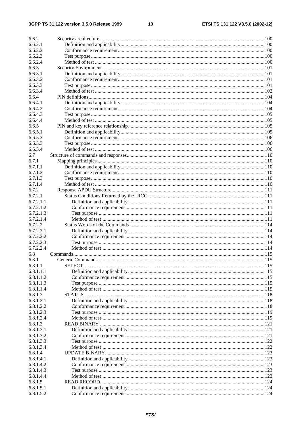$10$ 

| 6.6.2     |  |
|-----------|--|
| 6.6.2.1   |  |
| 6.6.2.2   |  |
| 6.6.2.3   |  |
| 6.6.2.4   |  |
| 6.6.3     |  |
| 6.6.3.1   |  |
| 6.6.3.2   |  |
| 6.6.3.3   |  |
| 6.6.3.4   |  |
| 6.6.4     |  |
| 6.6.4.1   |  |
| 6.6.4.2   |  |
| 6.6.4.3   |  |
| 6.6.4.4   |  |
| 6.6.5     |  |
| 6.6.5.1   |  |
| 6.6.5.2   |  |
| 6.6.5.3   |  |
| 6.6.5.4   |  |
| 6.7       |  |
| 6.7.1     |  |
| 6.7.1.1   |  |
| 6.7.1.2   |  |
| 6.7.1.3   |  |
| 6.7.1.4   |  |
| 6.7.2     |  |
| 6.7.2.1   |  |
| 6.7.2.1.1 |  |
| 6.7.2.1.2 |  |
| 6.7.2.1.3 |  |
|           |  |
| 6.7.2.1.4 |  |
| 6.7.2.2   |  |
| 6.7.2.2.1 |  |
| 6.7.2.2.2 |  |
| 6.7.2.2.3 |  |
| 6.7.2.2.4 |  |
| 6.8       |  |
| 6.8.1     |  |
| 6.8.1.1   |  |
| 6.8.1.1.1 |  |
| 6.8.1.1.2 |  |
| 6.8.1.1.3 |  |
| 6.8.1.1.4 |  |
| 6.8.1.2   |  |
| 6.8.1.2.1 |  |
| 6.8.1.2.2 |  |
| 6.8.1.2.3 |  |
| 6.8.1.2.4 |  |
| 6.8.1.3   |  |
| 6.8.1.3.1 |  |
| 6.8.1.3.2 |  |
| 6.8.1.3.3 |  |
| 6.8.1.3.4 |  |
| 6.8.1.4   |  |
| 6.8.1.4.1 |  |
| 6.8.1.4.2 |  |
| 6.8.1.4.3 |  |
| 6.8.1.4.4 |  |
| 6.8.1.5   |  |
| 6.8.1.5.1 |  |
| 6.8.1.5.2 |  |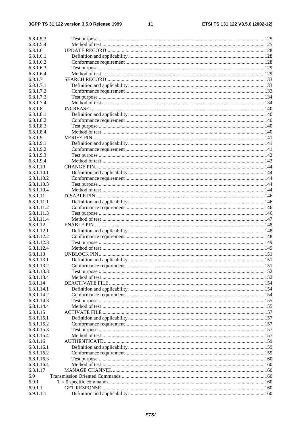#### $11$

| 6.8.1.5.3  |  |
|------------|--|
| 6.8.1.5.4  |  |
| 6.8.1.6    |  |
| 6.8.1.6.1  |  |
| 6.8.1.6.2  |  |
| 6.8.1.6.3  |  |
|            |  |
| 6.8.1.6.4  |  |
| 6.8.1.7    |  |
| 6.8.1.7.1  |  |
| 6.8.1.7.2  |  |
| 6.8.1.7.3  |  |
| 6.8.1.7.4  |  |
| 6.8.1.8    |  |
|            |  |
| 6.8.1.8.1  |  |
| 6.8.1.8.2  |  |
| 6.8.1.8.3  |  |
| 6.8.1.8.4  |  |
| 6.8.1.9    |  |
| 6.8.1.9.1  |  |
| 6.8.1.9.2  |  |
|            |  |
| 6.8.1.9.3  |  |
| 6.8.1.9.4  |  |
| 6.8.1.10   |  |
| 6.8.1.10.1 |  |
| 6.8.1.10.2 |  |
| 6.8.1.10.3 |  |
| 6.8.1.10.4 |  |
|            |  |
| 6.8.1.11   |  |
| 6.8.1.11.1 |  |
| 6.8.1.11.2 |  |
| 6.8.1.11.3 |  |
| 6.8.1.11.4 |  |
| 6.8.1.12   |  |
| 6.8.1.12.1 |  |
| 6.8.1.12.2 |  |
|            |  |
| 6.8.1.12.3 |  |
| 6.8.1.12.4 |  |
| 6.8.1.13   |  |
| 6.8.1.13.1 |  |
| 6.8.1.13.2 |  |
| 6.8.1.13.3 |  |
| 6.8.1.13.4 |  |
| 6.8.1.14   |  |
|            |  |
| 6.8.1.14.1 |  |
| 6.8.1.14.2 |  |
| 6.8.1.14.3 |  |
| 6.8.1.14.4 |  |
| 6.8.1.15   |  |
| 6.8.1.15.1 |  |
| 6.8.1.15.2 |  |
|            |  |
| 6.8.1.15.3 |  |
| 6.8.1.15.4 |  |
| 6.8.1.16   |  |
| 6.8.1.16.1 |  |
| 6.8.1.16.2 |  |
| 6.8.1.16.3 |  |
| 6.8.1.16.4 |  |
| 6.8.1.17   |  |
|            |  |
| 6.9        |  |
| 6.9.1      |  |
| 6.9.1.1    |  |
| 6.9.1.1.1  |  |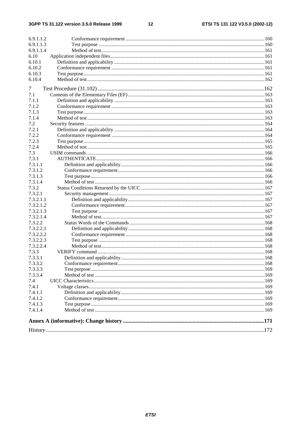$12$ 

| 6.9.1.1.3<br>6.9.1.1.4<br>6.10<br>6.10.1<br>6.10.2<br>6.10.3<br>6.10.4<br>7<br>7.1<br>7.1.1<br>7.1.2<br>7.1.3<br>7.1.4<br>7.2<br>7.2.1<br>7.2.2<br>7.2.3<br>7.2.4<br>7.3<br>7.3.1<br>7.3.1.1<br>7.3.1.2<br>7.3.1.3<br>7.3.1.4<br>7.3.2<br>7.3.2.1<br>7.3.2.1.1<br>7.3.2.1.2<br>7.3.2.1.3<br>7.3.2.1.4<br>7.3.2.2<br>7.3.2.2.1<br>7.3.2.2.2<br>7.3.2.2.3<br>7.3.2.2.4<br>7.3.3<br>7.3.3.1<br>7.3.3.2<br>7.3.3.3<br>7.3.3.4<br>7.4<br>7.4.1<br>7.4.1.1<br>7.4.1.2<br>7.4.1.3<br>7.4.1.4 | 6.9.1.1.2 |  |
|---------------------------------------------------------------------------------------------------------------------------------------------------------------------------------------------------------------------------------------------------------------------------------------------------------------------------------------------------------------------------------------------------------------------------------------------------------------------------------------|-----------|--|
|                                                                                                                                                                                                                                                                                                                                                                                                                                                                                       |           |  |
|                                                                                                                                                                                                                                                                                                                                                                                                                                                                                       |           |  |
|                                                                                                                                                                                                                                                                                                                                                                                                                                                                                       |           |  |
|                                                                                                                                                                                                                                                                                                                                                                                                                                                                                       |           |  |
|                                                                                                                                                                                                                                                                                                                                                                                                                                                                                       |           |  |
|                                                                                                                                                                                                                                                                                                                                                                                                                                                                                       |           |  |
|                                                                                                                                                                                                                                                                                                                                                                                                                                                                                       |           |  |
|                                                                                                                                                                                                                                                                                                                                                                                                                                                                                       |           |  |
|                                                                                                                                                                                                                                                                                                                                                                                                                                                                                       |           |  |
|                                                                                                                                                                                                                                                                                                                                                                                                                                                                                       |           |  |
|                                                                                                                                                                                                                                                                                                                                                                                                                                                                                       |           |  |
|                                                                                                                                                                                                                                                                                                                                                                                                                                                                                       |           |  |
|                                                                                                                                                                                                                                                                                                                                                                                                                                                                                       |           |  |
|                                                                                                                                                                                                                                                                                                                                                                                                                                                                                       |           |  |
|                                                                                                                                                                                                                                                                                                                                                                                                                                                                                       |           |  |
|                                                                                                                                                                                                                                                                                                                                                                                                                                                                                       |           |  |
|                                                                                                                                                                                                                                                                                                                                                                                                                                                                                       |           |  |
|                                                                                                                                                                                                                                                                                                                                                                                                                                                                                       |           |  |
|                                                                                                                                                                                                                                                                                                                                                                                                                                                                                       |           |  |
|                                                                                                                                                                                                                                                                                                                                                                                                                                                                                       |           |  |
|                                                                                                                                                                                                                                                                                                                                                                                                                                                                                       |           |  |
|                                                                                                                                                                                                                                                                                                                                                                                                                                                                                       |           |  |
|                                                                                                                                                                                                                                                                                                                                                                                                                                                                                       |           |  |
|                                                                                                                                                                                                                                                                                                                                                                                                                                                                                       |           |  |
|                                                                                                                                                                                                                                                                                                                                                                                                                                                                                       |           |  |
|                                                                                                                                                                                                                                                                                                                                                                                                                                                                                       |           |  |
|                                                                                                                                                                                                                                                                                                                                                                                                                                                                                       |           |  |
|                                                                                                                                                                                                                                                                                                                                                                                                                                                                                       |           |  |
|                                                                                                                                                                                                                                                                                                                                                                                                                                                                                       |           |  |
|                                                                                                                                                                                                                                                                                                                                                                                                                                                                                       |           |  |
|                                                                                                                                                                                                                                                                                                                                                                                                                                                                                       |           |  |
|                                                                                                                                                                                                                                                                                                                                                                                                                                                                                       |           |  |
|                                                                                                                                                                                                                                                                                                                                                                                                                                                                                       |           |  |
|                                                                                                                                                                                                                                                                                                                                                                                                                                                                                       |           |  |
|                                                                                                                                                                                                                                                                                                                                                                                                                                                                                       |           |  |
|                                                                                                                                                                                                                                                                                                                                                                                                                                                                                       |           |  |
|                                                                                                                                                                                                                                                                                                                                                                                                                                                                                       |           |  |
|                                                                                                                                                                                                                                                                                                                                                                                                                                                                                       |           |  |
|                                                                                                                                                                                                                                                                                                                                                                                                                                                                                       |           |  |
|                                                                                                                                                                                                                                                                                                                                                                                                                                                                                       |           |  |
|                                                                                                                                                                                                                                                                                                                                                                                                                                                                                       |           |  |
|                                                                                                                                                                                                                                                                                                                                                                                                                                                                                       |           |  |
|                                                                                                                                                                                                                                                                                                                                                                                                                                                                                       |           |  |
|                                                                                                                                                                                                                                                                                                                                                                                                                                                                                       |           |  |
|                                                                                                                                                                                                                                                                                                                                                                                                                                                                                       |           |  |
|                                                                                                                                                                                                                                                                                                                                                                                                                                                                                       |           |  |
|                                                                                                                                                                                                                                                                                                                                                                                                                                                                                       |           |  |
|                                                                                                                                                                                                                                                                                                                                                                                                                                                                                       |           |  |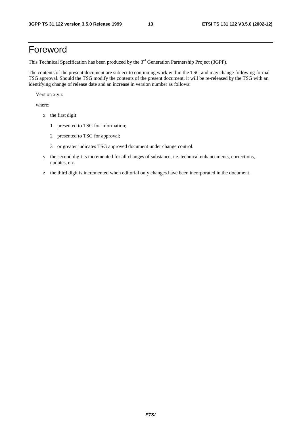### Foreword

This Technical Specification has been produced by the 3<sup>rd</sup> Generation Partnership Project (3GPP).

The contents of the present document are subject to continuing work within the TSG and may change following formal TSG approval. Should the TSG modify the contents of the present document, it will be re-released by the TSG with an identifying change of release date and an increase in version number as follows:

Version x.y.z

where:

- x the first digit:
	- 1 presented to TSG for information;
	- 2 presented to TSG for approval;
	- 3 or greater indicates TSG approved document under change control.
- y the second digit is incremented for all changes of substance, i.e. technical enhancements, corrections, updates, etc.
- z the third digit is incremented when editorial only changes have been incorporated in the document.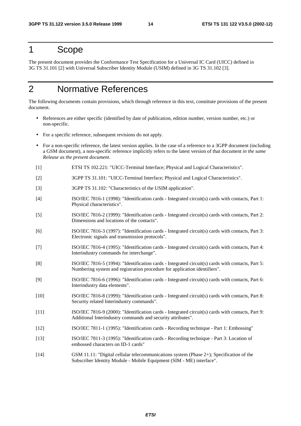### 1 Scope

The present document provides the Conformance Test Specification for a Universal IC Card (UICC) defined in 3G TS 31.101 [2] with Universal Subscriber Identity Module (USIM) defined in 3G TS 31.102 [3].

### 2 Normative References

The following documents contain provisions, which through reference in this text, constitute provisions of the present document.

- References are either specific (identified by date of publication, edition number, version number, etc.) or non-specific.
- For a specific reference, subsequent revisions do not apply.
- For a non-specific reference, the latest version applies. In the case of a reference to a 3GPP document (including a GSM document), a non-specific reference implicitly refers to the latest version of that document *in the same Release as the present document*.
- [1] ETSI TS 102.221: "UICC-Terminal Interface; Physical and Logical Characteristics".
- [2] 3GPP TS 31.101: "UICC-Terminal Interface; Physical and Logical Characteristics".
- [3] 3GPP TS 31.102: "Characteristics of the USIM application".
- [4] ISO/IEC 7816-1 (1998): "Identification cards Integrated circuit(s) cards with contacts, Part 1: Physical characteristics".
- [5] ISO/IEC 7816-2 (1999): "Identification cards Integrated circuit(s) cards with contacts, Part 2: Dimensions and locations of the contacts".
- [6] ISO/IEC 7816-3 (1997): "Identification cards Integrated circuit(s) cards with contacts, Part 3: Electronic signals and transmission protocols".
- [7] ISO/IEC 7816-4 (1995): "Identification cards Integrated circuit(s) cards with contacts, Part 4: Interindustry commands for interchange".
- [8] ISO/IEC 7816-5 (1994): "Identification cards Integrated circuit(s) cards with contacts, Part 5: Numbering system and registration procedure for application identifiers".
- [9] ISO/IEC 7816-6 (1996): "Identification cards Integrated circuit(s) cards with contacts, Part 6: Interindustry data elements".
- [10] ISO/IEC 7816-8 (1999): "Identification cards Integrated circuit(s) cards with contacts, Part 8: Security related Interindustry commands".
- [11] ISO/IEC 7816-9 (2000): "Identification cards Integrated circuit(s) cards with contacts, Part 9: Additional Interindustry commands and security attributes".
- [12] ISO/IEC 7811-1 (1995): "Identification cards Recording technique Part 1: Embossing"
- [13] ISO/IEC 7811-3 (1995): "Identification cards Recording technique Part 3: Location of embossed characters on ID-1 cards"
- [14] GSM 11.11: "Digital cellular telecommunications system (Phase 2+); Specification of the Subscriber Identity Module - Mobile Equipment (SIM - ME) interface".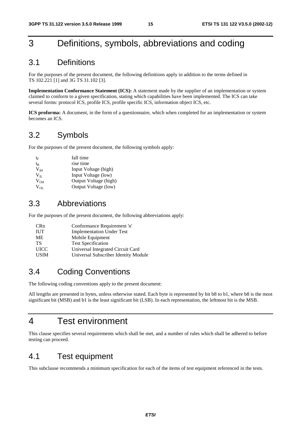### 3 Definitions, symbols, abbreviations and coding

### 3.1 Definitions

For the purposes of the present document, the following definitions apply in addition to the terms defined in TS 102.221 [1] and 3G TS 31.102 [3].

**Implementation Conformance Statement (ICS):** A statement made by the supplier of an implementation or system claimed to conform to a given specification, stating which capabilities have been implemented. The ICS can take several forms: protocol ICS, profile ICS, profile specific ICS, information object ICS, etc.

**ICS proforma:** A document, in the form of a questionnaire, which when completed for an implementation or system becomes an ICS.

### 3.2 Symbols

For the purposes of the present document, the following symbols apply:

| $t_{\rm F}$  | fall time             |
|--------------|-----------------------|
| $\rm t_R$    | rise time             |
| $V_{IH}$     | Input Voltage (high)  |
| $V_{\rm II}$ | Input Voltage (low)   |
| $V_{OH}$     | Output Voltage (high) |
| $V_{OL}$     | Output Voltage (low)  |

### 3.3 Abbreviations

For the purposes of the present document, the following abbreviations apply:

| <b>CRn</b>  | Conformance Requirement 'n'          |
|-------------|--------------------------------------|
| <b>IUT</b>  | <b>Implementation Under Test</b>     |
| <b>ME</b>   | Mobile Equipment                     |
| TS          | <b>Test Specification</b>            |
| <b>UICC</b> | Universal Integrated Circuit Card    |
| <b>USIM</b> | Universal Subscriber Identity Module |

### 3.4 Coding Conventions

The following coding conventions apply to the present document:

All lengths are presented in bytes, unless otherwise stated. Each byte is represented by bit b8 to b1, where b8 is the most significant bit (MSB) and b1 is the least significant bit (LSB). In each representation, the leftmost bit is the MSB.

### 4 Test environment

This clause specifies several requirements which shall be met, and a number of rules which shall be adhered to before testing can proceed.

### 4.1 Test equipment

This subclause recommends a minimum specification for each of the items of test equipment referenced in the tests.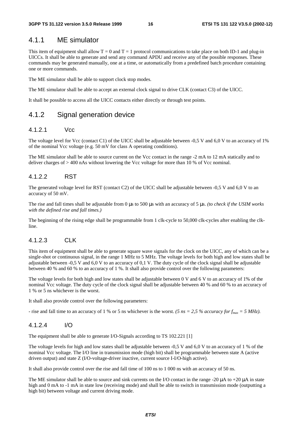### 4.1.1 ME simulator

This item of equipment shall allow  $T = 0$  and  $T = 1$  protocol communications to take place on both ID-1 and plug-in UICCs. It shall be able to generate and send any command APDU and receive any of the possible responses. These commands may be generated manually, one at a time, or automatically from a predefined batch procedure containing one or more commands.

The ME simulator shall be able to support clock stop modes.

The ME simulator shall be able to accept an external clock signal to drive CLK (contact C3) of the UICC.

It shall be possible to access all the UICC contacts either directly or through test points.

### 4.1.2 Signal generation device

#### 4.1.2.1 Vcc

The voltage level for Vcc (contact C1) of the UICC shall be adjustable between  $-0.5$  V and  $6.0$  V to an accuracy of 1% of the nominal Vcc voltage (e.g. 50 mV for class A operating conditions).

The ME simulator shall be able to source current on the Vcc contact in the range -2 mA to 12 mA statically and to deliver charges of > 400 nAs without lowering the Vcc voltage for more than 10 % of Vcc nominal.

#### 4.1.2.2 RST

The generated voltage level for RST (contact C2) of the UICC shall be adjustable between -0,5 V and 6,0 V to an accuracy of 50 mV.

The rise and fall times shall be adjustable from 0 µs to 500 µs with an accuracy of 5 µs. *(to check if the USIM works with the defined rise and fall times.)*

The beginning of the rising edge shall be programmable from 1 clk-cycle to 50,000 clk-cycles after enabling the clkline.

#### 4.1.2.3 CLK

This item of equipment shall be able to generate square wave signals for the clock on the UICC, any of which can be a single-shot or continuous signal, in the range 1 MHz to 5 MHz. The voltage levels for both high and low states shall be adjustable between -0,5 V and 6,0 V to an accuracy of 0,1 V. The duty cycle of the clock signal shall be adjustable between 40 % and 60 % to an accuracy of 1 %. It shall also provide control over the following parameters:

The voltage levels for both high and low states shall be adjustable between 0 V and 6 V to an accuracy of 1% of the nominal Vcc voltage. The duty cycle of the clock signal shall be adjustable between 40 % and 60 % to an accuracy of 1 % or 5 ns whichever is the worst.

It shall also provide control over the following parameters:

- rise and fall time to an accuracy of 1 % or 5 ns whichever is the worst. *(5 ns = 2,5 % accuracy for f<sub>max</sub> = 5 MHz)*.

#### 4.1.2.4 I/O

The equipment shall be able to generate I/O-Signals according to TS 102.221 [1]

The voltage levels for high and low states shall be adjustable between -0,5 V and 6,0 V to an accuracy of 1 % of the nominal Vcc voltage. The I/O line in transmission mode (high bit) shall be programmable between state A (active driven output) and state Z (I/O-voltage-driver inactive, current source I-I/O-high active).

It shall also provide control over the rise and fall time of 100 ns to 1 000 ns with an accuracy of 50 ns.

The ME simulator shall be able to source and sink currents on the I/O contact in the range -20  $\mu$ A to +20  $\mu$ A in state high and 0 mA to -1 mA in state low (receiving mode) and shall be able to switch in transmission mode (outputting a high bit) between voltage and current driving mode.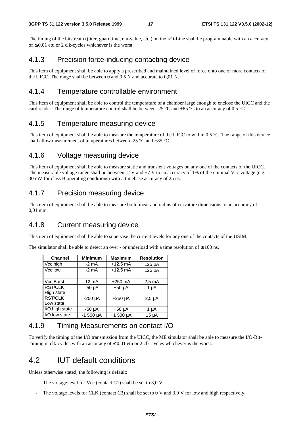The timing of the bitstream (jitter, guardtime, etu-value, etc.) on the I/O-Line shall be programmable with an accuracy of ≤ 0,01 etu or 2 clk-cycles whichever is the worst.

### 4.1.3 Precision force-inducing contacting device

This item of equipment shall be able to apply a prescribed and maintained level of force onto one or more contacts of the UICC. The range shall be between 0 and 0,5 N and accurate to 0,01 N.

### 4.1.4 Temperature controllable environment

This item of equipment shall be able to control the temperature of a chamber large enough to enclose the UICC and the card reader. The range of temperature control shall be between -25  $^{\circ}$ C and +85  $^{\circ}$ C to an accuracy of 0,5  $^{\circ}$ C.

### 4.1.5 Temperature measuring device

This item of equipment shall be able to measure the temperature of the UICC to within 0,5 °C. The range of this device shall allow measurement of temperatures between -25 °C and +85 °C.

### 4.1.6 Voltage measuring device

This item of equipment shall be able to measure static and transient voltages on any one of the contacts of the UICC. The measurable voltage range shall be between  $-2$  V and  $+7$  V to an accuracy of 1% of the nominal Vcc voltage (e.g. 30 mV for class B operating conditions) with a timebase accuracy of 25 ns.

### 4.1.7 Precision measuring device

This item of equipment shall be able to measure both linear and radius of curvature dimensions to an accuracy of 0,01 mm.

### 4.1.8 Current measuring device

This item of equipment shall be able to supervise the current levels for any one of the contacts of the USIM.

The simulator shall be able to detect an over - or underload with a time resolution of  $\leq 100$  ns.

| <b>Channel</b>    | <b>Minimum</b> | <b>Maximum</b> | <b>Resolution</b> |  |  |  |  |
|-------------------|----------------|----------------|-------------------|--|--|--|--|
| Vcc high          | $-2$ mA        | $+12,5$ mA     | $125 \mu A$       |  |  |  |  |
| Vcc low           | -2 mA          | $+12,5$ mA     |                   |  |  |  |  |
|                   |                |                |                   |  |  |  |  |
| Vcc Burst         | 12 mA          | $+250$ mA      | $2.5 \text{ mA}$  |  |  |  |  |
| <b>RST/CLK</b>    | $-50 \mu A$    | $+50 \mu A$    | $1 \mu A$         |  |  |  |  |
| <b>High state</b> |                |                |                   |  |  |  |  |
| RST/CLK           | $-250$ $\mu$ A | $+250 \mu A$   | $2,5 \mu A$       |  |  |  |  |
| Low state         |                |                |                   |  |  |  |  |
| I/O high state    | -50 µA         | +50 µA         | 1 µA              |  |  |  |  |
| I/O low state     | $-1500 \mu A$  |                | 15 µA             |  |  |  |  |

### 4.1.9 Timing Measurements on contact I/O

To verify the timing of the I/O transmission from the UICC, the ME simulator shall be able to measure the I/O-Bit-Timing in clk-cycles with an accuracy of  $\leq 0.01$  etu or 2 clk-cycles whichever is the worst.

### 4.2 IUT default conditions

Unless otherwise stated, the following is default:

- The voltage level for Vcc (contact C1) shall be set to  $3.0$  V.
- The voltage levels for CLK (contact C3) shall be set to 0 V and 3,0 V for low and high respectively.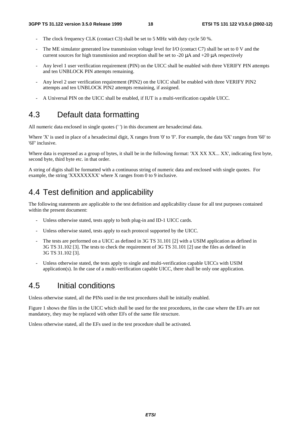- The clock frequency CLK (contact C3) shall be set to 5 MHz with duty cycle 50  $\%$ .
- The ME simulator generated low transmission voltage level for I/O (contact C7) shall be set to 0 V and the current sources for high transmission and reception shall be set to -20 µA and +20 µA respectively
- Any level 1 user verification requirement (PIN) on the UICC shall be enabled with three VERIFY PIN attempts and ten UNBLOCK PIN attempts remaining.
- Any level 2 user verification requirement (PIN2) on the UICC shall be enabled with three VERIFY PIN2 attempts and ten UNBLOCK PIN2 attempts remaining, if assigned.
- A Universal PIN on the UICC shall be enabled, if IUT is a multi-verification capable UICC.

### 4.3 Default data formatting

All numeric data enclosed in single quotes (' ') in this document are hexadecimal data.

Where 'X' is used in place of a hexadecimal digit, X ranges from '0' to 'F'. For example, the data '6X' ranges from '60' to '6F' inclusive.

Where data is expressed as a group of bytes, it shall be in the following format: 'XX XX XX... XX', indicating first byte, second byte, third byte etc. in that order.

A string of digits shall be formatted with a continuous string of numeric data and enclosed with single quotes. For example, the string 'XXXXXXXX' where X ranges from 0 to 9 inclusive.

### 4.4 Test definition and applicability

The following statements are applicable to the test definition and applicability clause for all test purposes contained within the present document:

- Unless otherwise stated, tests apply to both plug-in and ID-1 UICC cards.
- Unless otherwise stated, tests apply to each protocol supported by the UICC.
- The tests are performed on a UICC as defined in 3G TS 31.101 [2] with a USIM application as defined in 3G TS 31.102 [3]. The tests to check the requirement of 3G TS 31.101 [2] use the files as defined in 3G TS 31.102 [3].
- Unless otherwise stated, the tests apply to single and multi-verification capable UICCs with USIM application(s). In the case of a multi-verification capable UICC, there shall be only one application.

### 4.5 Initial conditions

Unless otherwise stated, all the PINs used in the test procedures shall be initially enabled.

Figure 1 shows the files in the UICC which shall be used for the test procedures, in the case where the EFs are not mandatory, they may be replaced with other EFs of the same file structure.

Unless otherwise stated, all the EFs used in the test procedure shall be activated.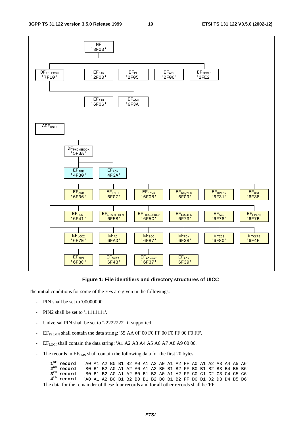

#### **Figure 1: File identifiers and directory structures of UICC**

The initial conditions for some of the EFs are given in the followings:

- PIN shall be set to '00000000'.
- PIN2 shall be set to '11111111'.
- Universal PIN shall be set to '22222222', if supported.
- EF<sub>FPLMN</sub> shall contain the data string: '55 AA 0F 00 F0 FF 00 F0 FF 00 F0 FF'.
- $EF_{LOCI}$  shall contain the data string: 'A1 A2 A3 A4 A5 A6 A7 A8 A9 00 00'.
- The records in EF<sub>SMS</sub> shall contain the following data for the first 20 bytes:

|                                                                                           | $1^{st}$ record $\rightarrow$ 40 A1 A2 B0 B1 B2 A0 A1 A2 A0 A1 A2 FF A0 A1 A2 A3 A4 A5 A6                                                                                                                                                                                                                                     |  |  |  |  |  |  |  |  |  |  |  |  |  |  |
|-------------------------------------------------------------------------------------------|-------------------------------------------------------------------------------------------------------------------------------------------------------------------------------------------------------------------------------------------------------------------------------------------------------------------------------|--|--|--|--|--|--|--|--|--|--|--|--|--|--|
|                                                                                           | $2nd$ record $\Box$ BO B1 B2 AO A1 A2 AO A1 A2 BO B1 B2 FF BO B1 B2 B3 B4 B5 B6                                                                                                                                                                                                                                               |  |  |  |  |  |  |  |  |  |  |  |  |  |  |
|                                                                                           | $3^{rd}$ record $\,$ 'BO B1 B2 AO A1 A2 BO B1 B2 AO A1 A2 FF CO C1 C2 C3 C4 C5 C6'                                                                                                                                                                                                                                            |  |  |  |  |  |  |  |  |  |  |  |  |  |  |
|                                                                                           | $4th$ record $\overline{a}$ and $\overline{a}$ and $\overline{a}$ be $\overline{b}$ be $\overline{b}$ be $\overline{b}$ be $\overline{b}$ be $\overline{b}$ be $\overline{b}$ be $\overline{b}$ be $\overline{b}$ be $\overline{b}$ be $\overline{b}$ be $\overline{b}$ be $\overline{b}$ be $\overline{b}$ be $\overline{b}$ |  |  |  |  |  |  |  |  |  |  |  |  |  |  |
| The data for the remainder of these four records and for all other records shall be 'FF'. |                                                                                                                                                                                                                                                                                                                               |  |  |  |  |  |  |  |  |  |  |  |  |  |  |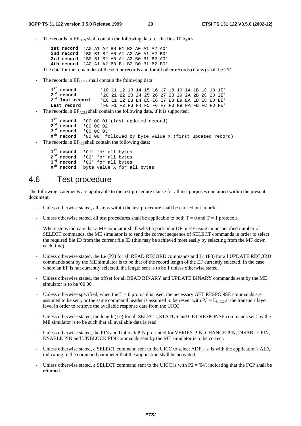The records in  $EF_{FDN}$  shall contain the following data for the first 10 bytes:

**1st record** 'A0 A1 A2 B0 B1 B2 A0 A1 A2 A0' **2nd record** 'B0 B1 B2 A0 A1 A2 A0 A1 A2 B0' **3rd record** 'B0 B1 B2 A0 A1 A2 B0 B1 B2 A0' **4th record** 'A0 A1 A2 B0 B1 B2 B0 B1 B2 B0' The data for the remainder of these four records and for all other records (if any) shall be 'FF'.

The records in  $EF_{CCP2}$  shall contain the following data:

```
1<sup>st</sup> record <sup>'10</sup> 11 12 13 14 15 16 17 18 19 1A 1B 1C 1D 1E'<br>
2<sup>nd</sup> record <sup>'20</sup> 21 22 23 24 25 26 27 28 29 2A 2B 2C 2D 2E'
2nd record '20 21 22 23 24 25 26 27 28 29 2A 2B 2C 2D 2E'
                          2nd last record 'E0 E1 E2 E3 E4 E5 E6 E7 E8 E9 EA EB EC ED EE'
Last record 'F0 F1 F2 F3 F4 F5 F6 F7 F8 F9 FA FB FC FD FE'
```
The records in  $EF_{ACM}$  shall contain the following data, if it is supported:

```
1^{\text{st}} record 1000001'(last updated record)<br>2^{\text{nd}} record 1000002'
     2<sup>nd</sup> record '00 00 02'<br>
3<sup>rd</sup> record '00 00 03'
     3^{rd} record<br>X<sup>th</sup> record
                           '00 00' followed by byte value X (first updated record)
The records in EF<sub>ICI</sub> shall contain the following data:
```
1<sup>st</sup> record '01' for all bytes<br>2<sup>nd</sup> record '02' for all bytes 2<sup>nd</sup> record '02' for all bytes<br>3<sup>rd</sup> record '03' for all bytes **3rd record** '03' for all bytes **Xth record** byte value X for all bytes

### 4.6 Test procedure

The following statements are applicable to the test procedure clause for all test purposes contained within the present document:

- Unless otherwise stated, all steps within the test procedure shall be carried out in order.
- Unless otherwise stated, all test procedures shall be applicable to both  $T = 0$  and  $T = 1$  protocols.
- Where steps indicate that a ME simulator shall select a particular DF or EF using an unspecified number of SELECT commands, the ME simulator is to send the correct sequence of SELECT commands in order to select the required file ID from the current file ID (this may be achieved most easily by selecting from the MF down each time).
- Unless otherwise stated, the Le (P3) for all READ RECORD commands and Lc (P3) for all UPDATE RECORD commands sent by the ME simulator is to be that of the record length of the EF currently selected. In the case where an EF is not currently selected, the length sent is to be 1 unless otherwise stated.
- Unless otherwise stated, the offset for all READ BINARY and UPDATE BINARY commands sent by the ME simulator is to be '00 00'.
- Unless otherwise specified, when the  $T = 0$  protocol is used, the necessary GET RESPONSE commands are assumed to be sent, or the same command header is assumed to be resent with  $P3 = L_{UICC}$  at the transport layer level in order to retrieve the available response data from the UICC.
- Unless otherwise stated, the length (Le) for all SELECT, STATUS and GET RESPONSE commands sent by the ME simulator is to be such that all available data is read.
- Unless otherwise stated, the PIN and Unblock PIN presented for VERIFY PIN, CHANGE PIN, DISABLE PIN, ENABLE PIN and UNBLOCK PIN commands sent by the ME simulator is to be correct.
- Unless otherwise stated, a SELECT command sent to the UICC to select ADF<sub>USIM</sub> is with the application's AID, indicating in the command parameter that the application shall be activated.
- Unless otherwise stated, a SELECT command sent to the UICC is with  $P2 = '04'$ , indicating that the FCP shall be returned.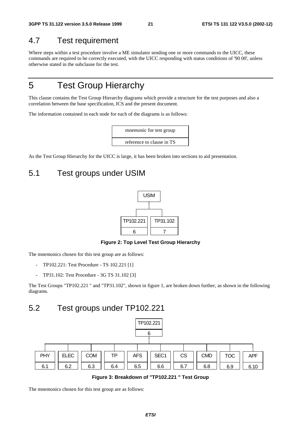### 4.7 Test requirement

Where steps within a test procedure involve a ME simulator sending one or more commands to the UICC, these commands are required to be correctly executed, with the UICC responding with status conditions of '90 00', unless otherwise stated in the subclause for the test.

### 5 Test Group Hierarchy

This clause contains the Test Group Hierarchy diagrams which provide a structure for the test purposes and also a correlation between the base specification, ICS and the present document.

The information contained in each node for each of the diagrams is as follows:



As the Test Group Hierarchy for the UICC is large, it has been broken into sections to aid presentation.

### 5.1 Test groups under USIM



#### **Figure 2: Top Level Test Group Hierarchy**

The mnemonics chosen for this test group are as follows:

- TP102.221: Test Procedure TS 102.221 [1]
- TP31.102: Test Procedure 3G TS 31.102 [3]

The Test Groups "TP102.221 " and "TP31.102", shown in figure 1, are broken down further, as shown in the following diagrams.

### 5.2 Test groups under TP102.221



**Figure 3: Breakdown of "TP102.221 " Test Group**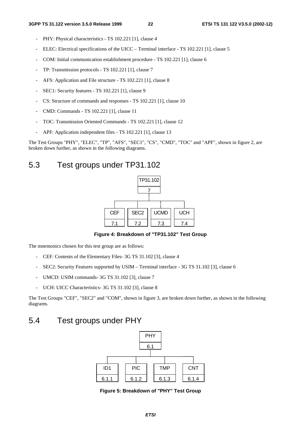- PHY: Physical characteristics TS 102.221 [1], clause 4
- ELEC: Electrical specifications of the UICC Terminal interface TS 102.221 [1], clause 5
- COM: Initial communication establishment procedure TS 102.221 [1], clause 6
- TP: Transmission protocols TS 102.221 [1], clause 7
- AFS: Application and File structure TS 102.221 [1], clause 8
- SEC1: Security features TS 102.221 [1], clause 9
- CS: Structure of commands and responses TS 102.221 [1], clause 10
- CMD: Commands TS 102.221 [1], clause 11
- TOC: Transmission Oriented Commands TS 102.221 [1], clause 12
- APF: Application independent files TS 102.221 [1], clause 13

The Test Groups "PHY", "ELEC", "TP", "AFS", "SEC1", "CS", "CMD", "TOC" and "APF", shown in figure 2, are broken down further, as shown in the following diagrams.

### 5.3 Test groups under TP31.102



**Figure 4: Breakdown of "TP31.102" Test Group** 

The mnemonics chosen for this test group are as follows:

- CEF: Contents of the Elementary Files- 3G TS 31.102 [3], clause 4
- SEC2: Security Features supported by USIM Terminal interface 3G TS 31.102 [3], clause 6
- UMCD: USIM commands- 3G TS 31.102 [3], clause 7
- UCH: UICC Characteristics- 3G TS 31.102 [3], clause 8

The Test Groups "CEF", "SEC2" and "COM", shown in figure 3, are broken down further, as shown in the following diagrams.

### 5.4 Test groups under PHY



**Figure 5: Breakdown of "PHY" Test Group**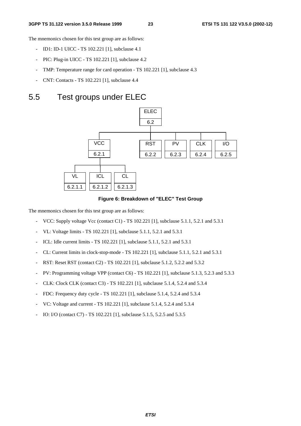The mnemonics chosen for this test group are as follows:

- ID1: ID-1 UICC TS 102.221 [1], subclause 4.1
- PIC: Plug-in UICC TS 102.221 [1], subclause 4.2
- TMP: Temperature range for card operation TS 102.221 [1], subclause 4.3
- CNT: Contacts TS 102.221 [1], subclause 4.4

### 5.5 Test groups under ELEC



**Figure 6: Breakdown of "ELEC" Test Group** 

- VCC: Supply voltage Vcc (contact C1) TS 102.221 [1], subclause 5.1.1, 5.2.1 and 5.3.1
- VL: Voltage limits TS 102.221 [1], subclause 5.1.1, 5.2.1 and 5.3.1
- ICL: Idle current limits TS 102.221 [1], subclause 5.1.1, 5.2.1 and 5.3.1
- CL: Current limits in clock-stop-mode TS 102.221 [1], subclause 5.1.1, 5.2.1 and 5.3.1
- RST: Reset RST (contact C2) TS 102.221 [1], subclause 5.1.2, 5.2.2 and 5.3.2
- PV: Programming voltage VPP (contact C6) TS 102.221 [1], subclause 5.1.3, 5.2.3 and 5.3.3
- CLK: Clock CLK (contact C3) TS 102.221 [1], subclause 5.1.4, 5.2.4 and 5.3.4
- FDC: Frequency duty cycle TS 102.221 [1], subclause 5.1.4, 5.2.4 and 5.3.4
- VC: Voltage and current TS 102.221 [1], subclause 5.1.4, 5.2.4 and 5.3.4
- IO: I/O (contact C7) TS 102.221 [1], subclause 5.1.5, 5.2.5 and 5.3.5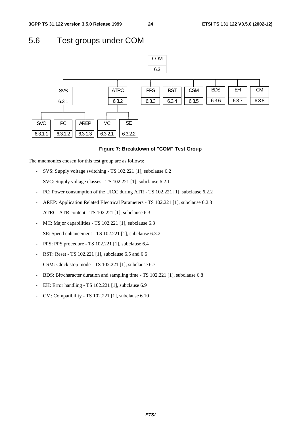### 5.6 Test groups under COM



#### **Figure 7: Breakdown of "COM" Test Group**

- SVS: Supply voltage switching TS 102.221 [1], subclause 6.2
- SVC: Supply voltage classes TS 102.221 [1], subclause 6.2.1
- PC: Power consumption of the UICC during ATR TS 102.221 [1], subclause 6.2.2
- AREP: Application Related Electrical Parameters TS 102.221 [1], subclause 6.2.3
- ATRC: ATR content TS 102.221 [1], subclause 6.3
- MC: Major capabilities TS 102.221 [1], subclause 6.3
- SE: Speed enhancement TS 102.221 [1], subclause 6.3.2
- PPS: PPS procedure TS 102.221 [1], subclause 6.4
- RST: Reset TS 102.221 [1], subclause 6.5 and 6.6
- CSM: Clock stop mode TS 102.221 [1], subclause 6.7
- BDS: Bit/character duration and sampling time TS 102.221 [1], subclause 6.8
- EH: Error handling TS 102.221 [1], subclause 6.9
- CM: Compatibility TS 102.221 [1], subclause 6.10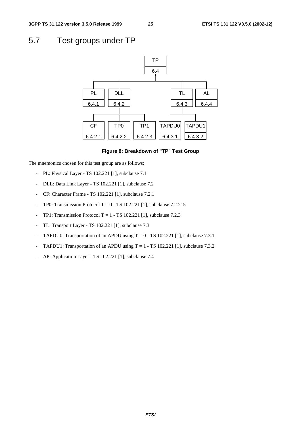### 5.7 Test groups under TP



#### **Figure 8: Breakdown of "TP" Test Group**

- PL: Physical Layer TS 102.221 [1], subclause 7.1
- DLL: Data Link Layer TS 102.221 [1], subclause 7.2
- CF: Character Frame TS 102.221 [1], subclause 7.2.1
- TP0: Transmission Protocol T =  $0$  TS 102.221 [1], subclause 7.2.215
- TP1: Transmission Protocol T = 1 TS 102.221 [1], subclause 7.2.3
- TL: Transport Layer TS 102.221 [1], subclause 7.3
- TAPDU0: Transportation of an APDU using  $T = 0 TS 102.221$  [1], subclause 7.3.1
- TAPDU1: Transportation of an APDU using  $T = 1 TS 102.221$  [1], subclause 7.3.2
- AP: Application Layer TS 102.221 [1], subclause 7.4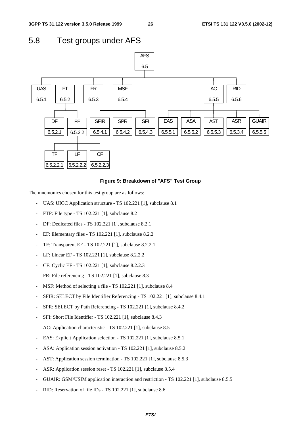### 5.8 Test groups under AFS



#### **Figure 9: Breakdown of "AFS" Test Group**

- UAS: UICC Application structure TS 102.221 [1], subclause 8.1
- FTP: File type TS 102.221 [1], subclause 8.2
- DF: Dedicated files TS 102.221 [1], subclause 8.2.1
- EF: Elementary files TS 102.221 [1], subclause 8.2.2
- TF: Transparent EF TS 102.221 [1], subclause 8.2.2.1
- LF: Linear EF TS 102.221 [1], subclause 8.2.2.2
- CF: Cyclic EF TS 102.221 [1], subclause 8.2.2.3
- FR: File referencing TS 102.221 [1], subclause 8.3
- MSF: Method of selecting a file TS 102.221 [1], subclause 8.4
- SFIR: SELECT by File Identifier Referencing TS 102.221 [1], subclause 8.4.1
- SPR: SELECT by Path Referencing TS 102.221 [1], subclause 8.4.2
- SFI: Short File Identifier TS 102.221 [1], subclause 8.4.3
- AC: Application characteristic TS 102.221 [1], subclause 8.5
- EAS: Explicit Application selection TS 102.221 [1], subclause 8.5.1
- ASA: Application session activation TS 102.221 [1], subclause 8.5.2
- AST: Application session termination TS 102.221 [1], subclause 8.5.3
- ASR: Application session reset TS 102.221 [1], subclause 8.5.4
- GUAIR: GSM/USIM application interaction and restriction TS 102.221 [1], subclause 8.5.5
- RID: Reservation of file IDs TS 102.221 [1], subclause 8.6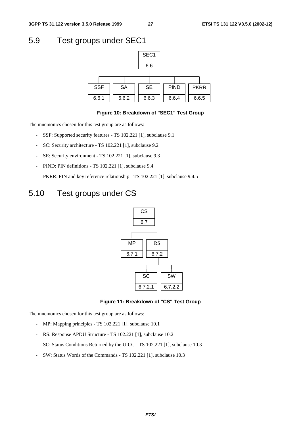### 5.9 Test groups under SEC1



#### **Figure 10: Breakdown of "SEC1" Test Group**

The mnemonics chosen for this test group are as follows:

- SSF: Supported security features TS 102.221 [1], subclause 9.1
- SC: Security architecture TS 102.221 [1], subclause 9.2
- SE: Security environment TS 102.221 [1], subclause 9.3
- PIND: PIN definitions TS 102.221 [1], subclause 9.4
- PKRR: PIN and key reference relationship TS 102.221 [1], subclause 9.4.5

### 5.10 Test groups under CS



#### **Figure 11: Breakdown of "CS" Test Group**

- MP: Mapping principles TS 102.221 [1], subclause 10.1
- RS: Response APDU Structure TS 102.221 [1], subclause 10.2
- SC: Status Conditions Returned by the UICC TS 102.221 [1], subclause 10.3
- SW: Status Words of the Commands TS 102.221 [1], subclause 10.3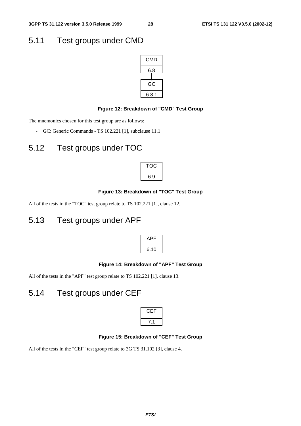### 5.11 Test groups under CMD



#### **Figure 12: Breakdown of "CMD" Test Group**

The mnemonics chosen for this test group are as follows:

- GC: Generic Commands - TS 102.221 [1], subclause 11.1

### 5.12 Test groups under TOC



#### **Figure 13: Breakdown of "TOC" Test Group**

All of the tests in the "TOC" test group relate to TS 102.221 [1], clause 12.

### 5.13 Test groups under APF

| μ<br>L |  |
|--------|--|
| ວິ.1   |  |

#### **Figure 14: Breakdown of "APF" Test Group**

All of the tests in the "APF" test group relate to TS 102.221 [1], clause 13.

### 5.14 Test groups under CEF

| =<br>┍ |  |
|--------|--|
|        |  |

#### **Figure 15: Breakdown of "CEF" Test Group**

All of the tests in the "CEF" test group relate to 3G TS 31.102 [3], clause 4.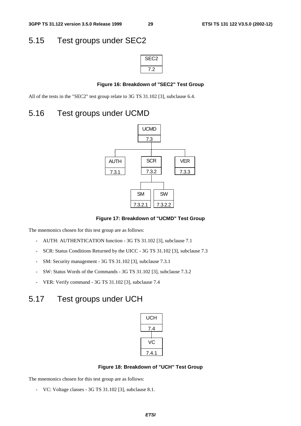### 5.15 Test groups under SEC2

| SE<br>じン |
|----------|
| ン        |

#### **Figure 16: Breakdown of "SEC2" Test Group**

All of the tests in the "SEC2" test group relate to 3G TS 31.102 [3], subclause 6.4.

### 5.16 Test groups under UCMD



**Figure 17: Breakdown of "UCMD" Test Group** 

The mnemonics chosen for this test group are as follows:

- AUTH: AUTHENTICATION function 3G TS 31.102 [3], subclause 7.1
- SCR: Status Conditions Returned by the UICC 3G TS 31.102 [3], subclause 7.3
- SM: Security management 3G TS 31.102 [3], subclause 7.3.1
- SW: Status Words of the Commands 3G TS 31.102 [3], subclause 7.3.2
- VER: Verify command 3G TS 31.102 [3], subclause 7.4

### 5.17 Test groups under UCH

| UCH     |
|---------|
| 4.′     |
| C       |
| 7.<br>1 |

#### **Figure 18: Breakdown of "UCH" Test Group**

<sup>-</sup> VC: Voltage classes - 3G TS 31.102 [3], subclause 8.1.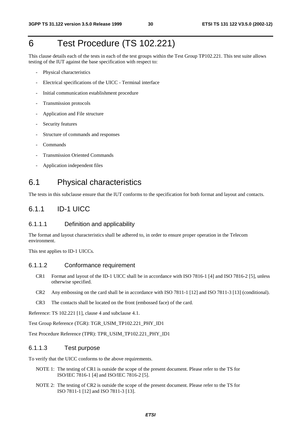### 6 Test Procedure (TS 102.221)

This clause details each of the tests in each of the test groups within the Test Group TP102.221. This test suite allows testing of the IUT against the base specification with respect to:

- Physical characteristics
- Electrical specifications of the UICC Terminal interface
- Initial communication establishment procedure
- Transmission protocols
- Application and File structure
- Security features
- Structure of commands and responses
- **Commands**
- Transmission Oriented Commands
- Application independent files

### 6.1 Physical characteristics

The tests in this subclause ensure that the IUT conforms to the specification for both format and layout and contacts.

### 6.1.1 ID-1 UICC

#### 6.1.1.1 Definition and applicability

The format and layout characteristics shall be adhered to, in order to ensure proper operation in the Telecom environment.

This test applies to ID-1 UICCs.

#### 6.1.1.2 Conformance requirement

- CR1 Format and layout of the ID-1 UICC shall be in accordance with ISO 7816-1 [4] and ISO 7816-2 [5], unless otherwise specified.
- CR2 Any embossing on the card shall be in accordance with ISO 7811-1 [12] and ISO 7811-3 [13] (conditional).
- CR3 The contacts shall be located on the front (embossed face) of the card.

Reference: TS 102.221 [1], clause 4 and subclause 4.1.

Test Group Reference (TGR): TGR\_USIM\_TP102.221\_PHY\_ID1

Test Procedure Reference (TPR): TPR\_USIM\_TP102.221\_PHY\_ID1

#### 6.1.1.3 Test purpose

To verify that the UICC conforms to the above requirements.

- NOTE 1: The testing of CR1 is outside the scope of the present document. Please refer to the TS for ISO/IEC 7816-1 [4] and ISO/IEC 7816-2 [5].
- NOTE 2: The testing of CR2 is outside the scope of the present document. Please refer to the TS for ISO 7811-1 [12] and ISO 7811-3 [13].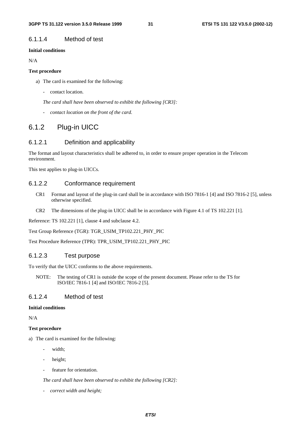#### 6.1.1.4 Method of test

#### **Initial conditions**

N/A

#### **Test procedure**

a) The card is examined for the following:

- contact location.

*The card shall have been observed to exhibit the following [CR3]:* 

*- contact location on the front of the card.* 

### 6.1.2 Plug-in UICC

#### 6.1.2.1 Definition and applicability

The format and layout characteristics shall be adhered to, in order to ensure proper operation in the Telecom environment.

This test applies to plug-in UICCs.

#### 6.1.2.2 Conformance requirement

- CR1 Format and layout of the plug-in card shall be in accordance with ISO 7816-1 [4] and ISO 7816-2 [5], unless otherwise specified.
- CR2 The dimensions of the plug-in UICC shall be in accordance with Figure 4.1 of TS 102.221 [1].

Reference: TS 102.221 [1], clause 4 and subclause 4.2.

Test Group Reference (TGR): TGR\_USIM\_TP102.221\_PHY\_PIC

Test Procedure Reference (TPR): TPR\_USIM\_TP102.221\_PHY\_PIC

#### 6.1.2.3 Test purpose

To verify that the UICC conforms to the above requirements.

NOTE: The testing of CR1 is outside the scope of the present document. Please refer to the TS for ISO/IEC 7816-1 [4] and ISO/IEC 7816-2 [5].

#### 6.1.2.4 Method of test

#### **Initial conditions**

N/A

#### **Test procedure**

- a) The card is examined for the following:
	- width;
	- height;
	- feature for orientation.

*The card shall have been observed to exhibit the following [CR2]:*

*- correct width and height;*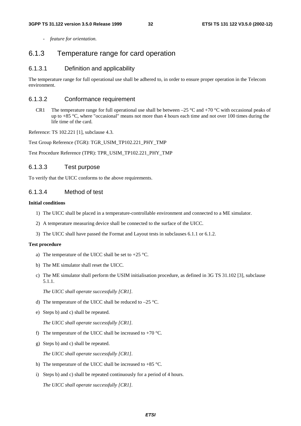*- feature for orientation.*

#### 6.1.3 Temperature range for card operation

#### 6.1.3.1 Definition and applicability

The temperature range for full operational use shall be adhered to, in order to ensure proper operation in the Telecom environment.

#### 6.1.3.2 Conformance requirement

CR1 The temperature range for full operational use shall be between –25  $\degree$ C and +70  $\degree$ C with occasional peaks of up to +85 °C, where "occasional" means not more than 4 hours each time and not over 100 times during the life time of the card.

Reference: TS 102.221 [1], subclause 4.3.

Test Group Reference (TGR): TGR\_USIM\_TP102.221\_PHY\_TMP

Test Procedure Reference (TPR): TPR\_USIM\_TP102.221\_PHY\_TMP

#### 6.1.3.3 Test purpose

To verify that the UICC conforms to the above requirements.

#### 6.1.3.4 Method of test

#### **Initial conditions**

- 1) The UICC shall be placed in a temperature-controllable environment and connected to a ME simulator.
- 2) A temperature measuring device shall be connected to the surface of the UICC.
- 3) The UICC shall have passed the Format and Layout tests in subclauses 6.1.1 or 6.1.2.

#### **Test procedure**

- a) The temperature of the UICC shall be set to  $+25$  °C.
- b) The ME simulator shall reset the UICC.
- c) The ME simulator shall perform the USIM initialisation procedure, as defined in 3G TS 31.102 [3], subclause 5.1.1.

*The UICC shall operate successfully [CR1].*

- d) The temperature of the UICC shall be reduced to –25 °C.
- e) Steps b) and c) shall be repeated.

*The UICC shall operate successfully [CR1].*

- f) The temperature of the UICC shall be increased to  $+70$  °C.
- g) Steps b) and c) shall be repeated.

*The UICC shall operate successfully [CR1].*

- h) The temperature of the UICC shall be increased to  $+85$  °C.
- i) Steps b) and c) shall be repeated continuously for a period of 4 hours.

*The UICC shall operate successfully [CR1].*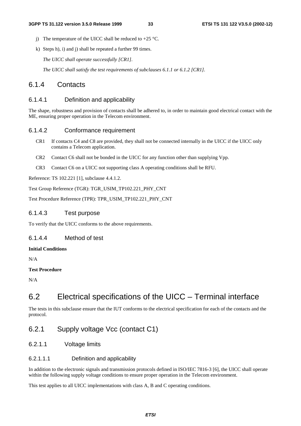- j) The temperature of the UICC shall be reduced to  $+25$  °C.
- k) Steps h), i) and j) shall be repeated a further 99 times.

*The UICC shall operate successfully [CR1].*

*The UICC shall satisfy the test requirements of subclauses 6.1.1 or 6.1.2 [CR1].*

### 6.1.4 Contacts

#### 6.1.4.1 Definition and applicability

The shape, robustness and provision of contacts shall be adhered to, in order to maintain good electrical contact with the ME, ensuring proper operation in the Telecom environment.

#### 6.1.4.2 Conformance requirement

- CR1 If contacts C4 and C8 are provided, they shall not be connected internally in the UICC if the UICC only contains a Telecom application.
- CR2 Contact C6 shall not be bonded in the UICC for any function other than supplying Vpp.
- CR3 Contact C6 on a UICC not supporting class A operating conditions shall be RFU.

Reference: TS 102.221 [1], subclause 4.4.1.2.

Test Group Reference (TGR): TGR\_USIM\_TP102.221\_PHY\_CNT

Test Procedure Reference (TPR): TPR\_USIM\_TP102.221\_PHY\_CNT

#### 6.1.4.3 Test purpose

To verify that the UICC conforms to the above requirements.

#### 6.1.4.4 Method of test

#### **Initial Conditions**

N/A

#### **Test Procedure**

N/A

### 6.2 Electrical specifications of the UICC – Terminal interface

The tests in this subclause ensure that the IUT conforms to the electrical specification for each of the contacts and the protocol.

### 6.2.1 Supply voltage Vcc (contact C1)

6.2.1.1 Voltage limits

#### 6.2.1.1.1 Definition and applicability

In addition to the electronic signals and transmission protocols defined in ISO/IEC 7816-3 [6], the UICC shall operate within the following supply voltage conditions to ensure proper operation in the Telecom environment.

This test applies to all UICC implementations with class A, B and C operating conditions.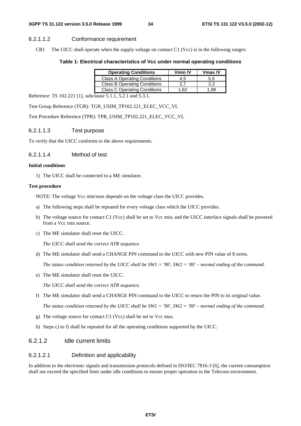#### 6.2.1.1.2 Conformance requirement

CR1 The UICC shall operate when the supply voltage on contact C1 (Vcc) is in the following ranges:

#### **Table 1: Electrical characteristics of Vcc under normal operating conditions**

| <b>Operating Conditions</b>         | Vmin $N$ | $V$ max $N$ |
|-------------------------------------|----------|-------------|
| <b>Class A Operating Conditions</b> | 4.5      | 5,5         |
| <b>Class B Operating Conditions</b> | 2.7      | 3.3         |
| <b>Class C Operating Conditions</b> | 1.62     | 98. ا       |

Reference: TS 102.221 [1], subclause 5.1.1, 5.2.1 and 5.3.1.

Test Group Reference (TGR): TGR\_USIM\_TP102.221\_ELEC\_VCC\_VL

Test Procedure Reference (TPR): TPR\_USIM\_TP102.221\_ELEC\_VCC\_VL

#### 6.2.1.1.3 Test purpose

To verify that the UICC conforms to the above requirements.

#### 6.2.1.1.4 Method of test

#### **Initial conditions**

1) The UICC shall be connected to a ME simulator.

#### **Test procedure**

NOTE: The voltage Vcc min/max depends on the voltage class the UICC provides.

- a) The following steps shall be repeated for every voltage class which the UICC provides.
- b) The voltage source for contact C1 (Vcc) shall be set to Vcc min, and the UICC interface signals shall be powered from a Vcc min source.
- c) The ME simulator shall reset the UICC.

*The UICC shall send the correct ATR sequence.*

d) The ME simulator shall send a CHANGE PIN command to the UICC with new PIN value of 8 zeros.

*The status condition returned by the UICC shall be SW1 = '90', SW2 = '00' – normal ending of the command.*

e) The ME simulator shall reset the UICC.

*The UICC shall send the correct ATR sequence.*

f) The ME simulator shall send a CHANGE PIN command to the UICC to return the PIN to its original value.

*The status condition returned by the UICC shall be SW1 = '90', SW2 = '00' – normal ending of the command.*

- g) The voltage source for contact C1 (Vcc) shall be set to Vcc max.
- h) Steps c) to f) shall be repeated for all the operating conditions supported by the UICC.

#### 6.2.1.2 Idle current limits

#### 6.2.1.2.1 Definition and applicability

In addition to the electronic signals and transmission protocols defined in ISO/IEC 7816-3 [6], the current consumption shall not exceed the specified limit under idle conditions to ensure proper operation in the Telecom environment.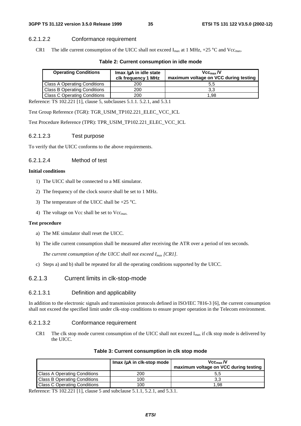#### 6.2.1.2.2 Conformance requirement

CR1 The idle current consumption of the UICC shall not exceed  $I_{max}$  at 1 MHz, +25 °C and Vcc<sub>max</sub>.

#### **Table 2: Current consumption in idle mode**

| <b>Operating Conditions</b>         | $Imax/\mu A$ in idle state<br>clk frequency 1 MHz | Vcc <sub>max</sub> /V<br>maximum voltage on VCC during testing |
|-------------------------------------|---------------------------------------------------|----------------------------------------------------------------|
| <b>Class A Operating Conditions</b> | 200                                               | 5.5                                                            |
| <b>Class B Operating Conditions</b> | 200                                               | 3.3                                                            |
| <b>Class C Operating Conditions</b> | 200                                               | 1.98                                                           |

Reference: TS 102.221 [1], clause 5, subclauses 5.1.1. 5.2.1, and 5.3.1

Test Group Reference (TGR): TGR\_USIM\_TP102.221\_ELEC\_VCC\_ICL

Test Procedure Reference (TPR): TPR\_USIM\_TP102.221\_ELEC\_VCC\_ICL

#### 6.2.1.2.3 Test purpose

To verify that the UICC conforms to the above requirements.

#### 6.2.1.2.4 Method of test

#### **Initial conditions**

- 1) The UICC shall be connected to a ME simulator.
- 2) The frequency of the clock source shall be set to 1 MHz.
- 3) The temperature of the UICC shall be +25 °C.
- 4) The voltage on Vcc shall be set to  $Vec_{max}$ .

#### **Test procedure**

- a) The ME simulator shall reset the UICC.
- b) The idle current consumption shall be measured after receiving the ATR over a period of ten seconds.

*The current consumption of the UICC shall not exceed Imax [CR1].*

c) Steps a) and b) shall be repeated for all the operating conditions supported by the UICC.

#### 6.2.1.3 Current limits in clk-stop-mode

#### 6.2.1.3.1 Definition and applicability

In addition to the electronic signals and transmission protocols defined in ISO/IEC 7816-3 [6], the current consumption shall not exceed the specified limit under clk-stop conditions to ensure proper operation in the Telecom environment.

#### 6.2.1.3.2 Conformance requirement

CR1 The clk stop mode current consumption of the UICC shall not exceed  $I_{max}$  if clk stop mode is delivered by the UICC.

|                                     | Imax / $\mu$ A in clk-stop mode | $\mathsf{Vcc}_{\max}$ /V<br>maximum voltage on VCC during testing |
|-------------------------------------|---------------------------------|-------------------------------------------------------------------|
| <b>Class A Operating Conditions</b> | 200                             | 5.5                                                               |
| <b>Class B Operating Conditions</b> | 100                             |                                                                   |
| <b>Class C Operating Conditions</b> | 100                             | 1.98                                                              |

#### **Table 3: Current consumption in clk stop mode**

Reference: TS 102.221 [1], clause 5 and subclause 5.1.1, 5.2.1, and 5.3.1.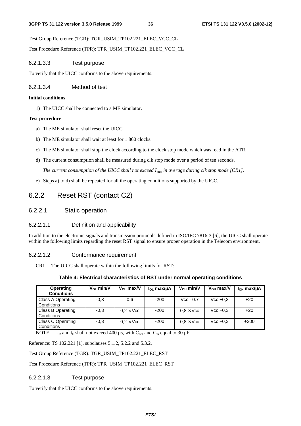Test Group Reference (TGR): TGR\_USIM\_TP102.221\_ELEC\_VCC\_CL

Test Procedure Reference (TPR): TPR\_USIM\_TP102.221\_ELEC\_VCC\_CL

## 6.2.1.3.3 Test purpose

To verify that the UICC conforms to the above requirements.

## 6.2.1.3.4 Method of test

## **Initial conditions**

1) The UICC shall be connected to a ME simulator.

## **Test procedure**

- a) The ME simulator shall reset the UICC.
- b) The ME simulator shall wait at least for 1 860 clocks.
- c) The ME simulator shall stop the clock according to the clock stop mode which was read in the ATR.
- d) The current consumption shall be measured during clk stop mode over a period of ten seconds.

*The current consumption of the UICC shall not exceed Imax in average during clk stop mode [CR1].* 

e) Steps a) to d) shall be repeated for all the operating conditions supported by the UICC.

## 6.2.2 Reset RST (contact C2)

6.2.2.1 Static operation

## 6.2.2.1.1 Definition and applicability

In addition to the electronic signals and transmission protocols defined in ISO/IEC 7816-3 [6], the UICC shall operate within the following limits regarding the reset RST signal to ensure proper operation in the Telecom environment.

## 6.2.2.1.2 Conformance requirement

CR1 The UICC shall operate within the following limits for RST:

## **Table 4: Electrical characteristics of RST under normal operating conditions**

| Operating<br><b>Conditions</b>         | $V_{OL}$ min/V | $V_{OL}$ max/V   | $I_{OL}$ max/ $\mu$ A | $V_{OH}$ min/V   | $V_{OH}$ max/V | $I_{OH}$ max/ $\mu$ A |
|----------------------------------------|----------------|------------------|-----------------------|------------------|----------------|-----------------------|
| Class A Operating<br>Conditions        | $-0.3$         | 0,6              | $-200$                | $Vec - 0.7$      | $Vcc +0.3$     | $+20$                 |
| <b>Class B Operating</b><br>Conditions | $-0.3$         | $0.2 \times$ Vcc | $-200$                | $0.8 \times$ Vcc | $Vec + 0.3$    | $+20$                 |
| <b>Class C Operating</b><br>Conditions | $-0.3$         | $0.2 \times$ Vcc | $-200$                | $0.8 \times$ Vcc | $Vec + 0.3$    | $+200$                |

NOTE:  $t_R$  and  $t_F$  shall not exceed 400  $\mu$ s, with C<sub>out</sub> and C<sub>in</sub> equal to 30 pF.

Reference: TS 102.221 [1], subclauses 5.1.2, 5.2.2 and 5.3.2.

Test Group Reference (TGR): TGR\_USIM\_TP102.221\_ELEC\_RST

Test Procedure Reference (TPR): TPR\_USIM\_TP102.221\_ELEC\_RST

## 6.2.2.1.3 Test purpose

To verify that the UICC conforms to the above requirements.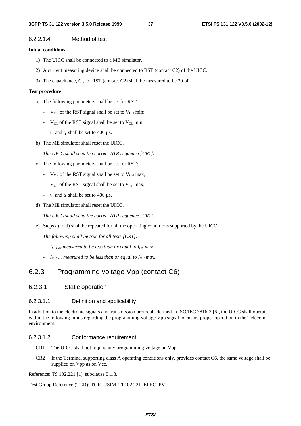### 6.2.2.1.4 Method of test

### **Initial conditions**

- 1) The UICC shall be connected to a ME simulator.
- 2) A current measuring device shall be connected to RST (contact C2) of the UICC.
- 3) The capacitance,  $C_{in}$ , of RST (contact C2) shall be measured to be 30 pF.

### **Test procedure**

- a) The following parameters shall be set for RST:
	- $V_{OH}$  of the RST signal shall be set to  $V_{OH}$  min;
	- $V_{OL}$  of the RST signal shall be set to  $V_{OL}$  min;
	- $t_R$  and  $t_F$  shall be set to 400  $\mu$ s.
- b) The ME simulator shall reset the UICC.

*The UICC shall send the correct ATR sequence [CR1].*

- c) The following parameters shall be set for RST:
	- $V_{OH}$  of the RST signal shall be set to  $V_{OH}$  max;
	- $V_{OL}$  of the RST signal shall be set to  $V_{OL}$  max;
	- $t_R$  and  $t_F$  shall be set to 400  $\mu$ s.
- d) The ME simulator shall reset the UICC.

*The UICC shall send the correct ATR sequence [CR1].*

e) Steps a) to d) shall be repeated for all the operating conditions supported by the UICC.

*The following shall be true for all tests [CR1]:*

- *IOLmax measured to be less than or equal to IOL max;*
- $I_{OHmax}$  measured to be less than or equal to  $I_{OH}$  max.

## 6.2.3 Programming voltage Vpp (contact C6)

### 6.2.3.1 Static operation

### 6.2.3.1.1 Definition and applicability

In addition to the electronic signals and transmission protocols defined in ISO/IEC 7816-3 [6], the UICC shall operate within the following limits regarding the programming voltage Vpp signal to ensure proper operation in the Telecom environment.

### 6.2.3.1.2 Conformance requirement

- CR1 The UICC shall not require any programming voltage on Vpp.
- CR2 If the Terminal supporting class A operating conditions only, provides contact C6, the same voltage shall be supplied on Vpp as on Vcc.

Reference: TS 102.221 [1], subclause 5.1.3.

Test Group Reference (TGR): TGR\_USIM\_TP102.221\_ELEC\_PV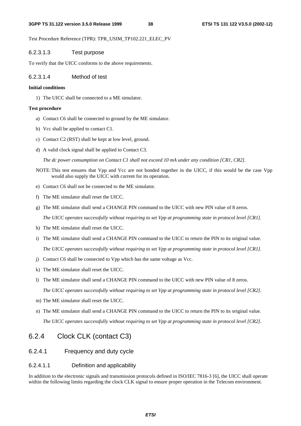Test Procedure Reference (TPR): TPR\_USIM\_TP102.221\_ELEC\_PV

### 6.2.3.1.3 Test purpose

To verify that the UICC conforms to the above requirements.

### 6.2.3.1.4 Method of test

#### **Initial conditions**

1) The UICC shall be connected to a ME simulator.

### **Test procedure**

- a) Contact C6 shall be connected to ground by the ME simulator.
- b) Vcc shall be applied to contact C1.
- c) Contact C2 (RST) shall be kept at low level, ground.
- d) A valid clock signal shall be applied to Contact C3.

*The dc power consumption on Contact C1 shall not exceed 10 mA under any condition [CR1, CR2].* 

- NOTE: This test ensures that Vpp and Vcc are not bonded together in the UICC, if this would be the case Vpp would also supply the UICC with current for its operation.
- e) Contact C6 shall not be connected to the ME simulator.
- f) The ME simulator shall reset the UICC.
- g) The ME simulator shall send a CHANGE PIN command to the UICC with new PIN value of 8 zeros.

*The UICC operates successfully without requiring to set Vpp at programming state in protocol level [CR1].*

- h) The ME simulator shall reset the UICC.
- i) The ME simulator shall send a CHANGE PIN command to the UICC to return the PIN to its original value. *The UICC operates successfully without requiring to set Vpp at programming state in protocol level [CR1].*
- j) Contact C6 shall be connected to Vpp which has the same voltage as Vcc.
- k) The ME simulator shall reset the UICC.
- l) The ME simulator shall send a CHANGE PIN command to the UICC with new PIN value of 8 zeros.

*The UICC operates successfully without requiring to set Vpp at programming state in protocol level [CR2].*

- m) The ME simulator shall reset the UICC.
- n) The ME simulator shall send a CHANGE PIN command to the UICC to return the PIN to its original value. *The UICC operates successfully without requiring to set Vpp at programming state in protocol level [CR2].*

## 6.2.4 Clock CLK (contact C3)

## 6.2.4.1 Frequency and duty cycle

## 6.2.4.1.1 Definition and applicability

In addition to the electronic signals and transmission protocols defined in ISO/IEC 7816-3 [6], the UICC shall operate within the following limits regarding the clock CLK signal to ensure proper operation in the Telecom environment.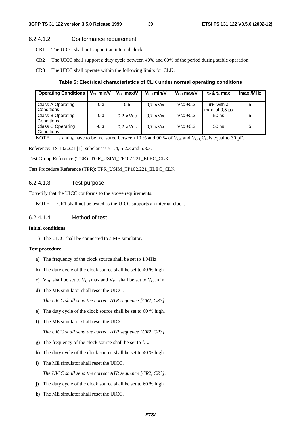## 6.2.4.1.2 Conformance requirement

- CR1 The UICC shall not support an internal clock.
- CR2 The UICC shall support a duty cycle between 40% and 60% of the period during stable operation.
- CR3 The UICC shall operate within the following limits for CLK:

## **Table 5: Electrical characteristics of CLK under normal operating conditions**

| <b>Operating Conditions</b>     | $V_{OL}$ min/V | $V_{\Omega}$ max/V | $V_{OH}$ min/V   | $V_{OH}$ max/V | $t_R$ & $t_F$ max             | fmax /MHz |
|---------------------------------|----------------|--------------------|------------------|----------------|-------------------------------|-----------|
| Class A Operating<br>Conditions | $-0.3$         | 0,5                | $0.7 \times$ Vcc | $Vec + 0.3$    | 9% with a<br>max. of $0.5$ us | 5         |
| Class B Operating<br>Conditions | $-0.3$         | $0.2 \times$ Vcc   | $0.7 \times$ Vcc | $Vec+0.3$      | $50$ ns                       | 5         |
| Class C Operating<br>Conditions | $-0.3$         | $0.2 \times$ Vcc   | $0.7 \times$ Vcc | $Vec + 0.3$    | $50$ ns                       | 5         |

NOTE:  $t_R$  and  $t_F$  have to be measured between 10 % and 90 % of  $V_{OL}$  and  $V_{OH}$ ; C<sub>in</sub> is equal to 30 pF.

Reference: TS 102.221 [1], subclauses 5.1.4, 5.2.3 and 5.3.3.

Test Group Reference (TGR): TGR\_USIM\_TP102.221\_ELEC\_CLK

Test Procedure Reference (TPR): TPR\_USIM\_TP102.221\_ELEC\_CLK

## 6.2.4.1.3 Test purpose

To verify that the UICC conforms to the above requirements.

NOTE: CR1 shall not be tested as the UICC supports an internal clock.

## 6.2.4.1.4 Method of test

## **Initial conditions**

1) The UICC shall be connected to a ME simulator.

## **Test procedure**

- a) The frequency of the clock source shall be set to 1 MHz.
- b) The duty cycle of the clock source shall be set to 40 % high.
- c)  $V_{OH}$  shall be set to  $V_{OH}$  max and  $V_{OL}$  shall be set to  $V_{OL}$  min.
- d) The ME simulator shall reset the UICC.

*The UICC shall send the correct ATR sequence [CR2, CR3].*

- e) The duty cycle of the clock source shall be set to 60 % high.
- f) The ME simulator shall reset the UICC.

*The UICC shall send the correct ATR sequence [CR2, CR3].*

- g) The frequency of the clock source shall be set to  $f_{\text{max}}$ .
- h) The duty cycle of the clock source shall be set to 40 % high.
- i) The ME simulator shall reset the UICC.

*The UICC shall send the correct ATR sequence [CR2, CR3].*

- j) The duty cycle of the clock source shall be set to 60 % high.
- k) The ME simulator shall reset the UICC.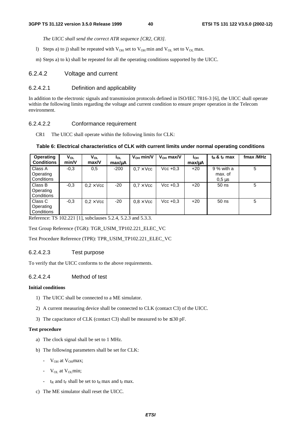*The UICC shall send the correct ATR sequence [CR2, CR3].*

l) Steps a) to j) shall be repeated with  $V_{OH}$  set to  $V_{OH}$  min and  $V_{OL}$  set to  $V_{OL}$  max.

m) Steps a) to k) shall be repeated for all the operating conditions supported by the UICC.

## 6.2.4.2 Voltage and current

### 6.2.4.2.1 Definition and applicability

In addition to the electronic signals and transmission protocols defined in ISO/IEC 7816-3 [6], the UICC shall operate within the following limits regarding the voltage and current condition to ensure proper operation in the Telecom environment.

### 6.2.4.2.2 Conformance requirement

CR1 The UICC shall operate within the following limits for CLK:

### **Table 6: Electrical characteristics of CLK with current limits under normal operating conditions**

| <b>Operating</b><br><b>Conditions</b> | V <sub>OL</sub><br>min/V | V <sub>OL</sub><br>max/V | <b>I</b> ol<br>max/uA | $V_{OH}$ min/V   | $V_{OH}$ max/V | Iон<br>max/uA | $t_R$ & $t_F$ max                               | fmax /MHz |
|---------------------------------------|--------------------------|--------------------------|-----------------------|------------------|----------------|---------------|-------------------------------------------------|-----------|
| Class A<br>Operating<br>Conditions    | $-0.3$                   | 0,5                      | $-200$                | $0.7 \times$ Vcc | $Vec+0.3$      | $+20$         | 9 % with a<br>max. of<br>$0.5 \,\mathrm{\mu s}$ | 5         |
| Class B<br>Operating<br>Conditions    | $-0.3$                   | $0.2 \times$ Vcc         | $-20$                 | $0.7 \times$ Vcc | $Vec + 0.3$    | $+20$         | $50$ ns                                         | 5         |
| Class C<br>Operating<br>Conditions    | $-0.3$                   | $0.2 \times$ Vcc         | $-20$                 | $0.8 \times$ Vcc | $Vec + 0.3$    | $+20$         | $50$ ns                                         | 5         |

Reference: TS 102.221 [1], subclauses 5.2.4, 5.2.3 and 5.3.3.

Test Group Reference (TGR): TGR\_USIM\_TP102.221\_ELEC\_VC

Test Procedure Reference (TPR): TPR\_USIM\_TP102.221\_ELEC\_VC

### 6.2.4.2.3 Test purpose

To verify that the UICC conforms to the above requirements.

### 6.2.4.2.4 Method of test

### **Initial conditions**

- 1) The UICC shall be connected to a ME simulator.
- 2) A current measuring device shall be connected to CLK (contact C3) of the UICC.
- 3) The capacitance of CLK (contact C3) shall be measured to be  $\leq 30$  pF.

### **Test procedure**

- a) The clock signal shall be set to 1 MHz.
- b) The following parameters shall be set for CLK:
	- $V_{OH}$  at  $V_{OH}$ max;
	- $V_{OL}$  at  $V_{OL}$  min;
	- $t_R$  and  $t_F$  shall be set to  $t_R$  max and  $t_F$  max.
- c) The ME simulator shall reset the UICC.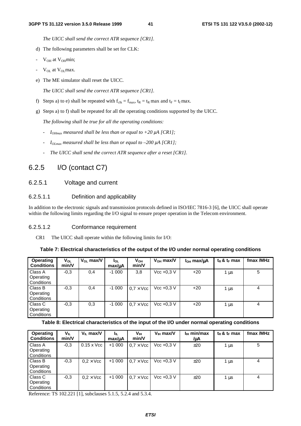*The UICC shall send the correct ATR sequence [CR1].*

- d) The following parameters shall be set for CLK:
- $V_{OH}$  at  $V_{OH}$ min;
- $V_{OL}$  at  $V_{OL}$  max.
- e) The ME simulator shall reset the UICC.

*The UICC shall send the correct ATR sequence [CR1].*

- f) Steps a) to e) shall be repeated with  $f_{clk} = f_{max}$ ,  $t_R = t_R$  max and  $t_F = t_f$  max.
- g) Steps a) to f) shall be repeated for all the operating conditions supported by the UICC.

*The following shall be true for all the operating conditions:*

- *IOHmax measured shall be less than or equal to +20* µ*A [CR1];*
- $I_{OImax}$  measured shall be less than or equal to –200  $\mu$ A [CR1];
- *The UICC shall send the correct ATR sequence after a reset [CR1].*

# 6.2.5 I/O (contact C7)

## 6.2.5.1 Voltage and current

## 6.2.5.1.1 Definition and applicability

In addition to the electronic signals and transmission protocols defined in ISO/IEC 7816-3 [6], the UICC shall operate within the following limits regarding the I/O signal to ensure proper operation in the Telecom environment.

## 6.2.5.1.2 Conformance requirement

CR1 The UICC shall operate within the following limits for I/O:

**Table 7: Electrical characteristics of the output of the I/O under normal operating conditions** 

| Operating<br><b>Conditions</b>                   | $V_{OL}$<br>min/V | $V_{OL}$ max/V | l <sub>OL</sub><br>$max/\mu A$ | $V_{OH}$<br>min/V | $V_{OH}$ max/V | $IOH$ max/ $\mu$ A | $t_R$ & $t_F$ max | fmax /MHz |
|--------------------------------------------------|-------------------|----------------|--------------------------------|-------------------|----------------|--------------------|-------------------|-----------|
| <b>Class A</b><br>Operating<br>Conditions        | $-0.3$            | 0,4            | $-1000$                        | 3,8               | $Vec + 0.3 V$  | $+20$              | 1 µs              | 5         |
| <b>Class B</b><br>Operating<br><b>Conditions</b> | $-0.3$            | 0,4            | $-1000$                        | $0.7 \times$ Vcc  | $Vec + 0.3 V$  | $+20$              | 1 μs              | 4         |
| Class C<br>Operating<br><b>Conditions</b>        | $-0.3$            | 0,3            | $-1000$                        | $0.7 \times$ Vcc  | $Vec + 0.3 V$  | $+20$              | 1 μs              | 4         |

## **Table 8: Electrical characteristics of the input of the I/O under normal operating conditions**

| <b>Operating</b><br><b>Conditions</b> | V <sub>IL</sub><br>min/V | $V_{II}$ max/V    | Ιıμ<br>max/uA | Vıн<br>min/V     | $V_{\text{H}}$ max/V | $I_{\text{H}}$ min/max<br>/µА | $t_R$ & $t_F$ max | fmax /MHz |
|---------------------------------------|--------------------------|-------------------|---------------|------------------|----------------------|-------------------------------|-------------------|-----------|
| Class A<br>Operating<br>Conditions    | $-0.3$                   | $0.15 \times$ Vcc | $+1000$       | $0.7 \times$ Vcc | $Vec + 0.3 V$        | ±20                           | 1 µs              | 5         |
| Class B<br>Operating<br>Conditions    | $-0,3$                   | $0.2 \times$ Vcc  | $+1000$       | $0.7 \times$ Vcc | $Vec + 0.3 V$        | ±20                           | 1 $\mu$ s         | 4         |
| Class C<br>Operating<br>Conditions    | $-0,3$                   | $0.2 \times$ Vcc  | $+1000$       | $0.7 \times$ Vcc | $Vec + 0.3 V$        | ±20                           | 1 µs              | 4         |

Reference: TS 102.221 [1], subclauses 5.1.5, 5.2.4 and 5.3.4.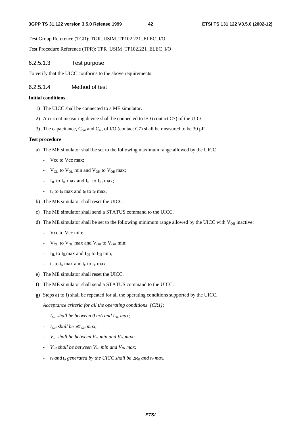Test Group Reference (TGR): TGR\_USIM\_TP102.221\_ELEC\_I/O

Test Procedure Reference (TPR): TPR\_USIM\_TP102.221\_ELEC\_I/O

### 6.2.5.1.3 Test purpose

To verify that the UICC conforms to the above requirements.

### 6.2.5.1.4 Method of test

### **Initial conditions**

- 1) The UICC shall be connected to a ME simulator.
- 2) A current measuring device shall be connected to I/O (contact C7) of the UICC.
- 3) The capacitance,  $C_{\text{out}}$  and  $C_{\text{in}}$ , of I/O (contact C7) shall be measured to be 30 pF.

### **Test procedure**

- a) The ME simulator shall be set to the following maximum range allowed by the UICC
	- Vcc to Vcc max;
	- $V_{OL}$  to  $V_{OL}$  min and  $V_{OH}$  to  $V_{OH}$  max;
	- $\rm{I_{IL}}$  to  $\rm{I_{IL}}$  max and  $\rm{I_{IH}}$  to  $\rm{I_{IH}}$  max;
	- $t_R$  to  $t_R$  max and  $t_F$  to  $t_F$  max.
- b) The ME simulator shall reset the UICC.
- c) The ME simulator shall send a STATUS command to the UICC.
- d) The ME simulator shall be set to the following minimum range allowed by the UICC with  $V_{OH}$  inactive:
	- Vcc to Vcc min;
	- $V_{OL}$  to  $V_{OL}$  max and  $V_{OH}$  to  $V_{OH}$  min;
	- $I_{IL}$  to  $I_{IL}$  max and  $I_{IH}$  to  $I_{IH}$  min;
	- $t_R$  to  $t_R$  max and  $t_F$  to  $t_F$  max.
- e) The ME simulator shall reset the UICC.
- f) The ME simulator shall send a STATUS command to the UICC.
- g) Steps a) to f) shall be repeated for all the operating conditions supported by the UICC.

*Acceptance criteria for all the operating conditions [CR1]:*

- *- I<sub>OL</sub>* shall be between 0 mA and I<sub>OL</sub> max;
- *-*  $I_{OH}$  shall be  $\leq I_{OH}$  max;
- *VIL shall be between VIL min and VIL max;*
- *VIH shall be between VIH min and VIH max;*
- *- t<sub>R</sub>* and *t<sub>R</sub>* generated by the UICC shall be  $\leq t_R$  and  $t_F$  max.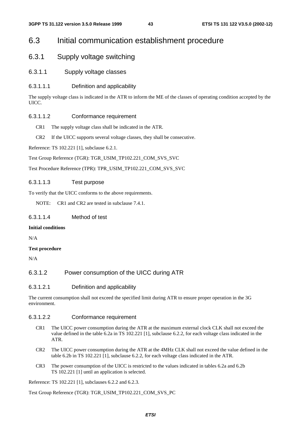## 6.3 Initial communication establishment procedure

## 6.3.1 Supply voltage switching

6.3.1.1 Supply voltage classes

## 6.3.1.1.1 Definition and applicability

The supply voltage class is indicated in the ATR to inform the ME of the classes of operating condition accepted by the UICC.

### 6.3.1.1.2 Conformance requirement

- CR1 The supply voltage class shall be indicated in the ATR.
- CR2 If the UICC supports several voltage classes, they shall be consecutive.

Reference: TS 102.221 [1], subclause 6.2.1.

Test Group Reference (TGR): TGR\_USIM\_TP102.221\_COM\_SVS\_SVC

Test Procedure Reference (TPR): TPR\_USIM\_TP102.221\_COM\_SVS\_SVC

## 6.3.1.1.3 Test purpose

To verify that the UICC conforms to the above requirements.

NOTE: CR1 and CR2 are tested in subclause 7.4.1.

## 6.3.1.1.4 Method of test

### **Initial conditions**

N/A

## **Test procedure**

N/A

## 6.3.1.2 Power consumption of the UICC during ATR

## 6.3.1.2.1 Definition and applicability

The current consumption shall not exceed the specified limit during ATR to ensure proper operation in the 3G environment.

## 6.3.1.2.2 Conformance requirement

- CR1 The UICC power consumption during the ATR at the maximum external clock CLK shall not exceed the value defined in the table 6.2a in TS 102.221 [1], subclause 6.2.2, for each voltage class indicated in the ATR.
- CR2 The UICC power consumption during the ATR at the 4MHz CLK shall not exceed the value defined in the table 6.2b in TS 102.221 [1], subclause 6.2.2, for each voltage class indicated in the ATR.
- CR3 The power consumption of the UICC is restricted to the values indicated in tables 6.2a and 6.2b TS 102.221 [1] until an application is selected.

Reference: TS 102.221 [1], subclauses 6.2.2 and 6.2.3.

Test Group Reference (TGR): TGR\_USIM\_TP102.221\_COM\_SVS\_PC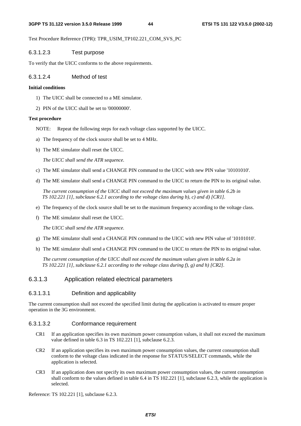Test Procedure Reference (TPR): TPR\_USIM\_TP102.221\_COM\_SVS\_PC

## 6.3.1.2.3 Test purpose

To verify that the UICC conforms to the above requirements.

## 6.3.1.2.4 Method of test

## **Initial conditions**

- 1) The UICC shall be connected to a ME simulator.
- 2) PIN of the UICC shall be set to '00000000'.

## **Test procedure**

- NOTE: Repeat the following steps for each voltage class supported by the UICC.
- a) The frequency of the clock source shall be set to 4 MHz.
- b) The ME simulator shall reset the UICC.

 *The UICC shall send the ATR sequence.*

- c) The ME simulator shall send a CHANGE PIN command to the UICC with new PIN value '10101010'.
- d) The ME simulator shall send a CHANGE PIN command to the UICC to return the PIN to its original value.

 *The current consumption of the UICC shall not exceed the maximum values given in table 6.2b in TS 102.221 [1], subclause 6.2.1 according to the voltage class during b), c) and d) [CR1].*

- e) The frequency of the clock source shall be set to the maximum frequency according to the voltage class.
- f) The ME simulator shall reset the UICC.

 *The UICC shall send the ATR sequence.*

- g) The ME simulator shall send a CHANGE PIN command to the UICC with new PIN value of '10101010'.
- h) The ME simulator shall send a CHANGE PIN command to the UICC to return the PIN to its original value.

 *The current consumption of the UICC shall not exceed the maximum values given in table 6.2a in TS 102.221 [1], subclause 6.2.1 according to the voltage class during f), g) and h) [CR2].*

## 6.3.1.3 Application related electrical parameters

## 6.3.1.3.1 Definition and applicability

The current consumption shall not exceed the specified limit during the application is activated to ensure proper operation in the 3G environment.

## 6.3.1.3.2 Conformance requirement

- CR1 If an application specifies its own maximum power consumption values, it shall not exceed the maximum value defined in table 6.3 in TS 102.221 [1], subclause 6.2.3.
- CR2 If an application specifies its own maximum power consumption values, the current consumption shall conform to the voltage class indicated in the response for STATUS/SELECT commands, while the application is selected.
- CR3 If an application does not specify its own maximum power consumption values, the current consumption shall conform to the values defined in table 6.4 in TS 102.221 [1], subclause 6.2.3, while the application is selected.

Reference: TS 102.221 [1], subclause 6.2.3.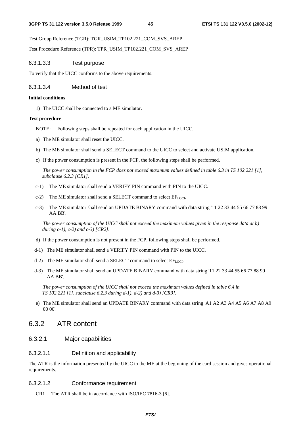Test Group Reference (TGR): TGR\_USIM\_TP102.221\_COM\_SVS\_AREP

Test Procedure Reference (TPR): TPR\_USIM\_TP102.221\_COM\_SVS\_AREP

## 6.3.1.3.3 Test purpose

To verify that the UICC conforms to the above requirements.

## 6.3.1.3.4 Method of test

### **Initial conditions**

1) The UICC shall be connected to a ME simulator.

### **Test procedure**

- NOTE: Following steps shall be repeated for each application in the UICC.
- a) The ME simulator shall reset the UICC.
- b) The ME simulator shall send a SELECT command to the UICC to select and activate USIM application.
- c) If the power consumption is present in the FCP, the following steps shall be performed.

 *The power consumption in the FCP does not exceed maximum values defined in table 6.3 in TS 102.221 [1], subclause 6.2.3 [CR1].*

- c-1) The ME simulator shall send a VERIFY PIN command with PIN to the UICC.
- c-2) The ME simulator shall send a SELECT command to select  $EF_{LOCI}$ .
- c-3) The ME simulator shall send an UPDATE BINARY command with data string '11 22 33 44 55 66 77 88 99 AA BB'.

 *The power consumption of the UICC shall not exceed the maximum values given in the response data at b) during c-1), c-2) and c-3) [CR2].*

- d) If the power consumption is not present in the FCP, following steps shall be performed.
- d-1) The ME simulator shall send a VERIFY PIN command with PIN to the UICC.
- d-2) The ME simulator shall send a SELECT command to select  $EF_{LOCI}$ .
- d-3) The ME simulator shall send an UPDATE BINARY command with data string '11 22 33 44 55 66 77 88 99 AA BB'.

 *The power consumption of the UICC shall not exceed the maximum values defined in table 6.4 in TS 102.221 [1], subclause 6.2.3 during d-1), d-2) and d-3) [CR3].* 

e) The ME simulator shall send an UPDATE BINARY command with data string 'A1 A2 A3 A4 A5 A6 A7 A8 A9 00 00'.

## 6.3.2 ATR content

## 6.3.2.1 Major capabilities

## 6.3.2.1.1 Definition and applicability

The ATR is the information presented by the UICC to the ME at the beginning of the card session and gives operational requirements.

## 6.3.2.1.2 Conformance requirement

CR1 The ATR shall be in accordance with ISO/IEC 7816-3 [6].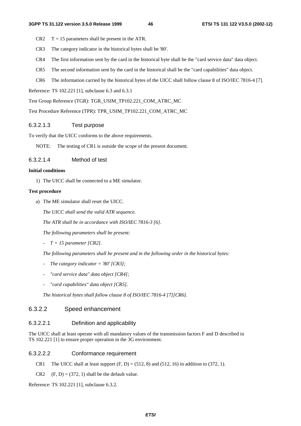- $CR2 \tT = 15$  parameters shall be present in the ATR.
- CR3 The category indicator in the historical bytes shall be '80'.
- CR4 The first information sent by the card in the historical byte shall be the "card service data" data object.
- CR5 The second information sent by the card in the historical shall be the "card capabilities" data object.
- CR6 The information carried by the historical bytes of the UICC shall follow clause 8 of ISO/IEC 7816-4 [7].

Reference: TS 102.221 [1], subclause 6.3 and 6.3.1

Test Group Reference (TGR): TGR\_USIM\_TP102.221\_COM\_ATRC\_MC

Test Procedure Reference (TPR): TPR\_USIM\_TP102.221\_COM\_ATRC\_MC

## 6.3.2.1.3 Test purpose

To verify that the UICC conforms to the above requirements.

NOTE: The testing of CR1 is outside the scope of the present document.

## 6.3.2.1.4 Method of test

## **Initial conditions**

1) The UICC shall be connected to a ME simulator.

### **Test procedure**

a) The ME simulator shall reset the UICC.

 *The UICC shall send the valid ATR sequence.* 

 *The ATR shall be in accordance with ISO/IEC 7816-3 [6].* 

 *The following parameters shall be present:* 

 *- T = 15 parameter [CR2].* 

 *The following parameters shall be present and in the following order in the historical bytes:* 

- *The category indicator = '80' [CR3]*;
- *"card service data" data object [CR4];*
- *"card capabilities" data object [CR5].*

 *The historical bytes shall follow clause 8 of ISO/IEC 7816-4 [7][CR6].* 

## 6.3.2.2 Speed enhancement

## 6.3.2.2.1 Definition and applicability

The UICC shall at least operate with all mandatory values of the transmission factors F and D described in TS 102.221 [1] to ensure proper operation in the 3G environment.

## 6.3.2.2.2 Conformance requirement

- CR1 The UICC shall at least support  $(F, D) = (512, 8)$  and  $(512, 16)$  in addition to  $(372, 1)$ .
- CR2  $(F, D) = (372, 1)$  shall be the default value.

Reference: TS 102.221 [1], subclause 6.3.2.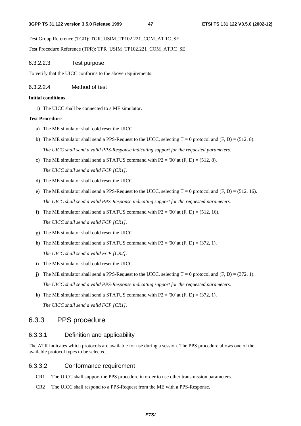Test Group Reference (TGR): TGR\_USIM\_TP102.221\_COM\_ATRC\_SE

Test Procedure Reference (TPR): TPR\_USIM\_TP102.221\_COM\_ATRC\_SE

## 6.3.2.2.3 Test purpose

To verify that the UICC conforms to the above requirements.

## 6.3.2.2.4 Method of test

## **Initial conditions**

1) The UICC shall be connected to a ME simulator.

## **Test Procedure**

- a) The ME simulator shall cold reset the UICC.
- b) The ME simulator shall send a PPS-Request to the UICC, selecting  $T = 0$  protocol and  $(F, D) = (512, 8)$ .  *The UICC shall send a valid PPS-Response indicating support for the requested parameters.*
- c) The ME simulator shall send a STATUS command with  $P2 = '00'$  at  $(F, D) = (512, 8)$ .

 *The UICC shall send a valid FCP [CR1].*

- d) The ME simulator shall cold reset the UICC.
- e) The ME simulator shall send a PPS-Request to the UICC, selecting  $T = 0$  protocol and  $(F, D) = (512, 16)$ . *The UICC shall send a valid PPS-Response indicating support for the requested parameters.*
- f) The ME simulator shall send a STATUS command with P2 = '00' at  $(F, D) = (512, 16)$ .  *The UICC shall send a valid FCP [CR1].*
- g) The ME simulator shall cold reset the UICC.
- h) The ME simulator shall send a STATUS command with  $P2 = '00'$  at  $(F, D) = (372, 1)$ .  *The UICC shall send a valid FCP [CR2].*
- i) The ME simulator shall cold reset the UICC.
- j) The ME simulator shall send a PPS-Request to the UICC, selecting  $T = 0$  protocol and  $(F, D) = (372, 1)$ .  *The UICC shall send a valid PPS-Response indicating support for the requested parameters.*
- k) The ME simulator shall send a STATUS command with  $P2 = '00'$  at  $(F, D) = (372, 1)$ .  *The UICC shall send a valid FCP [CR1].*

## 6.3.3 PPS procedure

## 6.3.3.1 Definition and applicability

The ATR indicates which protocols are available for use during a session. The PPS procedure allows one of the available protocol types to be selected.

## 6.3.3.2 Conformance requirement

- CR1 The UICC shall support the PPS procedure in order to use other transmission parameters.
- CR2 The UICC shall respond to a PPS-Request from the ME with a PPS-Response.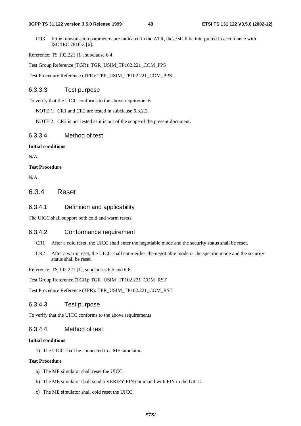#### **3GPP TS 31.122 version 3.5.0 Release 1999 48 ETSI TS 131 122 V3.5.0 (2002-12)**

CR3 If the transmission parameters are indicated in the ATR, these shall be interpreted in accordance with ISO/IEC 7816-3 [6].

Reference: TS 102.221 [1], subclause 6.4.

Test Group Reference (TGR): TGR\_USIM\_TP102.221\_COM\_PPS

Test Procedure Reference (TPR): TPR\_USIM\_TP102.221\_COM\_PPS

## 6.3.3.3 Test purpose

To verify that the UICC conforms to the above requirements.

NOTE 1: CR1 and CR2 are tested in subclause 6.3.2.2.

NOTE 2: CR3 is not tested as it is out of the scope of the present document.

## 6.3.3.4 Method of test

## **Initial conditions**

N/A

**Test Procedure**

N/A

## 6.3.4 Reset

## 6.3.4.1 Definition and applicability

The UICC shall support both cold and warm resets.

## 6.3.4.2 Conformance requirement

- CR1 After a cold reset, the UICC shall enter the negotiable mode and the security status shall be reset.
- CR2 After a warm reset, the UICC shall enter either the negotiable mode or the specific mode and the security status shall be reset.

Reference: TS 102.221 [1], subclauses 6.5 and 6.6.

Test Group Reference (TGR): TGR\_USIM\_TP102.221\_COM\_RST

Test Procedure Reference (TPR): TPR\_USIM\_TP102.221\_COM\_RST

## 6.3.4.3 Test purpose

To verify that the UICC conforms to the above requirements.

## 6.3.4.4 Method of test

### **Initial conditions**

1) The UICC shall be connected to a ME simulator.

### **Test Procedure**

- a) The ME simulator shall reset the UICC.
- b) The ME simulator shall send a VERIFY PIN command with PIN to the UICC.
- c) The ME simulator shall cold reset the UICC.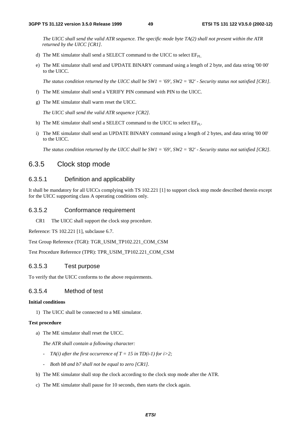*The UICC shall send the valid ATR sequence. The specific mode byte TA(2) shall not present within the ATR returned by the UICC [CR1].*

- d) The ME simulator shall send a SELECT command to the UICC to select  $EF_{PL}$ .
- e) The ME simulator shall send and UPDATE BINARY command using a length of 2 byte, and data string '00 00' to the UICC.

 *The status condition returned by the UICC shall be SW1 = '69', SW2 = '82' - Security status not satisfied [CR1].*

- f) The ME simulator shall send a VERIFY PIN command with PIN to the UICC.
- g) The ME simulator shall warm reset the UICC.

 *The UICC shall send the valid ATR sequence [CR2].*

- h) The ME simulator shall send a SELECT command to the UICC to select  $EF_{PL}$ .
- i) The ME simulator shall send an UPDATE BINARY command using a length of 2 bytes, and data string '00 00' to the UICC.

 *The status condition returned by the UICC shall be SW1 = '69', SW2 = '82' - Security status not satisfied [CR2].*

## 6.3.5 Clock stop mode

## 6.3.5.1 Definition and applicability

It shall be mandatory for all UICCs complying with TS 102.221 [1] to support clock stop mode described therein except for the UICC supporting class A operating conditions only.

### 6.3.5.2 Conformance requirement

CR1 The UICC shall support the clock stop procedure.

Reference: TS 102.221 [1], subclause 6.7.

Test Group Reference (TGR): TGR\_USIM\_TP102.221\_COM\_CSM

Test Procedure Reference (TPR): TPR\_USIM\_TP102.221\_COM\_CSM

## 6.3.5.3 Test purpose

To verify that the UICC conforms to the above requirements.

## 6.3.5.4 Method of test

#### **Initial conditions**

1) The UICC shall be connected to a ME simulator.

### **Test procedure**

a) The ME simulator shall reset the UICC.

 *The ATR shall contain a following character:* 

- *- TA(i)* after the first occurrence of  $T = 15$  in TD(i-1) for i>2;
- *Both b8 and b7 shall not be equal to zero [CR1].*
- b) The ME simulator shall stop the clock according to the clock stop mode after the ATR.
- c) The ME simulator shall pause for 10 seconds, then starts the clock again.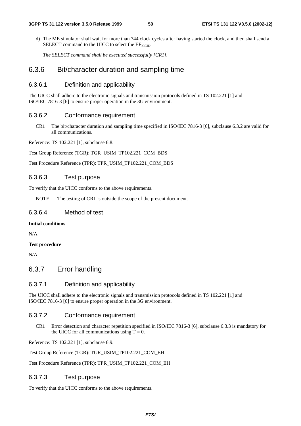d) The ME simulator shall wait for more than 744 clock cycles after having started the clock, and then shall send a SELECT command to the UICC to select the  $EF_{\text{ICCID}}$ .

 *The SELECT command shall be executed successfully [CR1].*

## 6.3.6 Bit/character duration and sampling time

## 6.3.6.1 Definition and applicability

The UICC shall adhere to the electronic signals and transmission protocols defined in TS 102.221 [1] and ISO/IEC 7816-3 [6] to ensure proper operation in the 3G environment.

### 6.3.6.2 Conformance requirement

CR1 The bit/character duration and sampling time specified in ISO/IEC 7816-3 [6], subclause 6.3.2 are valid for all communications.

Reference: TS 102.221 [1], subclause 6.8.

Test Group Reference (TGR): TGR\_USIM\_TP102.221\_COM\_BDS

Test Procedure Reference (TPR): TPR\_USIM\_TP102.221\_COM\_BDS

### 6.3.6.3 Test purpose

To verify that the UICC conforms to the above requirements.

NOTE: The testing of CR1 is outside the scope of the present document.

### 6.3.6.4 Method of test

### **Initial conditions**

N/A

### **Test procedure**

N/A

## 6.3.7 Error handling

### 6.3.7.1 Definition and applicability

The UICC shall adhere to the electronic signals and transmission protocols defined in TS 102.221 [1] and ISO/IEC 7816-3 [6] to ensure proper operation in the 3G environment.

### 6.3.7.2 Conformance requirement

CR1 Error detection and character repetition specified in ISO/IEC 7816-3 [6], subclause 6.3.3 is mandatory for the UICC for all communications using  $T = 0$ .

Reference: TS 102.221 [1], subclause 6.9.

Test Group Reference (TGR): TGR\_USIM\_TP102.221\_COM\_EH

Test Procedure Reference (TPR): TPR\_USIM\_TP102.221\_COM\_EH

## 6.3.7.3 Test purpose

To verify that the UICC conforms to the above requirements.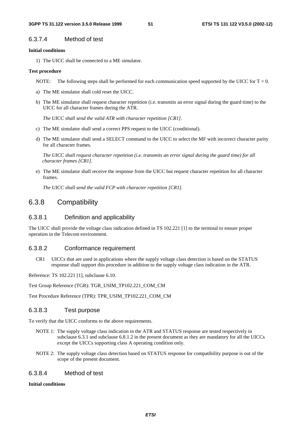## 6.3.7.4 Method of test

### **Initial conditions**

1) The UICC shall be connected to a ME simulator.

### **Test procedure**

- NOTE: The following steps shall be performed for each communication speed supported by the UICC for  $T = 0$ .
- a) The ME simulator shall cold reset the UICC.
- b) The ME simulator shall request character repetition (i.e. transmits an error signal during the guard time) to the UICC for all character frames during the ATR.

 *The UICC shall send the valid ATR with character repetition [CR1].*

- c) The ME simulator shall send a correct PPS request to the UICC (conditional).
- d) The ME simulator shall send a SELECT command to the UICC to select the MF with incorrect character parity for all character frames.

 *The UICC shall request character repetition (i.e. transmits an error signal during the guard time) for all character frames [CR1].*

e) The ME simulator shall receive the response from the UICC but request character repetition for all character frames.

 *The UICC shall send the valid FCP with character repetition [CR1].*

## 6.3.8 Compatibility

### 6.3.8.1 Definition and applicability

The UICC shall provide the voltage class indication defined in TS 102.221 [1] to the terminal to ensure proper operation in the Telecom environment.

### 6.3.8.2 Conformance requirement

CR1 UICCs that are used in applications where the supply voltage class detection is based on the STATUS response shall support this procedure in addition to the supply voltage class indication in the ATR.

Reference: TS 102.221 [1], subclause 6.10.

Test Group Reference (TGR): TGR\_USIM\_TP102.221\_COM\_CM

Test Procedure Reference (TPR): TPR\_USIM\_TP102.221\_COM\_CM

## 6.3.8.3 Test purpose

To verify that the UICC conforms to the above requirements.

- NOTE 1: The supply voltage class indication in the ATR and STATUS response are tested respectively in subclause 6.3.1 and subclause 6.8.1.2 in the present document as they are mandatory for all the UICCs except the UICCs supporting class A operating condition only.
- NOTE 2: The supply voltage class detection based on STATUS response for compatibility purpose is out of the scope of the present document.

### 6.3.8.4 Method of test

### **Initial conditions**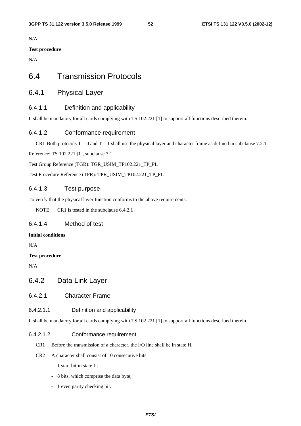N/A

## **Test procedure**

N/A

## 6.4 Transmission Protocols

## 6.4.1 Physical Layer

## 6.4.1.1 Definition and applicability

It shall be mandatory for all cards complying with TS 102.221 [1] to support all functions described therein.

## 6.4.1.2 Conformance requirement

CR1 Both protocols  $T = 0$  and  $T = 1$  shall use the physical layer and character frame as defined in subclause 7.2.1.

Reference: TS 102.221 [1], subclause 7.1.

Test Group Reference (TGR): TGR\_USIM\_TP102.221\_TP\_PL

Test Procedure Reference (TPR): TPR\_USIM\_TP102.221\_TP\_PL

## 6.4.1.3 Test purpose

To verify that the physical layer function conforms to the above requirements.

NOTE: CR1 is tested in the subclause 6.4.2.1

## 6.4.1.4 Method of test

## **Initial conditions**

N/A

## **Test procedure**

N/A

- 6.4.2 Data Link Layer
- 6.4.2.1 Character Frame

## 6.4.2.1.1 Definition and applicability

It shall be mandatory for all cards complying with TS 102.221 [1] to support all functions described therein.

## 6.4.2.1.2 Conformance requirement

- CR1 Before the transmission of a character, the I/O line shall be in state H.
- CR2 A character shall consist of 10 consecutive bits:
	- 1 start bit in state L;
	- 8 bits, which comprise the data byte;
	- 1 even parity checking bit.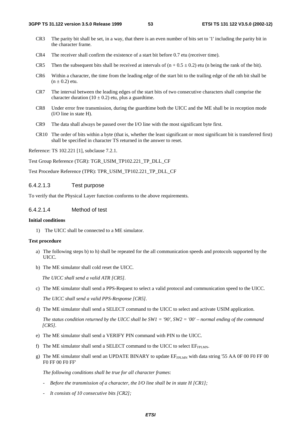- CR3 The parity bit shall be set, in a way, that there is an even number of bits set to '1' including the parity bit in the character frame.
- CR4 The receiver shall confirm the existence of a start bit before 0.7 etu (receiver time).
- CR5 Then the subsequent bits shall be received at intervals of  $(n + 0.5 \pm 0.2)$  etu (n being the rank of the bit).
- CR6 Within a character, the time from the leading edge of the start bit to the trailing edge of the nth bit shall be  $(n \pm 0.2)$  etu.
- CR7 The interval between the leading edges of the start bits of two consecutive characters shall comprise the character duration (10  $\pm$  0.2) etu, plus a guardtime.
- CR8 Under error free transmission, during the guardtime both the UICC and the ME shall be in reception mode (I/O line in state H).
- CR9 The data shall always be passed over the I/O line with the most significant byte first.
- CR10 The order of bits within a byte (that is, whether the least significant or most significant bit is transferred first) shall be specified in character TS returned in the answer to reset.

Reference: TS 102.221 [1], subclause 7.2.1.

Test Group Reference (TGR): TGR\_USIM\_TP102.221\_TP\_DLL\_CF

Test Procedure Reference (TPR): TPR\_USIM\_TP102.221\_TP\_DLL\_CF

### 6.4.2.1.3 Test purpose

To verify that the Physical Layer function conforms to the above requirements.

## 6.4.2.1.4 Method of test

### **Initial conditions**

1) The UICC shall be connected to a ME simulator.

### **Test procedure**

- a) The following steps b) to h) shall be repeated for the all communication speeds and protocols supported by the **IIICC.**
- b) The ME simulator shall cold reset the UICC.

*The UICC shall send a valid ATR [CR5].*

c) The ME simulator shall send a PPS-Request to select a valid protocol and communication speed to the UICC.

 *The UICC shall send a valid PPS-Response [CR5].*

- d) The ME simulator shall send a SELECT command to the UICC to select and activate USIM application.
	- *The status condition returned by the UICC shall be SW1 = '90', SW2 = '00' normal ending of the command [CR5].*
- e) The ME simulator shall send a VERIFY PIN command with PIN to the UICC.
- f) The ME simulator shall send a SELECT command to the UICC to select  $EF_{FPI, MN}$ .
- g) The ME simulator shall send an UPDATE BINARY to update  $EF_{FPLMN}$  with data string '55 AA 0F 00 F0 FF 00 F0 FF 00 F0 FF'

 *The following conditions shall be true for all character frames*:

- *Before the transmission of a character, the I/O line shall be in state H [CR1];*
- *It consists of 10 consecutive bits [CR2];*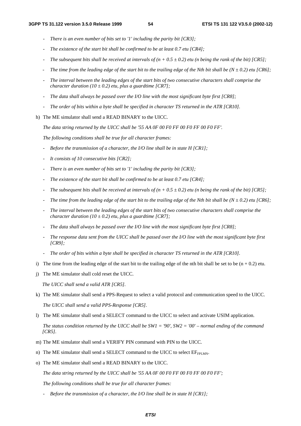- *There is an even number of bits set to '1' including the parity bit [CR3];*
- *The existence of the start bit shall be confirmed to be at least 0.7 etu [CR4];*
- *The subsequent bits shall be received at intervals of*  $(n + 0.5 \pm 0.2)$  *etu (n being the rank of the bit) [CR5];*
- The time from the leading edge of the start bit to the trailing edge of the Nth bit shall be  $(N \pm 0.2)$  etu [CR6];
- *The interval between the leading edges of the start bits of two consecutive characters shall comprise the character duration (10*  $\pm$  *0.2) etu, plus a guardtime [CR7];*
- *The data shall always be passed over the I/O line with the most significant byte first [CR8];*
- *The order of bits within a byte shall be specified in character TS returned in the ATR [CR10].*
- h) The ME simulator shall send a READ BINARY to the UICC.

*The data string returned by the UICC shall be '55 AA 0F 00 F0 FF 00 F0 FF 00 F0 FF'.* 

*The following conditions shall be true for all character frames:* 

- *Before the transmission of a character, the I/O line shall be in state H [CR1];*
- *It consists of 10 consecutive bits [CR2];*
- *There is an even number of bits set to '1' including the parity bit [CR3];*
- *The existence of the start bit shall be confirmed to be at least 0.7 etu [CR4];*
- *The subsequent bits shall be received at intervals of*  $(n + 0.5 \pm 0.2)$  *etu (n being the rank of the bit) [CR5];*
- The time from the leading edge of the start bit to the trailing edge of the Nth bit shall be  $(N \pm 0.2)$  etu [CR6];
- *The interval between the leading edges of the start bits of two consecutive characters shall comprise the character duration* (10  $\pm$  0.2) *etu, plus a guardtime* [CR7];
- *The data shall always be passed over the I/O line with the most significant byte first [CR8];*
- *The response data sent from the UICC shall be passed over the I/O line with the most significant byte first [CR9];*
- *The order of bits within a byte shall be specified in character TS returned in the ATR [CR10].*
- i) The time from the leading edge of the start bit to the trailing edge of the nth bit shall be set to be  $(n + 0.2)$  etu.
- j) The ME simulator shall cold reset the UICC.

*The UICC shall send a valid ATR [CR5].*

*[CR5].* 

- k) The ME simulator shall send a PPS-Request to select a valid protocol and communication speed to the UICC.  *The UICC shall send a valid PPS-Response [CR5].*
- l) The ME simulator shall send a SELECT command to the UICC to select and activate USIM application.  *The status condition returned by the UICC shall be SW1 = '90', SW2 = '00' – normal ending of the command*
- m) The ME simulator shall send a VERIFY PIN command with PIN to the UICC.
- n) The ME simulator shall send a SELECT command to the UICC to select  $EF_{FPIMM}$ .
- o) The ME simulator shall send a READ BINARY to the UICC.

*The data string returned by the UICC shall be '55 AA 0F 00 F0 FF 00 F0 FF 00 F0 FF';* 

*The following conditions shall be true for all character frames:* 

*- Before the transmission of a character, the I/O line shall be in state H [CR1];*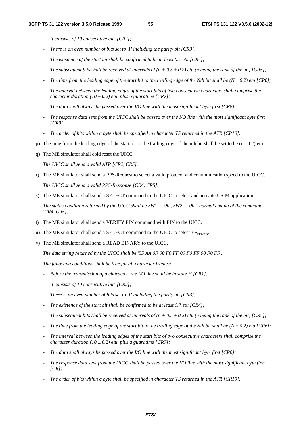- *It consists of 10 consecutive bits [CR2];*
- *There is an even number of bits set to '1' including the parity bit [CR3];*
- *The existence of the start bit shall be confirmed to be at least 0.7 etu [CR4];*
- *The subsequent bits shall be received at intervals of*  $(n + 0.5 \pm 0.2)$  *etu (n being the rank of the bit) [CR5];*
- The time from the leading edge of the start bit to the trailing edge of the Nth bit shall be  $(N \pm 0.2)$  etu [CR6];
- *The interval between the leading edges of the start bits of two consecutive characters shall comprise the character duration* (10  $\pm$  0.2) *etu, plus a guardtime* [CR7];
- *The data shall always be passed over the I/O line with the most significant byte first [CR8];*
- *The response data sent from the UICC shall be passed over the I/O line with the most significant byte first [CR9];*
- *The order of bits within a byte shall be specified in character TS returned in the ATR [CR10].*
- p) The time from the leading edge of the start bit to the trailing edge of the nth bit shall be set to be (n 0.2) etu.
- q) The ME simulator shall cold reset the UICC.

 *The UICC shall send a valid ATR [CR2, CR5].*

r) The ME simulator shall send a PPS-Request to select a valid protocol and communication speed to the UICC.

 *The UICC shall send a valid PPS-Response [CR4, CR5].*

s) The ME simulator shall send a SELECT command to the UICC to select and activate USIM application.

 *The status condition returned by the UICC shall be SW1 = '90', SW2 = '00' –normal ending of the command [CR4, CR5].* 

- t) The ME simulator shall send a VERIFY PIN command with PIN to the UICC.
- u) The ME simulator shall send a SELECT command to the UICC to select  $EF_{FPIMM}$ .
- v) The ME simulator shall send a READ BINARY to the UICC.

*The data string returned by the UICC shall be '55 AA 0F 00 F0 FF 00 F0 FF 00 F0 FF'.* 

*The following conditions shall be true for all character frames:* 

- *Before the transmission of a character, the I/O line shall be in state H [CR1];*
- *It consists of 10 consecutive bits [CR2];*
- *There is an even number of bits set to '1' including the parity bit [CR3];*
- *The existence of the start bit shall be confirmed to be at least 0.7 etu [CR4];*
- *The subsequent bits shall be received at intervals of*  $(n + 0.5 \pm 0.2)$  *etu (n being the rank of the bit) [CR5];*
- *The time from the leading edge of the start bit to the trailing edge of the Nth bit shall be (N*  $\pm$  *0.2) etu [CR6];*
- *The interval between the leading edges of the start bits of two consecutive characters shall comprise the character duration (10*  $\pm$  *0.2) etu, plus a guardtime [CR7];*
- *The data shall always be passed over the I/O line with the most significant byte first [CR8];*
- *The response data sent from the UICC shall be passed over the I/O line with the most significant byte first [CR];*
- *The order of bits within a byte shall be specified in character TS returned in the ATR [CR10].*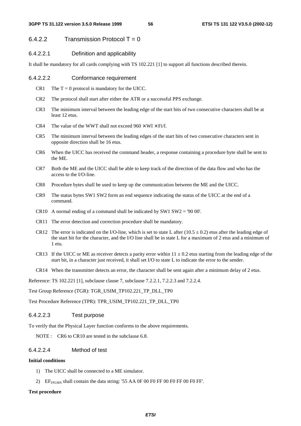## $6.4.2.2$  Transmission Protocol T = 0

## 6.4.2.2.1 Definition and applicability

It shall be mandatory for all cards complying with TS 102.221 [1] to support all functions described therein.

#### 6.4.2.2.2 Conformance requirement

- CR1 The  $T = 0$  protocol is mandatory for the UICC.
- CR2 The protocol shall start after either the ATR or a successful PPS exchange.
- CR3 The minimum interval between the leading edge of the start bits of two consecutive characters shall be at least 12 etus.
- CR4 The value of the WWT shall not exceed  $960 \times W I \times Fi/f$ .
- CR5 The minimum interval between the leading edges of the start bits of two consecutive characters sent in opposite direction shall be 16 etus.
- CR6 When the UICC has received the command header, a response containing a procedure byte shall be sent to the ME.
- CR7 Both the ME and the UICC shall be able to keep track of the direction of the data flow and who has the access to the I/O-line.
- CR8 Procedure bytes shall be used to keep up the communication between the ME and the UICC.
- CR9 The status bytes SW1 SW2 form an end sequence indicating the status of the UICC at the end of a command.
- CR10 A normal ending of a command shall be indicated by SW1 SW2 = '90 00'.
- CR11 The error detection and correction procedure shall be mandatory.
- CR12 The error is indicated on the I/O-line, which is set to state L after (10.5  $\pm$  0.2) etus after the leading edge of the start bit for the character, and the I/O line shall be in state L for a maximum of 2 etus and a minimum of 1 etu.
- CR13 If the UICC or ME as receiver detects a parity error within  $11 \pm 0.2$  etus starting from the leading edge of the start bit, in a character just received, it shall set I/O to state L to indicate the error to the sender.
- CR14 When the transmitter detects an error, the character shall be sent again after a minimum delay of 2 etus.

Reference: TS 102.221 [1], subclause clause 7, subclause 7.2.2.1, 7.2.2.3 and 7.2.2.4.

Test Group Reference (TGR): TGR\_USIM\_TP102.221\_TP\_DLL\_TP0

Test Procedure Reference (TPR): TPR\_USIM\_TP102.221\_TP\_DLL\_TP0

### 6.4.2.2.3 Test purpose

To verify that the Physical Layer function conforms to the above requirements.

NOTE : CR6 to CR10 are tested in the subclause 6.8.

### 6.4.2.2.4 Method of test

#### **Initial conditions**

- 1) The UICC shall be connected to a ME simulator.
- 2) EF<sub>FPLMN</sub> shall contain the data string: '55 AA 0F 00 F0 FF 00 F0 FF 00 F0 FF'.

### **Test procedure**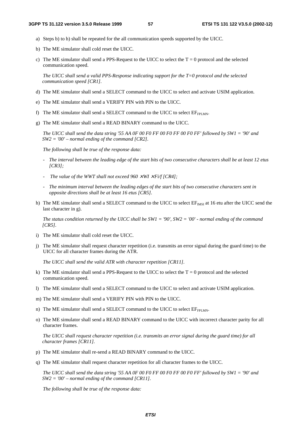- a) Steps b) to h) shall be repeated for the all communication speeds supported by the UICC.
- b) The ME simulator shall cold reset the UICC.
- c) The ME simulator shall send a PPS-Request to the UICC to select the  $T = 0$  protocol and the selected communication speed.

 *The UICC shall send a valid PPS-Response indicating support for the T=0 protocol and the selected communication speed [CR1].*

- d) The ME simulator shall send a SELECT command to the UICC to select and activate USIM application.
- e) The ME simulator shall send a VERIFY PIN with PIN to the UICC.
- f) The ME simulator shall send a SELECT command to the UICC to select  $EF_{FPI MN}$ .
- g) The ME simulator shall send a READ BINARY command to the UICC.

 *The UICC shall send the data string '55 AA 0F 00 F0 FF 00 F0 FF 00 F0 FF' followed by SW1 = '90' and SW2 = '00' – normal ending of the command [CR2].*

*The following shall be true of the response data:* 

- *The interval between the leading edge of the start bits of two consecutive characters shall be at least 12 etus [CR3];*
- *The value of the WWT shall not exceed 960* × *WI* × *Fi/f [CR4];*
- *The minimum interval between the leading edges of the start bits of two consecutive characters sent in opposite directions shall be at least 16 etus [CR5].*
- h) The ME simulator shall send a SELECT command to the UICC to select  $EF_{MSI}$  at 16 etu after the UICC send the last character in g).

*The status condition returned by the UICC shall be SW1 = '90', SW2 = '00' - normal ending of the command [CR5].* 

- i) The ME simulator shall cold reset the UICC.
- j) The ME simulator shall request character repetition (i.e. transmits an error signal during the guard time) to the UICC for all character frames during the ATR.

 *The UICC shall send the valid ATR with character repetition [CR11].* 

- k) The ME simulator shall send a PPS-Request to the UICC to select the  $T = 0$  protocol and the selected communication speed.
- l) The ME simulator shall send a SELECT command to the UICC to select and activate USIM application.
- m) The ME simulator shall send a VERIFY PIN with PIN to the UICC.
- n) The ME simulator shall send a SELECT command to the UICC to select EF<sub>FPLMN</sub>.
- o) The ME simulator shall send a READ BINARY command to the UICC with incorrect character parity for all character frames.

 *The UICC shall request character repetition (i.e. transmits an error signal during the guard time) for all character frames [CR11].*

- p) The ME simulator shall re-send a READ BINARY command to the UICC.
- q) The ME simulator shall request character repetition for all character frames to the UICC.

*The UICC shall send the data string '55 AA 0F 00 F0 FF 00 F0 FF 00 F0 FF' followed by SW1 = '90' and SW2 = '00' – normal ending of the command [CR11].*

*The following shall be true of the response data:*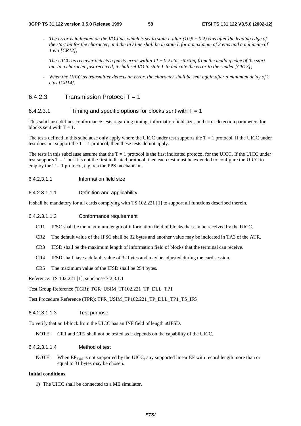- *The error is indicated on the I/O-line, which is set to state L after (10,5*  $\pm$  *0,2) etus after the leading edge of the start bit for the character, and the I/O line shall be in state L for a maximum of 2 etus and a minimum of 1 etu [CR12];*
- *The UICC as receiver detects a parity error within 11 ± 0,2 etus starting from the leading edge of the start bit. In a character just received, it shall set I/O to state L to indicate the error to the sender [CR13];*
- *When the UICC as transmitter detects an error, the character shall be sent again after a minimum delay of 2 etus [CR14].*

## $6.4.2.3$  Transmission Protocol T = 1

## 6.4.2.3.1 Timing and specific options for blocks sent with  $T = 1$

This subclause defines conformance tests regarding timing, information field sizes and error detection parameters for blocks sent with  $T = 1$ .

The tests defined in this subclause only apply where the UICC under test supports the  $T = 1$  protocol. If the UICC under test does not support the  $T = 1$  protocol, then these tests do not apply.

The tests in this subclause assume that the  $T = 1$  protocol is the first indicated protocol for the UICC. If the UICC under test supports  $T = 1$  but it is not the first indicated protocol, then each test must be extended to configure the UICC to employ the  $T = 1$  protocol, e.g. via the PPS mechanism.

6.4.2.3.1.1 Information field size

## 6.4.2.3.1.1.1 Definition and applicability

It shall be mandatory for all cards complying with TS 102.221 [1] to support all functions described therein.

## 6.4.2.3.1.1.2 Conformance requirement

- CR1 IFSC shall be the maximum length of information field of blocks that can be received by the UICC.
- CR2 The default value of the IFSC shall be 32 bytes and another value may be indicated in TA3 of the ATR.
- CR3 IFSD shall be the maximum length of information field of blocks that the terminal can receive.
- CR4 IFSD shall have a default value of 32 bytes and may be adjusted during the card session.
- CR5 The maximum value of the IFSD shall be 254 bytes.

Reference: TS 102.221 [1], subclause 7.2.3.1.1

Test Group Reference (TGR): TGR\_USIM\_TP102.221\_TP\_DLL\_TP1

Test Procedure Reference (TPR): TPR\_USIM\_TP102.221\_TP\_DLL\_TP1\_TS\_IFS

## 6.4.2.3.1.1.3 Test purpose

To verify that an I-block from the UICC has an INF field of length ≤ IFSD.

NOTE: CR1 and CR2 shall not be tested as it depends on the capability of the UICC.

## 6.4.2.3.1.1.4 Method of test

NOTE: When EF<sub>SMS</sub> is not supported by the UICC, any supported linear EF with record length more than or equal to 31 bytes may be chosen.

## **Initial conditions**

1) The UICC shall be connected to a ME simulator.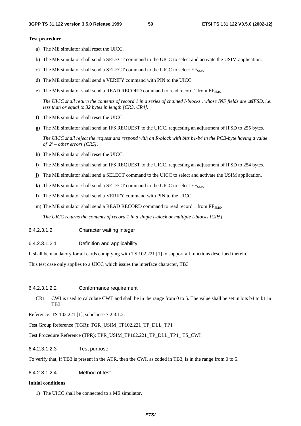#### **Test procedure**

- a) The ME simulator shall reset the UICC.
- b) The ME simulator shall send a SELECT command to the UICC to select and activate the USIM application.
- c) The ME simulator shall send a SELECT command to the UICC to select  $EF<sub>SMS</sub>$ .
- d) The ME simulator shall send a VERIFY command with PIN to the UICC.
- e) The ME simulator shall send a READ RECORD command to read record 1 from  $EF<sub>SMS</sub>$ .

*The UICC shall return the contents of record 1 in a series of chained I-blocks, whose INF fields are ≤IFSD, i.e. less than or equal to 32 bytes in length [CR3, CR4].* 

- f) The ME simulator shall reset the UICC.
- g) The ME simulator shall send an IFS REQUEST to the UICC, requesting an adjustment of IFSD to 255 bytes.

*The UICC shall reject the request and respond with an R-block with bits b1-b4 in the PCB-byte having a value of '2' – other errors [CR5].* 

- h) The ME simulator shall reset the UICC.
- i) The ME simulator shall send an IFS REQUEST to the UICC, requesting an adjustment of IFSD to 254 bytes.
- j) The ME simulator shall send a SELECT command to the UICC to select and activate the USIM application.
- k) The ME simulator shall send a SELECT command to the UICC to select  $EF<sub>SMS</sub>$ .
- l) The ME simulator shall send a VERIFY command with PIN to the UICC.
- m) The ME simulator shall send a READ RECORD command to read record 1 from EF<sub>SMS</sub>.

*The UICC returns the contents of record 1 in a single I-block or multiple I-blocks [CR5].* 

- 6.4.2.3.1.2 Character waiting integer
- 6.4.2.3.1.2.1 Definition and applicability

It shall be mandatory for all cards complying with TS 102.221 [1] to support all functions described therein.

This test case only applies to a UICC which issues the interface character, TB3

### 6.4.2.3.1.2.2 Conformance requirement

CR1 CWI is used to calculate CWT and shall be in the range from 0 to 5. The value shall be set in bits b4 to b1 in TB3.

Reference: TS 102.221 [1], subclause 7.2.3.1.2.

Test Group Reference (TGR): TGR\_USIM\_TP102.221\_TP\_DLL\_TP1

Test Procedure Reference (TPR): TPR\_USIM\_TP102.221\_TP\_DLL\_TP1\_ TS\_CWI

6.4.2.3.1.2.3 Test purpose

To verify that, if TB3 is present in the ATR, then the CWI, as coded in TB3, is in the range from 0 to 5.

### 6.4.2.3.1.2.4 Method of test

#### **Initial conditions**

1) The UICC shall be connected to a ME simulator.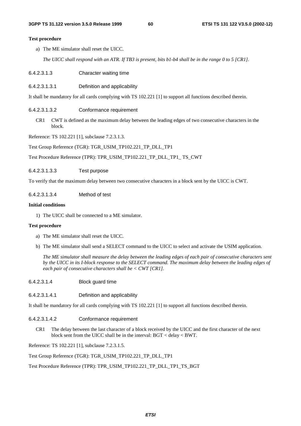### **Test procedure**

a) The ME simulator shall reset the UICC.

*The UICC shall respond with an ATR. If TB3 is present, bits b1-b4 shall be in the range 0 to 5 [CR1].* 

- 6.4.2.3.1.3 Character waiting time
- 6.4.2.3.1.3.1 Definition and applicability

It shall be mandatory for all cards complying with TS 102.221 [1] to support all functions described therein.

6.4.2.3.1.3.2 Conformance requirement

CR1 CWT is defined as the maximum delay between the leading edges of two consecutive characters in the block.

Reference: TS 102.221 [1], subclause 7.2.3.1.3.

Test Group Reference (TGR): TGR\_USIM\_TP102.221\_TP\_DLL\_TP1

Test Procedure Reference (TPR): TPR\_USIM\_TP102.221\_TP\_DLL\_TP1\_ TS\_CWT

6.4.2.3.1.3.3 Test purpose

To verify that the maximum delay between two consecutive characters in a block sent by the UICC is CWT.

6.4.2.3.1.3.4 Method of test

### **Initial conditions**

1) The UICC shall be connected to a ME simulator.

### **Test procedure**

- a) The ME simulator shall reset the UICC.
- b) The ME simulator shall send a SELECT command to the UICC to select and activate the USIM application.

*The ME simulator shall measure the delay between the leading edges of each pair of consecutive characters sent by the UICC in its I-block response to the SELECT command. The maximum delay between the leading edges of each pair of consecutive characters shall be < CWT [CR1].* 

- 6.4.2.3.1.4 Block guard time
- 6.4.2.3.1.4.1 Definition and applicability

It shall be mandatory for all cards complying with TS 102.221 [1] to support all functions described therein.

- 6.4.2.3.1.4.2 Conformance requirement
	- CR1 The delay between the last character of a block received by the UICC and the first character of the next block sent from the UICC shall be in the interval: BGT < delay < BWT.

Reference: TS 102.221 [1], subclause 7.2.3.1.5.

Test Group Reference (TGR): TGR\_USIM\_TP102.221\_TP\_DLL\_TP1

Test Procedure Reference (TPR): TPR\_USIM\_TP102.221\_TP\_DLL\_TP1\_TS\_BGT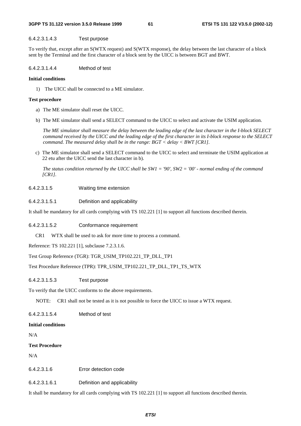### 6.4.2.3.1.4.3 Test purpose

To verify that, except after an S(WTX request) and S(WTX response), the delay between the last character of a block sent by the Terminal and the first character of a block sent by the UICC is between BGT and BWT.

### 6.4.2.3.1.4.4 Method of test

### **Initial conditions**

1) The UICC shall be connected to a ME simulator.

### **Test procedure**

- a) The ME simulator shall reset the UICC.
- b) The ME simulator shall send a SELECT command to the UICC to select and activate the USIM application.

*The ME simulator shall measure the delay between the leading edge of the last character in the I-block SELECT command received by the UICC and the leading edge of the first character in its I-block response to the SELECT command. The measured delay shall be in the range: BGT < delay < BWT [CR1].* 

c) The ME simulator shall send a SELECT command to the UICC to select and terminate the USIM application at 22 etu after the UICC send the last character in b).

*The status condition returned by the UICC shall be SW1 = '90', SW2 = '00' - normal ending of the command [CR1].* 

6.4.2.3.1.5 Waiting time extension

### 6.4.2.3.1.5.1 Definition and applicability

It shall be mandatory for all cards complying with TS 102.221 [1] to support all functions described therein.

### 6.4.2.3.1.5.2 Conformance requirement

CR1 WTX shall be used to ask for more time to process a command.

Reference: TS 102.221 [1], subclause 7.2.3.1.6.

### Test Group Reference (TGR): TGR\_USIM\_TP102.221\_TP\_DLL\_TP1

Test Procedure Reference (TPR): TPR\_USIM\_TP102.221\_TP\_DLL\_TP1\_TS\_WTX

### 6.4.2.3.1.5.3 Test purpose

To verify that the UICC conforms to the above requirements.

NOTE: CR1 shall not be tested as it is not possible to force the UICC to issue a WTX request.

6.4.2.3.1.5.4 Method of test

#### **Initial conditions**

N/A

### **Test Procedure**

N/A

6.4.2.3.1.6 Error detection code

6.4.2.3.1.6.1 Definition and applicability

It shall be mandatory for all cards complying with TS 102.221 [1] to support all functions described therein.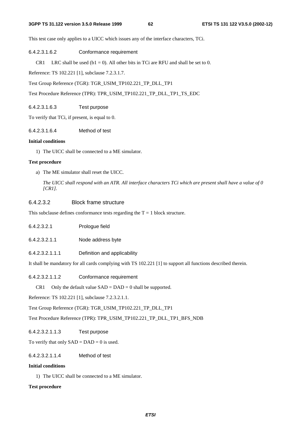### **3GPP TS 31.122 version 3.5.0 Release 1999 62 ETSI TS 131 122 V3.5.0 (2002-12)**

This test case only applies to a UICC which issues any of the interface characters, TCi.

## 6.4.2.3.1.6.2 Conformance requirement

CR1 LRC shall be used ( $b1 = 0$ ). All other bits in TCi are RFU and shall be set to 0.

Reference: TS 102.221 [1], subclause 7.2.3.1.7.

Test Group Reference (TGR): TGR\_USIM\_TP102.221\_TP\_DLL\_TP1

Test Procedure Reference (TPR): TPR\_USIM\_TP102.221\_TP\_DLL\_TP1\_TS\_EDC

## 6.4.2.3.1.6.3 Test purpose

To verify that TCi, if present, is equal to 0.

## 6.4.2.3.1.6.4 Method of test

## **Initial conditions**

1) The UICC shall be connected to a ME simulator.

## **Test procedure**

a) The ME simulator shall reset the UICC.

*The UICC shall respond with an ATR. All interface characters TCi which are present shall have a value of 0 [CR1].* 

## 6.4.2.3.2 Block frame structure

This subclause defines conformance tests regarding the  $T = 1$  block structure.

- 6.4.2.3.2.1 Prologue field
- 6.4.2.3.2.1.1 Node address byte
- 6.4.2.3.2.1.1.1 Definition and applicability

It shall be mandatory for all cards complying with TS 102.221 [1] to support all functions described therein.

6.4.2.3.2.1.1.2 Conformance requirement

CR1 Only the default value  $SAD = DAD = 0$  shall be supported.

Reference: TS 102.221 [1], subclause 7.2.3.2.1.1.

Test Group Reference (TGR): TGR\_USIM\_TP102.221\_TP\_DLL\_TP1

Test Procedure Reference (TPR): TPR\_USIM\_TP102.221\_TP\_DLL\_TP1\_BFS\_NDB

6.4.2.3.2.1.1.3 Test purpose

To verify that only  $SAD = DAD = 0$  is used.

## 6.4.2.3.2.1.1.4 Method of test

## **Initial conditions**

1) The UICC shall be connected to a ME simulator.

## **Test procedure**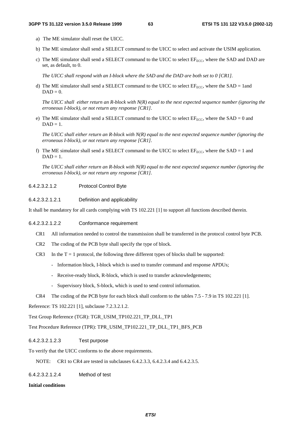- a) The ME simulator shall reset the UICC.
- b) The ME simulator shall send a SELECT command to the UICC to select and activate the USIM application.
- c) The ME simulator shall send a SELECT command to the UICC to select  $EF_{FCC}$ , where the SAD and DAD are set, as default, to 0.

*The UICC shall respond with an I-block where the SAD and the DAD are both set to 0 [CR1].* 

d) The ME simulator shall send a SELECT command to the UICC to select  $EF_{\text{ECC}}$ , where the SAD = 1and  $DAD = 0.$ 

*The UICC shall either return an R-block with N(R) equal to the next expected sequence number (ignoring the erroneous I-block), or not return any response [CR1].* 

e) The ME simulator shall send a SELECT command to the UICC to select  $EF_{ECC}$ , where the SAD = 0 and  $DAD = 1$ .

*The UICC shall either return an R-block with N(R) equal to the next expected sequence number (ignoring the erroneous I-block), or not return any response [CR1].* 

f) The ME simulator shall send a SELECT command to the UICC to select  $EF_{ECC}$ , where the SAD = 1 and  $DAD = 1$ .

*The UICC shall either return an R-block with N(R) equal to the next expected sequence number (ignoring the erroneous I-block), or not return any response [CR1].* 

6.4.2.3.2.1.2 Protocol Control Byte

### 6.4.2.3.2.1.2.1 Definition and applicability

It shall be mandatory for all cards complying with TS 102.221 [1] to support all functions described therein.

### 6.4.2.3.2.1.2.2 Conformance requirement

- CR1 All information needed to control the transmission shall be transferred in the protocol control byte PCB.
- CR2 The coding of the PCB byte shall specify the type of block.
- CR3 In the  $T = 1$  protocol, the following three different types of blocks shall be supported:
	- Information block, I-block which is used to transfer command and response APDUs;
	- Receive-ready block, R-block, which is used to transfer acknowledgements;
	- Supervisory block, S-block, which is used to send control information.
- CR4 The coding of the PCB byte for each block shall conform to the tables 7.5 7.9 in TS 102.221 [1].

Reference: TS 102.221 [1], subclause 7.2.3.2.1.2.

Test Group Reference (TGR): TGR\_USIM\_TP102.221\_TP\_DLL\_TP1

Test Procedure Reference (TPR): TPR\_USIM\_TP102.221\_TP\_DLL\_TP1\_BFS\_PCB

6.4.2.3.2.1.2.3 Test purpose

To verify that the UICC conforms to the above requirements.

NOTE: CR1 to CR4 are tested in subclauses 6.4.2.3.3, 6.4.2.3.4 and 6.4.2.3.5.

6.4.2.3.2.1.2.4 Method of test

**Initial conditions**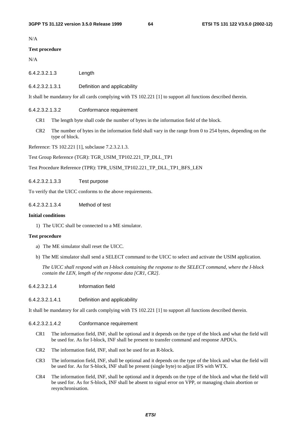N/A

### **Test procedure**

N/A

- 6.4.2.3.2.1.3 Length
- 6.4.2.3.2.1.3.1 Definition and applicability

It shall be mandatory for all cards complying with TS 102.221 [1] to support all functions described therein.

### 6.4.2.3.2.1.3.2 Conformance requirement

- CR1 The length byte shall code the number of bytes in the information field of the block.
- CR2 The number of bytes in the information field shall vary in the range from 0 to 254 bytes, depending on the type of block.

Reference: TS 102.221 [1], subclause 7.2.3.2.1.3.

Test Group Reference (TGR): TGR\_USIM\_TP102.221\_TP\_DLL\_TP1

Test Procedure Reference (TPR): TPR\_USIM\_TP102.221\_TP\_DLL\_TP1\_BFS\_LEN

6.4.2.3.2.1.3.3 Test purpose

To verify that the UICC conforms to the above requirements.

6.4.2.3.2.1.3.4 Method of test

#### **Initial conditions**

1) The UICC shall be connected to a ME simulator.

### **Test procedure**

- a) The ME simulator shall reset the UICC.
- b) The ME simulator shall send a SELECT command to the UICC to select and activate the USIM application.

*The UICC shall respond with an I-block containing the response to the SELECT command, where the I-block contain the LEN, length of the response data [CR1, CR2].* 

- 6.4.2.3.2.1.4 Information field
- 6.4.2.3.2.1.4.1 Definition and applicability

It shall be mandatory for all cards complying with TS 102.221 [1] to support all functions described therein.

### 6.4.2.3.2.1.4.2 Conformance requirement

- CR1 The information field, INF, shall be optional and it depends on the type of the block and what the field will be used for. As for I-block, INF shall be present to transfer command and response APDUs.
- CR2 The information field, INF, shall not be used for an R-block.
- CR3 The information field, INF, shall be optional and it depends on the type of the block and what the field will be used for. As for S-block, INF shall be present (single byte) to adjust IFS with WTX.
- CR4 The information field, INF, shall be optional and it depends on the type of the block and what the field will be used for. As for S-block, INF shall be absent to signal error on VPP, or managing chain abortion or resynchronisation.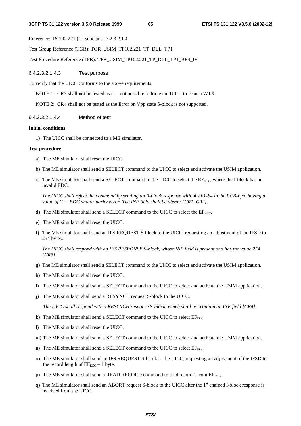Reference: TS 102.221 [1], subclause 7.2.3.2.1.4.

Test Group Reference (TGR): TGR\_USIM\_TP102.221\_TP\_DLL\_TP1

Test Procedure Reference (TPR): TPR\_USIM\_TP102.221\_TP\_DLL\_TP1\_BFS\_IF

6.4.2.3.2.1.4.3 Test purpose

To verify that the UICC conforms to the above requirements.

NOTE 1: CR3 shall not be tested as it is not possible to force the UICC to issue a WTX.

NOTE 2: CR4 shall not be tested as the Error on Vpp state S-block is not supported.

## 6.4.2.3.2.1.4.4 Method of test

### **Initial conditions**

1) The UICC shall be connected to a ME simulator.

### **Test procedure**

- a) The ME simulator shall reset the UICC.
- b) The ME simulator shall send a SELECT command to the UICC to select and activate the USIM application.
- c) The ME simulator shall send a SELECT command to the UICC to select the EF<sub>ECC</sub>, where the I-block has an invalid EDC.

*The UICC shall reject the command by sending an R-block response with bits b1-b4 in the PCB-byte having a value of '1' – EDC and/or parity error. The INF field shall be absent [CR1, CR2].* 

- d) The ME simulator shall send a SELECT command to the UICC to select the  $E_{\text{ECC}}$ .
- e) The ME simulator shall reset the UICC.
- f) The ME simulator shall send an IFS REQUEST S-block to the UICC, requesting an adjustment of the IFSD to 254 bytes.

*The UICC shall respond with an IFS RESPONSE S-block, whose INF field is present and has the value 254 [CR3].* 

- g) The ME simulator shall send a SELECT command to the UICC to select and activate the USIM application.
- h) The ME simulator shall reset the UICC.
- i) The ME simulator shall send a SELECT command to the UICC to select and activate the USIM application.
- j) The ME simulator shall send a RESYNCH request S-block to the UICC.

*The UICC shall respond with a RESYNCH response S-block, which shall not contain an INF field [CR4].* 

- k) The ME simulator shall send a SELECT command to the UICC to select  $EF_{ECC}$ .
- l) The ME simulator shall reset the UICC.
- m) The ME simulator shall send a SELECT command to the UICC to select and activate the USIM application.
- n) The ME simulator shall send a SELECT command to the UICC to select  $EF_{ECC}$ .
- o) The ME simulator shall send an IFS REQUEST S-block to the UICC, requesting an adjustment of the IFSD to the record length of  $EF_{ECC} - 1$  byte.
- p) The ME simulator shall send a READ RECORD command to read record 1 from  $EF_{\text{ECC}}$ .
- q) The ME simulator shall send an ABORT request S-block to the UICC after the  $1<sup>st</sup>$  chained I-block response is received from the UICC.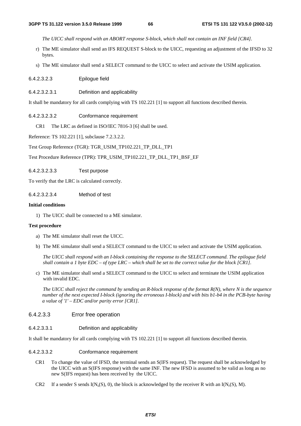*The UICC shall respond with an ABORT response S-block, which shall not contain an INF field [CR4].*

- r) The ME simulator shall send an IFS REQUEST S-block to the UICC, requesting an adjustment of the IFSD to 32 bytes.
- s) The ME simulator shall send a SELECT command to the UICC to select and activate the USIM application.
- 6.4.2.3.2.3 Epilogue field
- 6.4.2.3.2.3.1 Definition and applicability

It shall be mandatory for all cards complying with TS 102.221 [1] to support all functions described therein.

6.4.2.3.2.3.2 Conformance requirement

CR1 The LRC as defined in ISO/IEC 7816-3 [6] shall be used.

Reference: TS 102.221 [1], subclause 7.2.3.2.2.

Test Group Reference (TGR): TGR\_USIM\_TP102.221\_TP\_DLL\_TP1

Test Procedure Reference (TPR): TPR\_USIM\_TP102.221\_TP\_DLL\_TP1\_BSF\_EF

6.4.2.3.2.3.3 Test purpose

To verify that the LRC is calculated correctly.

6.4.2.3.2.3.4 Method of test

## **Initial conditions**

1) The UICC shall be connected to a ME simulator.

### **Test procedure**

- a) The ME simulator shall reset the UICC.
- b) The ME simulator shall send a SELECT command to the UICC to select and activate the USIM application.

*The UICC shall respond with an I-block containing the response to the SELECT command. The epilogue field shall contain a 1 byte EDC – of type LRC – which shall be set to the correct value for the block [CR1].* 

c) The ME simulator shall send a SELECT command to the UICC to select and terminate the USIM application with invalid EDC.

*The UICC shall reject the command by sending an R-block response of the format R(N), where N is the sequence number of the next expected I-block (ignoring the erroneous I-block) and with bits b1-b4 in the PCB-byte having a value of '1' – EDC and/or parity error [CR1].* 

### 6.4.2.3.3 Error free operation

### 6.4.2.3.3.1 Definition and applicability

It shall be mandatory for all cards complying with TS 102.221 [1] to support all functions described therein.

### 6.4.2.3.3.2 Conformance requirement

- CR1 To change the value of IFSD, the terminal sends an S(IFS request). The request shall be acknowledged by the UICC with an S(IFS response) with the same INF. The new IFSD is assumed to be valid as long as no new S(IFS request) has been received by the UICC.
- CR2 If a sender S sends  $I(N_s(S), 0)$ , the block is acknowledged by the receiver R with an  $I(N_r(S), M)$ .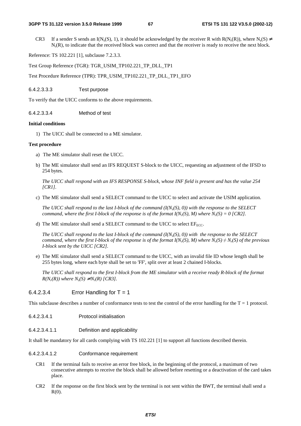CR3 If a sender S sends an I(N<sub>s</sub>(S), 1), it should be acknowledged by the receiver R with R(N<sub>r</sub>(R)), where N<sub>s</sub>(S)  $\neq$  $N_r(R)$ , to indicate that the received block was correct and that the receiver is ready to receive the next block.

Reference: TS 102.221 [1], subclause 7.2.3.3.

Test Group Reference (TGR): TGR\_USIM\_TP102.221\_TP\_DLL\_TP1

Test Procedure Reference (TPR): TPR\_USIM\_TP102.221\_TP\_DLL\_TP1\_EFO

6.4.2.3.3.3 Test purpose

To verify that the UICC conforms to the above requirements.

6.4.2.3.3.4 Method of test

### **Initial conditions**

1) The UICC shall be connected to a ME simulator.

#### **Test procedure**

- a) The ME simulator shall reset the UICC.
- b) The ME simulator shall send an IFS REQUEST S-block to the UICC, requesting an adjustment of the IFSD to 254 bytes.

*The UICC shall respond with an IFS RESPONSE S-block, whose INF field is present and has the value 254 [CR1].* 

c) The ME simulator shall send a SELECT command to the UICC to select and activate the USIM application.

*The UICC shall respond to the last I-block of the command*  $(I(N_S(S), 0))$  *with the response to the SELECT command, where the first I-block of the response is of the format*  $I(N_r(S), M)$  *where*  $N_r(S) = 0$  *[CR2].* 

d) The ME simulator shall send a SELECT command to the UICC to select  $EF_{ECC}$ .

*The UICC shall respond to the last I-block of the command*  $(I(N_S(S), 0))$  *with the response to the SELECT command, where the first I-block of the response is of the format I(N<sub>r</sub>(S), M) where*  $N_r(S) \neq N_r(S)$  *of the previous I-block sent by the UICC [CR2].* 

e) The ME simulator shall send a SELECT command to the UICC, with an invalid file ID whose length shall be 255 bytes long, where each byte shall be set to 'FF', split over at least 2 chained I-blocks.

*The UICC shall respond to the first I-block from the ME simulator with a receive ready R-block of the format*   $R(N_r(R))$  where  $N_s(S) \neq N_r(R)$  [CR3].

### $6.4.2.3.4$  Error Handling for T = 1

This subclause describes a number of conformance tests to test the control of the error handling for the  $T = 1$  protocol.

- 6.4.2.3.4.1 Protocol initialisation
- 6.4.2.3.4.1.1 Definition and applicability

It shall be mandatory for all cards complying with TS 102.221 [1] to support all functions described therein.

### 6.4.2.3.4.1.2 Conformance requirement

- CR1 If the terminal fails to receive an error free block, in the beginning of the protocol, a maximum of two consecutive attempts to receive the block shall be allowed before resetting or a deactivation of the card takes place.
- CR2 If the response on the first block sent by the terminal is not sent within the BWT, the terminal shall send a  $R(0)$ .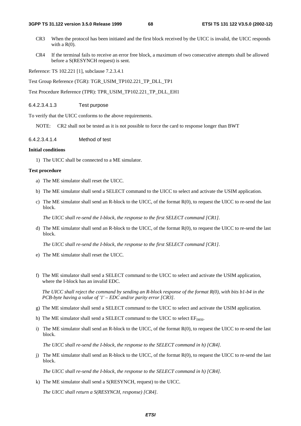- CR3 When the protocol has been initiated and the first block received by the UICC is invalid, the UICC responds with a  $R(0)$ .
- CR4 If the terminal fails to receive an error free block, a maximum of two consecutive attempts shall be allowed before a S(RESYNCH request) is sent.

Reference: TS 102.221 [1], subclause 7.2.3.4.1

Test Group Reference (TGR): TGR\_USIM\_TP102.221\_TP\_DLL\_TP1

Test Procedure Reference (TPR): TPR\_USIM\_TP102.221\_TP\_DLL\_EH1

### 6.4.2.3.4.1.3 Test purpose

To verify that the UICC conforms to the above requirements.

NOTE: CR2 shall not be tested as it is not possible to force the card to response longer than BWT

6.4.2.3.4.1.4 Method of test

#### **Initial conditions**

1) The UICC shall be connected to a ME simulator.

#### **Test procedure**

- a) The ME simulator shall reset the UICC.
- b) The ME simulator shall send a SELECT command to the UICC to select and activate the USIM application.
- c) The ME simulator shall send an R-block to the UICC, of the format R(0), to request the UICC to re-send the last block.

*The UICC shall re-send the I-block, the response to the first SELECT command [CR1].* 

d) The ME simulator shall send an R-block to the UICC, of the format R(0), to request the UICC to re-send the last block.

*The UICC shall re-send the I-block, the response to the first SELECT command [CR1].* 

- e) The ME simulator shall reset the UICC.
- f) The ME simulator shall send a SELECT command to the UICC to select and activate the USIM application, where the I-block has an invalid EDC.

*The UICC shall reject the command by sending an R-block response of the format R(0), with bits b1-b4 in the PCB-byte having a value of '1' – EDC and/or parity error [CR3].* 

- g) The ME simulator shall send a SELECT command to the UICC to select and activate the USIM application.
- h) The ME simulator shall send a SELECT command to the UICC to select  $EF<sub>IMSI</sub>$ .
- i) The ME simulator shall send an R-block to the UICC, of the format R(0), to request the UICC to re-send the last block.

*The UICC shall re-send the I-block, the response to the SELECT command in h) [CR4].* 

j) The ME simulator shall send an R-block to the UICC, of the format R(0), to request the UICC to re-send the last block.

*The UICC shall re-send the I-block, the response to the SELECT command in h) [CR4].* 

k) The ME simulator shall send a S(RESYNCH, request) to the UICC.

*The UICC shall return a S(RESYNCH, response) [CR4].*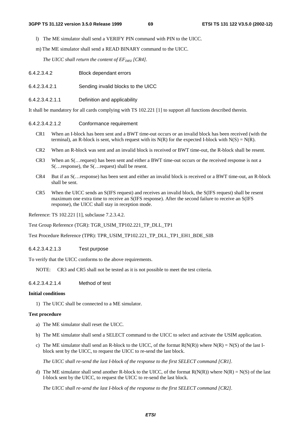l) The ME simulator shall send a VERIFY PIN command with PIN to the UICC.

m) The ME simulator shall send a READ BINARY command to the UICC.

*The UICC shall return the content of*  $EF_{MSI}$  *[CR4].* 

6.4.2.3.4.2.1 Sending invalid blocks to the UICC

6.4.2.3.4.2.1.1 Definition and applicability

It shall be mandatory for all cards complying with TS 102.221 [1] to support all functions described therein.

#### 6.4.2.3.4.2.1.2 Conformance requirement

- CR1 When an I-block has been sent and a BWT time-out occurs or an invalid block has been received (with the terminal), an R-block is sent, which request with its  $N(R)$  for the expected I-block with  $N(S) = N(R)$ .
- CR2 When an R-block was sent and an invalid block is received or BWT time-out, the R-block shall be resent.
- CR3 When an S(…request) has been sent and either a BWT time-out occurs or the received response is not a S(…response), the S(…request) shall be resent.
- CR4 But if an S(…response) has been sent and either an invalid block is received or a BWT time-out, an R-block shall be sent.
- CR5 When the UICC sends an S(IFS request) and receives an invalid block, the S(IFS request) shall be resent maximum one extra time to receive an S(IFS response). After the second failure to receive an S(IFS response), the UICC shall stay in reception mode.

Reference: TS 102.221 [1], subclause 7.2.3.4.2.

Test Group Reference (TGR): TGR\_USIM\_TP102.221\_TP\_DLL\_TP1

Test Procedure Reference (TPR): TPR\_USIM\_TP102.221\_TP\_DLL\_TP1\_EH1\_BDE\_SIB

### 6.4.2.3.4.2.1.3 Test purpose

To verify that the UICC conforms to the above requirements.

NOTE: CR3 and CR5 shall not be tested as it is not possible to meet the test criteria.

6.4.2.3.4.2.1.4 Method of test

#### **Initial conditions**

1) The UICC shall be connected to a ME simulator.

### **Test procedure**

- a) The ME simulator shall reset the UICC.
- b) The ME simulator shall send a SELECT command to the UICC to select and activate the USIM application.
- c) The ME simulator shall send an R-block to the UICC, of the format  $R(N(R))$  where  $N(R) = N(S)$  of the last Iblock sent by the UICC, to request the UICC to re-send the last block.

*The UICC shall re-send the last I-block of the response to the first SELECT command [CR1].* 

d) The ME simulator shall send another R-block to the UICC, of the format  $R(N(R))$  where  $N(R) = N(S)$  of the last I-block sent by the UICC, to request the UICC to re-send the last block.

*The UICC shall re-send the last I-block of the response to the first SELECT command [CR2].*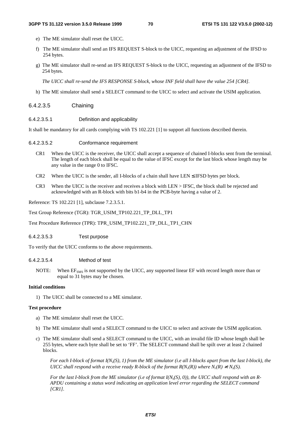- e) The ME simulator shall reset the UICC.
- f) The ME simulator shall send an IFS REQUEST S-block to the UICC, requesting an adjustment of the IFSD to 254 bytes.
- g) The ME simulator shall re-send an IFS REQUEST S-block to the UICC, requesting an adjustment of the IFSD to 254 bytes.

*The UICC shall re-send the IFS RESPONSE S-block, whose INF field shall have the value 254 [CR4].* 

h) The ME simulator shall send a SELECT command to the UICC to select and activate the USIM application.

### 6.4.2.3.5 Chaining

6.4.2.3.5.1 Definition and applicability

It shall be mandatory for all cards complying with TS 102.221 [1] to support all functions described therein.

- 6.4.2.3.5.2 Conformance requirement
	- CR1 When the UICC is the receiver, the UICC shall accept a sequence of chained I-blocks sent from the terminal. The length of each block shall be equal to the value of IFSC except for the last block whose length may be any value in the range 0 to IFSC.
	- CR2 When the UICC is the sender, all I-blocks of a chain shall have LEN  $\leq$  IFSD bytes per block.
	- CR3 When the UICC is the receiver and receives a block with LEN > IFSC, the block shall be rejected and acknowledged with an R-block with bits b1-b4 in the PCB-byte having a value of 2.

Reference: TS 102.221 [1], subclause 7.2.3.5.1.

Test Group Reference (TGR): TGR\_USIM\_TP102.221\_TP\_DLL\_TP1

Test Procedure Reference (TPR): TPR\_USIM\_TP102.221\_TP\_DLL\_TP1\_CHN

### 6.4.2.3.5.3 Test purpose

To verify that the UICC conforms to the above requirements.

### 6.4.2.3.5.4 Method of test

NOTE: When EF<sub>SMS</sub> is not supported by the UICC, any supported linear EF with record length more than or equal to 31 bytes may be chosen.

### **Initial conditions**

1) The UICC shall be connected to a ME simulator.

#### **Test procedure**

- a) The ME simulator shall reset the UICC.
- b) The ME simulator shall send a SELECT command to the UICC to select and activate the USIM application.
- c) The ME simulator shall send a SELECT command to the UICC, with an invalid file ID whose length shall be 255 bytes, where each byte shall be set to 'FF'. The SELECT command shall be spilt over at least 2 chained blocks.

For each I-block of format  $I(N<sub>s</sub>(S), 1)$  from the ME simulator (i.e all I-blocks apart from the last I-block), the *UICC shall respond with a receive ready R-block of the format*  $R(N_r(R))$  *where*  $N_r(R) \neq N_s(S)$ *.* 

For the last *I-block from the ME simulator (i.e of format I(N<sub>s</sub>(S), 0)), the UICC shall respond with an R-APDU containing a status word indicating an application level error regarding the SELECT command [CR1].*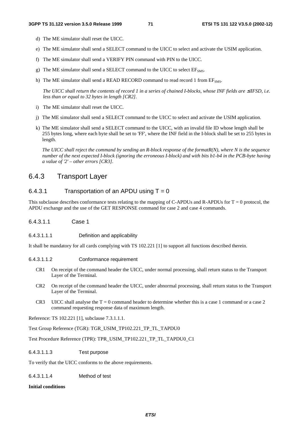- d) The ME simulator shall reset the UICC.
- e) The ME simulator shall send a SELECT command to the UICC to select and activate the USIM application.
- f) The ME simulator shall send a VERIFY PIN command with PIN to the UICC.
- g) The ME simulator shall send a SELECT command to the UICC to select  $EF<sub>SMS</sub>$ .
- h) The ME simulator shall send a READ RECORD command to read record 1 from EF<sub>SMS</sub>.

*The UICC shall return the contents of record 1 in a series of chained I-blocks, whose INF fields are ≤IFSD, i.e. less than or equal to 32 bytes in length [CR2].* 

- i) The ME simulator shall reset the UICC.
- j) The ME simulator shall send a SELECT command to the UICC to select and activate the USIM application.
- k) The ME simulator shall send a SELECT command to the UICC, with an invalid file ID whose length shall be 255 bytes long, where each byte shall be set to 'FF', where the INF field in the I-block shall be set to 255 bytes in length.

*The UICC shall reject the command by sending an R-block response of the formatR(N), where N is the sequence number of the next expected I-block (ignoring the erroneous I-block) and with bits b1-b4 in the PCB-byte having a value of '2' – other errors [CR3].* 

## 6.4.3 Transport Layer

## 6.4.3.1 Transportation of an APDU using  $T = 0$

This subclause describes conformance tests relating to the mapping of C-APDUs and R-APDUs for  $T = 0$  protocol, the APDU exchange and the use of the GET RESPONSE command for case 2 and case 4 commands.

6.4.3.1.1 Case 1

### 6.4.3.1.1.1 Definition and applicability

It shall be mandatory for all cards complying with TS 102.221 [1] to support all functions described therein.

6.4.3.1.1.2 Conformance requirement

- CR1 On receipt of the command header the UICC, under normal processing, shall return status to the Transport Layer of the Terminal.
- CR2 On receipt of the command header the UICC, under abnormal processing, shall return status to the Transport Layer of the Terminal.
- CR3 UICC shall analyse the  $T = 0$  command header to determine whether this is a case 1 command or a case 2 command requesting response data of maximum length.

Reference: TS 102.221 [1], subclause 7.3.1.1.1.

Test Group Reference (TGR): TGR\_USIM\_TP102.221\_TP\_TL\_TAPDU0

Test Procedure Reference (TPR): TPR\_USIM\_TP102.221\_TP\_TL\_TAPDU0\_C1

### 6.4.3.1.1.3 Test purpose

To verify that the UICC conforms to the above requirements.

6.4.3.1.1.4 Method of test

### **Initial conditions**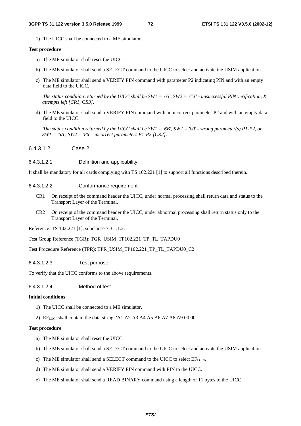1) The UICC shall be connected to a ME simulator.

#### **Test procedure**

- a) The ME simulator shall reset the UICC.
- b) The ME simulator shall send a SELECT command to the UICC to select and activate the USIM application.
- c) The ME simulator shall send a VERIFY PIN command with parameter P2 indicating PIN and with an empty data field to the UICC.

*The status condition returned by the UICC shall be SW1 = '63', SW2 = 'CX' - unsuccessful PIN verification, X attempts left [CR1, CR3].* 

d) The ME simulator shall send a VERIFY PIN command with an incorrect parameter P2 and with an empty data field to the UICC.

*The status condition returned by the UICC shall be SW1 = '6B', SW2 = '00' - wrong parameter(s) P1-P2, or SW1 = '6A', SW2 = '86' - incorrect parameters P1-P2 [CR2].* 

6.4.3.1.2 Case 2

#### 6.4.3.1.2.1 Definition and applicability

It shall be mandatory for all cards complying with TS 102.221 [1] to support all functions described therein.

#### 6.4.3.1.2.2 Conformance requirement

- CR1 On receipt of the command header the UICC, under normal processing shall return data and status to the Transport Layer of the Terminal.
- CR2 On receipt of the command header the UICC, under abnormal processing shall return status only to the Transport Layer of the Terminal.

Reference: TS 102.221 [1], subclause 7.3.1.1.2.

Test Group Reference (TGR): TGR\_USIM\_TP102.221\_TP\_TL\_TAPDU0

Test Procedure Reference (TPR): TPR\_USIM\_TP102.221\_TP\_TL\_TAPDU0\_C2

6.4.3.1.2.3 Test purpose

To verify that the UICC conforms to the above requirements.

6.4.3.1.2.4 Method of test

#### **Initial conditions**

- 1) The UICC shall be connected to a ME simulator.
- 2)  $E_{LOCI}$  shall contain the data string: 'A1 A2 A3 A4 A5 A6 A7 A8 A9 00 00'.

#### **Test procedure**

- a) The ME simulator shall reset the UICC.
- b) The ME simulator shall send a SELECT command to the UICC to select and activate the USIM application.
- c) The ME simulator shall send a SELECT command to the UICC to select  $EF_{LOCI}$ .
- d) The ME simulator shall send a VERIFY PIN command with PIN to the UICC.
- e) The ME simulator shall send a READ BINARY command using a length of 11 bytes to the UICC.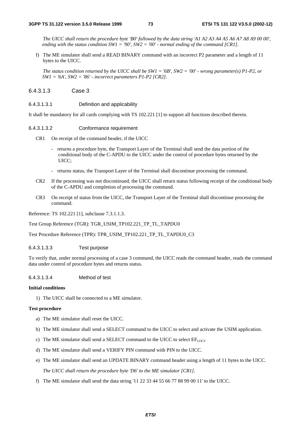*The UICC shall return the procedure byte 'B0' followed by the data string 'A1 A2 A3 A4 A5 A6 A7 A8 A9 00 00', ending with the status condition SW1 = '90', SW2 = '00' - normal ending of the command [CR1].* 

f) The ME simulator shall send a READ BINARY command with an incorrect P2 parameter and a length of 11 bytes to the UICC.

*The status condition returned by the UICC shall be SW1 = '6B', SW2 = '00' - wrong parameter(s) P1-P2, or SW1 = '6A', SW2 = '86' - incorrect parameters P1-P2 [CR2].* 

- 6.4.3.1.3 Case 3
- 6.4.3.1.3.1 Definition and applicability

It shall be mandatory for all cards complying with TS 102.221 [1] to support all functions described therein.

- 6.4.3.1.3.2 Conformance requirement
	- CR1 On receipt of the command header, if the UICC
		- returns a procedure byte, the Transport Layer of the Terminal shall send the data portion of the conditional body of the C-APDU to the UICC under the control of procedure bytes returned by the UICC;
		- returns status, the Transport Layer of the Terminal shall discontinue processing the command.
	- CR2 If the processing was not discontinued, the UICC shall return status following receipt of the conditional body of the C-APDU and completion of processing the command.
	- CR3 On receipt of status from the UICC, the Transport Layer of the Terminal shall discontinue processing the command.

Reference: TS 102.221 [1], subclause 7.3.1.1.3.

Test Group Reference (TGR): TGR\_USIM\_TP102.221\_TP\_TL\_TAPDU0

Test Procedure Reference (TPR): TPR\_USIM\_TP102.221\_TP\_TL\_TAPDU0\_C3

#### 6.4.3.1.3.3 Test purpose

To verify that, under normal processing of a case 3 command, the UICC reads the command header, reads the command data under control of procedure bytes and returns status.

#### 6.4.3.1.3.4 Method of test

#### **Initial conditions**

1) The UICC shall be connected to a ME simulator.

#### **Test procedure**

- a) The ME simulator shall reset the UICC.
- b) The ME simulator shall send a SELECT command to the UICC to select and activate the USIM application.
- c) The ME simulator shall send a SELECT command to the UICC to select  $EF_{LOCI}$ .
- d) The ME simulator shall send a VERIFY PIN command with PIN to the UICC.
- e) The ME simulator shall send an UPDATE BINARY command header using a length of 11 bytes to the UICC. *The UICC shall return the procedure byte 'D6' to the ME simulator [CR1].*
- f) The ME simulator shall send the data string '11 22 33 44 55 66 77 88 99 00 11' to the UICC.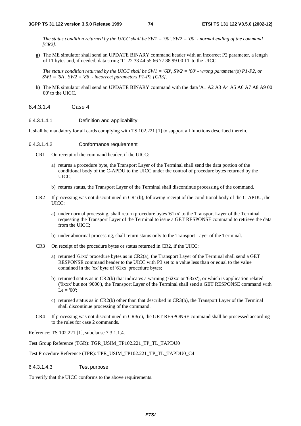*The status condition returned by the UICC shall be SW1 = '90', SW2 = '00' - normal ending of the command [CR2].* 

g) The ME simulator shall send an UPDATE BINARY command header with an incorrect P2 parameter, a length of 11 bytes and, if needed, data string '11 22 33 44 55 66 77 88 99 00 11' to the UICC.

*The status condition returned by the UICC shall be SW1 = '6B', SW2 = '00' - wrong parameter(s) P1-P2, or SW1 = '6A', SW2 = '86' - incorrect parameters P1-P2 [CR3].* 

- h) The ME simulator shall send an UPDATE BINARY command with the data 'A1 A2 A3 A4 A5 A6 A7 A8 A9 00 00' to the UICC.
- 6.4.3.1.4 Case 4

#### 6.4.3.1.4.1 Definition and applicability

It shall be mandatory for all cards complying with TS 102.221 [1] to support all functions described therein.

#### 6.4.3.1.4.2 Conformance requirement

- CR1 On receipt of the command header, if the UICC:
	- a) returns a procedure byte, the Transport Layer of the Terminal shall send the data portion of the conditional body of the C-APDU to the UICC under the control of procedure bytes returned by the UICC;
	- b) returns status, the Transport Layer of the Terminal shall discontinue processing of the command.
- CR2 If processing was not discontinued in CR1(b), following receipt of the conditional body of the C-APDU, the UICC:
	- a) under normal processing, shall return procedure bytes '61xx' to the Transport Layer of the Terminal requesting the Transport Layer of the Terminal to issue a GET RESPONSE command to retrieve the data from the UICC;
	- b) under abnormal processing, shall return status only to the Transport Layer of the Terminal.
- CR3 On receipt of the procedure bytes or status returned in CR2, if the UICC:
	- a) returned '61xx' procedure bytes as in CR2(a), the Transport Layer of the Terminal shall send a GET RESPONSE command header to the UICC with P3 set to a value less than or equal to the value contained in the 'xx' byte of '61xx' procedure bytes;
	- b) returned status as in CR2(b) that indicates a warning ('62xx' or '63xx'), or which is application related ('9xxx' but not '9000'), the Transport Layer of the Terminal shall send a GET RESPONSE command with  $Le = '00':$
	- c) returned status as in CR2(b) other than that described in CR3(b), the Transport Layer of the Terminal shall discontinue processing of the command.
- CR4 If processing was not discontinued in CR3(c), the GET RESPONSE command shall be processed according to the rules for case 2 commands.

Reference: TS 102.221 [1], subclause 7.3.1.1.4.

Test Group Reference (TGR): TGR\_USIM\_TP102.221\_TP\_TL\_TAPDU0

Test Procedure Reference (TPR): TPR\_USIM\_TP102.221\_TP\_TL\_TAPDU0\_C4

#### 6.4.3.1.4.3 Test purpose

To verify that the UICC conforms to the above requirements.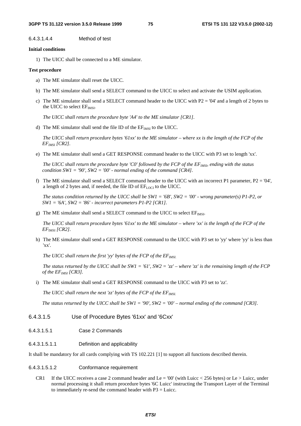6.4.3.1.4.4 Method of test

#### **Initial conditions**

1) The UICC shall be connected to a ME simulator.

#### **Test procedure**

- a) The ME simulator shall reset the UICC.
- b) The ME simulator shall send a SELECT command to the UICC to select and activate the USIM application.
- c) The ME simulator shall send a SELECT command header to the UICC with  $P2 = 04'$  and a length of 2 bytes to the UICC to select EF<sub>IMSI</sub>.

*The UICC shall return the procedure byte 'A4' to the ME simulator [CR1].* 

d) The ME simulator shall send the file ID of the  $EF_{MSI}$  to the UICC.

*The UICC shall return procedure bytes '61xx' to the ME simulator – where xx is the length of the FCP of the EFIMSI [CR2].* 

e) The ME simulator shall send a GET RESPONSE command header to the UICC with P3 set to length 'xx'.

*The UICC shall return the procedure byte 'C0' followed by the FCP of the EF<sub>IMSI</sub>, ending with the status condition SW1 = '90', SW2 = '00' - normal ending of the command [CR4].* 

f) The ME simulator shall send a SELECT command header to the UICC with an incorrect P1 parameter,  $P2 = '04'$ , a length of 2 bytes and, if needed, the file ID of  $EF_{LOCI}$  to the UICC.

*The status condition returned by the UICC shall be SW1 = '6B', SW2 = '00' - wrong parameter(s) P1-P2, or SW1 = '6A', SW2 = '86' - incorrect parameters P1-P2 [CR1].* 

g) The ME simulator shall send a SELECT command to the UICC to select  $EF_{MSE}$ .

*The UICC shall return procedure bytes '61xx' to the ME simulator – where 'xx' is the length of the FCP of the EF*IMSI *[CR2].* 

h) The ME simulator shall send a GET RESPONSE command to the UICC with P3 set to 'yy' where 'yy' is less than 'xx'.

The UICC shall return the first 'yy' bytes of the FCP of the EF<sub>IMSI.</sub>

*The status returned by the UICC shall be SW1 = '61', SW2 = 'zz' – where 'zz' is the remaining length of the FCP of the EF<sub>IMSI</sub>* [CR3].

i) The ME simulator shall send a GET RESPONSE command to the UICC with P3 set to 'zz'.

*The UICC shall return the next 'zz' bytes of the FCP of the*  $EF_{IMSL}$ 

*The status returned by the UICC shall be SW1 = '90', SW2 = '00' – normal ending of the command [CR3].* 

#### 6.4.3.1.5 Use of Procedure Bytes '61xx' and '6Cxx'

6.4.3.1.5.1 Case 2 Commands

#### 6.4.3.1.5.1.1 Definition and applicability

It shall be mandatory for all cards complying with TS 102.221 [1] to support all functions described therein.

#### 6.4.3.1.5.1.2 Conformance requirement

CR1 If the UICC receives a case 2 command header and Le = '00' (with Luicc  $\lt$  256 bytes) or Le > Luicc, under normal processing it shall return procedure bytes '6C Luicc' instructing the Transport Layer of the Terminal to immediately re-send the command header with P3 = Luicc.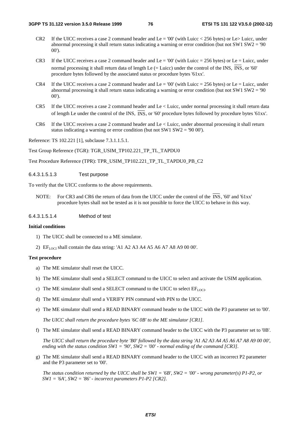- CR2 If the UICC receives a case 2 command header and Le = '00' (with Luicc  $\lt 256$  bytes) or Le> Luicc, under abnormal processing it shall return status indicating a warning or error condition (but not SW1 SW2 = '90 00').
- CR3 If the UICC receives a case 2 command header and Le = '00' (with Luicc = 256 bytes) or Le = Luicc, under normal processing it shall return data of length Le  $(=$  Luicc) under the control of the INS,  $\overline{INS}$ , or '60' procedure bytes followed by the associated status or procedure bytes '61xx'.
- CR4 If the UICC receives a case 2 command header and Le = '00' (with Luicc = 256 bytes) or Le = Luicc, under abnormal processing it shall return status indicating a warning or error condition (but not SW1 SW2 = '90 00').
- CR5 If the UICC receives a case 2 command header and Le < Luicc, under normal processing it shall return data of length Le under the control of the INS,  $\overline{INS}$ , or '60' procedure bytes followed by procedure bytes '61xx'.
- CR6 If the UICC receives a case 2 command header and Le < Luicc, under abnormal processing it shall return status indicating a warning or error condition (but not SW1 SW2 = '90 00').

Reference: TS 102.221 [1], subclause 7.3.1.1.5.1.

Test Group Reference (TGR): TGR\_USIM\_TP102.221\_TP\_TL\_TAPDU0

Test Procedure Reference (TPR): TPR\_USIM\_TP102.221\_TP\_TL\_TAPDU0\_PB\_C2

#### 6.4.3.1.5.1.3 Test purpose

To verify that the UICC conforms to the above requirements.

NOTE: For CR3 and CR6 the return of data from the UICC under the control of the  $\overline{INS}$ , '60' and '61xx' procedure bytes shall not be tested as it is not possible to force the UICC to behave in this way.

6.4.3.1.5.1.4 Method of test

#### **Initial conditions**

- 1) The UICC shall be connected to a ME simulator.
- 2)  $EF_{LOCI}$  shall contain the data string: 'A1 A2 A3 A4 A5 A6 A7 A8 A9 00 00'.

#### **Test procedure**

- a) The ME simulator shall reset the UICC.
- b) The ME simulator shall send a SELECT command to the UICC to select and activate the USIM application.
- c) The ME simulator shall send a SELECT command to the UICC to select  $EF_{LOCI}$ .
- d) The ME simulator shall send a VERIFY PIN command with PIN to the UICC.
- e) The ME simulator shall send a READ BINARY command header to the UICC with the P3 parameter set to '00'.

*The UICC shall return the procedure bytes '6C 0B' to the ME simulator [CR1].* 

f) The ME simulator shall send a READ BINARY command header to the UICC with the P3 parameter set to '0B'.

*The UICC shall return the procedure byte 'B0' followed by the data string 'A1 A2 A3 A4 A5 A6 A7 A8 A9 00 00', ending with the status condition SW1 = '90', SW2 = '00' - normal ending of the command [CR3].* 

g) The ME simulator shall send a READ BINARY command header to the UICC with an incorrect P2 parameter and the P3 parameter set to '00'.

*The status condition returned by the UICC shall be SW1 = '6B', SW2 = '00' - wrong parameter(s) P1-P2, or SW1 = '6A', SW2 = '86' - incorrect parameters P1-P2 [CR2].*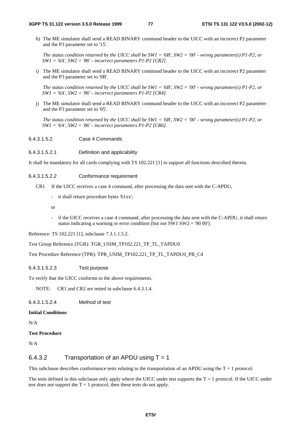h) The ME simulator shall send a READ BINARY command header to the UICC with an incorrect P2 parameter and the P3 parameter set to '15'.

*The status condition returned by the UICC shall be SW1 = '6B', SW2 = '00' - wrong parameter(s) P1-P2, or SW1 = '6A', SW2 = '86' - incorrect parameters P1-P2 [CR2].* 

i) The ME simulator shall send a READ BINARY command header to the UICC with an incorrect P2 parameter and the P3 parameter set to '0B'.

*The status condition returned by the UICC shall be SW1 = '6B', SW2 = '00' - wrong parameter(s) P1-P2, or SW1 = '6A', SW2 = '86' - incorrect parameters P1-P2 [CR4].* 

j) The ME simulator shall send a READ BINARY command header to the UICC with an incorrect P2 parameter and the P3 parameter set to '05'.

*The status condition returned by the UICC shall be SW1 = '6B', SW2 = '00' - wrong parameter(s) P1-P2, or SW1 = '6A', SW2 = '86' - incorrect parameters P1-P2 [CR6].* 

6.4.3.1.5.2 Case 4 Commands

#### 6.4.3.1.5.2.1 Definition and applicability

It shall be mandatory for all cards complying with TS 102.221 [1] to support all functions described therein.

### 6.4.3.1.5.2.2 Conformance requirement

- CR1 If the UICC receives a case 4 command, after processing the data sent with the C-APDU,
	- it shall return procedure bytes '61xx';
	- or
	- if the UICC receives a case 4 command, after processing the data sent with the C-APDU, it shall return status indicating a warning or error condition (but not SW1 SW2 = '90 00').

Reference: TS 102.221 [1], subclause 7.3.1.1.5.2.

Test Group Reference (TGR): TGR\_USIM\_TP102.221\_TP\_TL\_TAPDU0

Test Procedure Reference (TPR): TPR\_USIM\_TP102.221\_TP\_TL\_TAPDU0\_PB\_C4

#### 6.4.3.1.5.2.3 Test purpose

To verify that the UICC conforms to the above requirements.

NOTE: CR1 and CR2 are tested in subclause 6.4.3.1.4.

6.4.3.1.5.2.4 Method of test

#### **Initial Conditions**

N/A

#### **Test Procedure**

N/A

### 6.4.3.2 Transportation of an APDU using  $T = 1$

This subclause describes conformance tests relating to the transportation of an APDU using the  $T = 1$  protocol.

The tests defined in this subclause only apply where the UICC under test supports the  $T = 1$  protocol. If the UICC under test does not support the  $T = 1$  protocol, then these tests do not apply.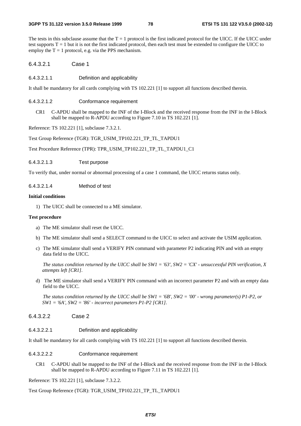The tests in this subclause assume that the  $T = 1$  protocol is the first indicated protocol for the UICC. If the UICC under test supports  $T = 1$  but it is not the first indicated protocol, then each test must be extended to configure the UICC to employ the  $T = 1$  protocol, e.g. via the PPS mechanism.

6.4.3.2.1 Case 1

6.4.3.2.1.1 Definition and applicability

It shall be mandatory for all cards complying with TS 102.221 [1] to support all functions described therein.

- 6.4.3.2.1.2 Conformance requirement
	- CR1 C-APDU shall be mapped to the INF of the I-Block and the received response from the INF in the I-Block shall be mapped to R-APDU according to Figure 7.10 in TS 102.221 [1].

Reference: TS 102.221 [1], subclause 7.3.2.1.

Test Group Reference (TGR): TGR\_USIM\_TP102.221\_TP\_TL\_TAPDU1

Test Procedure Reference (TPR): TPR\_USIM\_TP102.221\_TP\_TL\_TAPDU1\_C1

6.4.3.2.1.3 Test purpose

To verify that, under normal or abnormal processing of a case 1 command, the UICC returns status only.

6.4.3.2.1.4 Method of test

#### **Initial conditions**

1) The UICC shall be connected to a ME simulator.

#### **Test procedure**

- a) The ME simulator shall reset the UICC.
- b) The ME simulator shall send a SELECT command to the UICC to select and activate the USIM application.
- c) The ME simulator shall send a VERIFY PIN command with parameter P2 indicating PIN and with an empty data field to the UICC.

*The status condition returned by the UICC shall be SW1 = '63', SW2 = 'CX' - unsuccessful PIN verification, X attempts left [CR1].* 

d) The ME simulator shall send a VERIFY PIN command with an incorrect parameter P2 and with an empty data field to the UICC.

*The status condition returned by the UICC shall be SW1 = '6B', SW2 = '00' - wrong parameter(s) P1-P2, or SW1 = '6A', SW2 = '86' - incorrect parameters P1-P2 [CR1].* 

- 6.4.3.2.2 Case 2
- 6.4.3.2.2.1 Definition and applicability

It shall be mandatory for all cards complying with TS 102.221 [1] to support all functions described therein.

- 6.4.3.2.2.2 Conformance requirement
	- CR1 C-APDU shall be mapped to the INF of the I-Block and the received response from the INF in the I-Block shall be mapped to R-APDU according to Figure 7.11 in TS 102.221 [1].

Reference: TS 102.221 [1], subclause 7.3.2.2.

Test Group Reference (TGR): TGR\_USIM\_TP102.221\_TP\_TL\_TAPDU1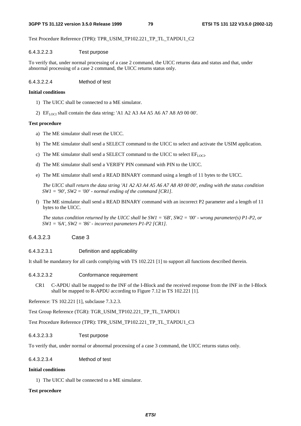#### **3GPP TS 31.122 version 3.5.0 Release 1999 79 ETSI TS 131 122 V3.5.0 (2002-12)**

Test Procedure Reference (TPR): TPR\_USIM\_TP102.221\_TP\_TL\_TAPDU1\_C2

### 6.4.3.2.2.3 Test purpose

To verify that, under normal processing of a case 2 command, the UICC returns data and status and that, under abnormal processing of a case 2 command, the UICC returns status only.

6.4.3.2.2.4 Method of test

### **Initial conditions**

- 1) The UICC shall be connected to a ME simulator.
- 2) EFLOCI shall contain the data string: 'A1 A2 A3 A4 A5 A6 A7 A8 A9 00 00'.

### **Test procedure**

- a) The ME simulator shall reset the UICC.
- b) The ME simulator shall send a SELECT command to the UICC to select and activate the USIM application.
- c) The ME simulator shall send a SELECT command to the UICC to select  $EF_{LOCI}$ .
- d) The ME simulator shall send a VERIFY PIN command with PIN to the UICC.
- e) The ME simulator shall send a READ BINARY command using a length of 11 bytes to the UICC.

*The UICC shall return the data string 'A1 A2 A3 A4 A5 A6 A7 A8 A9 00 00', ending with the status condition SW1 = '90', SW2 = '00' - normal ending of the command [CR1].* 

f) The ME simulator shall send a READ BINARY command with an incorrect P2 parameter and a length of 11 bytes to the UICC.

*The status condition returned by the UICC shall be SW1 = '6B', SW2 = '00' - wrong parameter(s) P1-P2, or SW1 = '6A', SW2 = '86' - incorrect parameters P1-P2 [CR1].* 

### 6.4.3.2.3 Case 3

6.4.3.2.3.1 Definition and applicability

It shall be mandatory for all cards complying with TS 102.221 [1] to support all functions described therein.

### 6.4.3.2.3.2 Conformance requirement

CR1 C-APDU shall be mapped to the INF of the I-Block and the received response from the INF in the I-Block shall be mapped to R-APDU according to Figure 7.12 in TS 102.221 [1].

Reference: TS 102.221 [1], subclause 7.3.2.3.

Test Group Reference (TGR): TGR\_USIM\_TP102.221\_TP\_TL\_TAPDU1

Test Procedure Reference (TPR): TPR\_USIM\_TP102.221\_TP\_TL\_TAPDU1\_C3

### 6.4.3.2.3.3 Test purpose

To verify that, under normal or abnormal processing of a case 3 command, the UICC returns status only.

# 6.4.3.2.3.4 Method of test

### **Initial conditions**

1) The UICC shall be connected to a ME simulator.

### **Test procedure**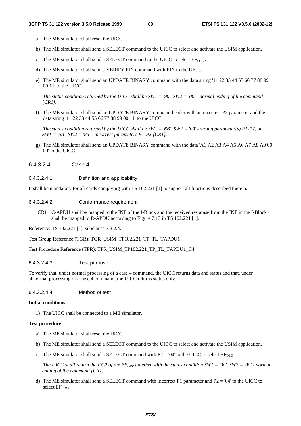- a) The ME simulator shall reset the UICC.
- b) The ME simulator shall send a SELECT command to the UICC to select and activate the USIM application.
- c) The ME simulator shall send a SELECT command to the UICC to select  $EF_{\text{LOCL}}$ .
- d) The ME simulator shall send a VERIFY PIN command with PIN to the UICC.
- e) The ME simulator shall send an UPDATE BINARY command with the data string '11 22 33 44 55 66 77 88 99 00 11' to the UICC.

*The status condition returned by the UICC shall be SW1 = '90', SW2 = '00' - normal ending of the command [CR1].* 

f) The ME simulator shall send an UPDATE BINARY command header with an incorrect P2 parameter and the data string '11 22 33 44 55 66 77 88 99 00 11' to the UICC.

*The status condition returned by the UICC shall be SW1 = '6B', SW2 = '00' - wrong parameter(s) P1-P2, or SW1 = '6A', SW2 = '86' - incorrect parameters P1-P2 [CR1].* 

- g) The ME simulator shall send an UPDATE BINARY command with the data 'A1 A2 A3 A4 A5 A6 A7 A8 A9 00 00' to the UICC.
- 6.4.3.2.4 Case 4
- 6.4.3.2.4.1 Definition and applicability

It shall be mandatory for all cards complying with TS 102.221 [1] to support all functions described therein.

#### 6.4.3.2.4.2 Conformance requirement

CR1 C-APDU shall be mapped to the INF of the I-Block and the received response from the INF in the I-Block shall be mapped to R-APDU according to Figure 7.13 in TS 102.221 [1].

Reference: TS 102.221 [1], subclause 7.3.2.4.

Test Group Reference (TGR): TGR\_USIM\_TP102.221\_TP\_TL\_TAPDU1

Test Procedure Reference (TPR): TPR\_USIM\_TP102.221\_TP\_TL\_TAPDU1\_C4

#### 6.4.3.2.4.3 Test purpose

To verify that, under normal processing of a case 4 command, the UICC returns data and status and that, under abnormal processing of a case 4 command, the UICC returns status only.

#### 6.4.3.2.4.4 Method of test

#### **Initial conditions**

1) The UICC shall be connected to a ME simulator.

#### **Test procedure**

- a) The ME simulator shall reset the UICC.
- b) The ME simulator shall send a SELECT command to the UICC to select and activate the USIM application.
- c) The ME simulator shall send a SELECT command with P2 = '04' to the UICC to select  $EF<sub>IMSI</sub>$ .

*The UICC shall return the FCP of the*  $EF_{MSI}$  *together with the status condition SW1 = '90', SW2 = '00' - normal ending of the command [CR1].* 

d) The ME simulator shall send a SELECT command with incorrect P1 parameter and P2 = '04' to the UICC to select  $EF_{LOCI}$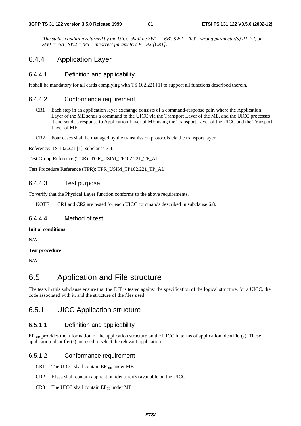*The status condition returned by the UICC shall be SW1 = '6B', SW2 = '00' - wrong parameter(s) P1-P2, or SW1 = '6A', SW2 = '86' - incorrect parameters P1-P2 [CR1].* 

# 6.4.4 Application Layer

### 6.4.4.1 Definition and applicability

It shall be mandatory for all cards complying with TS 102.221 [1] to support all functions described therein.

### 6.4.4.2 Conformance requirement

- CR1 Each step in an application layer exchange consists of a command-response pair, where the Application Layer of the ME sends a command to the UICC via the Transport Layer of the ME, and the UICC processes it and sends a response to Application Layer of ME using the Transport Layer of the UICC and the Transport Layer of ME.
- CR2 Four cases shall be managed by the transmission protocols via the transport layer.

Reference: TS 102.221 [1], subclause 7.4.

Test Group Reference (TGR): TGR\_USIM\_TP102.221\_TP\_AL

Test Procedure Reference (TPR): TPR\_USIM\_TP102.221\_TP\_AL

### 6.4.4.3 Test purpose

To verify that the Physical Layer function conforms to the above requirements.

NOTE: CR1 and CR2 are tested for each UICC commands described in subclause 6.8.

### 6.4.4.4 Method of test

#### **Initial conditions**

N/A

#### **Test procedure**

N/A

# 6.5 Application and File structure

The tests in this subclause ensure that the IUT is tested against the specification of the logical structure, for a UICC, the code associated with it, and the structure of the files used.

# 6.5.1 UICC Application structure

### 6.5.1.1 Definition and applicability

EF<sub>DIR</sub> provides the information of the application structure on the UICC in terms of application identifier(s). These application identifier(s) are used to select the relevant application.

#### 6.5.1.2 Conformance requirement

- CR1 The UICC shall contain  $EF_{DR}$  under MF.
- $CR2$  EF<sub>DIR</sub> shall contain application identifier(s) available on the UICC.
- $CR3$  The UICC shall contain  $EF_{PL}$  under MF.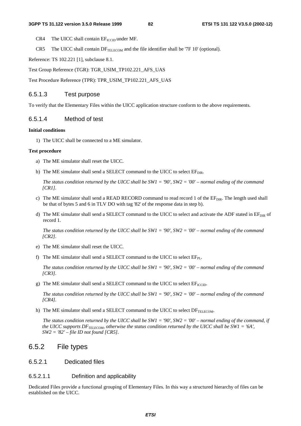- $CR4$  The UICC shall contain  $EF_{ICCD}$  under MF.
- CR5 The UICC shall contain  $DF_{TE\_ECOM}$  and the file identifier shall be '7F 10' (optional).

Reference: TS 102.221 [1], subclause 8.1.

Test Group Reference (TGR): TGR\_USIM\_TP102.221\_AFS\_UAS

Test Procedure Reference (TPR): TPR\_USIM\_TP102.221\_AFS\_UAS

### 6.5.1.3 Test purpose

To verify that the Elementary Files within the UICC application structure conform to the above requirements.

### 6.5.1.4 Method of test

#### **Initial conditions**

1) The UICC shall be connected to a ME simulator.

#### **Test procedure**

- a) The ME simulator shall reset the UICC.
- b) The ME simulator shall send a SELECT command to the UICC to select  $EF_{DIR}$ .

 *The status condition returned by the UICC shall be SW1 = '90', SW2 = '00' – normal ending of the command [CR1].*

- c) The ME simulator shall send a READ RECORD command to read record 1 of the  $E_{DIR}$ . The length used shall be that of bytes 5 and 6 in TLV DO with tag '82' of the response data in step b).
- d) The ME simulator shall send a SELECT command to the UICC to select and activate the ADF stated in  $EF_{DIR}$  of record 1.

 *The status condition returned by the UICC shall be SW1 = '90', SW2 = '00' – normal ending of the command [CR2].*

- e) The ME simulator shall reset the UICC.
- f) The ME simulator shall send a SELECT command to the UICC to select  $EF_{PL}$ .

 *The status condition returned by the UICC shall be SW1 = '90', SW2 = '00' – normal ending of the command [CR3].*

g) The ME simulator shall send a SELECT command to the UICC to select  $EF_{\text{ICCD}}$ .

 *The status condition returned by the UICC shall be SW1 = '90', SW2 = '00' – normal ending of the command [CR4].*

h) The ME simulator shall send a SELECT command to the UICC to select  $DF_{\text{TELECOM}}$ .

 *The status condition returned by the UICC shall be SW1 = '90', SW2 = '00' – normal ending of the command, if the UICC supports*  $DF_{TEECOM}$ *, otherwise the status condition returned by the UICC shall be SW1 = '6A', SW2 = '82' – file ID not found [CR5].*

# 6.5.2 File types

### 6.5.2.1 Dedicated files

### 6.5.2.1.1 Definition and applicability

Dedicated Files provide a functional grouping of Elementary Files. In this way a structured hierarchy of files can be established on the UICC.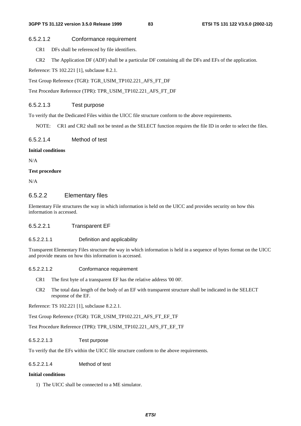#### 6.5.2.1.2 Conformance requirement

- CR1 DFs shall be referenced by file identifiers.
- CR2 The Application DF (ADF) shall be a particular DF containing all the DFs and EFs of the application.

Reference: TS 102.221 [1], subclause 8.2.1.

Test Group Reference (TGR): TGR\_USIM\_TP102.221\_AFS\_FT\_DF

Test Procedure Reference (TPR): TPR\_USIM\_TP102.221\_AFS\_FT\_DF

### 6.5.2.1.3 Test purpose

To verify that the Dedicated Files within the UICC file structure conform to the above requirements.

NOTE: CR1 and CR2 shall not be tested as the SELECT function requires the file ID in order to select the files.

#### 6.5.2.1.4 Method of test

#### **Initial conditions**

N/A

#### **Test procedure**

N/A

### 6.5.2.2 Elementary files

Elementary File structures the way in which information is held on the UICC and provides security on how this information is accessed.

### 6.5.2.2.1 Transparent EF

#### 6.5.2.2.1.1 Definition and applicability

Transparent Elementary Files structure the way in which information is held in a sequence of bytes format on the UICC and provide means on how this information is accessed.

#### 6.5.2.2.1.2 Conformance requirement

- CR1 The first byte of a transparent EF has the relative address '00 00'.
- CR2 The total data length of the body of an EF with transparent structure shall be indicated in the SELECT response of the EF.

Reference: TS 102.221 [1], subclause 8.2.2.1.

Test Group Reference (TGR): TGR\_USIM\_TP102.221\_AFS\_FT\_EF\_TF

Test Procedure Reference (TPR): TPR\_USIM\_TP102.221\_AFS\_FT\_EF\_TF

#### 6.5.2.2.1.3 Test purpose

To verify that the EFs within the UICC file structure conform to the above requirements.

### 6.5.2.2.1.4 Method of test

### **Initial conditions**

1) The UICC shall be connected to a ME simulator.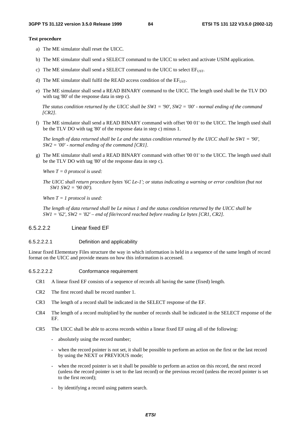#### **Test procedure**

- a) The ME simulator shall reset the UICC.
- b) The ME simulator shall send a SELECT command to the UICC to select and activate USIM application.
- c) The ME simulator shall send a SELECT command to the UICC to select  $EF_{UST}$ .
- d) The ME simulator shall fulfil the READ access condition of the  $EF<sub>UST</sub>$ .
- e) The ME simulator shall send a READ BINARY command to the UICC. The length used shall be the TLV DO with tag '80' of the response data in step c).

*The status condition returned by the UICC shall be SW1 = '90', SW2 = '00' - normal ending of the command [CR2].*

f) The ME simulator shall send a READ BINARY command with offset '00 01' to the UICC. The length used shall be the TLV DO with tag '80' of the response data in step c) minus 1.

*The length of data returned shall be Le and the status condition returned by the UICC shall be SW1 = '90', SW2 = '00' - normal ending of the command [CR1].* 

g) The ME simulator shall send a READ BINARY command with offset '00 01' to the UICC. The length used shall be the TLV DO with tag '80' of the response data in step c).

*When T = 0 protocol is used:* 

*The UICC shall return procedure bytes '6C Le-1'; or status indicating a warning or error condition (but not SW1 SW2 = '90 00').* 

*When T = 1 protocol is used:* 

*The length of data returned shall be Le minus 1 and the status condition returned by the UICC shall be SW1 = '62', SW2 = '82' – end of file/record reached before reading Le bytes [CR1, CR2].*

#### 6.5.2.2.2 Linear fixed EF

#### 6.5.2.2.2.1 Definition and applicability

Linear fixed Elementary Files structure the way in which information is held in a sequence of the same length of record format on the UICC and provide means on how this information is accessed.

#### 6.5.2.2.2.2 Conformance requirement

- CR1 A linear fixed EF consists of a sequence of records all having the same (fixed) length.
- CR2 The first record shall be record number 1.
- CR3 The length of a record shall be indicated in the SELECT response of the EF.
- CR4 The length of a record multiplied by the number of records shall be indicated in the SELECT response of the EF.
- CR5 The UICC shall be able to access records within a linear fixed EF using all of the following:
	- absolutely using the record number;
	- when the record pointer is not set, it shall be possible to perform an action on the first or the last record by using the NEXT or PREVIOUS mode;
	- when the record pointer is set it shall be possible to perform an action on this record, the next record (unless the record pointer is set to the last record) or the previous record (unless the record pointer is set to the first record);
	- by identifying a record using pattern search.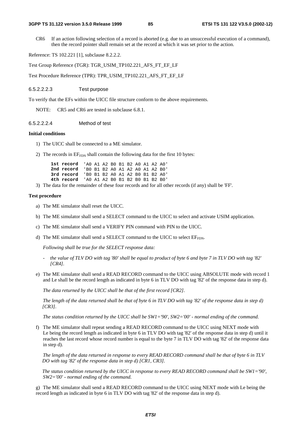CR6 If an action following selection of a record is aborted (e.g. due to an unsuccessful execution of a command), then the record pointer shall remain set at the record at which it was set prior to the action.

Reference: TS 102.221 [1], subclause 8.2.2.2.

Test Group Reference (TGR): TGR\_USIM\_TP102.221\_AFS\_FT\_EF\_LF

Test Procedure Reference (TPR): TPR\_USIM\_TP102.221\_AFS\_FT\_EF\_LF

#### 6.5.2.2.2.3 Test purpose

To verify that the EFs within the UICC file structure conform to the above requirements.

NOTE: CR5 and CR6 are tested in subclause 6.8.1.

#### 6.5.2.2.2.4 Method of test

#### **Initial conditions**

- 1) The UICC shall be connected to a ME simulator.
- 2) The records in  $EF_{FDN}$  shall contain the following data for the first 10 bytes:

| 1st record 'AO A1 A2 BO B1 B2 AO A1 A2 AO' |  |  |  |  |  |
|--------------------------------------------|--|--|--|--|--|
| 2nd record 'B0 B1 B2 A0 A1 A2 A0 A1 A2 B0' |  |  |  |  |  |
| 3rd record 'BO B1 B2 A0 A1 A2 BO B1 B2 A0' |  |  |  |  |  |
| 4th record 'AO A1 A2 BO B1 B2 BO B1 B2 BO' |  |  |  |  |  |

3) The data for the remainder of these four records and for all other records (if any) shall be 'FF'.

#### **Test procedure**

- a) The ME simulator shall reset the UICC.
- b) The ME simulator shall send a SELECT command to the UICC to select and activate USIM application.
- c) The ME simulator shall send a VERIFY PIN command with PIN to the UICC.
- d) The ME simulator shall send a SELECT command to the UICC to select  $E_{\text{FDM}}$ .

*Following shall be true for the SELECT response data:* 

- *the value of TLV DO with tag '80' shall be equal to product of byte 6 and byte 7 in TLV DO with tag '82' [CR4].*
- e) The ME simulator shall send a READ RECORD command to the UICC using ABSOLUTE mode with record 1 and Le shall be the record length as indicated in byte 6 in TLV DO with tag '82' of the response data in step d).

 *The data returned by the UICC shall be that of the first record [CR2].* 

*The length of the data returned shall be that of byte 6 in TLV DO with tag '82' of the response data in step d) [CR3].* 

*The status condition returned by the UICC shall be SW1='90', SW2='00' - normal ending of the command.* 

f) The ME simulator shall repeat sending a READ RECORD command to the UICC using NEXT mode with Le being the record length as indicated in byte 6 in TLV DO with tag '82' of the response data in step d) until it reaches the last record whose record number is equal to the byte 7 in TLV DO with tag '82' of the response data in step d).

*The length of the data returned in response to every READ RECORD command shall be that of byte 6 in TLV DO with tag '82' of the response data in step d) [CR1, CR3].* 

*The status condition returned by the UICC in response to every READ RECORD command shall be SW1='90', SW2='00' - normal ending of the command.* 

g) The ME simulator shall send a READ RECORD command to the UICC using NEXT mode with Le being the record length as indicated in byte 6 in TLV DO with tag '82' of the response data in step d).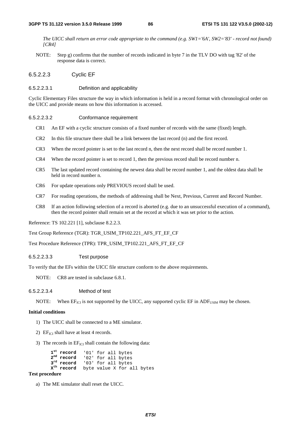*The UICC shall return an error code appropriate to the command (e.g. SW1='6A', SW2='83' - record not found) [CR4]* 

- NOTE: Step g) confirms that the number of records indicated in byte 7 in the TLV DO with tag '82' of the response data is correct.
- 6.5.2.2.3 Cyclic EF

#### 6.5.2.2.3.1 Definition and applicability

Cyclic Elementary Files structure the way in which information is held in a record format with chronological order on the UICC and provide means on how this information is accessed.

#### 6.5.2.2.3.2 Conformance requirement

- CR1 An EF with a cyclic structure consists of a fixed number of records with the same (fixed) length.
- CR2 In this file structure there shall be a link between the last record (n) and the first record.
- CR3 When the record pointer is set to the last record n, then the next record shall be record number 1.
- CR4 When the record pointer is set to record 1, then the previous record shall be record number n.
- CR5 The last updated record containing the newest data shall be record number 1, and the oldest data shall be held in record number n.
- CR6 For update operations only PREVIOUS record shall be used.
- CR7 For reading operations, the methods of addressing shall be Next, Previous, Current and Record Number.
- CR8 If an action following selection of a record is aborted (e.g. due to an unsuccessful execution of a command), then the record pointer shall remain set at the record at which it was set prior to the action.

Reference: TS 102.221 [1], subclause 8.2.2.3.

Test Group Reference (TGR): TGR\_USIM\_TP102.221\_AFS\_FT\_EF\_CF

Test Procedure Reference (TPR): TPR\_USIM\_TP102.221\_AFS\_FT\_EF\_CF

6.5.2.2.3.3 Test purpose

To verify that the EFs within the UICC file structure conform to the above requirements.

NOTE: CR8 are tested in subclause 6.8.1.

6.5.2.2.3.4 Method of test

NOTE: When  $EF_{ICI}$  is not supported by the UICC, any supported cyclic EF in  $ADF<sub>USIM</sub>$  may be chosen.

#### **Initial conditions**

- 1) The UICC shall be connected to a ME simulator.
- 2)  $EF_{\text{ICI}}$  shall have at least 4 records.
- 3) The records in  $EF_{\text{ICI}}$  shall contain the following data:

1<sup>st</sup> record '01' for all bytes<br>2<sup>nd</sup> record '02' for all bytes 2<sup>nd</sup> record '02' for all bytes<br>3<sup>rd</sup> record '03' for all bytes **3rd record** '03' for all bytes **Xth record** byte value X for all bytes

#### **Test procedure**

a) The ME simulator shall reset the UICC.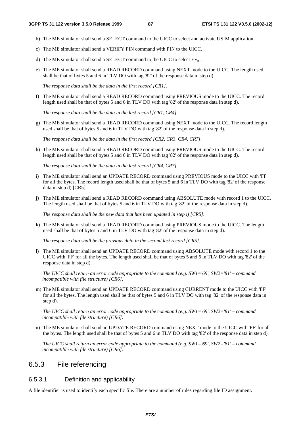- b) The ME simulator shall send a SELECT command to the UICC to select and activate USIM application.
- c) The ME simulator shall send a VERIFY PIN command with PIN to the UICC.
- d) The ME simulator shall send a SELECT command to the UICC to select  $EF<sub>ICL</sub>$ .
- e) The ME simulator shall send a READ RECORD command using NEXT mode to the UICC. The length used shall be that of bytes 5 and 6 in TLV DO with tag '82' of the response data in step d).

*The response data shall be the data in the first record [CR1].*

f) The ME simulator shall send a READ RECORD command using PREVIOUS mode to the UICC. The record length used shall be that of bytes 5 and 6 in TLV DO with tag '82' of the response data in step d).

*The response data shall be the data in the last record [CR1, CR4].*

g) The ME simulator shall send a READ RECORD command using NEXT mode to the UICC. The record length used shall be that of bytes 5 and 6 in TLV DO with tag '82' of the response data in step d).

*The response data shall be the data in the first record [CR2, CR3, CR4, CR7].*

h) The ME simulator shall send a READ RECORD command using PREVIOUS mode to the UICC. The record length used shall be that of bytes 5 and 6 in TLV DO with tag '82' of the response data in step d).

*The response data shall be the data in the last record [CR4, CR7].*

- i) The ME simulator shall send an UPDATE RECORD command using PREVIOUS mode to the UICC with 'FF' for all the bytes. The record length used shall be that of bytes 5 and 6 in TLV DO with tag '82' of the response data in step d) [CR5].
- j) The ME simulator shall send a READ RECORD command using ABSOLUTE mode with record 1 to the UICC. The length used shall be that of bytes 5 and 6 in TLV DO with tag '82' of the response data in step d).

*The response data shall be the new data that has been updated in step i) [CR5].*

k) The ME simulator shall send a READ RECORD command using PREVIOUS mode to the UICC. The length used shall be that of bytes 5 and 6 in TLV DO with tag '82' of the response data in step d).

*The response data shall be the previous data in the second last record [CR5].*

l) The ME simulator shall send an UPDATE RECORD command using ABSOLUTE mode with record 1 to the UICC with 'FF' for all the bytes. The length used shall be that of bytes 5 and 6 in TLV DO with tag '82' of the response data in step d).

*The UICC shall return an error code appropriate to the command (e.g. SW1='69', SW2='81' – command incompatible with file structure) [CR6].*

m) The ME simulator shall send an UPDATE RECORD command using CURRENT mode to the UICC with 'FF' for all the bytes. The length used shall be that of bytes 5 and 6 in TLV DO with tag '82' of the response data in step d).

 *The UICC shall return an error code appropriate to the command (e.g. SW1='69', SW2='81' – command incompatible with file structure) [CR6].*

n) The ME simulator shall send an UPDATE RECORD command using NEXT mode to the UICC with 'FF' for all the bytes. The length used shall be that of bytes 5 and 6 in TLV DO with tag '82' of the response data in step d).

 *The UICC shall return an error code appropriate to the command (e.g. SW1='69', SW2='81' – command incompatible with file structure) [CR6].*

# 6.5.3 File referencing

### 6.5.3.1 Definition and applicability

A file identifier is used to identify each specific file. There are a number of rules regarding file ID assignment.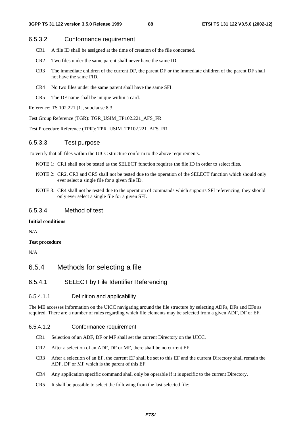### 6.5.3.2 Conformance requirement

- CR1 A file ID shall be assigned at the time of creation of the file concerned.
- CR2 Two files under the same parent shall never have the same ID.
- CR3 The immediate children of the current DF, the parent DF or the immediate children of the parent DF shall not have the same FID.
- CR4 No two files under the same parent shall have the same SFI.
- CR5 The DF name shall be unique within a card.

Reference: TS 102.221 [1], subclause 8.3.

Test Group Reference (TGR): TGR\_USIM\_TP102.221\_AFS\_FR

Test Procedure Reference (TPR): TPR\_USIM\_TP102.221\_AFS\_FR

#### 6.5.3.3 Test purpose

To verify that all files within the UICC structure conform to the above requirements.

NOTE 1: CR1 shall not be tested as the SELECT function requires the file ID in order to select files.

- NOTE 2: CR2, CR3 and CR5 shall not be tested due to the operation of the SELECT function which should only ever select a single file for a given file ID.
- NOTE 3: CR4 shall not be tested due to the operation of commands which supports SFI referencing, they should only ever select a single file for a given SFI.

### 6.5.3.4 Method of test

#### **Initial conditions**

N/A

#### **Test procedure**

N/A

- 6.5.4 Methods for selecting a file
- 6.5.4.1 SELECT by File Identifier Referencing

#### 6.5.4.1.1 Definition and applicability

The ME accesses information on the UICC navigating around the file structure by selecting ADFs, DFs and EFs as required. There are a number of rules regarding which file elements may be selected from a given ADF, DF or EF.

#### 6.5.4.1.2 Conformance requirement

- CR1 Selection of an ADF, DF or MF shall set the current Directory on the UICC.
- CR2 After a selection of an ADF, DF or MF, there shall be no current EF.
- CR3 After a selection of an EF, the current EF shall be set to this EF and the current Directory shall remain the ADF, DF or MF which is the parent of this EF.
- CR4 Any application specific command shall only be operable if it is specific to the current Directory.
- CR5 It shall be possible to select the following from the last selected file: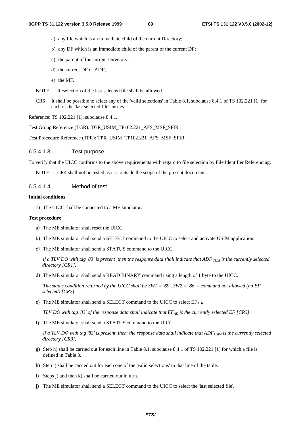- a) any file which is an immediate child of the current Directory;
- b) any DF which is an immediate child of the parent of the current DF;
- c) the parent of the current Directory;
- d) the current DF or ADF;
- e) the MF.
- NOTE: Reselection of the last selected file shall be allowed.
- CR6 It shall be possible to select any of the 'valid selections' in Table 8.1, subclause 8.4.1 of TS 102.221 [1] for each of the 'last selected file' entries.

Reference: TS 102.221 [1], subclause 8.4.1.

Test Group Reference (TGR): TGR\_USIM\_TP102.221\_AFS\_MSF\_SFIR

Test Procedure Reference (TPR): TPR\_USIM\_TP102.221\_AFS\_MSF\_SFIR

### 6.5.4.1.3 Test purpose

To verify that the UICC conforms to the above requirements with regard to file selection by File Identifier Referencing.

NOTE 1: CR4 shall not be tested as it is outside the scope of the present document.

### 6.5.4.1.4 Method of test

#### **Initial conditions**

1) The UICC shall be connected to a ME simulator.

#### **Test procedure**

- a) The ME simulator shall reset the UICC.
- b) The ME simulator shall send a SELECT command to the UICC to select and activate USIM application.
- c) The ME simulator shall send a STATUS command to the UICC.

*if a TLV DO with tag '83' is present ,then the response data shall indicate that ADF<sub>USIM</sub> is the currently selected directory [CR1].*

d) The ME simulator shall send a READ BINARY command using a length of 1 byte to the UICC.

 *The status condition returned by the UICC shall be SW1 = '69', SW2 = '86' – command not allowed (no EF selected) [CR2].*

e) The ME simulator shall send a SELECT command to the UICC to select  $EF_{AD}$ .

*TLV DO with tag '83' of the response data shall indicate that*  $EF_{AD}$  *is the currently selected EF [CR3].* 

f) The ME simulator shall send a STATUS command to the UICC.

*If a TLV DO with tag '83' is present, then the response data shall indicate that ADF<sub>USIM</sub> is the currently selected directory [CR3].*

- g) Step h) shall be carried out for each line in Table 8.1, subclause 8.4.1 of TS 102.221 [1] for which a file is defined in Table 3.
- h) Step i) shall be carried out for each one of the 'valid selections' in that line of the table.
- i) Steps j) and then k) shall be carried out in turn.
- j) The ME simulator shall send a SELECT command to the UICC to select the 'last selected file'.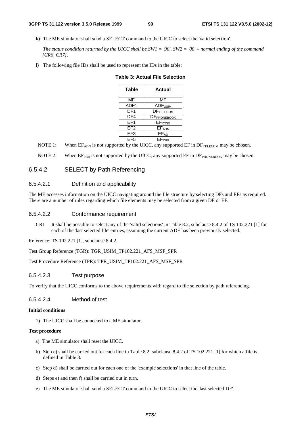k) The ME simulator shall send a SELECT command to the UICC to select the 'valid selection'.

 *The status condition returned by the UICC shall be SW1 = '90', SW2 = '00' – normal ending of the command [CR6, CR7].*

l) The following file IDs shall be used to represent the IDs in the table:

| Table           | Actual              |  |  |  |  |  |  |
|-----------------|---------------------|--|--|--|--|--|--|
| MF              | MF                  |  |  |  |  |  |  |
| ADF1            | ADF <sub>USIM</sub> |  |  |  |  |  |  |
| DF1             | <b>DFTELECOM</b>    |  |  |  |  |  |  |
| DF4             | <b>DF</b> PHONEBOOK |  |  |  |  |  |  |
| FF <sub>1</sub> | EF <sub>ICCID</sub> |  |  |  |  |  |  |
| EF <sub>2</sub> | <b>EFADN</b>        |  |  |  |  |  |  |
| EF3             | $EF_{AD}$           |  |  |  |  |  |  |
| EF <sub>5</sub> | <b>EFPBR</b>        |  |  |  |  |  |  |

|  |  |  | Table 3: Actual File Selection |
|--|--|--|--------------------------------|
|--|--|--|--------------------------------|

- NOTE 1: When  $EF_{ADN}$  is not supported by the UICC, any supported  $EF$  in  $DF_{TELECOM}$  may be chosen.
- NOTE 2: When  $E_{PR}$  is not supported by the UICC, any supported  $E$ F in  $DF_{PHONEROOK}$  may be chosen.

### 6.5.4.2 SELECT by Path Referencing

#### 6.5.4.2.1 Definition and applicability

The ME accesses information on the UICC navigating around the file structure by selecting DFs and EFs as required. There are a number of rules regarding which file elements may be selected from a given DF or EF.

#### 6.5.4.2.2 Conformance requirement

CR1 It shall be possible to select any of the 'valid selections' in Table 8.2, subclause 8.4.2 of TS 102.221 [1] for each of the 'last selected file' entries, assuming the current ADF has been previously selected.

Reference: TS 102.221 [1], subclause 8.4.2.

Test Group Reference (TGR): TGR\_USIM\_TP102.221\_AFS\_MSF\_SPR

Test Procedure Reference (TPR): TPR\_USIM\_TP102.221\_AFS\_MSF\_SPR

#### 6.5.4.2.3 Test purpose

To verify that the UICC conforms to the above requirements with regard to file selection by path referencing.

#### 6.5.4.2.4 Method of test

#### **Initial conditions**

1) The UICC shall be connected to a ME simulator.

#### **Test procedure**

- a) The ME simulator shall reset the UICC.
- b) Step c) shall be carried out for each line in Table 8.2, subclause 8.4.2 of TS 102.221 [1] for which a file is defined in Table 3.
- c) Step d) shall be carried out for each one of the 'example selections' in that line of the table.
- d) Steps e) and then f) shall be carried out in turn.
- e) The ME simulator shall send a SELECT command to the UICC to select the 'last selected DF'.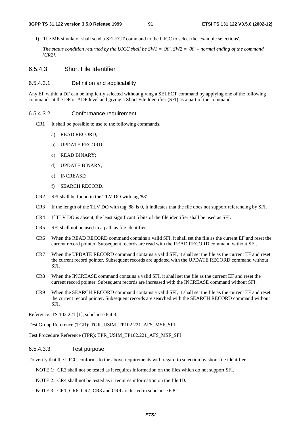f) The ME simulator shall send a SELECT command to the UICC to select the 'example selections'.

 *The status condition returned by the UICC shall be SW1 = '90', SW2 = '00' – normal ending of the command [CR2].*

### 6.5.4.3 Short File Identifier

### 6.5.4.3.1 Definition and applicability

Any EF within a DF can be implicitly selected without giving a SELECT command by applying one of the following commands at the DF or ADF level and giving a Short File Identifier (SFI) as a part of the command:

### 6.5.4.3.2 Conformance requirement

- CR1 It shall be possible to use to the following commands.
	- a) READ RECORD;
	- b) UPDATE RECORD;
	- c) READ BINARY;
	- d) UPDATE BINARY;
	- e) INCREASE;
	- f) SEARCH RECORD.
- CR2 SFI shall be found in the TLV DO with tag '88'.
- CR3 If the length of the TLV DO with tag '88' is 0, it indicates that the file does not support referencing by SFI.
- CR4 If TLV DO is absent, the least significant 5 bits of the file identifier shall be used as SFI.
- CR5 SFI shall not be used in a path as file identifier.
- CR6 When the READ RECORD command contains a valid SFI, it shall set the file as the current EF and reset the current record pointer. Subsequent records are read with the READ RECORD command without SFI.
- CR7 When the UPDATE RECORD command contains a valid SFI, it shall set the file as the current EF and reset the current record pointer. Subsequent records are updated with the UPDATE RECORD command without SFI.
- CR8 When the INCREASE command contains a valid SFI, it shall set the file as the current EF and reset the current record pointer. Subsequent records are increased with the INCREASE command without SFI.
- CR9 When the SEARCH RECORD command contains a valid SFI, it shall set the file as the current EF and reset the current record pointer. Subsequent records are searched with the SEARCH RECORD command without SFI.

Reference: TS 102.221 [1], subclause 8.4.3.

Test Group Reference (TGR): TGR\_USIM\_TP102.221\_AFS\_MSF\_SFI

Test Procedure Reference (TPR): TPR\_USIM\_TP102.221\_AFS\_MSF\_SFI

### 6.5.4.3.3 Test purpose

To verify that the UICC conforms to the above requirements with regard to selection by short file identifier.

NOTE 1: CR3 shall not be tested as it requires information on the files which do not support SFI.

NOTE 2: CR4 shall not be tested as it requires information on the file ID.

NOTE 3: CR1, CR6, CR7, CR8 and CR9 are tested in subclause 6.8.1.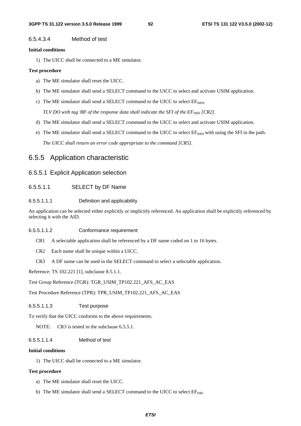### 6.5.4.3.4 Method of test

#### **Initial conditions**

1) The UICC shall be connected to a ME simulator.

#### **Test procedure**

- a) The ME simulator shall reset the UICC.
- b) The ME simulator shall send a SELECT command to the UICC to select and activate USIM application.
- c) The ME simulator shall send a SELECT command to the UICC to select  $EF_{MSE}$ .

*TLV DO with tag '88' of the response data shall indicate the SFI of the EF<sub>IMSI</sub> [CR2].* 

- d) The ME simulator shall send a SELECT command to the UICC to select and activate USIM application.
- e) The ME simulator shall send a SELECT command to the UICC to select  $E_{TMSI}$  with using the SFI in the path.  *The UICC shall return an error code appropriate to the command [CR5].*

# 6.5.5 Application characteristic

### 6.5.5.1 Explicit Application selection

6.5.5.1.1 SELECT by DF Name

#### 6.5.5.1.1.1 Definition and applicability

An application can be selected either explicitly or implicitly referenced. An application shall be explicitly referenced by selecting it with the AID.

#### 6.5.5.1.1.2 Conformance requirement

- CR1 A selectable application shall be referenced by a DF name coded on 1 to 16 bytes.
- CR2 Each name shall be unique within a UICC.
- CR3 A DF name can be used in the SELECT command to select a selectable application.

Reference: TS 102.221 [1], subclause 8.5.1.1.

Test Group Reference (TGR): TGR\_USIM\_TP102.221\_AFS\_AC\_EAS

Test Procedure Reference (TPR): TPR\_USIM\_TP102.221\_AFS\_AC\_EAS

#### 6.5.5.1.1.3 Test purpose

To verify that the UICC conforms to the above requirements.

NOTE: CR3 is tested in the subclause 6.5.5.1.

### 6.5.5.1.1.4 Method of test

#### **Initial conditions**

1) The UICC shall be connected to a ME simulator.

#### **Test procedure**

- a) The ME simulator shall reset the UICC.
- b) The ME simulator shall send a SELECT command to the UICC to select  $EF_{DIR}$ .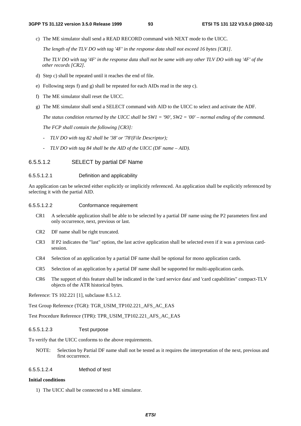c) The ME simulator shall send a READ RECORD command with NEXT mode to the UICC.

 *The length of the TLV DO with tag '4F' in the response data shall not exceed 16 bytes [CR1].* 

 *The TLV DO with tag '4F' in the response data shall not be same with any other TLV DO with tag '4F' of the other records [CR2].* 

- d) Step c) shall be repeated until it reaches the end of file.
- e) Following steps f) and g) shall be repeated for each AIDs read in the step c).
- f) The ME simulator shall reset the UICC.
- g) The ME simulator shall send a SELECT command with AID to the UICC to select and activate the ADF.

 *The status condition returned by the UICC shall be SW1 = '90', SW2 = '00' – normal ending of the command.* 

 *The FCP shall contain the following [CR3]:* 

- *TLV DO with tag 82 shall be '38' or '78'(File Descriptor);*
- *TLV DO with tag 84 shall be the AID of the UICC (DF name AID).*

### 6.5.5.1.2 SELECT by partial DF Name

#### 6.5.5.1.2.1 Definition and applicability

An application can be selected either explicitly or implicitly referenced. An application shall be explicitly referenced by selecting it with the partial AID.

#### 6.5.5.1.2.2 Conformance requirement

- CR1 A selectable application shall be able to be selected by a partial DF name using the P2 parameters first and only occurrence, next, previous or last.
- CR2 DF name shall be right truncated.
- CR3 If P2 indicates the "last" option, the last active application shall be selected even if it was a previous cardsession.
- CR4 Selection of an application by a partial DF name shall be optional for mono application cards.
- CR5 Selection of an application by a partial DF name shall be supported for multi-application cards.
- CR6 The support of this feature shall be indicated in the 'card service data' and 'card capabilities" compact-TLV objects of the ATR historical bytes.

Reference: TS 102.221 [1], subclause 8.5.1.2.

Test Group Reference (TGR): TGR\_USIM\_TP102.221\_AFS\_AC\_EAS

Test Procedure Reference (TPR): TPR\_USIM\_TP102.221\_AFS\_AC\_EAS

#### 6.5.5.1.2.3 Test purpose

To verify that the UICC conforms to the above requirements.

NOTE: Selection by Partial DF name shall not be tested as it requires the interpretation of the next, previous and first occurrence.

### 6.5.5.1.2.4 Method of test

#### **Initial conditions**

1) The UICC shall be connected to a ME simulator.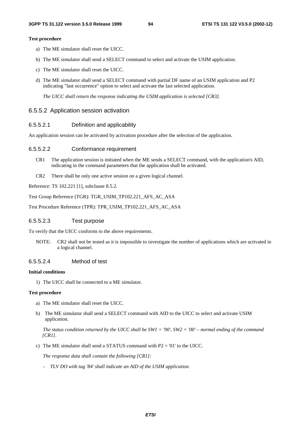#### **Test procedure**

- a) The ME simulator shall reset the UICC.
- b) The ME simulator shall send a SELECT command to select and activate the USIM application.
- c) The ME simulator shall reset the UICC.
- d) The ME simulator shall send a SELECT command with partial DF name of an USIM application and P2 indicating "last occurrence" option to select and activate the last selected application.

*The UICC shall return the response indicating the USIM application is selected [CR3].* 

#### 6.5.5.2 Application session activation

#### 6.5.5.2.1 Definition and applicability

An application session can be activated by activation procedure after the selection of the application.

#### 6.5.5.2.2 Conformance requirement

- CR1 The application session is initiated when the ME sends a SELECT command, with the application's AID, indicating in the command parameters that the application shall be activated.
- CR2 There shall be only one active session on a given logical channel.

Reference: TS 102.221 [1], subclause 8.5.2.

Test Group Reference (TGR): TGR\_USIM\_TP102.221\_AFS\_AC\_ASA

Test Procedure Reference (TPR): TPR\_USIM\_TP102.221\_AFS\_AC\_ASA

### 6.5.5.2.3 Test purpose

To verify that the UICC conforms to the above requirements.

NOTE: CR2 shall not be tested as it is impossible to investigate the number of applications which are activated in a logical channel.

#### 6.5.5.2.4 Method of test

#### **Initial conditions**

1) The UICC shall be connected to a ME simulator.

#### **Test procedure**

- a) The ME simulator shall reset the UICC.
- b) The ME simulator shall send a SELECT command with AID to the UICC to select and activate USIM application.

 *The status condition returned by the UICC shall be SW1 = '90', SW2 = '00' – normal ending of the command [CR1].* 

c) The ME simulator shall send a STATUS command with P2 = '01' to the UICC.

 *The response data shall contain the following [CR1]:* 

*- TLV DO with tag '84' shall indicate an AID of the USIM application.*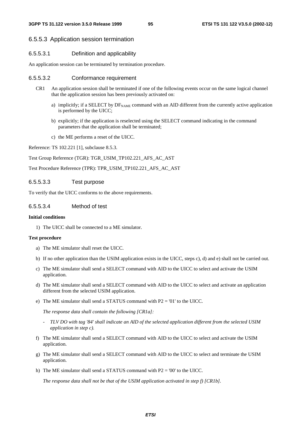#### 6.5.5.3 Application session termination

### 6.5.5.3.1 Definition and applicability

An application session can be terminated by termination procedure.

#### 6.5.5.3.2 Conformance requirement

- CR1 An application session shall be terminated if one of the following events occur on the same logical channel that the application session has been previously activated on:
	- a) implicitly; if a SELECT by DFNAME command with an AID different from the currently active application is performed by the UICC;
	- b) explicitly; if the application is reselected using the SELECT command indicating in the command parameters that the application shall be terminated;
	- c) the ME performs a reset of the UICC.

Reference: TS 102.221 [1], subclause 8.5.3.

Test Group Reference (TGR): TGR\_USIM\_TP102.221\_AFS\_AC\_AST

Test Procedure Reference (TPR): TPR\_USIM\_TP102.221\_AFS\_AC\_AST

#### 6.5.5.3.3 Test purpose

To verify that the UICC conforms to the above requirements.

#### 6.5.5.3.4 Method of test

#### **Initial conditions**

1) The UICC shall be connected to a ME simulator.

#### **Test procedure**

- a) The ME simulator shall reset the UICC.
- b) If no other application than the USIM application exists in the UICC, steps c), d) and e) shall not be carried out.
- c) The ME simulator shall send a SELECT command with AID to the UICC to select and activate the USIM application.
- d) The ME simulator shall send a SELECT command with AID to the UICC to select and activate an application different from the selected USIM application.
- e) The ME simulator shall send a STATUS command with P2 = '01' to the UICC.

 *The response data shall contain the following [CR1a]:* 

- *TLV DO with tag '84' shall indicate an AID of the selected application different from the selected USIM application in step c).*
- f) The ME simulator shall send a SELECT command with AID to the UICC to select and activate the USIM application.
- g) The ME simulator shall send a SELECT command with AID to the UICC to select and terminate the USIM application.
- h) The ME simulator shall send a STATUS command with  $P2 = 0'$  to the UICC.

 *The response data shall not be that of the USIM application activated in step f) [CR1b].*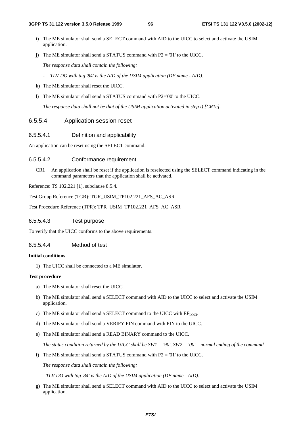- i) The ME simulator shall send a SELECT command with AID to the UICC to select and activate the USIM application.
- j) The ME simulator shall send a STATUS command with  $P2 = '01'$  to the UICC.

 *The response data shall contain the following:* 

- *TLV DO with tag '84' is the AID of the USIM application (DF name AID).*
- k) The ME simulator shall reset the UICC.
- l) The ME simulator shall send a STATUS command with P2='00' to the UICC.

 *The response data shall not be that of the USIM application activated in step i) [CR1c].*

### 6.5.5.4 Application session reset

#### 6.5.5.4.1 Definition and applicability

An application can be reset using the SELECT command.

#### 6.5.5.4.2 Conformance requirement

CR1 An application shall be reset if the application is reselected using the SELECT command indicating in the command parameters that the application shall be activated.

Reference: TS 102.221 [1], subclause 8.5.4.

Test Group Reference (TGR): TGR\_USIM\_TP102.221\_AFS\_AC\_ASR

Test Procedure Reference (TPR): TPR\_USIM\_TP102.221\_AFS\_AC\_ASR

### 6.5.5.4.3 Test purpose

To verify that the UICC conforms to the above requirements.

#### 6.5.5.4.4 Method of test

#### **Initial conditions**

1) The UICC shall be connected to a ME simulator.

#### **Test procedure**

- a) The ME simulator shall reset the UICC.
- b) The ME simulator shall send a SELECT command with AID to the UICC to select and activate the USIM application.
- c) The ME simulator shall send a SELECT command to the UICC with  $EF<sub>LOCI</sub>$ .
- d) The ME simulator shall send a VERIFY PIN command with PIN to the UICC.
- e) The ME simulator shall send a READ BINARY command to the UICC.

*The status condition returned by the UICC shall be SW1 = '90', SW2 = '00' – normal ending of the command.*

f) The ME simulator shall send a STATUS command with  $P2 = 01'$  to the UICC.

 *The response data shall contain the following:* 

 *- TLV DO with tag '84' is the AID of the USIM application (DF name - AID).* 

g) The ME simulator shall send a SELECT command with AID to the UICC to select and activate the USIM application.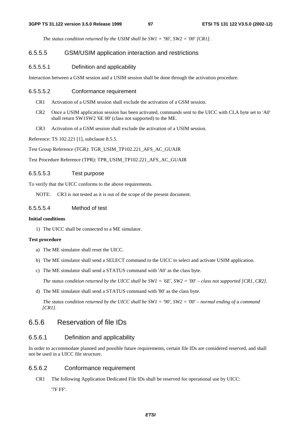*The status condition returned by the USIM shall be SW1 = '90', SW2 = '00' [CR1].*

### 6.5.5.5 GSM/USIM application interaction and restrictions

#### 6.5.5.5.1 Definition and applicability

Interaction between a GSM session and a USIM session shall be done through the activation procedure.

#### 6.5.5.5.2 Conformance requirement

- CR1 Activation of a USIM session shall exclude the activation of a GSM session.
- CR2 Once a USIM application session has been activated, commands sent to the UICC with CLA byte set to 'A0' shall return SW1SW2 '6E 00' (class not supported) to the ME.
- CR3 Activation of a GSM session shall exclude the activation of a USIM session.

Reference: TS 102.221 [1], subclause 8.5.5.

Test Group Reference (TGR): TGR\_USIM\_TP102.221\_AFS\_AC\_GUAIR

Test Procedure Reference (TPR): TPR\_USIM\_TP102.221\_AFS\_AC\_GUAIR

#### 6.5.5.5.3 Test purpose

To verify that the UICC conforms to the above requirements.

NOTE: CR3 is not tested as it is out of the scope of the present document.

### 6.5.5.5.4 Method of test

#### **Initial conditions**

1) The UICC shall be connected to a ME simulator.

#### **Test procedure**

- a) The ME simulator shall reset the UICC.
- b) The ME simulator shall send a SELECT command to the UICC to select and activate USIM application.
- c) The ME simulator shall send a STATUS command with 'A0' as the class byte.

 *The status condition returned by the UICC shall be SW1 = '6E', SW2 = '00' – class not supported [CR1, CR2].* 

d) The ME simulator shall send a STATUS command with '80' as the class byte.

 *The status condition returned by the UICC shall be SW1 = '90', SW2 = '00' – normal ending of a command [CR1].*

# 6.5.6 Reservation of file IDs

### 6.5.6.1 Definition and applicability

In order to accommodate planned and possible future requirements, certain file IDs are considered reserved, and shall not be used in a UICC file structure.

### 6.5.6.2 Conformance requirement

CR1 The following Application Dedicated File IDs shall be reserved for operational use by UICC:

'7F FF'.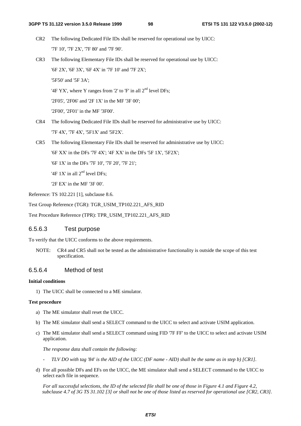- CR2 The following Dedicated File IDs shall be reserved for operational use by UICC: '7F 10', '7F 2X', '7F 80' and '7F 90'.
- CR3 The following Elementary File IDs shall be reserved for operational use by UICC: '6F 2X', '6F 3X', '6F 4X' in '7F 10' and '7F 2X'; '5F50' and '5F 3A'; '4F YX', where Y ranges from '2' to 'F' in all  $2<sup>nd</sup>$  level DFs;

'2F05', '2F06' and '2F 1X' in the MF '3F 00';

'2F00', '2F01' in the MF '3F00'.

- CR4 The following Dedicated File IDs shall be reserved for administrative use by UICC: '7F 4X', '7F 4X', '5F1X' and '5F2X'.
- CR5 The following Elementary File IDs shall be reserved for administrative use by UICC:

'6F XX' in the DFs '7F 4X'; '4F XX' in the DFs '5F 1X', '5F2X';

'6F 1X' in the DFs '7F 10', '7F 20', '7F 21';

'4F  $1X'$  in all  $2<sup>nd</sup>$  level DFs;

'2F EX' in the MF '3F 00'.

Reference: TS 102.221 [1], subclause 8.6.

Test Group Reference (TGR): TGR\_USIM\_TP102.221\_AFS\_RID

Test Procedure Reference (TPR): TPR\_USIM\_TP102.221\_AFS\_RID

### 6.5.6.3 Test purpose

To verify that the UICC conforms to the above requirements.

NOTE: CR4 and CR5 shall not be tested as the administrative functionality is outside the scope of this test specification.

# 6.5.6.4 Method of test

### **Initial conditions**

1) The UICC shall be connected to a ME simulator.

### **Test procedure**

- a) The ME simulator shall reset the UICC.
- b) The ME simulator shall send a SELECT command to the UICC to select and activate USIM application.
- c) The ME simulator shall send a SELECT command using FID '7F FF' to the UICC to select and activate USIM application.

 *The response data shall contain the following:* 

- *TLV DO with tag '84' is the AID of the UICC (DF name AID) shall be the same as in step b) [CR1].*
- d) For all possible DFs and EFs on the UICC, the ME simulator shall send a SELECT command to the UICC to select each file in sequence.

 *For all successful selections, the ID of the selected file shall be one of those in Figure 4.1 and Figure 4.2, subclause 4.7 of 3G TS 31.102 [3] or shall not be one of those listed as reserved for operational use [CR2, CR3].*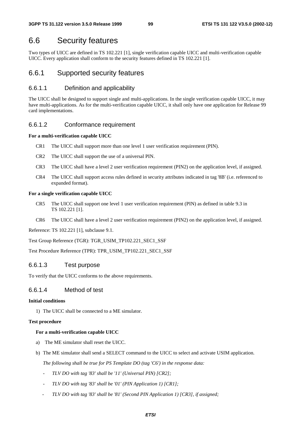# 6.6 Security features

Two types of UICC are defined in TS 102.221 [1], single verification capable UICC and multi-verification capable UICC. Every application shall conform to the security features defined in TS 102.221 [1].

# 6.6.1 Supported security features

# 6.6.1.1 Definition and applicability

The UICC shall be designed to support single and multi-applications. In the single verification capable UICC, it may have multi-applications. As for the multi-verification capable UICC, it shall only have one application for Release 99 card implementations.

# 6.6.1.2 Conformance requirement

### **For a multi-verification capable UICC**

- CR1 The UICC shall support more than one level 1 user verification requirement (PIN).
- CR2 The UICC shall support the use of a universal PIN.
- CR3 The UICC shall have a level 2 user verification requirement (PIN2) on the application level, if assigned.
- CR4 The UICC shall support access rules defined in security attributes indicated in tag '8B' (i.e. referenced to expanded format).

### **For a single verification capable UICC**

- CR5 The UICC shall support one level 1 user verification requirement (PIN) as defined in table 9.3 in TS 102.221 [1].
- CR6 The UICC shall have a level 2 user verification requirement (PIN2) on the application level, if assigned.

Reference: TS 102.221 [1], subclause 9.1.

Test Group Reference (TGR): TGR\_USIM\_TP102.221\_SEC1\_SSF

Test Procedure Reference (TPR): TPR\_USIM\_TP102.221\_SEC1\_SSF

# 6.6.1.3 Test purpose

To verify that the UICC conforms to the above requirements.

# 6.6.1.4 Method of test

### **Initial conditions**

1) The UICC shall be connected to a ME simulator.

### **Test procedure**

# **For a multi-verification capable UICC**

- a) The ME simulator shall reset the UICC.
- b) The ME simulator shall send a SELECT command to the UICC to select and activate USIM application.

 *The following shall be true for PS Template DO (tag 'C6') in the response data:* 

- *TLV DO with tag '83' shall be '11' (Universal PIN) [CR2];*
- *TLV DO with tag '83' shall be '01' (PIN Application 1) [CR1];*
- *TLV DO with tag '83' shall be '81' (Second PIN Application 1) [CR3], if assigned;*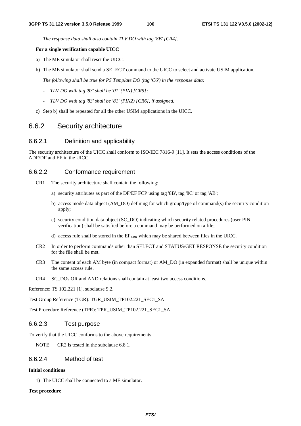*The response data shall also contain TLV DO with tag '8B' [CR4].* 

#### **For a single verification capable UICC**

- a) The ME simulator shall reset the UICC.
- b) The ME simulator shall send a SELECT command to the UICC to select and activate USIM application.

 *The following shall be true for PS Template DO (tag 'C6') in the response data:* 

- *TLV DO with tag '83' shall be '01' (PIN) [CR5];*
- *TLV DO with tag '83' shall be '81' (PIN2) [CR6], if assigned.*
- c) Step b) shall be repeated for all the other USIM applications in the UICC.

# 6.6.2 Security architecture

### 6.6.2.1 Definition and applicability

The security architecture of the UICC shall conform to ISO/IEC 7816-9 [11]. It sets the access conditions of the ADF/DF and EF in the UICC.

### 6.6.2.2 Conformance requirement

- CR1 The security architecture shall contain the following:
	- a) security attributes as part of the DF/EF FCP using tag '8B', tag '8C' or tag 'AB';
	- b) access mode data object (AM\_DO) defining for which group/type of command(s) the security condition apply;
	- c) security condition data object (SC\_DO) indicating which security related procedures (user PIN verification) shall be satisfied before a command may be performed on a file;
	- d) access rule shall be stored in the  $EF_{ARR}$  which may be shared between files in the UICC.
- CR2 In order to perform commands other than SELECT and STATUS/GET RESPONSE the security condition for the file shall be met.
- CR3 The content of each AM byte (in compact format) or AM\_DO (in expanded format) shall be unique within the same access rule.
- CR4 SC\_DOs OR and AND relations shall contain at least two access conditions.

Reference: TS 102.221 [1], subclause 9.2.

Test Group Reference (TGR): TGR\_USIM\_TP102.221\_SEC1\_SA

Test Procedure Reference (TPR): TPR\_USIM\_TP102.221\_SEC1\_SA

### 6.6.2.3 Test purpose

To verify that the UICC conforms to the above requirements.

NOTE: CR2 is tested in the subclause 6.8.1.

### 6.6.2.4 Method of test

#### **Initial conditions**

1) The UICC shall be connected to a ME simulator.

#### **Test procedure**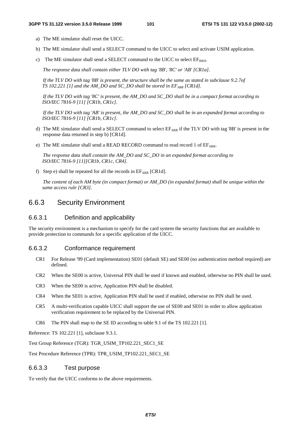- a) The ME simulator shall reset the UICC.
- b) The ME simulator shall send a SELECT command to the UICC to select and activate USIM application.
- c) The ME simulator shall send a SELECT command to the UICC to select  $EF<sub>MST</sub>$ .

 *The response data shall contain either TLV DO with tag '8B', '8C' or 'AB' [CR1a].* 

 *If the TLV DO with tag '8B' is present, the structure shall be the same as stated in subclause 9.2.7of TS 102.221 [1] and the AM\_DO and SC\_DO shall be stored in EF<sub>ARR</sub> [CR1d].* 

 *If the TLV DO with tag '8C' is present, the AM\_DO and SC\_DO shall be in a compact format according to ISO/IEC 7816-9 [11] [CR1b, CR1c].* 

 *If the TLV DO with tag 'AB' is present, the AM\_DO and SC\_DO shall be in an expanded format according to ISO/IEC 7816-9 [11] [CR1b, CR1c].* 

- d) The ME simulator shall send a SELECT command to select  $E_{ARR}$  if the TLV DO with tag '8B' is present in the response data returned in step b) [CR1d].
- e) The ME simulator shall send a READ RECORD command to read record 1 of  $E_{ARR}$ .

 *The response data shall contain the AM\_DO and SC\_DO in an expanded format according to ISO/IEC 7816-9 [11][CR1b, CR1c, CR4].*

f) Step e) shall be repeated for all the records in  $EF_{ARR}$  [CR1d].

*The content of each AM byte (in compact format) or AM\_DO (in expanded format) shall be unique within the same access rule [CR3].* 

# 6.6.3 Security Environment

### 6.6.3.1 Definition and applicability

The security environment is a mechanism to specify for the card system the security functions that are available to provide protection to commands for a specific application of the UICC.

### 6.6.3.2 Conformance requirement

- CR1 For Release '99 (Card implementation) SE01 (default SE) and SE00 (no authentication method required) are defined.
- CR2 When the SE00 is active, Universal PIN shall be used if known and enabled, otherwise no PIN shall be used.
- CR3 When the SE00 is active, Application PIN shall be disabled.
- CR4 When the SE01 is active, Application PIN shall be used if enabled, otherwise no PIN shall be used.
- CR5 A multi-verification capable UICC shall support the use of SE00 and SE01 in order to allow application verification requirement to be replaced by the Universal PIN.
- CR6 The PIN shall map to the SE ID according to table 9.1 of the TS 102.221 [1].

Reference: TS 102.221 [1], subclause 9.3.1.

Test Group Reference (TGR): TGR\_USIM\_TP102.221\_SEC1\_SE

Test Procedure Reference (TPR): TPR\_USIM\_TP102.221\_SEC1\_SE

### 6.6.3.3 Test purpose

To verify that the UICC conforms to the above requirements.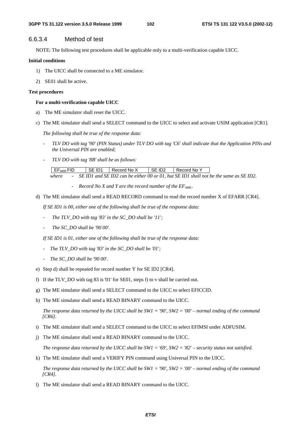### 6.6.3.4 Method of test

NOTE: The following test procedures shall be applicable only to a multi-verification capable UICC.

#### **Initial conditions**

- 1) The UICC shall be connected to a ME simulator.
- 2) SE01 shall be active.

#### **Test procedures**

#### **For a multi-verification capable UICC**

- a) The ME simulator shall reset the UICC.
- c) The ME simulator shall send a SELECT command to the UICC to select and activate USIM application [CR1].

 *The following shall be true of the response data:* 

- *TLV DO with tag '90' (PIN Status) under TLV DO with tag 'C6' shall indicate that the Application PINs and the Universal PIN are enabled;*
- *TLV DO with tag '8B' shall be as follows:*

EFARR FID SE ID1 Record No X SE ID2 Record No Y  *where - SE ID1 and SE ID2 can be either 00 or 01, but SE ID1 shall not be the same as SE ID2.* 

- *Record No X and Y are the record number of the*  $EF_{ARR.}$ *.*
- d) The ME simulator shall send a READ RECORD command to read the record number X of EFARR [CR4].

 *If SE ID1 is 00, either one of the following shall be true of the response data:* 

- The TLV\_DO with tag '83' in the SC\_DO shall be '11';
- *The SC\_DO shall be '90 00'.*

 *If SE ID1 is 01, either one of the following shall be true of the response data:* 

- *The TLV\_DO with tag '83' in the SC\_DO shall be '01';*
- *The SC\_DO shall be '90 00'.*
- e) Step d) shall be repeated for record number Y for SE ID2 [CR4].
- f) If the TLV\_DO with tag 83 is '01' for SE01, steps f) to v shall be carried out.
- g) The ME simulator shall send a SELECT command to the UICC to select EFICCID.
- h) The ME simulator shall send a READ BINARY command to the UICC.

*The response data returned by the UICC shall be SW1 = '90', SW2 = '00' – normal ending of the command [CR6].* 

- i) The ME simulator shall send a SELECT command to the UICC to select EFIMSI under ADFUSIM.
- j) The ME simulator shall send a READ BINARY command to the UICC.

*The response data returned by the UICC shall be SW1 = '69', SW2 = '82' – security status not satisfied.* 

k) The ME simulator shall send a VERIFY PIN command using Universal PIN to the UICC.

*The response data returned by the UICC shall be SW1 = '90', SW2 = '00' – normal ending of the command [CR4].* 

l) The ME simulator shall send a READ BINARY command to the UICC.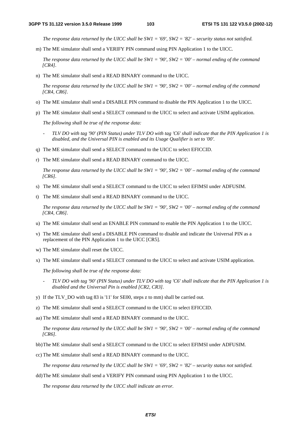*The response data returned by the UICC shall be SW1 = '69', SW2 = '82' – security status not satisfied.* 

m) The ME simulator shall send a VERIFY PIN command using PIN Application 1 to the UICC.

*The response data returned by the UICC shall be SW1 = '90', SW2 = '00' – normal ending of the command [CR4].* 

n) The ME simulator shall send a READ BINARY command to the UICC.

*The response data returned by the UICC shall be SW1 = '90', SW2 = '00' – normal ending of the command [CR4, CR6].* 

- o) The ME simulator shall send a DISABLE PIN command to disable the PIN Application 1 to the UICC.
- p) The ME simulator shall send a SELECT command to the UICC to select and activate USIM application.

 *The following shall be true of the response data:* 

- *TLV DO with tag '90' (PIN Status) under TLV DO with tag 'C6' shall indicate that the PIN Application 1 is disabled, and the Universal PIN is enabled and its Usage Qualifier is set to '00'.*
- q) The ME simulator shall send a SELECT command to the UICC to select EFICCID.
- r) The ME simulator shall send a READ BINARY command to the UICC.

*The response data returned by the UICC shall be SW1 = '90', SW2 = '00' – normal ending of the command [CR6].* 

- s) The ME simulator shall send a SELECT command to the UICC to select EFIMSI under ADFUSIM.
- t) The ME simulator shall send a READ BINARY command to the UICC.

*The response data returned by the UICC shall be SW1 = '90', SW2 = '00' – normal ending of the command [CR4, CR6].* 

- u) The ME simulator shall send an ENABLE PIN command to enable the PIN Application 1 to the UICC.
- v) The ME simulator shall send a DISABLE PIN command to disable and indicate the Universal PIN as a replacement of the PIN Application 1 to the UICC [CR5].
- w) The ME simulator shall reset the UICC.
- x) The ME simulator shall send a SELECT command to the UICC to select and activate USIM application.

 *The following shall be true of the response data:* 

- *TLV DO with tag '90' (PIN Status) under TLV DO with tag 'C6' shall indicate that the PIN Application 1 is disabled and the Universal Pin is enabled [CR2, CR3].*
- y) If the TLV\_DO with tag 83 is '11' for SE00, steps z to mm) shall be carried out.
- z) The ME simulator shall send a SELECT command to the UICC to select EFICCID.
- aa) The ME simulator shall send a READ BINARY command to the UICC.

*The response data returned by the UICC shall be SW1 = '90', SW2 = '00' – normal ending of the command [CR6].* 

- bb) The ME simulator shall send a SELECT command to the UICC to select EFIMSI under ADFUSIM.
- cc) The ME simulator shall send a READ BINARY command to the UICC.

*The response data returned by the UICC shall be SW1 = '69', SW2 = '82' – security status not satisfied.* 

dd) The ME simulator shall send a VERIFY PIN command using PIN Application 1 to the UICC.

*The response data returned by the UICC shall indicate an error.*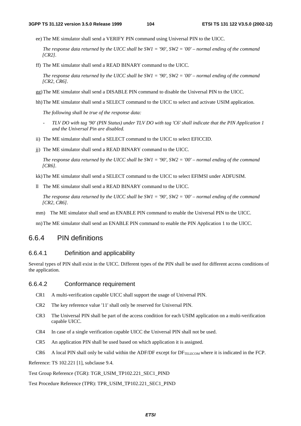ee) The ME simulator shall send a VERIFY PIN command using Universal PIN to the UICC.

*The response data returned by the UICC shall be SW1 = '90', SW2 = '00' – normal ending of the command [CR2].* 

ff) The ME simulator shall send a READ BINARY command to the UICC.

*The response data returned by the UICC shall be SW1 = '90', SW2 = '00' – normal ending of the command [CR2, CR6].* 

- gg) The ME simulator shall send a DISABLE PIN command to disable the Universal PIN to the UICC.
- hh) The ME simulator shall send a SELECT command to the UICC to select and activate USIM application.

 *The following shall be true of the response data:* 

- *TLV DO with tag '90' (PIN Status) under TLV DO with tag 'C6' shall indicate that the PIN Application 1 and the Universal Pin are disabled.*
- ii) The ME simulator shall send a SELECT command to the UICC to select EFICCID.
- jj) The ME simulator shall send a READ BINARY command to the UICC.

*The response data returned by the UICC shall be SW1 = '90', SW2 = '00' – normal ending of the command [CR6].* 

kk) The ME simulator shall send a SELECT command to the UICC to select EFIMSI under ADFUSIM.

ll The ME simulator shall send a READ BINARY command to the UICC.

*The response data returned by the UICC shall be SW1 = '90', SW2 = '00' – normal ending of the command [CR2, CR6].* 

mm) The ME simulator shall send an ENABLE PIN command to enable the Universal PIN to the UICC.

nn) The ME simulator shall send an ENABLE PIN command to enable the PIN Application 1 to the UICC.

# 6.6.4 PIN definitions

### 6.6.4.1 Definition and applicability

Several types of PIN shall exist in the UICC. Different types of the PIN shall be used for different access conditions of the application.

#### 6.6.4.2 Conformance requirement

- CR1 A multi-verification capable UICC shall support the usage of Universal PIN.
- CR2 The key reference value '11' shall only be reserved for Universal PIN.
- CR3 The Universal PIN shall be part of the access condition for each USIM application on a multi-verification capable UICC.
- CR4 In case of a single verification capable UICC the Universal PIN shall not be used.
- CR5 An application PIN shall be used based on which application it is assigned.
- CR6 A local PIN shall only be valid within the ADF/DF except for  $DF_{TELECOM}$  where it is indicated in the FCP.

Reference: TS 102.221 [1], subclause 9.4.

Test Group Reference (TGR): TGR\_USIM\_TP102.221\_SEC1\_PIND

Test Procedure Reference (TPR): TPR\_USIM\_TP102.221\_SEC1\_PIND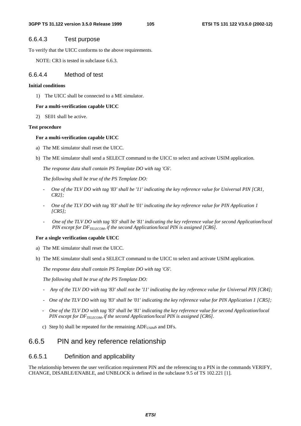# 6.6.4.3 Test purpose

To verify that the UICC conforms to the above requirements.

NOTE: CR3 is tested in subclause 6.6.3.

## 6.6.4.4 Method of test

### **Initial conditions**

1) The UICC shall be connected to a ME simulator.

### **For a multi-verification capable UICC**

2) SE01 shall be active.

### **Test procedure**

### **For a multi-verification capable UICC**

- a) The ME simulator shall reset the UICC.
- b) The ME simulator shall send a SELECT command to the UICC to select and activate USIM application.

 *The response data shall contain PS Template DO with tag 'C6'.* 

 *The following shall be true of the PS Template DO:* 

- *One of the TLV DO with tag '83' shall be '11' indicating the key reference value for Universal PIN [CR1, CR2];*
- *One of the TLV DO with tag '83' shall be '01' indicating the key reference value for PIN Application 1 [CR5];*
- *One of the TLV DO with tag '83' shall be '81' indicating the key reference value for second Application/local PIN except for DF<sub>TELECOM</sub>, if the second Application/local PIN is assigned [CR6].*

### **For a single verification capable UICC**

- a) The ME simulator shall reset the UICC.
- b) The ME simulator shall send a SELECT command to the UICC to select and activate USIM application.

 *The response data shall contain PS Template DO with tag 'C6'.* 

 *The following shall be true of the PS Template DO:* 

- *Any of the TLV DO with tag '83' shall not be '11' indicating the key reference value for Universal PIN [CR4];*
- *One of the TLV DO with tag '83' shall be '01' indicating the key reference value for PIN Application 1 [CR5];*
- *One of the TLV DO with tag '83' shall be '81' indicating the key reference value for second Application/local PIN except for DF<sub>TELECOM</sub>, if the second Application/local PIN is assigned [CR6].*
- c) Step b) shall be repeated for the remaining  $ADF<sub>USIM</sub>s$  and DFs.

# 6.6.5 PIN and key reference relationship

# 6.6.5.1 Definition and applicability

The relationship between the user verification requirement PIN and the referencing to a PIN in the commands VERIFY, CHANGE, DISABLE/ENABLE, and UNBLOCK is defined in the subclause 9.5 of TS 102.221 [1].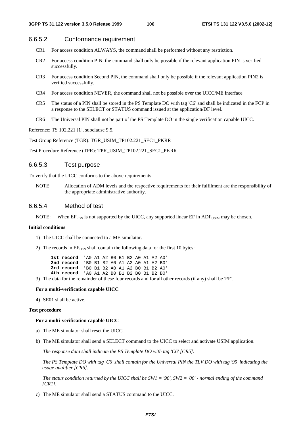### 6.6.5.2 Conformance requirement

- CR1 For access condition ALWAYS, the command shall be performed without any restriction.
- CR2 For access condition PIN, the command shall only be possible if the relevant application PIN is verified successfully.
- CR3 For access condition Second PIN, the command shall only be possible if the relevant application PIN2 is verified successfully.
- CR4 For access condition NEVER, the command shall not be possible over the UICC/ME interface.
- CR5 The status of a PIN shall be stored in the PS Template DO with tag 'C6' and shall be indicated in the FCP in a response to the SELECT or STATUS command issued at the application/DF level.
- CR6 The Universal PIN shall not be part of the PS Template DO in the single verification capable UICC.

Reference: TS 102.221 [1], subclause 9.5.

Test Group Reference (TGR): TGR\_USIM\_TP102.221\_SEC1\_PKRR

Test Procedure Reference (TPR): TPR\_USIM\_TP102.221\_SEC1\_PKRR

### 6.6.5.3 Test purpose

To verify that the UICC conforms to the above requirements.

NOTE: Allocation of ADM levels and the respective requirements for their fulfilment are the responsibility of the appropriate administrative authority.

### 6.6.5.4 Method of test

NOTE: When  $E_{FDN}$  is not supported by the UICC, any supported linear  $E\ddot{F}$  in ADF<sub>USIM</sub> may be chosen.

#### **Initial conditions**

- 1) The UICC shall be connected to a ME simulator.
- 2) The records in  $EF_{FDN}$  shall contain the following data for the first 10 bytes:

| 1st record 'AO A1 A2 BO B1 B2 AO A1 A2 AO' |  |  |  |  |  |
|--------------------------------------------|--|--|--|--|--|
| 2nd record 'BO B1 B2 A0 A1 A2 A0 A1 A2 B0' |  |  |  |  |  |
| 3rd record 'B0 B1 B2 A0 A1 A2 B0 B1 B2 A0' |  |  |  |  |  |
| 4th record 'AO A1 A2 BO B1 B2 BO B1 B2 BO' |  |  |  |  |  |

3) The data for the remainder of these four records and for all other records (if any) shall be 'FF'.

#### **For a multi-verification capable UICC**

4) SE01 shall be active.

#### **Test procedure**

#### **For a multi-verification capable UICC**

- a) The ME simulator shall reset the UICC.
- b) The ME simulator shall send a SELECT command to the UICC to select and activate USIM application.

 *The response data shall indicate the PS Template DO with tag 'C6' [CR5].* 

 *The PS Template DO with tag 'C6' shall contain for the Universal PIN the TLV DO with tag '95' indicating the usage qualifier [CR6].* 

 *The status condition returned by the UICC shall be SW1 = '90', SW2 = '00' - normal ending of the command [CR1].* 

c) The ME simulator shall send a STATUS command to the UICC.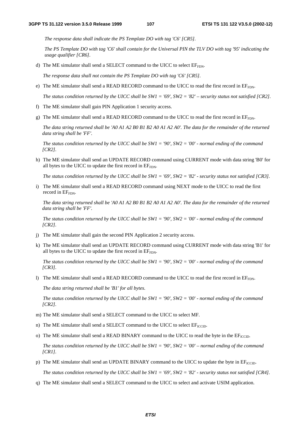*The response data shall indicate the PS Template DO with tag 'C6' [CR5].* 

 *The PS Template DO with tag 'C6' shall contain for the Universal PIN the TLV DO with tag '95' indicating the usage qualifier [CR6].* 

d) The ME simulator shall send a SELECT command to the UICC to select  $E_{\text{FDM}}$ .

*The response data shall not contain the PS Template DO with tag 'C6' [CR5].* 

e) The ME simulator shall send a READ RECORD command to the UICC to read the first record in  $E_{F_{\text{FDN}}}$ .

 *The status condition returned by the UICC shall be SW1 = '69', SW2 = '82' – security status not satisfied [CR2].*

- f) The ME simulator shall gain PIN Application 1 security access.
- g) The ME simulator shall send a READ RECORD command to the UICC to read the first record in  $E_{FDDN}$ .

*The data string returned shall be 'A0 A1 A2 B0 B1 B2 A0 A1 A2 A0'. The data for the remainder of the returned data string shall be 'FF'.* 

 *The status condition returned by the UICC shall be SW1 = '90', SW2 = '00' - normal ending of the command [CR2].*

h) The ME simulator shall send an UPDATE RECORD command using CURRENT mode with data string 'B0' for all bytes to the UICC to update the first record in  $EF_{FDN}$ .

 *The status condition returned by the UICC shall be SW1 = '69', SW2 = '82' - security status not satisfied [CR3].*

i) The ME simulator shall send a READ RECORD command using NEXT mode to the UICC to read the first record in  $EF_{\text{FDN}}$ .

*The data string returned shall be 'A0 A1 A2 B0 B1 B2 A0 A1 A2 A0'. The data for the remainder of the returned data string shall be 'FF'.* 

 *The status condition returned by the UICC shall be SW1 = '90', SW2 = '00' - normal ending of the command [CR2].*

- j) The ME simulator shall gain the second PIN Application 2 security access.
- k) The ME simulator shall send an UPDATE RECORD command using CURRENT mode with data string 'B1' for all bytes to the UICC to update the first record in  $EF_{FDN}$ .

 *The status condition returned by the UICC shall be SW1 = '90', SW2 = '00' - normal ending of the command [CR3].*

l) The ME simulator shall send a READ RECORD command to the UICC to read the first record in  $E_{F_{\text{FDN}}}$ .

*The data string returned shall be 'B1' for all bytes.* 

 *The status condition returned by the UICC shall be SW1 = '90', SW2 = '00' - normal ending of the command [CR2].*

- m) The ME simulator shall send a SELECT command to the UICC to select MF.
- n) The ME simulator shall send a SELECT command to the UICC to select  $EF_{\text{ICTD}}$ .
- o) The ME simulator shall send a READ BINARY command to the UICC to read the byte in the  $EF_{\text{tCCD}}$ .

*The status condition returned by the UICC shall be SW1 = '90', SW2 = '00' – normal ending of the command [CR1].* 

p) The ME simulator shall send an UPDATE BINARY command to the UICC to update the byte in  $E_{\text{ICCID}}$ .

 *The status condition returned by the UICC shall be SW1 = '69', SW2 = '82' - security status not satisfied [CR4].* 

q) The ME simulator shall send a SELECT command to the UICC to select and activate USIM application.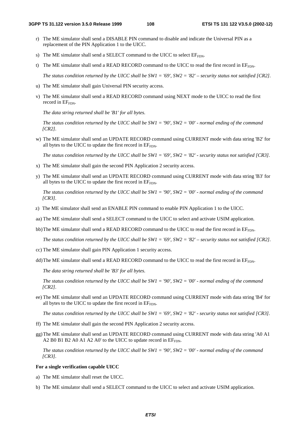- r) The ME simulator shall send a DISABLE PIN command to disable and indicate the Universal PIN as a replacement of the PIN Application 1 to the UICC.
- s) The ME simulator shall send a SELECT command to the UICC to select  $EF_{FDN}$ .
- t) The ME simulator shall send a READ RECORD command to the UICC to read the first record in  $E_{F_{FDN}}$ .

 *The status condition returned by the UICC shall be SW1 = '69', SW2 = '82' – security status not satisfied [CR2].*

- u) The ME simulator shall gain Universal PIN security access.
- v) The ME simulator shall send a READ RECORD command using NEXT mode to the UICC to read the first record in EF<sub>FDN</sub>.

*The data string returned shall be 'B1' for all bytes.* 

 *The status condition returned by the UICC shall be SW1 = '90', SW2 = '00' - normal ending of the command [CR2].*

w) The ME simulator shall send an UPDATE RECORD command using CURRENT mode with data string 'B2' for all bytes to the UICC to update the first record in EFFDN.

 *The status condition returned by the UICC shall be SW1 = '69', SW2 = '82' - security status not satisfied [CR3].*

- x) The ME simulator shall gain the second PIN Application 2 security access.
- y) The ME simulator shall send an UPDATE RECORD command using CURRENT mode with data string 'B3' for all bytes to the UICC to update the first record in  $EF_{FDN}$ .

 *The status condition returned by the UICC shall be SW1 = '90', SW2 = '00' - normal ending of the command [CR3].*

- z) The ME simulator shall send an ENABLE PIN command to enable PIN Application 1 to the UICC.
- aa) The ME simulator shall send a SELECT command to the UICC to select and activate USIM application.
- bb) The ME simulator shall send a READ RECORD command to the UICC to read the first record in  $E_{F_{\text{FDN}}}$ .

 *The status condition returned by the UICC shall be SW1 = '69', SW2 = '82' – security status not satisfied [CR2].*

- cc) The ME simulator shall gain PIN Application 1 security access.
- dd) The ME simulator shall send a READ RECORD command to the UICC to read the first record in  $E_{FDDN}$ .

*The data string returned shall be 'B3' for all bytes.* 

 *The status condition returned by the UICC shall be SW1 = '90', SW2 = '00' - normal ending of the command [CR2].*

ee) The ME simulator shall send an UPDATE RECORD command using CURRENT mode with data string 'B4' for all bytes to the UICC to update the first record in  $E_{FDN}$ .

 *The status condition returned by the UICC shall be SW1 = '69', SW2 = '82' - security status not satisfied [CR3].*

- ff) The ME simulator shall gain the second PIN Application 2 security access.
- gg) The ME simulator shall send an UPDATE RECORD command using CURRENT mode with data string 'A0 A1 A2 B0 B1 B2 A0 A1 A2 A0' to the UICC to update record in EF<sub>FDN</sub>.

 *The status condition returned by the UICC shall be SW1 = '90', SW2 = '00' - normal ending of the command [CR3].*

#### **For a single verification capable UICC**

- a) The ME simulator shall reset the UICC.
- b) The ME simulator shall send a SELECT command to the UICC to select and activate USIM application.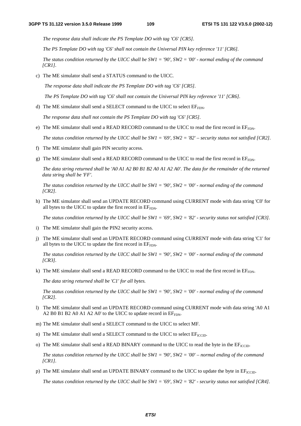*The response data shall indicate the PS Template DO with tag 'C6' [CR5].* 

 *The PS Template DO with tag 'C6' shall not contain the Universal PIN key reference '11' [CR6].* 

 *The status condition returned by the UICC shall be SW1 = '90', SW2 = '00' - normal ending of the command [CR1].* 

c) The ME simulator shall send a STATUS command to the UICC.

 *The response data shall indicate the PS Template DO with tag 'C6' [CR5].* 

 *The PS Template DO with tag 'C6' shall not contain the Universal PIN key reference '11' [CR6].* 

d) The ME simulator shall send a SELECT command to the UICC to select  $EF_{FDN}$ .

*The response data shall not contain the PS Template DO with tag 'C6' [CR5].* 

e) The ME simulator shall send a READ RECORD command to the UICC to read the first record in  $E_{FDN}$ .

 *The status condition returned by the UICC shall be SW1 = '69', SW2 = '82' – security status not satisfied [CR2].*

- f) The ME simulator shall gain PIN security access.
- g) The ME simulator shall send a READ RECORD command to the UICC to read the first record in  $E_{F_{FDN}}$ .

*The data string returned shall be 'A0 A1 A2 B0 B1 B2 A0 A1 A2 A0'. The data for the remainder of the returned data string shall be 'FF'.* 

 *The status condition returned by the UICC shall be SW1 = '90', SW2 = '00' - normal ending of the command [CR2].*

h) The ME simulator shall send an UPDATE RECORD command using CURRENT mode with data string 'C0' for all bytes to the UICC to update the first record in EF<sub>FDN</sub>.

 *The status condition returned by the UICC shall be SW1 = '69', SW2 = '82' - security status not satisfied [CR3].*

- i) The ME simulator shall gain the PIN2 security access.
- j) The ME simulator shall send an UPDATE RECORD command using CURRENT mode with data string 'C1' for all bytes to the UICC to update the first record in  $E_{FDN}$ .

 *The status condition returned by the UICC shall be SW1 = '90', SW2 = '00' - normal ending of the command [CR3].*

k) The ME simulator shall send a READ RECORD command to the UICC to read the first record in  $E_{F_{\text{FDN}}}$ .

*The data string returned shall be 'C1' for all bytes.* 

 *The status condition returned by the UICC shall be SW1 = '90', SW2 = '00' - normal ending of the command [CR2].*

- l) The ME simulator shall send an UPDATE RECORD command using CURRENT mode with data string 'A0 A1 A2 B0 B1 B2 A0 A1 A2 A0' to the UICC to update record in  $EF_{END}$ .
- m) The ME simulator shall send a SELECT command to the UICC to select MF.
- n) The ME simulator shall send a SELECT command to the UICC to select  $EF_{\text{ICCD}}$ .
- o) The ME simulator shall send a READ BINARY command to the UICC to read the byte in the  $E_{\text{ICCID}}$ .

*The status condition returned by the UICC shall be SW1 = '90', SW2 = '00' – normal ending of the command [CR1].* 

p) The ME simulator shall send an UPDATE BINARY command to the UICC to update the byte in  $EF_{\text{ICCD}}$ .

 *The status condition returned by the UICC shall be SW1 = '69', SW2 = '82' - security status not satisfied [CR4].*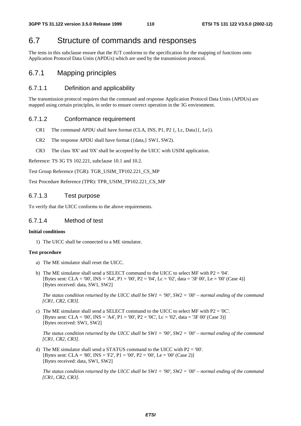# 6.7 Structure of commands and responses

The tests in this subclause ensure that the IUT conforms to the specification for the mapping of functions onto Application Protocol Data Units (APDUs) which are used by the transmission protocol.

# 6.7.1 Mapping principles

# 6.7.1.1 Definition and applicability

The transmission protocol requires that the command and response Application Protocol Data Units (APDUs) are mapped using certain principles, in order to ensure correct operation in the 3G environment.

# 6.7.1.2 Conformance requirement

- CR1 The command APDU shall have format (CLA, INS, P1, P2 {, Lc, Data}{, Le}).
- CR2 The response APDU shall have format ({data,} SW1, SW2).
- CR3 The class '8X' and '0X' shall be accepted by the UICC with USIM application.

Reference: TS 3G TS 102.221, subclause 10.1 and 10.2.

Test Group Reference (TGR): TGR\_USIM\_TP102.221\_CS\_MP

Test Procedure Reference (TPR): TPR\_USIM\_TP102.221\_CS\_MP

# 6.7.1.3 Test purpose

To verify that the UICC conforms to the above requirements.

# 6.7.1.4 Method of test

#### **Initial conditions**

1) The UICC shall be connected to a ME simulator.

#### **Test procedure**

- a) The ME simulator shall reset the UICC.
- b) The ME simulator shall send a SELECT command to the UICC to select MF with P2 = '04'. [Bytes sent: CLA = '00', INS = 'A4', P1 = '00', P2 = '04', Lc = '02', data = '3F 00', Le = '00' (Case 4)] [Bytes received: data, SW1, SW2]

 *The status condition returned by the UICC shall be SW1 = '90', SW2 = '00' – normal ending of the command [CR1, CR2, CR3].*

c) The ME simulator shall send a SELECT command to the UICC to select MF with  $P2 = '0C'$ . [Bytes sent: CLA = '00', INS = 'A4', P1 = '00', P2 = '0C', Lc = '02', data = '3F 00' (Case 3)] [Bytes received: SW1, SW2]

*The status condition returned by the UICC shall be SW1 = '90', SW2 = '00' – normal ending of the command [CR1, CR2, CR3].* 

d) The ME simulator shall send a STATUS command to the UICC with P2 = '00'. [Bytes sent: CLA = '80', INS = 'F2', P1 = '00', P2 = '00', Le = '00' (Case 2)] [Bytes received: data, SW1, SW2]

 *The status condition returned by the UICC shall be SW1 = '90', SW2 = '00' – normal ending of the command [CR1, CR2, CR3].*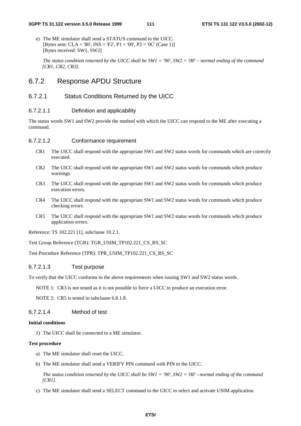e) The ME simulator shall send a STATUS command to the UICC. [Bytes sent: CLA = '80', INS = 'F2', P1 = '00', P2 = '0C' (Case 1)] [Bytes received: SW1, SW2]

 *The status condition returned by the UICC shall be SW1 = '90', SW2 = '00' – normal ending of the command [CR1, CR2, CR3].*

# 6.7.2 Response APDU Structure

# 6.7.2.1 Status Conditions Returned by the UICC

### 6.7.2.1.1 Definition and applicability

The status words SW1 and SW2 provide the method with which the UICC can respond to the ME after executing a command.

## 6.7.2.1.2 Conformance requirement

- CR1 The UICC shall respond with the appropriate SW1 and SW2 status words for commands which are correctly executed.
- CR2 The UICC shall respond with the appropriate SW1 and SW2 status words for commands which produce warnings.
- CR3 The UICC shall respond with the appropriate SW1 and SW2 status words for commands which produce execution errors.
- CR4 The UICC shall respond with the appropriate SW1 and SW2 status words for commands which produce checking errors.
- CR5 The UICC shall respond with the appropriate SW1 and SW2 status words for commands which produce application errors.

Reference: TS 102.221 [1], subclause 10.2.1.

Test Group Reference (TGR): TGR\_USIM\_TP102.221\_CS\_RS\_SC

Test Procedure Reference (TPR): TPR\_USIM\_TP102.221\_CS\_RS\_SC

#### 6.7.2.1.3 Test purpose

To verify that the UICC conforms to the above requirements when issuing SW1 and SW2 status words.

NOTE 1: CR3 is not tested as it is not possible to force a UICC to produce an execution error.

NOTE 2: CR5 is tested in subclause 6.8.1.8.

6.7.2.1.4 Method of test

#### **Initial conditions**

1) The UICC shall be connected to a ME simulator.

#### **Test procedure**

- a) The ME simulator shall reset the UICC.
- b) The ME simulator shall send a VERIFY PIN command with PIN to the UICC.

 *The status condition returned by the UICC shall be SW1 = '90', SW2 = '00' - normal ending of the command [CR1].*

c) The ME simulator shall send a SELECT command to the UICC to select and activate USIM application.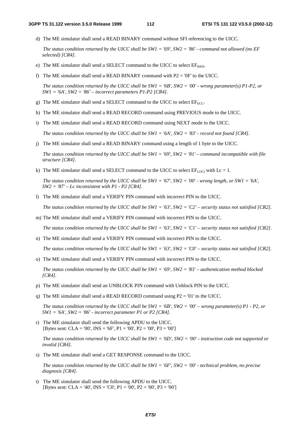d) The ME simulator shall send a READ BINARY command without SFI referencing to the UICC.

 *The status condition returned by the UICC shall be SW1 = '69', SW2 = '86' - command not allowed (no EF selected) [CR4].*

- e) The ME simulator shall send a SELECT command to the UICC to select  $EF_{\text{IMSI}}$ .
- f) The ME simulator shall send a READ BINARY command with  $P2 = '0F'$  to the UICC.

 *The status condition returned by the UICC shall be SW1 = '6B', SW2 = '00' - wrong parameter(s) P1-P2, or SW1 = '6A', SW2 = '86' – incorrect parameters P1-P2 [CR4].*

- g) The ME simulator shall send a SELECT command to the UICC to select  $EF_{ECC}$ .
- h) The ME simulator shall send a READ RECORD command using PREVIOUS mode to the UICC.
- i) The ME simulator shall send a READ RECORD command using NEXT mode to the UICC.

 *The status condition returned by the UICC shall be SW1 = '6A', SW2 = '83' - record not found [CR4].*

j) The ME simulator shall send a READ BINARY command using a length of 1 byte to the UICC.

 *The status condition returned by the UICC shall be SW1 = '69', SW2 = '81' – command incompatible with file structure [CR4].*

k) The ME simulator shall send a SELECT command to the UICC to select  $EF_{\text{LOCI}}$  with  $Lc = 1$ .

 *The status condition returned by the UICC shall be SW1 = '67', SW2 = '00' - wrong length, or SW1 = '6A', SW2 = '87' – Lc inconsistent with P1 - P2 [CR4].*

l) The ME simulator shall send a VERIFY PIN command with incorrect PIN to the UICC.

 *The status condition returned by the UICC shall be SW1 = '63', SW2 = 'C2' – security status not satisfied [CR2].*

m) The ME simulator shall send a VERIFY PIN command with incorrect PIN to the UICC.

 *The status condition returned by the UICC shall be SW1 = '63', SW2 = 'C1' – security status not satisfied [CR2].*

n) The ME simulator shall send a VERIFY PIN command with incorrect PIN to the UICC.

 *The status condition returned by the UICC shall be SW1 = '63', SW2 = 'C0' – security status not satisfied [CR2].*

o) The ME simulator shall send a VERIFY PIN command with incorrect PIN to the UICC.

 *The status condition returned by the UICC shall be SW1 = '69', SW2 = '83' – authentication method blocked [CR4].*

- p) The ME simulator shall send an UNBLOCK PIN command with Unblock PIN to the UICC.
- q) The ME simulator shall send a READ RECORD command using  $P2 = '01'$  to the UICC.

 *The status condition returned by the UICC shall be SW1 = '6B', SW2 = '00' – wrong parameter(s) P1 - P2, or SW1 = '6A', SW2 = '86' - incorrect parameter P1 or P2 [CR4].*

r) The ME simulator shall send the following APDU to the UICC. [Bytes sent: CLA = '00', INS = '6F', P1 = '00', P2 = '00', P3 = '00']

 *The status condition returned by the UICC shall be SW1 = '6D', SW2 = '00' - instruction code not supported or invalid [CR4].*

s) The ME simulator shall send a GET RESPONSE command to the UICC.

 *The status condition returned by the UICC shall be SW1 = '6F', SW2 = '00' - technical problem, no precise diagnosis [CR4].*

t) The ME simulator shall send the following APDU to the UICC. [Bytes sent: CLA = '40', INS = 'C0', P1 = '00', P2 = '00', P3 = '00']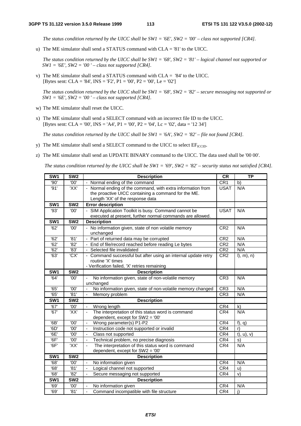*The status condition returned by the UICC shall be SW1 = '6E', SW2 = '00' – class not supported [CR4].*

u) The ME simulator shall send a STATUS command with CLA = '81' to the UICC.

 *The status condition returned by the UICC shall be SW1 = '68', SW2 = '81' – logical channel not supported or SW1 = '6E', SW2 = '00 ' – class not supported [CR4].*

v) The ME simulator shall send a STATUS command with CLA = '84' to the UICC. [Bytes sent: CLA = '84', INS = 'F2', P1 = '00', P2 = '00', Le = '02']

 *The status condition returned by the UICC shall be SW1 = '68', SW2 = '82' – secure messaging not supported or SW1 = '6E', SW2 = '00 ' – class not supported [CR4].*

- w) The ME simulator shall reset the UICC.
- x) The ME simulator shall send a SELECT command with an incorrect file ID to the UICC. [Bytes sent: CLA = '00', INS = 'A4', P1 = '00', P2 = '04', Lc = '02', data = '12 34']

 *The status condition returned by the UICC shall be SW1 = '6A', SW2 = '82' – file not found [CR4].*

- y) The ME simulator shall send a SELECT command to the UICC to select  $EF_{\text{ICCD}}$ .
- z) The ME simulator shall send an UPDATE BINARY command to the UICC. The data used shall be '00 00'.

 *The status condition returned by the UICC shall be SW1 = '69', SW2 = '82' – security status not satisfied [CR4].*

| SW <sub>1</sub>  | SW <sub>2</sub>  | <b>Description</b>                                                                 | <b>CR</b>       | <b>TP</b>          |
|------------------|------------------|------------------------------------------------------------------------------------|-----------------|--------------------|
| '90'             | '00'             | Normal ending of the command                                                       | CR1             | b)                 |
| '91'             | 'XX'             | - Normal ending of the command, with extra information from                        | <b>USAT</b>     | N/A                |
|                  |                  | the proactive UICC containing a command for the ME.                                |                 |                    |
|                  |                  | Length 'XX' of the response data                                                   |                 |                    |
| SW <sub>1</sub>  | SW2              | <b>Error description</b>                                                           |                 |                    |
| '93'             | '00'             | SIM Application Toolkit is busy. Command cannot be                                 | <b>USAT</b>     | N/A                |
|                  |                  | executed at present, further normal commands are allowed.                          |                 |                    |
| SW <sub>1</sub>  | SW <sub>2</sub>  | <b>Description</b>                                                                 |                 |                    |
| '62'             | '00'             | No information given, state of non volatile memory                                 | CR <sub>2</sub> | N/A                |
|                  |                  | unchanged                                                                          |                 |                    |
| $\overline{62}$  | '81'             | - Part of returned data may be corrupted                                           | CR <sub>2</sub> | N/A                |
| '62'             | '82'             | End of file/record reached before reading Le bytes                                 | CR <sub>2</sub> | N/A                |
| $\overline{6}2'$ | '83'<br>'CX'     | Selected file invalidated                                                          | CR <sub>2</sub> | N/A                |
| $\overline{63}$  |                  | - Command successful but after using an internal update retry<br>routine 'X' times | CR <sub>2</sub> | l, m), n)          |
|                  |                  | - Verification failed, 'X' retries remaining                                       |                 |                    |
| SW <sub>1</sub>  | SW <sub>2</sub>  | <b>Description</b>                                                                 |                 |                    |
| '64'             | '00'             | No information given, state of non-volatile memory<br>÷,                           | CR <sub>3</sub> | N/A                |
|                  |                  | unchanged                                                                          |                 |                    |
| $\overline{65}$  | '00'             | No information given, state of non-volatile memory changed                         | CR <sub>3</sub> | N/A                |
| $\overline{65}$  | $\overline{81}$  | Memory problem                                                                     | CR3             | N/A                |
| SW <sub>1</sub>  | SW <sub>2</sub>  | <b>Description</b>                                                                 |                 |                    |
| '67'             | '00'             | Wrong length                                                                       | CR4             | $\mathsf{k}$       |
| $\overline{67}$  | 'XX'             | The interpretation of this status word is command<br>÷,                            | CR4             | N/A                |
|                  |                  | dependent, except for SW2 = '00'                                                   |                 |                    |
| $\overline{6B}$  | $\overline{100}$ | ÷,<br>Wrong parameter(s) P1-P2                                                     | CR4             | $f$ , q)           |
| '6D'             | '00'             | $\overline{\phantom{a}}$<br>Instruction code not supported or invalid              | CR4             | r)                 |
| '6E'             | '00'             | L.<br>Class not supported                                                          | CR4             | $t)$ , $u)$ , $v)$ |
| '6F'             | '00'             | Technical problem, no precise diagnosis<br>÷,                                      | CR4             | s)                 |
| '6F'             | 'XX'             | The interpretation of this status word is command<br>$\blacksquare$                | CR4             | N/A                |
|                  |                  | dependent, except for SW2 = '00'                                                   |                 |                    |
| SW1              | SW <sub>2</sub>  | <b>Description</b>                                                                 |                 |                    |
| '68'             | '00'             | No information given<br>$\blacksquare$                                             | CR4             | N/A                |
| $\overline{68}$  | '81'             | Logical channel not supported<br>$\overline{\phantom{a}}$                          | CR4             | u)                 |
| '68'             | $\overline{82}$  | Secure messaging not supported<br>$\overline{a}$                                   | CR4             | V)                 |
| SW <sub>1</sub>  | SW <sub>2</sub>  | <b>Description</b>                                                                 |                 |                    |
| '69'             | '00'             | No information given                                                               | CR4             | N/A                |
| '69'             | '81'             | Command incompatible with file structure<br>ä,                                     | CR4             | j)                 |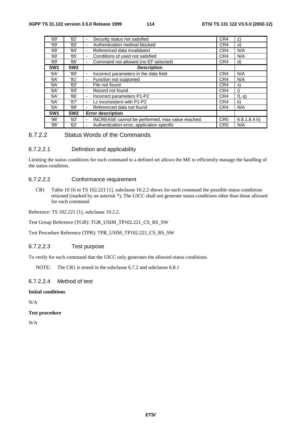| '69'            | '82'            | Security status not satisfied                         | CR4             | Z)          |
|-----------------|-----------------|-------------------------------------------------------|-----------------|-------------|
| '69'            | '83'            | Authentication method blocked<br>۰                    | CR4             | $\circ$     |
| '69'            | '84'            | Referenced data invalidated<br>٠                      | CR4             | N/A         |
| '69'            | '85'            | Conditions of used not satisfied<br>٠                 | CR4             | N/A         |
| '69'            | '86'            | Command not allowed (no EF selected)<br>۰             | CR4             | d)          |
| SW <sub>1</sub> | SW <sub>2</sub> | <b>Description</b>                                    |                 |             |
| '6A'            | '80'            | Incorrect parameters in the data field<br>٠           | CR4             | N/A         |
| '6A'            | '81'            | Function not supported<br>-                           | CR4             | N/A         |
| '6A'            | '82'            | File not found<br>۰                                   | CR4             | X)          |
| '6A'            | '83'            | Record not found<br>۰                                 | CR4             | i)          |
| '6A'            | '86'            | Incorrect parameters P1-P2<br>۰                       | CR4             | $f$ , q)    |
| '6A'            | '87'            | Lc inconsistent with P1-P2<br>٠                       | CR4             | k)          |
| '6A'            | '88'            | Referenced data not found<br>٠                        | CR4             | N/A         |
| SW <sub>1</sub> | SW <sub>2</sub> | <b>Error description</b>                              |                 |             |
| '98'            | '50'            | INCREASE cannot be performed, max value reached.<br>٠ | CR <sub>5</sub> | 6.8.1.8.4 h |
| '98'            | '62'            | Authentication error, application specific<br>٠       | CR <sub>5</sub> | N/A         |

# 6.7.2.2 Status Words of the Commands

# 6.7.2.2.1 Definition and applicability

Limiting the status conditions for each command to a defined set allows the ME to efficiently manage the handling of the status condition.

# 6.7.2.2.2 Conformance requirement

CR1 Table 10.16 in TS 102.221 [1], subclause 10.2.2 shows for each command the possible status conditions returned (marked by an asterisk \*). The UICC shall not generate status conditions other than those allowed for each command.

Reference: TS 102.221 [1], subclause 10.2.2.

Test Group Reference (TGR): TGR\_USIM\_TP102.221\_CS\_RS\_SW

Test Procedure Reference (TPR): TPR\_USIM\_TP102.221\_CS\_RS\_SW

# 6.7.2.2.3 Test purpose

To verify for each command that the UICC only generates the allowed status conditions.

NOTE: The CR1 is tested in the subclause 6.7.2 and subclause 6.8.1

# 6.7.2.2.4 Method of test

# **Initial conditions**

N/A

#### **Test procedure**

N/A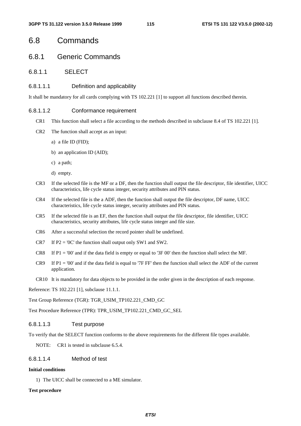# 6.8 Commands

# 6.8.1 Generic Commands

# 6.8.1.1 SELECT

#### 6.8.1.1.1 Definition and applicability

It shall be mandatory for all cards complying with TS 102.221 [1] to support all functions described therein.

#### 6.8.1.1.2 Conformance requirement

- CR1 This function shall select a file according to the methods described in subclause 8.4 of TS 102.221 [1].
- CR2 The function shall accept as an input:
	- a) a file ID (FID);
	- b) an application ID (AID);
	- c) a path;
	- d) empty.
- CR3 If the selected file is the MF or a DF, then the function shall output the file descriptor, file identifier, UICC characteristics, life cycle status integer, security attributes and PIN status.
- CR4 If the selected file is the a ADF, then the function shall output the file descriptor, DF name, UICC characteristics, life cycle status integer, security attributes and PIN status.
- CR5 If the selected file is an EF, then the function shall output the file descriptor, file identifier, UICC characteristics, security attributes, life cycle status integer and file size.
- CR6 After a successful selection the record pointer shall be undefined.
- CR7 If  $P2 = '0C'$  the function shall output only SW1 and SW2.
- CR8 If P1 = '00' and if the data field is empty or equal to '3F 00' then the function shall select the MF.
- CR9 If  $P1 = '00'$  and if the data field is equal to '7F FF' then the function shall select the ADF of the current application.
- CR10 It is mandatory for data objects to be provided in the order given in the description of each response.

Reference: TS 102.221 [1], subclause 11.1.1.

Test Group Reference (TGR): TGR\_USIM\_TP102.221\_CMD\_GC

Test Procedure Reference (TPR): TPR\_USIM\_TP102.221\_CMD\_GC\_SEL

# 6.8.1.1.3 Test purpose

To verify that the SELECT function conforms to the above requirements for the different file types available.

NOTE: CR1 is tested in subclause 6.5.4.

# 6.8.1.1.4 Method of test

# **Initial conditions**

1) The UICC shall be connected to a ME simulator.

#### **Test procedure**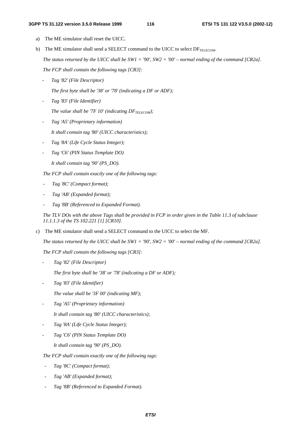#### **3GPP TS 31.122 version 3.5.0 Release 1999 116 ETSI TS 131 122 V3.5.0 (2002-12)**

- a) The ME simulator shall reset the UICC.
- b) The ME simulator shall send a SELECT command to the UICC to select  $DF_{TELECOM}$ .  *The status returned by the UICC shall be SW1 = '90', SW2 = '00' – normal ending of the command [CR2a]. The FCP shall contain the following tags [CR3]:* 
	- *Tag '82' (File Descriptor)* 
		- *The first byte shall be '38' or '78' (indicating a DF or ADF);*
	- *Tag '83' (File Identifier)* 
		- *The value shall be '7F 10' (indicating*  $DF_{TELECOM}$ *);*
	- *Tag 'A5' (Proprietary information)* 
		- *It shall contain tag '80' (UICC characteristics);*
	- *Tag '8A' (Life Cycle Status Integer);*
	- *Tag 'C6' (PIN Status Template DO)* 
		- *It shall contain tag '90' (PS\_DO).*

*The FCP shall contain exactly one of the following tags:* 

- *Tag '8C' (Compact format);*
- *Tag 'AB' (Expanded format);*
- *Tag '8B' (Referenced to Expanded Format).*

*The TLV DOs with the above Tags shall be provided in FCP in order given in the Table 11.3 of subclause 11.1.1.3 of the TS 102.221 [1] [CR10].* 

c) The ME simulator shall send a SELECT command to the UICC to select the MF.

*The status returned by the UICC shall be SW1 = '90', SW2 = '00' – normal ending of the command [CR2a].*

*The FCP shall contain the following tags [CR3]:* 

- *Tag '82' (File Descriptor)* 

 *The first byte shall be '38' or '78' (indicating a DF or ADF);* 

- *Tag '83' (File Identifier)* 

 *The value shall be '3F 00' (indicating MF);* 

- *Tag 'A5' (Proprietary information)* 

 *It shall contain tag '80' (UICC characteristics);* 

- *Tag '8A' (Life Cycle Status Integer);*
- *Tag 'C6' (PIN Status Template DO)*

*It shall contain tag '90' (PS\_DO).* 

*The FCP shall contain exactly one of the following tags:* 

- *Tag '8C' (Compact format);*
- *Tag 'AB' (Expanded format);*
- *Tag '8B' (Referenced to Expanded Format).*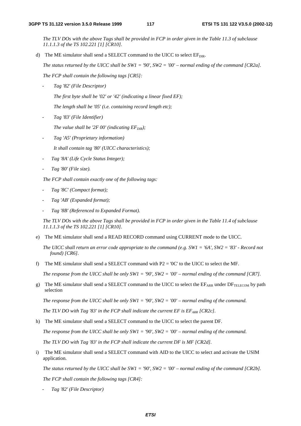*The TLV DOs with the above Tags shall be provided in FCP in order given in the Table 11.3 of subclause 11.1.1.3 of the TS 102.221 [1] [CR10].* 

d) The ME simulator shall send a SELECT command to the UICC to select  $EF_{\text{DIR}}$ .

*The status returned by the UICC shall be SW1 = '90', SW2 = '00' – normal ending of the command [CR2a].*

*The FCP shall contain the following tags [CR5]:* 

*- Tag '82' (File Descriptor)* 

*The first byte shall be '02' or '42' (indicating a linear fixed EF);* 

*The length shall be '05' (i.e. containing record length etc);* 

*- Tag '83' (File Identifier)* 

The value shall be '2F  $00'$  (indicating  $EF_{DIR}$ );

- *Tag 'A5' (Proprietary information) It shall contain tag '80' (UICC characteristics);*
- *Tag '8A' (Life Cycle Status Integer);*
- *Tag '80' (File size).*

*The FCP shall contain exactly one of the following tags:* 

- *Tag '8C' (Compact format);*
- *Tag 'AB' (Expanded format);*
- *Tag '8B' (Referenced to Expanded Format).*

*The TLV DOs with the above Tags shall be provided in FCP in order given in the Table 11.4 of subclause 11.1.1.3 of the TS 102.221 [1] [CR10].* 

e) The ME simulator shall send a READ RECORD command using CURRENT mode to the UICC.

*The UICC shall return an error code appropriate to the command (e.g. SW1 = '6A', SW2 = '83' - Record not found) [CR6].*

f) The ME simulator shall send a SELECT command with  $P2 = '0C'$  to the UICC to select the MF.

*The response from the UICC shall be only SW1 = '90', SW2 = '00' – normal ending of the command [CR7].*

g) The ME simulator shall send a SELECT command to the UICC to select the EFARR under DFTELECOM by path selection

*The response from the UICC shall be only SW1 = '90', SW2 = '00' – normal ending of the command.*

*The TLV DO with Tag '83' in the FCP shall indicate the current EF is EF<sub>ARR</sub> [CR2c].* 

h) The ME simulator shall send a SELECT command to the UICC to select the parent DF.

*The response from the UICC shall be only SW1 = '90', SW2 = '00' – normal ending of the command.*

*The TLV DO with Tag '83' in the FCP shall indicate the current DF is MF [CR2d].* 

i) The ME simulator shall send a SELECT command with AID to the UICC to select and activate the USIM application.

*The status returned by the UICC shall be SW1 = '90', SW2 = '00' – normal ending of the command [CR2b].*

*The FCP shall contain the following tags [CR4]:* 

*- Tag '82' (File Descriptor)*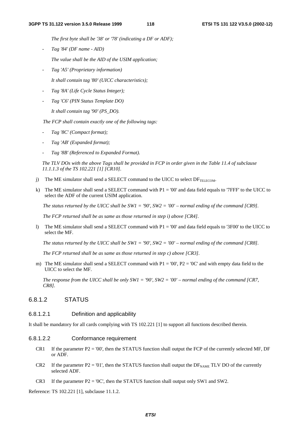*The first byte shall be '38' or '78' (indicating a DF or ADF);* 

*- Tag '84' (DF name - AID)* 

 *The value shall be the AID of the USIM application;* 

*- Tag 'A5' (Proprietary information)* 

 *It shall contain tag '80' (UICC characteristics);* 

- *Tag '8A' (Life Cycle Status Integer);*
- *Tag 'C6' (PIN Status Template DO)*

 *It shall contain tag '90' (PS\_DO).* 

*The FCP shall contain exactly one of the following tags:* 

- *Tag '8C' (Compact format);*
- *Tag 'AB' (Expanded format);*
- *Tag '8B' (Referenced to Expanded Format).*

*The TLV DOs with the above Tags shall be provided in FCP in order given in the Table 11.4 of subclause 11.1.1.3 of the TS 102.221 [1] [CR10].* 

- j) The ME simulator shall send a SELECT command to the UICC to select  $DF_{\text{TEIECOM}}$ .
- k) The ME simulator shall send a SELECT command with  $P1 = 00'$  and data field equals to '7FFF' to the UICC to select the ADF of the current USIM application.

*The status returned by the UICC shall be SW1 = '90', SW2 = '00' – normal ending of the command [CR9].* 

*The FCP returned shall be as same as those returned in step i) above [CR4].*

l) The ME simulator shall send a SELECT command with P1 = '00' and data field equals to '3F00' to the UICC to select the MF.

*The status returned by the UICC shall be SW1 = '90', SW2 = '00' – normal ending of the command [CR8].* 

*The FCP returned shall be as same as those returned in step c) above [CR3].*

m) The ME simulator shall send a SELECT command with  $P1 = '00'$ ,  $P2 = '0C'$  and with empty data field to the UICC to select the MF.

*The response from the UICC shall be only SW1 = '90', SW2 = '00' – normal ending of the command [CR7, CR8].* 

# 6.8.1.2 STATUS

### 6.8.1.2.1 Definition and applicability

It shall be mandatory for all cards complying with TS 102.221 [1] to support all functions described therein.

#### 6.8.1.2.2 Conformance requirement

- CR1 If the parameter  $P2 = 0'$ , then the STATUS function shall output the FCP of the currently selected MF, DF or ADF.
- CR2 If the parameter  $P2 = 01'$ , then the STATUS function shall output the DF<sub>NAME</sub> TLV DO of the currently selected ADF.
- CR3 If the parameter  $P2 = '0C'$ , then the STATUS function shall output only SW1 and SW2.

Reference: TS 102.221 [1], subclause 11.1.2.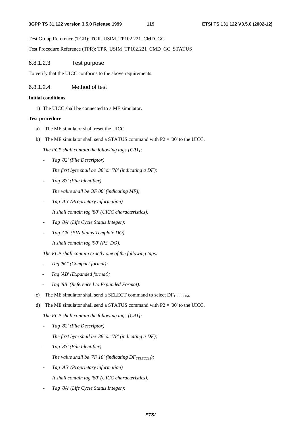Test Group Reference (TGR): TGR\_USIM\_TP102.221\_CMD\_GC

Test Procedure Reference (TPR): TPR\_USIM\_TP102.221\_CMD\_GC\_STATUS

# 6.8.1.2.3 Test purpose

To verify that the UICC conforms to the above requirements.

# 6.8.1.2.4 Method of test

#### **Initial conditions**

1) The UICC shall be connected to a ME simulator.

#### **Test procedure**

- a) The ME simulator shall reset the UICC.
- b) The ME simulator shall send a STATUS command with P2 = '00' to the UICC.
	- *The FCP shall contain the following tags [CR1]:*
	- *Tag '82' (File Descriptor)*

*The first byte shall be '38' or '78' (indicating a DF);* 

- *Tag '83' (File Identifier)* 
	- *The value shall be '3F 00' (indicating MF);*
- *Tag 'A5' (Proprietary information) It shall contain tag '80' (UICC characteristics);*
- *Tag '8A' (Life Cycle Status Integer);*
- *Tag 'C6' (PIN Status Template DO)*

*It shall contain tag '90' (PS\_DO).* 

- *The FCP shall contain exactly one of the following tags:*
- *Tag '8C' (Compact format);*
- *Tag 'AB' (Expanded format);*
- *Tag '8B' (Referenced to Expanded Format).*
- c) The ME simulator shall send a SELECT command to select  $DF_{TELECOM}$ .
- d) The ME simulator shall send a STATUS command with  $P2 = 0'$  to the UICC.

*The FCP shall contain the following tags [CR1]:*

- *Tag '82' (File Descriptor)* 
	- *The first byte shall be '38' or '78' (indicating a DF);*
- *Tag '83' (File Identifier) The value shall be '7F 10' (indicating*  $DF_{TELECOM}$ *);*
- *Tag 'A5' (Proprietary information) It shall contain tag '80' (UICC characteristics);*
- *Tag '8A' (Life Cycle Status Integer);*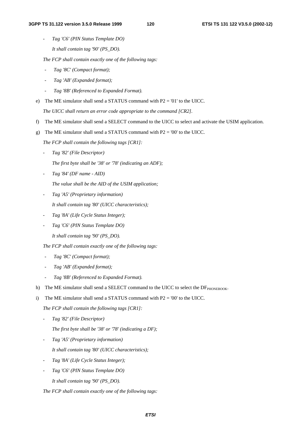- *Tag 'C6' (PIN Status Template DO)* 

*It shall contain tag '90' (PS\_DO).* 

*The FCP shall contain exactly one of the following tags:* 

- *Tag '8C' (Compact format);*
- *Tag 'AB' (Expanded format);*
- *Tag '8B' (Referenced to Expanded Format).*
- e) The ME simulator shall send a STATUS command with  $P2 = 01'$  to the UICC.

*The UICC shall return an error code appropriate to the command [CR2].* 

- f) The ME simulator shall send a SELECT command to the UICC to select and activate the USIM application.
- g) The ME simulator shall send a STATUS command with  $P2 = 00'$  to the UICC.

 *The FCP shall contain the following tags [CR1]:*

- *Tag '82' (File Descriptor)* 

*The first byte shall be '38' or '78' (indicating an ADF);* 

- *Tag '84' (DF name AID)* 
	- *The value shall be the AID of the USIM application;*
- *Tag 'A5' (Proprietary information)*

*It shall contain tag '80' (UICC characteristics);* 

- *Tag '8A' (Life Cycle Status Integer);*
- *Tag 'C6' (PIN Status Template DO) It shall contain tag '90' (PS\_DO).*

*The FCP shall contain exactly one of the following tags:* 

- *Tag '8C' (Compact format);*
- *Tag 'AB' (Expanded format);*
- *Tag '8B' (Referenced to Expanded Format).*
- h) The ME simulator shall send a SELECT command to the UICC to select the  $DF_{PHONEBOOK}$ .
- i) The ME simulator shall send a STATUS command with  $P2 = 0'$  to the UICC.

*The FCP shall contain the following tags [CR1]:*

- *Tag '82' (File Descriptor)* 

*The first byte shall be '38' or '78' (indicating a DF);* 

- *Tag 'A5' (Proprietary information)* 

*It shall contain tag '80' (UICC characteristics);* 

- *Tag '8A' (Life Cycle Status Integer);*
- *Tag 'C6' (PIN Status Template DO)* 
	- *It shall contain tag '90' (PS\_DO).*

*The FCP shall contain exactly one of the following tags:*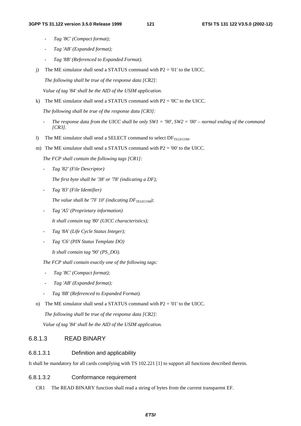- *Tag '8C' (Compact format);*
- *Tag 'AB' (Expanded format);*
- *Tag '8B' (Referenced to Expanded Format).*
- j) The ME simulator shall send a STATUS command with  $P2 = 01'$  to the UICC.

 *The following shall be true of the response data [CR2]:* 

*Value of tag '84' shall be the AID of the USIM application.* 

k) The ME simulator shall send a STATUS command with  $P2 = '0C'$  to the UICC.

 *The following shall be true of the response data [CR3]:* 

- The response data from the UICC shall be only  $SW1 = '90'$ ,  $SW2 = '00'$  normal ending of the command *[CR3].*
- l) The ME simulator shall send a SELECT command to select  $DF_{TELECOM}$ .
- m) The ME simulator shall send a STATUS command with  $P2 = 00'$  to the UICC.

*The FCP shall contain the following tags [CR1]:*

- *Tag '82' (File Descriptor)* 
	- *The first byte shall be '38' or '78' (indicating a DF);*
- *Tag '83' (File Identifier)*

The value shall be '7F  $10'$  (indicating  $DF_{TELECOM}$ );

- *Tag 'A5' (Proprietary information)* 

*It shall contain tag '80' (UICC characteristics);* 

- *Tag '8A' (Life Cycle Status Integer);*
- *Tag 'C6' (PIN Status Template DO)*

*It shall contain tag '90' (PS\_DO).* 

- *The FCP shall contain exactly one of the following tags:*
- *Tag '8C' (Compact format);*
- *Tag 'AB' (Expanded format);*
- *Tag '8B' (Referenced to Expanded Format).*
- n) The ME simulator shall send a STATUS command with  $P2 = 01'$  to the UICC.

 *The following shall be true of the response data [CR2]:* 

*Value of tag '84' shall be the AID of the USIM application.* 

# 6.8.1.3 READ BINARY

# 6.8.1.3.1 Definition and applicability

It shall be mandatory for all cards complying with TS 102.221 [1] to support all functions described therein.

# 6.8.1.3.2 Conformance requirement

CR1 The READ BINARY function shall read a string of bytes from the current transparent EF.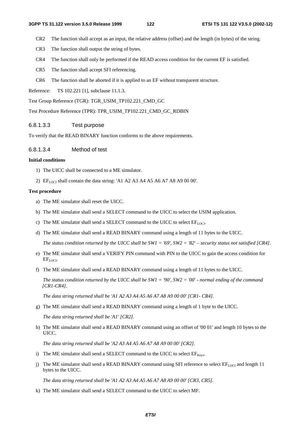- CR2 The function shall accept as an input, the relative address (offset) and the length (in bytes) of the string.
- CR3 The function shall output the string of bytes.
- CR4 The function shall only be performed if the READ access condition for the current EF is satisfied.
- CR5 The function shall accept SFI referencing.
- CR6 The function shall be aborted if it is applied to an EF without transparent structure.

Reference: TS 102.221 [1], subclause 11.1.3.

Test Group Reference (TGR): TGR\_USIM\_TP102.221\_CMD\_GC

Test Procedure Reference (TPR): TPR\_USIM\_TP102.221\_CMD\_GC\_RDBIN

#### 6.8.1.3.3 Test purpose

To verify that the READ BINARY function conforms to the above requirements.

#### 6.8.1.3.4 Method of test

#### **Initial conditions**

- 1) The UICC shall be connected to a ME simulator.
- 2) EF<sub>LOCI</sub> shall contain the data string: 'A1 A2 A3 A4 A5 A6 A7 A8 A9 00 00'.

#### **Test procedure**

- a) The ME simulator shall reset the UICC.
- b) The ME simulator shall send a SELECT command to the UICC to select the USIM application.
- c) The ME simulator shall send a SELECT command to the UICC to select EFLOCI.
- d) The ME simulator shall send a READ BINARY command using a length of 11 bytes to the UICC.

 *The status condition returned by the UICC shall be SW1 = '69', SW2 = '82' – security status not satisfied [CR4].*

- e) The ME simulator shall send a VERIFY PIN command with PIN to the UICC to gain the access condition for EF<sub>LOCI</sub>.
- f) The ME simulator shall send a READ BINARY command using a length of 11 bytes to the UICC.

 *The status condition returned by the UICC shall be SW1 = '90', SW2 = '00' - normal ending of the command [CR1-CR4].*

 *The data string returned shall be 'A1 A2 A3 A4 A5 A6 A7 A8 A9 00 00' [CR1- CR4].* 

g) The ME simulator shall send a READ BINARY command using a length of 1 byte to the UICC.

 *The data string returned shall be 'A1' [CR2].*

h) The ME simulator shall send a READ BINARY command using an offset of '00 01' and length 10 bytes to the UICC.

 *The data string returned shall be 'A2 A3 A4 A5 A6 A7 A8 A9 00 00' [CR2].*

- i) The ME simulator shall send a SELECT command to the UICC to select  $EF_{\text{Kevs}}$ .
- j) The ME simulator shall send a READ BINARY command using SFI reference to select  $E_{[10]CI}$  and length 11 bytes to the UICC.

 *The data string returned shall be 'A1 A2 A3 A4 A5 A6 A7 A8 A9 00 00' [CR3, CR5].*

k) The ME simulator shall send a SELECT command to the UICC to select MF.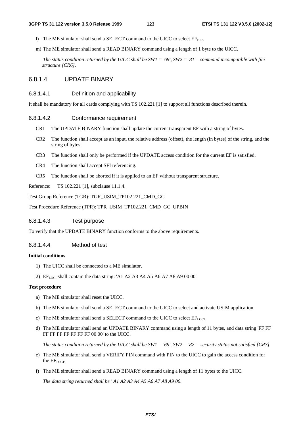- l) The ME simulator shall send a SELECT command to the UICC to select  $E_{\text{DIR}}$ .
- m) The ME simulator shall send a READ BINARY command using a length of 1 byte to the UICC.

 *The status condition returned by the UICC shall be SW1 = '69', SW2 = '81' - command incompatible with file structure [CR6].*

# 6.8.1.4 UPDATE BINARY

#### 6.8.1.4.1 Definition and applicability

It shall be mandatory for all cards complying with TS 102.221 [1] to support all functions described therein.

#### 6.8.1.4.2 Conformance requirement

- CR1 The UPDATE BINARY function shall update the current transparent EF with a string of bytes.
- CR2 The function shall accept as an input, the relative address (offset), the length (in bytes) of the string, and the string of bytes.
- CR3 The function shall only be performed if the UPDATE access condition for the current EF is satisfied.
- CR4 The function shall accept SFI referencing.
- CR5 The function shall be aborted if it is applied to an EF without transparent structure.

Reference: TS 102.221 [1], subclause 11.1.4.

Test Group Reference (TGR): TGR\_USIM\_TP102.221\_CMD\_GC

Test Procedure Reference (TPR): TPR\_USIM\_TP102.221\_CMD\_GC\_UPBIN

# 6.8.1.4.3 Test purpose

To verify that the UPDATE BINARY function conforms to the above requirements.

### 6.8.1.4.4 Method of test

#### **Initial conditions**

- 1) The UICC shall be connected to a ME simulator.
- 2)  $EF_{LOCI}$  shall contain the data string: 'A1 A2 A3 A4 A5 A6 A7 A8 A9 00 00'.

#### **Test procedure**

- a) The ME simulator shall reset the UICC.
- b) The ME simulator shall send a SELECT command to the UICC to select and activate USIM application.
- c) The ME simulator shall send a SELECT command to the UICC to select  $EF_{LOCL}$
- d) The ME simulator shall send an UPDATE BINARY command using a length of 11 bytes, and data string 'FF FF FF FF FF FF FF FF FF 00 00' to the UICC.

*The status condition returned by the UICC shall be SW1 = '69', SW2 = '82' – security status not satisfied [CR3].* 

- e) The ME simulator shall send a VERIFY PIN command with PIN to the UICC to gain the access condition for the  $EF_{LOCI}$ .
- f) The ME simulator shall send a READ BINARY command using a length of 11 bytes to the UICC.

*The data string returned shall be ' A1 A2 A3 A4 A5 A6 A7 A8 A9 00.*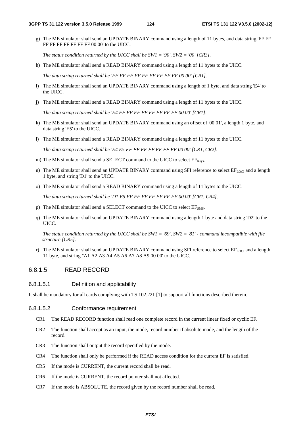g) The ME simulator shall send an UPDATE BINARY command using a length of 11 bytes, and data string 'FF FF FF FF FF FF FF FF FF 00 00' to the UICC.

*The status condition returned by the UICC shall be SW1 = '90', SW2 = '00' [CR3].* 

h) The ME simulator shall send a READ BINARY command using a length of 11 bytes to the UICC.

*The data string returned shall be 'FF FF FF FF FF FF FF FF FF 00 00' [CR1].* 

- i) The ME simulator shall send an UPDATE BINARY command using a length of 1 byte, and data string 'E4' to the UICC.
- j) The ME simulator shall send a READ BINARY command using a length of 11 bytes to the UICC.

*The data string returned shall be 'E4 FF FF FF FF FF FF FF FF 00 00' [CR1].* 

- k) The ME simulator shall send an UPDATE BINARY command using an offset of '00 01', a length 1 byte, and data string 'E5' to the UICC.
- l) The ME simulator shall send a READ BINARY command using a length of 11 bytes to the UICC.

*The data string returned shall be 'E4 E5 FF FF FF FF FF FF FF 00 00' [CR1, CR2].* 

- m) The ME simulator shall send a SELECT command to the UICC to select  $EF_{Kevs}$ .
- n) The ME simulator shall send an UPDATE BINARY command using SFI reference to select  $EF_{\text{LOCI}}$  and a length 1 byte, and string 'D1' to the UICC.
- o) The ME simulator shall send a READ BINARY command using a length of 11 bytes to the UICC.

*The data string returned shall be 'D1 E5 FF FF FF FF FF FF FF 00 00' [CR1, CR4].* 

- p) The ME simulator shall send a SELECT command to the UICC to select EF<sub>SMS</sub>.
- q) The ME simulator shall send an UPDATE BINARY command using a length 1 byte and data string 'D2' to the UICC.

*The status condition returned by the UICC shall be SW1 = '69', SW2 = '81' - command incompatible with file structure [CR5].* 

r) The ME simulator shall send an UPDATE BINARY command using SFI reference to select  $EF_{LOCI}$  and a length 11 byte, and string ''A1 A2 A3 A4 A5 A6 A7 A8 A9 00 00' to the UICC.

# 6.8.1.5 READ RECORD

# 6.8.1.5.1 Definition and applicability

It shall be mandatory for all cards complying with TS 102.221 [1] to support all functions described therein.

# 6.8.1.5.2 Conformance requirement

- CR1 The READ RECORD function shall read one complete record in the current linear fixed or cyclic EF.
- CR2 The function shall accept as an input, the mode, record number if absolute mode, and the length of the record.
- CR3 The function shall output the record specified by the mode.
- CR4 The function shall only be performed if the READ access condition for the current EF is satisfied.
- CR5 If the mode is CURRENT, the current record shall be read.
- CR6 If the mode is CURRENT, the record pointer shall not affected.
- CR7 If the mode is ABSOLUTE, the record given by the record number shall be read.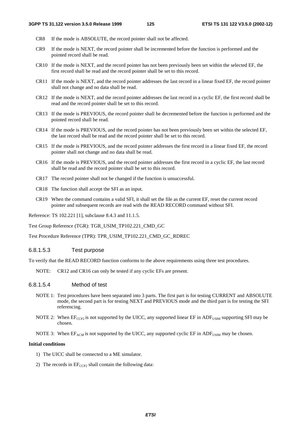- CR8 If the mode is ABSOLUTE, the record pointer shall not be affected.
- CR9 If the mode is NEXT, the record pointer shall be incremented before the function is performed and the pointed record shall be read.
- CR10 If the mode is NEXT, and the record pointer has not been previously been set within the selected EF, the first record shall be read and the record pointer shall be set to this record.
- CR11 If the mode is NEXT, and the record pointer addresses the last record in a linear fixed EF, the record pointer shall not change and no data shall be read.
- CR12 If the mode is NEXT, and the record pointer addresses the last record in a cyclic EF, the first record shall be read and the record pointer shall be set to this record.
- CR13 If the mode is PREVIOUS, the record pointer shall be decremented before the function is performed and the pointed record shall be read.
- CR14 If the mode is PREVIOUS, and the record pointer has not been previously been set within the selected EF, the last record shall be read and the record pointer shall be set to this record.
- CR15 If the mode is PREVIOUS, and the record pointer addresses the first record in a linear fixed EF, the record pointer shall not change and no data shall be read.
- CR16 If the mode is PREVIOUS, and the record pointer addresses the first record in a cyclic EF, the last record shall be read and the record pointer shall be set to this record.
- CR17 The record pointer shall not be changed if the function is unsuccessful.
- CR18 The function shall accept the SFI as an input.
- CR19 When the command contains a valid SFI, it shall set the file as the current EF, reset the current record pointer and subsequent records are read with the READ RECORD command without SFI.

Reference: TS 102.221 [1], subclause 8.4.3 and 11.1.5.

Test Group Reference (TGR): TGR\_USIM\_TP102.221\_CMD\_GC

Test Procedure Reference (TPR): TPR\_USIM\_TP102.221\_CMD\_GC\_RDREC

# 6.8.1.5.3 Test purpose

To verify that the READ RECORD function conforms to the above requirements using three test procedures.

NOTE: CR12 and CR16 can only be tested if any cyclic EFs are present.

# 6.8.1.5.4 Method of test

- NOTE 1: Test procedures have been separated into 3 parts. The first part is for testing CURRENT and ABSOLUTE mode, the second part is for testing NEXT and PREVIOUS mode and the third part is for testing the SFI referencing.
- NOTE 2: When  $E_{CCP2}$  is not supported by the UICC, any supported linear EF in  $ADF_{USIM}$  supporting SFI may be chosen.
- NOTE 3: When  $EF_{ACM}$  is not supported by the UICC, any supported cyclic EF in ADF<sub>USIM</sub> may be chosen.

# **Initial conditions**

- 1) The UICC shall be connected to a ME simulator.
- 2) The records in  $EF_{CCP2}$  shall contain the following data: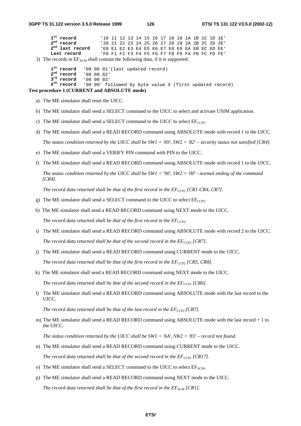| $1^{\rm st}$ record                                                                | '10 11 12 13 14 15 16 17 18 19 1A 1B 1C 1D 1E' |  |  |  |  |  |  |  |  |  |  |  |  |
|------------------------------------------------------------------------------------|------------------------------------------------|--|--|--|--|--|--|--|--|--|--|--|--|
| $2nd$ record                                                                       | '20 21 22 23 24 25 26 27 28 29 2A 2B 2C 2D 2E' |  |  |  |  |  |  |  |  |  |  |  |  |
| $2nd$ last record                                                                  | 'EO E1 E2 E3 E4 E5 E6 E7 E8 E9 EA EB EC ED EE' |  |  |  |  |  |  |  |  |  |  |  |  |
| Last record                                                                        | 'FO F1 F2 F3 F4 F5 F6 F7 F8 F9 FA FB FC FD FE' |  |  |  |  |  |  |  |  |  |  |  |  |
| 3) The records in $EF_{ACM}$ shall contain the following data, if it is supported: |                                                |  |  |  |  |  |  |  |  |  |  |  |  |

```
1^{st} record 1000001'(last updated record)<br>2^{nd} record 1000002'
2<sup>nd</sup> record
3rd record '00 00 03'<br>
x<sup>th</sup> record '00 00' fo
                   '00 00' followed by byte value X (first updated record)
```
#### **Test procedure 1 (CURRENT and ABSOLUTE mode)**

- a) The ME simulator shall reset the UICC.
- b) The ME simulator shall send a SELECT command to the UICC to select and activate USIM application.
- c) The ME simulator shall send a SELECT command to the UICC to select  $E_{CCP2}$ .
- d) The ME simulator shall send a READ RECORD command using ABSOLUTE mode with record 1 to the UICC.  *The status condition returned by the UICC shall be SW1 = '69', SW2 = '82' – security status not satisfied [CR4].*
- e) The ME simulator shall send a VERIFY PIN command with PIN to the UICC.
- f) The ME simulator shall send a READ RECORD command using ABSOLUTE mode with record 1 to the UICC.

 *The status condition returned by the UICC shall be SW1 = '90', SW2 = '00' - normal ending of the command [CR4].*

*The record data returned shall be that of the first record in the*  $EF_{CCP2}$  *[CR1-CR4, CR7].* 

- g) The ME simulator shall send a SELECT command to the UICC to select  $E_{CCP2}$ .
- h) The ME simulator shall send a READ RECORD command using NEXT mode to the UICC.

The record data returned shall be that of the first record in the  $EF_{CCP2}$ .

- i) The ME simulator shall send a READ RECORD command using ABSOLUTE mode with record 2 to the UICC. *The record data returned shall be that of the second record in the*  $EF_{CCP2}$  *[CR7].*
- j) The ME simulator shall send a READ RECORD command using CURRENT mode to the UICC. The record data returned shall be that of the first record in the  $EF_{CCP2}$  [CR5, CR8].
- k) The ME simulator shall send a READ RECORD command using NEXT mode to the UICC. *The record data returned shall be that of the second record in the*  $EF_{CCP2}$  *[CR6].*
- l) The ME simulator shall send a READ RECORD command using ABSOLUTE mode with the last record to the UICC.

*The record data returned shall be that of the last record in the*  $EF_{CCP2}$  *[CR7].* 

m) The ME simulator shall send a READ RECORD command using ABSOLUTE mode with the last record + 1 to the UICC.

 *The status condition returned by the UICC shall be SW1 = '6A', SW2 = '83' – record not found.*

- n) The ME simulator shall send a READ RECORD command using CURRENT mode to the UICC. *The record data returned shall be that of the second record in the*  $EF_{CCP2}$  *[CR17].*
- o) The ME simulator shall send a SELECT command to the UICC to select  $EF_{ACM}$ .
- p) The ME simulator shall send a READ RECORD command using NEXT mode to the UICC. The record data returned shall be that of the first record in the  $EF_{ACM}$  [CR1].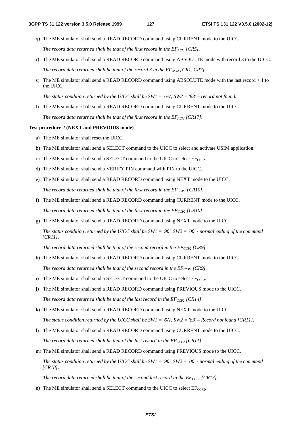q) The ME simulator shall send a READ RECORD command using CURRENT mode to the UICC.

*The record data returned shall be that of the first record in the*  $EF_{ACM}$  *[CR5].* 

- r) The ME simulator shall send a READ RECORD command using ABSOLUTE mode with record 3 to the UICC. *The record data returned shall be that of the record 3 in the*  $EF_{ACM}$  *[CR1, CR7].*
- s) The ME simulator shall send a READ RECORD command using ABSOLUTE mode with the last record + 1 to the UICC.

 *The status condition returned by the UICC shall be SW1 = '6A', SW2 = '83' – record not found.*

t) The ME simulator shall send a READ RECORD command using CURRENT mode to the UICC. The record data returned shall be that of the first record in the  $EF_{ACM}$  [CR17].

#### **Test procedure 2 (NEXT and PREVIOUS mode)**

- a) The ME simulator shall reset the UICC.
- b) The ME simulator shall send a SELECT command to the UICC to select and activate USIM application.
- c) The ME simulator shall send a SELECT command to the UICC to select  $EF_{CCP2}$ .
- d) The ME simulator shall send a VERIFY PIN command with PIN to the UICC.
- e) The ME simulator shall send a READ RECORD command using NEXT mode to the UICC. *The record data returned shall be that of the first record in the*  $EF_{CCP2}$  *[CR10].*
- f) The ME simulator shall send a READ RECORD command using CURRENT mode to the UICC. The record data returned shall be that of the first record in the  $EF_{CCP2}$  [CR10].
- g) The ME simulator shall send a READ RECORD command using NEXT mode to the UICC.

 *The status condition returned by the UICC shall be SW1 = '90', SW2 = '00' - normal ending of the command [CR11].*

*The record data returned shall be that of the second record in the*  $EF_{CCP2}$  *[CR9].* 

- h) The ME simulator shall send a READ RECORD command using CURRENT mode to the UICC. The record data returned shall be that of the second record in the  $EF_{CCP2}$  [CR9].
- i) The ME simulator shall send a SELECT command to the UICC to select  $EF_{CCP2}$ .
- j) The ME simulator shall send a READ RECORD command using PREVIOUS mode to the UICC. *The record data returned shall be that of the last record in the*  $EF_{CCP2}$  *[CR14].*
- k) The ME simulator shall send a READ RECORD command using NEXT mode to the UICC.  *The status condition returned by the UICC shall be SW1 = '6A', SW2 = '83' – Record not found [CR11].*
- l) The ME simulator shall send a READ RECORD command using CURRENT mode to the UICC. The record data returned shall be that of the last record in the  $EF_{CCP2}$  [CR11].
- m) The ME simulator shall send a READ RECORD command using PREVIOUS mode to the UICC.  *The status condition returned by the UICC shall be SW1 = '90', SW2 = '00' - normal ending of the command [CR18].*

*The record data returned shall be that of the second last record in the*  $EF_{CCP2}$  *[CR13].* 

n) The ME simulator shall send a SELECT command to the UICC to select  $EF_{CCP2}$ .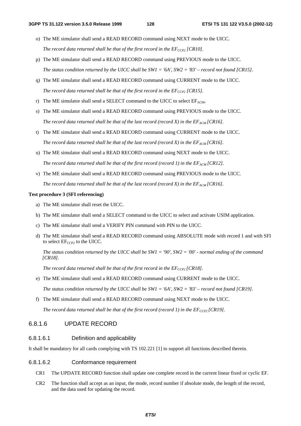- o) The ME simulator shall send a READ RECORD command using NEXT mode to the UICC. *The record data returned shall be that of the first record in the*  $EF_{CCP2}$  *[CR10].*
- p) The ME simulator shall send a READ RECORD command using PREVIOUS mode to the UICC.  *The status condition returned by the UICC shall be SW1 = '6A', SW2 = '83' – record not found [CR15].*
- q) The ME simulator shall send a READ RECORD command using CURRENT mode to the UICC. *The record data returned shall be that of the first record in the*  $EF_{CCP2}$  *[CR15].*
- r) The ME simulator shall send a SELECT command to the UICC to select  $E_{ACM}$ .
- s) The ME simulator shall send a READ RECORD command using PREVIOUS mode to the UICC. *The record data returned shall be that of the last record (record X) in the*  $EF_{AGM}$  *[CR16].*
- t) The ME simulator shall send a READ RECORD command using CURRENT mode to the UICC. *The record data returned shall be that of the last record (record X) in the*  $EF_{AGM}$  *[CR16].*
- u) The ME simulator shall send a READ RECORD command using NEXT mode to the UICC. *The record data returned shall be that of the first record (record 1) in the*  $EF_{ACM}$  *[CR12].*
- v) The ME simulator shall send a READ RECORD command using PREVIOUS mode to the UICC. The record data returned shall be that of the last record (record X) in the  $E_{ACM}$  [CR16].

#### **Test procedure 3 (SFI referencing)**

- a) The ME simulator shall reset the UICC.
- b) The ME simulator shall send a SELECT command to the UICC to select and activate USIM application.
- c) The ME simulator shall send a VERIFY PIN command with PIN to the UICC.
- d) The ME simulator shall send a READ RECORD command using ABSOLUTE mode with record 1 and with SFI to select  $EF_{CCP2}$  to the UICC.

 *The status condition returned by the UICC shall be SW1 = '90', SW2 = '00' - normal ending of the command [CR18].* 

The record data returned shall be that of the first record in the  $EF_{CCP2}$  [CR18].

- e) The ME simulator shall send a READ RECORD command using CURRENT mode to the UICC.  *The status condition returned by the UICC shall be SW1 = '6A', SW2 = '83' – record not found [CR19].*
- f) The ME simulator shall send a READ RECORD command using NEXT mode to the UICC.

*The record data returned shall be that of the first record (record 1) in the*  $E_{CCP2}$  *[CR19].* 

# 6.8.1.6 UPDATE RECORD

#### 6.8.1.6.1 Definition and applicability

It shall be mandatory for all cards complying with TS 102.221 [1] to support all functions described therein.

#### 6.8.1.6.2 Conformance requirement

- CR1 The UPDATE RECORD function shall update one complete record in the current linear fixed or cyclic EF.
- CR2 The function shall accept as an input, the mode, record number if absolute mode, the length of the record, and the data used for updating the record.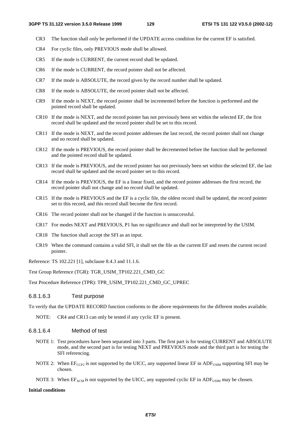- CR3 The function shall only be performed if the UPDATE access condition for the current EF is satisfied.
- CR4 For cyclic files, only PREVIOUS mode shall be allowed.
- CR5 If the mode is CURRENT, the current record shall be updated.
- CR6 If the mode is CURRENT, the record pointer shall not be affected.
- CR7 If the mode is ABSOLUTE, the record given by the record number shall be updated.
- CR8 If the mode is ABSOLUTE, the record pointer shall not be affected.
- CR9 If the mode is NEXT, the record pointer shall be incremented before the function is performed and the pointed record shall be updated.
- CR10 If the mode is NEXT, and the record pointer has not previously been set within the selected EF, the first record shall be updated and the record pointer shall be set to this record.
- CR11 If the mode is NEXT, and the record pointer addresses the last record, the record pointer shall not change and no record shall be updated.
- CR12 If the mode is PREVIOUS, the record pointer shall be decremented before the function shall be performed and the pointed record shall be updated.
- CR13 If the mode is PREVIOUS, and the record pointer has not previously been set within the selected EF, the last record shall be updated and the record pointer set to this record.
- CR14 If the mode is PREVIOUS, the EF is a linear fixed, and the record pointer addresses the first record, the record pointer shall not change and no record shall be updated.
- CR15 If the mode is PREVIOUS and the EF is a cyclic file, the oldest record shall be updated, the record pointer set to this record, and this record shall become the first record.
- CR16 The record pointer shall not be changed if the function is unsuccessful.
- CR17 For modes NEXT and PREVIOUS, P1 has no significance and shall not be interpreted by the USIM.
- CR18 The function shall accept the SFI as an input.
- CR19 When the command contains a valid SFI, it shall set the file as the current EF and resets the current record pointer.

Reference: TS 102.221 [1], subclause 8.4.3 and 11.1.6.

Test Group Reference (TGR): TGR\_USIM\_TP102.221\_CMD\_GC

Test Procedure Reference (TPR): TPR\_USIM\_TP102.221\_CMD\_GC\_UPREC

### 6.8.1.6.3 Test purpose

To verify that the UPDATE RECORD function conforms to the above requirements for the different modes available.

NOTE: CR4 and CR13 can only be tested if any cyclic EF is present.

### 6.8.1.6.4 Method of test

- NOTE 1: Test procedures have been separated into 3 parts. The first part is for testing CURRENT and ABSOLUTE mode, and the second part is for testing NEXT and PREVIOUS mode and the third part is for testing the SFI referencing.
- NOTE 2: When  $E_{CCP2}$  is not supported by the UICC, any supported linear EF in ADF<sub>USIM</sub> supporting SFI may be chosen.
- NOTE 3: When  $EF_{ACM}$  is not supported by the UICC, any supported cyclic EF in ADF<sub>USIM</sub> may be chosen.

#### **Initial conditions**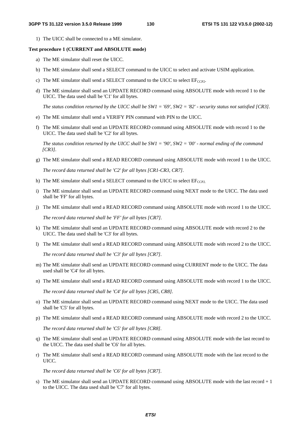1) The UICC shall be connected to a ME simulator.

#### **Test procedure 1 (CURRENT and ABSOLUTE mode)**

- a) The ME simulator shall reset the UICC.
- b) The ME simulator shall send a SELECT command to the UICC to select and activate USIM application.
- c) The ME simulator shall send a SELECT command to the UICC to select  $EF_{CCP2}$ .
- d) The ME simulator shall send an UPDATE RECORD command using ABSOLUTE mode with record 1 to the UICC. The data used shall be 'C1' for all bytes.

 *The status condition returned by the UICC shall be SW1 = '69', SW2 = '82' - security status not satisfied [CR3].*

- e) The ME simulator shall send a VERIFY PIN command with PIN to the UICC.
- f) The ME simulator shall send an UPDATE RECORD command using ABSOLUTE mode with record 1 to the UICC. The data used shall be 'C2' for all bytes.

 *The status condition returned by the UICC shall be SW1 = '90', SW2 = '00' - normal ending of the command [CR3].*

g) The ME simulator shall send a READ RECORD command using ABSOLUTE mode with record 1 to the UICC.

 *The record data returned shall be 'C2' for all bytes [CR1-CR3, CR7].*

- h) The ME simulator shall send a SELECT command to the UICC to select  $EF_{CCP2}$ .
- i) The ME simulator shall send an UPDATE RECORD command using NEXT mode to the UICC. The data used shall be 'FF' for all bytes.
- j) The ME simulator shall send a READ RECORD command using ABSOLUTE mode with record 1 to the UICC.

 *The record data returned shall be 'FF' for all bytes [CR7].*

- k) The ME simulator shall send an UPDATE RECORD command using ABSOLUTE mode with record 2 to the UICC. The data used shall be 'C3' for all bytes.
- l) The ME simulator shall send a READ RECORD command using ABSOLUTE mode with record 2 to the UICC.

 *The record data returned shall be 'C3' for all bytes [CR7].*

- m) The ME simulator shall send an UPDATE RECORD command using CURRENT mode to the UICC. The data used shall be 'C4' for all bytes.
- n) The ME simulator shall send a READ RECORD command using ABSOLUTE mode with record 1 to the UICC.

*The record data returned shall be 'C4' for all bytes [CR5, CR8].*

- o) The ME simulator shall send an UPDATE RECORD command using NEXT mode to the UICC. The data used shall be 'C5' for all bytes.
- p) The ME simulator shall send a READ RECORD command using ABSOLUTE mode with record 2 to the UICC.

*The record data returned shall be 'C5' for all bytes [CR8].*

- q) The ME simulator shall send an UPDATE RECORD command using ABSOLUTE mode with the last record to the UICC. The data used shall be 'C6' for all bytes.
- r) The ME simulator shall send a READ RECORD command using ABSOLUTE mode with the last record to the UICC.

*The record data returned shall be 'C6' for all bytes [CR7].*

s) The ME simulator shall send an UPDATE RECORD command using ABSOLUTE mode with the last record + 1 to the UICC. The data used shall be 'C7' for all bytes.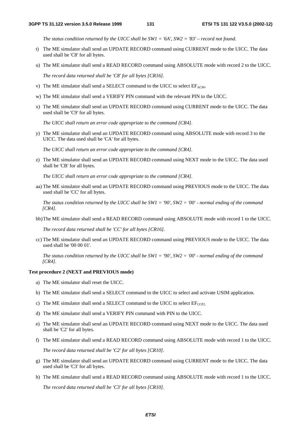*The status condition returned by the UICC shall be SW1 = '6A', SW2 = '83' – record not found.*

- t) The ME simulator shall send an UPDATE RECORD command using CURRENT mode to the UICC. The data used shall be 'C8' for all bytes.
- u) The ME simulator shall send a READ RECORD command using ABSOLUTE mode with record 2 to the UICC. *The record data returned shall be 'C8' for all bytes [CR16].*
- v) The ME simulator shall send a SELECT command to the UICC to select  $E_{ACM}$ .
- w) The ME simulator shall send a VERIFY PIN command with the relevant PIN to the UICC.
- x) The ME simulator shall send an UPDATE RECORD command using CURRENT mode to the UICC. The data used shall be 'C9' for all bytes.

*The UICC shall return an error code appropriate to the command [CR4].*

y) The ME simulator shall send an UPDATE RECORD command using ABSOLUTE mode with record 3 to the UICC. The data used shall be 'CA' for all bytes.

*The UICC shall return an error code appropriate to the command [CR4].*

z) The ME simulator shall send an UPDATE RECORD command using NEXT mode to the UICC. The data used shall be 'CB' for all bytes.

 *The UICC shall return an error code appropriate to the command [CR4].* 

aa) The ME simulator shall send an UPDATE RECORD command using PREVIOUS mode to the UICC. The data used shall be 'CC' for all bytes.

*The status condition returned by the UICC shall be SW1 = '90', SW2 = '00' - normal ending of the command [CR4].*

bb) The ME simulator shall send a READ RECORD command using ABSOLUTE mode with record 1 to the UICC.

*The record data returned shall be 'CC' for all bytes [CR16].* 

cc) The ME simulator shall send an UPDATE RECORD command using PREVIOUS mode to the UICC. The data used shall be '00 00 01'.

*The status condition returned by the UICC shall be SW1 = '90', SW2 = '00' - normal ending of the command [CR4].*

### **Test procedure 2 (NEXT and PREVIOUS mode)**

- a) The ME simulator shall reset the UICC.
- b) The ME simulator shall send a SELECT command to the UICC to select and activate USIM application.
- c) The ME simulator shall send a SELECT command to the UICC to select  $EF_{CCP2}$ .
- d) The ME simulator shall send a VERIFY PIN command with PIN to the UICC.
- e) The ME simulator shall send an UPDATE RECORD command using NEXT mode to the UICC. The data used shall be 'C2' for all bytes.
- f) The ME simulator shall send a READ RECORD command using ABSOLUTE mode with record 1 to the UICC.

 *The record data returned shall be 'C2' for all bytes [CR10].*

- g) The ME simulator shall send an UPDATE RECORD command using CURRENT mode to the UICC. The data used shall be 'C3' for all bytes.
- h) The ME simulator shall send a READ RECORD command using ABSOLUTE mode with record 1 to the UICC.  *The record data returned shall be 'C3' for all bytes [CR10].*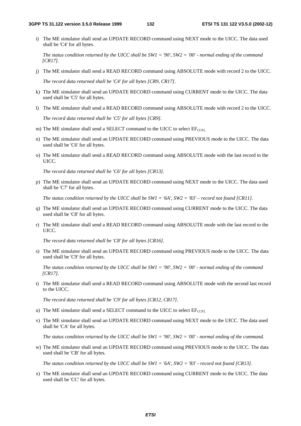i) The ME simulator shall send an UPDATE RECORD command using NEXT mode to the UICC. The data used shall be 'C4' for all bytes.

 *The status condition returned by the UICC shall be SW1 = '90', SW2 = '00' - normal ending of the command [CR17].*

j) The ME simulator shall send a READ RECORD command using ABSOLUTE mode with record 2 to the UICC.

 *The record data returned shall be 'C4' for all bytes [CR9, CR17].*

- k) The ME simulator shall send an UPDATE RECORD command using CURRENT mode to the UICC. The data used shall be 'C5' for all bytes.
- l) The ME simulator shall send a READ RECORD command using ABSOLUTE mode with record 2 to the UICC.

 *The record data returned shall be 'C5' for all bytes [CR9].*

- m) The ME simulator shall send a SELECT command to the UICC to select  $E_{CCP2}$ .
- n) The ME simulator shall send an UPDATE RECORD command using PREVIOUS mode to the UICC. The data used shall be 'C6' for all bytes.
- o) The ME simulator shall send a READ RECORD command using ABSOLUTE mode with the last record to the UICC.

 *The record data returned shall be 'C6' for all bytes [CR13].*

p) The ME simulator shall send an UPDATE RECORD command using NEXT mode to the UICC. The data used shall be 'C7' for all bytes.

 *The status condition returned by the UICC shall be SW1 = '6A', SW2 = '83' – record not found [CR11].*

- q) The ME simulator shall send an UPDATE RECORD command using CURRENT mode to the UICC. The data used shall be 'C8' for all bytes.
- r) The ME simulator shall send a READ RECORD command using ABSOLUTE mode with the last record to the UICC.

 *The record data returned shall be 'C8' for all bytes [CR16].*

s) The ME simulator shall send an UPDATE RECORD command using PREVIOUS mode to the UICC. The data used shall be 'C9' for all bytes.

 *The status condition returned by the UICC shall be SW1 = '90', SW2 = '00' - normal ending of the command [CR17].*

t) The ME simulator shall send a READ RECORD command using ABSOLUTE mode with the second last record to the UICC.

 *The record data returned shall be 'C9' for all bytes [CR12, CR17].*

- u) The ME simulator shall send a SELECT command to the UICC to select  $EF_{CCP2}$ .
- v) The ME simulator shall send an UPDATE RECORD command using NEXT mode to the UICC. The data used shall be 'CA' for all bytes.

 *The status condition returned by the UICC shall be SW1 = '90', SW2 = '00' - normal ending of the command.*

w) The ME simulator shall send an UPDATE RECORD command using PREVIOUS mode to the UICC. The data used shall be 'CB' for all bytes.

 *The status condition returned by the UICC shall be SW1 = '6A', SW2 = '83' - record not found [CR13].*

x) The ME simulator shall send an UPDATE RECORD command using CURRENT mode to the UICC. The data used shall be 'CC' for all bytes.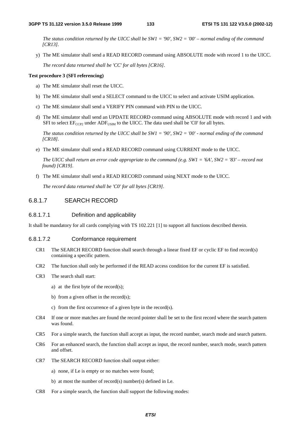*The status condition returned by the UICC shall be SW1 = '90', SW2 = '00' – normal ending of the command [CR13].*

y) The ME simulator shall send a READ RECORD command using ABSOLUTE mode with record 1 to the UICC.

 *The record data returned shall be 'CC' for all bytes [CR16].*

#### **Test procedure 3 (SFI referencing)**

- a) The ME simulator shall reset the UICC.
- b) The ME simulator shall send a SELECT command to the UICC to select and activate USIM application.
- c) The ME simulator shall send a VERIFY PIN command with PIN to the UICC.
- d) The ME simulator shall send an UPDATE RECORD command using ABSOLUTE mode with record 1 and with SFI to select  $EF_{CCP2}$  under  $ADF_{USIM}$  to the UICC. The data used shall be 'C0' for all bytes.

 *The status condition returned by the UICC shall be SW1 = '90', SW2 = '00' - normal ending of the command [CR18].*

e) The ME simulator shall send a READ RECORD command using CURRENT mode to the UICC.

 *The UICC shall return an error code appropriate to the command (e.g. SW1 = '6A', SW2 = '83' – record not found) [CR19].*

f) The ME simulator shall send a READ RECORD command using NEXT mode to the UICC.

 *The record data returned shall be 'C0' for all bytes [CR19].* 

# 6.8.1.7 SEARCH RECORD

# 6.8.1.7.1 Definition and applicability

It shall be mandatory for all cards complying with TS 102.221 [1] to support all functions described therein.

#### 6.8.1.7.2 Conformance requirement

- CR1 The SEARCH RECORD function shall search through a linear fixed EF or cyclic EF to find record(s) containing a specific pattern.
- CR2 The function shall only be performed if the READ access condition for the current EF is satisfied.
- CR3 The search shall start:
	- a) at the first byte of the record $(s)$ ;
	- b) from a given offset in the record $(s)$ ;
	- c) from the first occurrence of a given byte in the record(s).
- CR4 If one or more matches are found the record pointer shall be set to the first record where the search pattern was found.
- CR5 For a simple search, the function shall accept as input, the record number, search mode and search pattern.
- CR6 For an enhanced search, the function shall accept as input, the record number, search mode, search pattern and offset.
- CR7 The SEARCH RECORD function shall output either:
	- a) none, if Le is empty or no matches were found;
	- b) at most the number of record(s) number(s) defined in Le.
- CR8 For a simple search, the function shall support the following modes: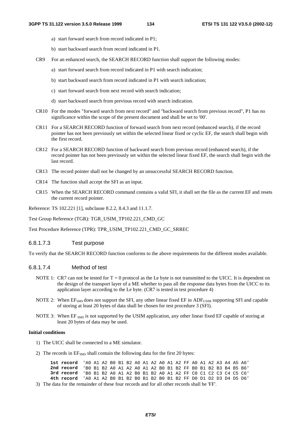- a) start forward search from record indicated in P1;
- b) start backward search from record indicated in P1.
- CR9 For an enhanced search, the SEARCH RECORD function shall support the following modes:
	- a) start forward search from record indicated in P1 with search indication;
	- b) start backward search from record indicated in P1 with search indication;
	- c) start forward search from next record with search indication;
	- d) start backward search from previous record with search indication.
- CR10 For the modes "forward search from next record" and "backward search from previous record", P1 has no significance within the scope of the present document and shall be set to '00'.
- CR11 For a SEARCH RECORD function of forward search from next record (enhanced search), if the record pointer has not been previously set within the selected linear fixed or cyclic EF, the search shall begin with the first record.
- CR12 For a SEARCH RECORD function of backward search from previous record (enhanced search), if the record pointer has not been previously set within the selected linear fixed EF, the search shall begin with the last record.
- CR13 The record pointer shall not be changed by an unsuccessful SEARCH RECORD function.
- CR14 The function shall accept the SFI as an input.
- CR15 When the SEARCH RECORD command contains a valid SFI, it shall set the file as the current EF and resets the current record pointer.

Reference: TS 102.221 [1], subclause 8.2.2, 8.4.3 and 11.1.7.

Test Group Reference (TGR): TGR\_USIM\_TP102.221\_CMD\_GC

Test Procedure Reference (TPR): TPR\_USIM\_TP102.221\_CMD\_GC\_SRREC

# 6.8.1.7.3 Test purpose

To verify that the SEARCH RECORD function conforms to the above requirements for the different modes available.

#### 6.8.1.7.4 Method of test

- NOTE 1: CR7 can not be tested for  $T = 0$  protocol as the Le byte is not transmitted to the UICC. It is dependent on the design of the transport layer of a ME whether to pass all the response data bytes from the UICC to its application layer according to the Le byte. (CR7 is tested in test procedure 4)
- NOTE 2: When  $EF<sub>SMS</sub>$  does not support the SFI, any other linear fixed EF in  $ADF<sub>USIM</sub>$  supporting SFI and capable of storing at least 20 bytes of data shall be chosen for test procedure 3 (SFI).
- NOTE 3: When EF <sub>SMS</sub> is not supported by the USIM application, any other linear fixed EF capable of storing at least 20 bytes of data may be used.

#### **Initial conditions**

- 1) The UICC shall be connected to a ME simulator.
- 2) The records in  $EF<sub>SMS</sub>$  shall contain the following data for the first 20 bytes:

| 1st record 'AO A1 A2 BO B1 B2 AO A1 A2 AO A1 A2 FF AO A1 A2 A3 A4 A5 A6'        |  |  |  |  |  |  |  |  |  |  |
|---------------------------------------------------------------------------------|--|--|--|--|--|--|--|--|--|--|
| <b>2nd record</b> 'BO B1 B2 AO A1 A2 AO A1 A2 BO B1 B2 FF BO B1 B2 B3 B4 B5 B6' |  |  |  |  |  |  |  |  |  |  |
| 3rd record 'BO B1 B2 AO A1 A2 BO B1 B2 AO A1 A2 FF CO C1 C2 C3 C4 C5 C6'        |  |  |  |  |  |  |  |  |  |  |
| 4th record 'AO A1 A2 BO B1 B2 BO B1 B2 BO B1 B2 FF DO D1 D2 D3 D4 D5 D6'        |  |  |  |  |  |  |  |  |  |  |
|                                                                                 |  |  |  |  |  |  |  |  |  |  |

3) The data for the remainder of these four records and for all other records shall be 'FF'.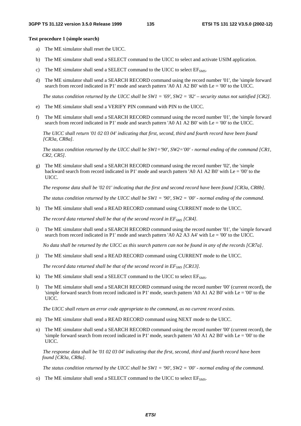#### **Test procedure 1 (simple search)**

- a) The ME simulator shall reset the UICC.
- b) The ME simulator shall send a SELECT command to the UICC to select and activate USIM application.
- c) The ME simulator shall send a SELECT command to the UICC to select  $EF<sub>SMS</sub>$ .
- d) The ME simulator shall send a SEARCH RECORD command using the record number '01', the 'simple forward search from record indicated in P1' mode and search pattern 'A0 A1 A2 B0' with Le = '00' to the UICC.

 *The status condition returned by the UICC shall be SW1 = '69', SW2 = '82' – security status not satisfied [CR2].*

- e) The ME simulator shall send a VERIFY PIN command with PIN to the UICC.
- f) The ME simulator shall send a SEARCH RECORD command using the record number '01', the 'simple forward search from record indicated in P1' mode and search pattern 'A0 A1 A2 B0' with Le = '00' to the UICC.

 *The UICC shall return '01 02 03 04' indicating that first, second, third and fourth record have been found [CR3a, CR8a].* 

*The status condition returned by the UICC shall be SW1='90', SW2='00' - normal ending of the command [CR1, CR2, CR5].* 

g) The ME simulator shall send a SEARCH RECORD command using the record number '02', the 'simple backward search from record indicated in P1' mode and search pattern 'A0 A1 A2 B0' with Le = '00' to the UICC.

 *The response data shall be '02 01' indicating that the first and second record have been found [CR3a, CR8b].* 

*The status condition returned by the UICC shall be SW1 = '90', SW2 = '00' - normal ending of the command.* 

h) The ME simulator shall send a READ RECORD command using CURRENT mode to the UICC.

*The record data returned shall be that of the second record in EF<sub>SMS</sub> [CR4].* 

i) The ME simulator shall send a SEARCH RECORD command using the record number '01', the 'simple forward search from record indicated in P1' mode and search pattern 'A0 A2 A3 A4' with Le = '00' to the UICC.

 *No data shall be returned by the UICC as this search pattern can not be found in any of the records [CR7a].* 

j) The ME simulator shall send a READ RECORD command using CURRENT mode to the UICC.

*The record data returned shall be that of the second record in EF<sub>SMS</sub> [CR13].* 

- k) The ME simulator shall send a SELECT command to the UICC to select  $EF<sub>SMS</sub>$ .
- l) The ME simulator shall send a SEARCH RECORD command using the record number '00' (current record), the 'simple forward search from record indicated in P1' mode, search pattern 'A0 A1 A2 B0' with Le = '00' to the UICC.

*The UICC shall return an error code appropriate to the command, as no current record exists.* 

- m) The ME simulator shall send a READ RECORD command using NEXT mode to the UICC.
- n) The ME simulator shall send a SEARCH RECORD command using the record number '00' (current record), the 'simple forward search from record indicated in P1' mode, search pattern 'A0 A1 A2 B0' with Le = '00' to the UICC.

*The response data shall be '01 02 03 04' indicating that the first, second, third and fourth record have been found [CR3a, CR8a].* 

*The status condition returned by the UICC shall be SW1 = '90', SW2 = '00' - normal ending of the command.* 

o) The ME simulator shall send a SELECT command to the UICC to select  $EF<sub>SMS</sub>$ .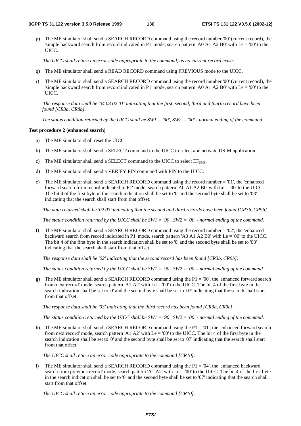p) The ME simulator shall send a SEARCH RECORD command using the record number '00' (current record), the 'simple backward search from record indicated in P1' mode, search pattern 'A0 A1 A2 B0' with Le = '00' to the UICC.

*The UICC shall return an error code appropriate to the command, as no current record exists.*

- q) The ME simulator shall send a READ RECORD command using PREVIOUS mode to the UICC.
- r) The ME simulator shall send a SEARCH RECORD command using the record number '00' (current record), the 'simple backward search from record indicated in P1' mode, search pattern 'A0 A1 A2 B0' with Le = '00' to the UICC.

*The response data shall be '04 03 02 01' indicating that the first, second, third and fourth record have been found [CR3a, CR8b].* 

*The status condition returned by the UICC shall be SW1 = '90', SW2 = '00' - normal ending of the command.* 

#### **Test procedure 2 (enhanced search)**

- a) The ME simulator shall reset the UICC.
- b) The ME simulator shall send a SELECT command to the UICC to select and activate USIM application.
- c) The ME simulator shall send a SELECT command to the UICC to select  $EF<sub>SMS</sub>$ .
- d) The ME simulator shall send a VERIFY PIN command with PIN to the UICC.
- e) The ME simulator shall send a SEARCH RECORD command using the record number = '01', the 'enhanced forward search from record indicated in P1' mode, search pattern 'A0 A1 A2 B0' with Le = '00' to the UICC. The bit 4 of the first byte in the search indication shall be set to '0' and the second byte shall be set to '03' indicating that the search shall start from that offset.

*The data returned shall be '02 03' indicating that the second and third records have been found [CR3b, CR9b].* 

 *The status condition returned by the UICC shall be SW1 = '90', SW2 = '00' - normal ending of the command.* 

f) The ME simulator shall send a SEARCH RECORD command using the record number = '02', the 'enhanced backward search from record indicated in P1' mode, search pattern 'A0 A1 A2 B0' with Le = '00' to the UICC. The bit 4 of the first byte in the search indication shall be set to '0' and the second byte shall be set to '03' indicating that the search shall start from that offset.

 *The response data shall be '02' indicating that the second record has been found [CR3b, CR9b].* 

*The status condition returned by the UICC shall be SW1 = '90', SW2 = '00' - normal ending of the command.*

g) The ME simulator shall send a SEARCH RECORD command using the P1 = '00', the 'enhanced forward search from next record' mode, search pattern 'A1 A2' with Le = '00' to the UICC. The bit 4 of the first byte in the search indication shall be set to '0' and the second byte shall be set to '07' indicating that the search shall start from that offset.

*The response data shall be '03' indicating that the third record has been found [CR3b, CR9c].* 

*The status condition returned by the UICC shall be SW1 = '90', SW2 = '00' - normal ending of the command.* 

h) The ME simulator shall send a SEARCH RECORD command using the  $P1 = 01'$ , the 'enhanced forward search from next record' mode, search pattern 'A1 A2' with  $Le = 0'$  to the UICC. The bit 4 of the first byte in the search indication shall be set to '0' and the second byte shall be set to '07' indicating that the search shall start from that offset.

*The UICC shall return an error code appropriate to the command [CR10].*

i) The ME simulator shall send a SEARCH RECORD command using the  $P1 = 04'$ , the 'enhanced backward' search from previous record' mode, search pattern 'A1 A2' with Le = '00' to the UICC. The bit 4 of the first byte in the search indication shall be set to '0' and the second byte shall be set to '07' indicating that the search shall start from that offset.

*The UICC shall return an error code appropriate to the command [CR10].*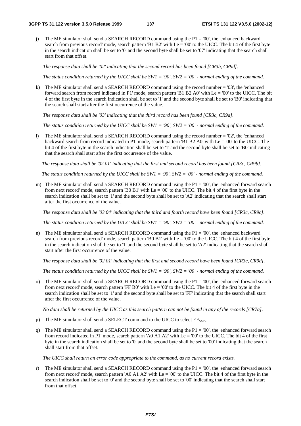j) The ME simulator shall send a SEARCH RECORD command using the  $P1 = 00'$ , the 'enhanced backward search from previous record' mode, search pattern 'B1 B2' with Le = '00' to the UICC. The bit 4 of the first byte in the search indication shall be set to '0' and the second byte shall be set to '07' indicating that the search shall start from that offset.

 *The response data shall be '02' indicating that the second record has been found [CR3b, CR9d].*

*The status condition returned by the UICC shall be SW1 = '90', SW2 = '00' - normal ending of the command.*

k) The ME simulator shall send a SEARCH RECORD command using the record number = '03', the 'enhanced forward search from record indicated in P1' mode, search pattern 'B1 B2 A0' with Le = '00' to the UICC. The bit 4 of the first byte in the search indication shall be set to '1' and the second byte shall be set to 'B0' indicating that the search shall start after the first occurrence of the value.

*The response data shall be '03' indicating that the third record has been found [CR3c, CR9a].* 

*The status condition returned by the UICC shall be SW1 = '90', SW2 = '00' - normal ending of the command.* 

The ME simulator shall send a SEARCH RECORD command using the record number = '02', the 'enhanced' backward search from record indicated in P1' mode, search pattern 'B1 B2 A0' with Le = '00' to the UICC. The bit 4 of the first byte in the search indication shall be set to '1' and the second byte shall be set to 'B0' indicating that the search shall start after the first occurrence of the value.

*The response data shall be '02 01' indicating that the first and second record has been found [CR3c, CR9b].* 

*The status condition returned by the UICC shall be SW1 = '90', SW2 = '00' - normal ending of the command.* 

m) The ME simulator shall send a SEARCH RECORD command using the  $P1 = 00'$ , the 'enhanced forward search from next record' mode, search pattern 'B0 B1' with  $Le = '00'$  to the UICC. The bit 4 of the first byte in the search indication shall be set to '1' and the second byte shall be set to 'A2' indicating that the search shall start after the first occurrence of the value.

*The response data shall be '03 04' indicating that the third and fourth record have been found [CR3c, CR9c].* 

*The status condition returned by the UICC shall be SW1 = '90', SW2 = '00' - normal ending of the command.* 

n) The ME simulator shall send a SEARCH RECORD command using the P1 = '00', the 'enhanced backward search from previous record' mode, search pattern 'B0 B1' with Le = '00' to the UICC. The bit 4 of the first byte in the search indication shall be set to '1' and the second byte shall be set to 'A2' indicating that the search shall start after the first occurrence of the value.

*The response data shall be '02 01' indicating that the first and second record have been found [CR3c, CR9d].* 

*The status condition returned by the UICC shall be SW1 = '90', SW2 = '00' - normal ending of the command.* 

o) The ME simulator shall send a SEARCH RECORD command using the  $P1 = 00'$ , the 'enhanced forward search from next record' mode, search pattern 'FF B0' with  $Le = '00'$  to the UICC. The bit 4 of the first byte in the search indication shall be set to '1' and the second byte shall be set to 'FF' indicating that the search shall start after the first occurrence of the value.

 *No data shall be returned by the UICC as this search pattern can not be found in any of the records [CR7a].* 

- p) The ME simulator shall send a SELECT command to the UICC to select  $EF<sub>SMS</sub>$ .
- q) The ME simulator shall send a SEARCH RECORD command using the P1 = '00', the 'enhanced forward search from record indicated in P1' mode, search pattern 'A0 A1 A2' with Le = '00' to the UICC. The bit 4 of the first byte in the search indication shall be set to '0' and the second byte shall be set to '00' indicating that the search shall start from that offset.

*The UICC shall return an error code appropriate to the command, as no current record exists.* 

r) The ME simulator shall send a SEARCH RECORD command using the  $P1 = 00'$ , the 'enhanced forward search from next record' mode, search pattern 'A0 A1 A2' with Le = '00' to the UICC. The bit 4 of the first byte in the search indication shall be set to '0' and the second byte shall be set to '00' indicating that the search shall start from that offset.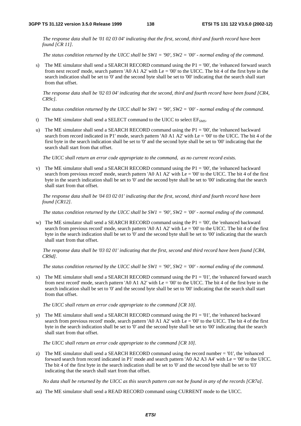*The response data shall be '01 02 03 04' indicating that the first, second, third and fourth record have been found [CR 11].* 

*The status condition returned by the UICC shall be SW1 = '90', SW2 = '00' - normal ending of the command.* 

s) The ME simulator shall send a SEARCH RECORD command using the  $P1 = 00'$ , the 'enhanced forward search from next record' mode, search pattern 'A0 A1 A2' with Le = '00' to the UICC. The bit 4 of the first byte in the search indication shall be set to '0' and the second byte shall be set to '00' indicating that the search shall start from that offset.

*The response data shall be '02 03 04' indicating that the second, third and fourth record have been found [CR4, CR9c].* 

*The status condition returned by the UICC shall be SW1 = '90', SW2 = '00' - normal ending of the command.*

- t) The ME simulator shall send a SELECT command to the UICC to select  $EF<sub>SMS</sub>$ .
- u) The ME simulator shall send a SEARCH RECORD command using the P1 = '00', the 'enhanced backward search from record indicated in P1' mode, search pattern 'A0 A1 A2' with Le = '00' to the UICC. The bit 4 of the first byte in the search indication shall be set to '0' and the second byte shall be set to '00' indicating that the search shall start from that offset.

*The UICC shall return an error code appropriate to the command, as no current record exists.*

v) The ME simulator shall send a SEARCH RECORD command using the  $P1 = 00$ ', the 'enhanced backward' search from previous record' mode, search pattern 'A0 A1 A2' with Le = '00' to the UICC. The bit 4 of the first byte in the search indication shall be set to '0' and the second byte shall be set to '00' indicating that the search shall start from that offset.

*The response data shall be '04 03 02 01' indicating that the first, second, third and fourth record have been found [CR12].* 

*The status condition returned by the UICC shall be SW1 = '90', SW2 = '00' - normal ending of the command.* 

w) The ME simulator shall send a SEARCH RECORD command using the P1 = '00', the 'enhanced backward search from previous record' mode, search pattern 'A0 A1 A2' with  $\text{Le} = 0'$ ' to the UICC. The bit 4 of the first byte in the search indication shall be set to '0' and the second byte shall be set to '00' indicating that the search shall start from that offset.

*The response data shall be '03 02 01' indicating that the first, second and third record have been found [CR4, CR9d].* 

*The status condition returned by the UICC shall be SW1 = '90', SW2 = '00' - normal ending of the command.* 

x) The ME simulator shall send a SEARCH RECORD command using the  $P1 = 01'$ , the 'enhanced forward search from next record' mode, search pattern 'A0 A1 A2' with Le = '00' to the UICC. The bit 4 of the first byte in the search indication shall be set to '0' and the second byte shall be set to '00' indicating that the search shall start from that offset.

*The UICC shall return an error code appropriate to the command [CR 10].* 

y) The ME simulator shall send a SEARCH RECORD command using the  $P1 = 01'$ , the 'enhanced backward' search from previous record' mode, search pattern 'A0 A1 A2' with Le = '00' to the UICC. The bit 4 of the first byte in the search indication shall be set to '0' and the second byte shall be set to '00' indicating that the search shall start from that offset.

*The UICC shall return an error code appropriate to the command [CR 10].* 

z) The ME simulator shall send a SEARCH RECORD command using the record number  $= 01'$ , the 'enhanced forward search from record indicated in P1' mode and search pattern 'A0 A2 A3 A4' with  $Le = 00'$  to the UICC. The bit 4 of the first byte in the search indication shall be set to '0' and the second byte shall be set to '03' indicating that the search shall start from that offset.

 *No data shall be returned by the UICC as this search pattern can not be found in any of the records [CR7a].* 

aa) The ME simulator shall send a READ RECORD command using CURRENT mode to the UICC.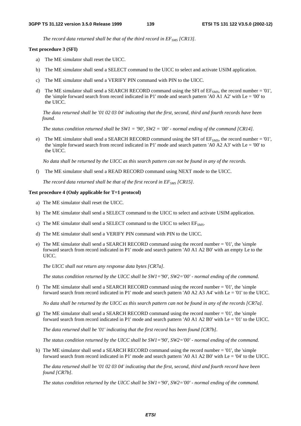The record data returned shall be that of the third record in EF<sub>SMS</sub> [CR13].

#### **Test procedure 3 (SFI)**

- a) The ME simulator shall reset the UICC.
- b) The ME simulator shall send a SELECT command to the UICC to select and activate USIM application.
- c) The ME simulator shall send a VERIFY PIN command with PIN to the UICC.
- d) The ME simulator shall send a SEARCH RECORD command using the SFI of  $EF<sub>5M</sub>s$ , the record number = '01', the 'simple forward search from record indicated in P1' mode and search pattern 'A0 A1 A2' with Le = '00' to the UICC.

*The data returned shall be '01 02 03 04' indicating that the first, second, third and fourth records have been found.* 

*The status condition returned shall be SW1 = '90', SW2 = '00' - normal ending of the command [CR14].* 

e) The ME simulator shall send a SEARCH RECORD command using the SFI of  $EF<sub>5M5</sub>$ , the record number = '01', the 'simple forward search from record indicated in P1' mode and search pattern 'A0 A2 A3' with Le = '00' to the UICC.

*No data shall be returned by the UICC as this search pattern can not be found in any of the records.*

f) The ME simulator shall send a READ RECORD command using NEXT mode to the UICC.

*The record data returned shall be that of the first record in EF<sub>SMS</sub> [CR15].* 

#### **Test procedure 4 (Only applicable for T=1 protocol)**

- a) The ME simulator shall reset the UICC.
- b) The ME simulator shall send a SELECT command to the UICC to select and activate USIM application.
- c) The ME simulator shall send a SELECT command to the UICC to select  $EF<sub>SMS</sub>$ .
- d) The ME simulator shall send a VERIFY PIN command with PIN to the UICC.
- e) The ME simulator shall send a SEARCH RECORD command using the record number = '01', the 'simple forward search from record indicated in P1' mode and search pattern 'A0 A1 A2 B0' with an empty Le to the UICC.

*The UICC shall not return any response data bytes [CR7a].* 

*The status condition returned by the UICC shall be SW1='90', SW2='00' - normal ending of the command.*

f) The ME simulator shall send a SEARCH RECORD command using the record number  $=$  '01', the 'simple forward search from record indicated in P1' mode and search pattern 'A0 A2 A3 A4' with Le = '01' to the UICC.

*No data shall be returned by the UICC as this search pattern can not be found in any of the records [CR7a].* 

g) The ME simulator shall send a SEARCH RECORD command using the record number  $=$  '01', the 'simple forward search from record indicated in P1' mode and search pattern 'A0 A1 A2 B0' with Le = '01' to the UICC.

*The data returned shall be '01' indicating that the first record has been found [CR7b].* 

*The status condition returned by the UICC shall be SW1='90', SW2='00' - normal ending of the command.*

h) The ME simulator shall send a SEARCH RECORD command using the record number = '01', the 'simple forward search from record indicated in P1' mode and search pattern 'A0 A1 A2 B0' with Le = '04' to the UICC.

*The data returned shall be '01 02 03 04' indicating that the first, second, third and fourth record have been found [CR7b].* 

*The status condition returned by the UICC shall be SW1='90', SW2='00' - normal ending of the command.*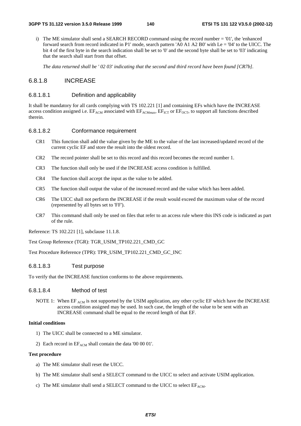i) The ME simulator shall send a SEARCH RECORD command using the record number = '01', the 'enhanced forward search from record indicated in P1' mode, search pattern 'A0 A1 A2 B0' with Le = '04' to the UICC. The bit 4 of the first byte in the search indication shall be set to '0' and the second byte shall be set to '03' indicating that the search shall start from that offset.

*The data returned shall be ' 02 03' indicating that the second and third record have been found [CR7b].*

# 6.8.1.8 INCREASE

### 6.8.1.8.1 Definition and applicability

It shall be mandatory for all cards complying with TS 102.221 [1] and containing EFs which have the INCREASE access condition assigned i.e.  $E_{ACM}$  associated with  $E_{ACM}$ <sub>max</sub>,  $E_{TCT}$  or  $E_{OCT}$ , to support all functions described therein.

# 6.8.1.8.2 Conformance requirement

- CR1 This function shall add the value given by the ME to the value of the last increased/updated record of the current cyclic EF and store the result into the oldest record.
- CR2 The record pointer shall be set to this record and this record becomes the record number 1.
- CR3 The function shall only be used if the INCREASE access condition is fulfilled.
- CR4 The function shall accept the input as the value to be added.
- CR5 The function shall output the value of the increased record and the value which has been added.
- CR6 The UICC shall not perform the INCREASE if the result would exceed the maximum value of the record (represented by all bytes set to 'FF').
- CR7 This command shall only be used on files that refer to an access rule where this INS code is indicated as part of the rule.

Reference: TS 102.221 [1], subclause 11.1.8.

Test Group Reference (TGR): TGR\_USIM\_TP102.221\_CMD\_GC

Test Procedure Reference (TPR): TPR\_USIM\_TP102.221\_CMD\_GC\_INC

# 6.8.1.8.3 Test purpose

To verify that the INCREASE function conforms to the above requirements.

# 6.8.1.8.4 Method of test

NOTE 1: When EF  $_{ACM}$  is not supported by the USIM application, any other cyclic EF which have the INCREASE access condition assigned may be used. In such case, the length of the value to be sent with an INCREASE command shall be equal to the record length of that EF.

### **Initial conditions**

- 1) The UICC shall be connected to a ME simulator.
- 2) Each record in  $EF_{ACM}$  shall contain the data '00 00 01'.

#### **Test procedure**

- a) The ME simulator shall reset the UICC.
- b) The ME simulator shall send a SELECT command to the UICC to select and activate USIM application.
- c) The ME simulator shall send a SELECT command to the UICC to select  $EF_{ACM}$ .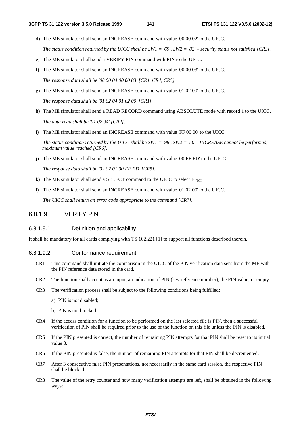- d) The ME simulator shall send an INCREASE command with value '00 00 02' to the UICC. *The status condition returned by the UICC shall be SW1 = '69', SW2 = '82' – security status not satisfied [CR3].*
- e) The ME simulator shall send a VERIFY PIN command with PIN to the UICC.
- f) The ME simulator shall send an INCREASE command with value '00 00 03' to the UICC. *The response data shall be '00 00 04 00 00 03' [CR1, CR4, CR5].*
- g) The ME simulator shall send an INCREASE command with value '01 02 00' to the UICC. *The response data shall be '01 02 04 01 02 00' [CR1].*
- h) The ME simulator shall send a READ RECORD command using ABSOLUTE mode with record 1 to the UICC. *The data read shall be '01 02 04' [CR2].*
- i) The ME simulator shall send an INCREASE command with value 'FF 00 00' to the UICC.

*The status condition returned by the UICC shall be SW1 = '98', SW2 = '50' - INCREASE cannot be performed, maximum value reached [CR6].*

j) The ME simulator shall send an INCREASE command with value '00 FF FD' to the UICC.

*The response data shall be '02 02 01 00 FF FD' [CR5].*

- k) The ME simulator shall send a SELECT command to the UICC to select  $EF_{ICI}$ .
- l) The ME simulator shall send an INCREASE command with value '01 02 00' to the UICC.

*The UICC shall return an error code appropriate to the command [CR7].* 

# 6.8.1.9 VERIFY PIN

#### 6.8.1.9.1 Definition and applicability

It shall be mandatory for all cards complying with TS 102.221 [1] to support all functions described therein.

#### 6.8.1.9.2 Conformance requirement

- CR1 This command shall initiate the comparison in the UICC of the PIN verification data sent from the ME with the PIN reference data stored in the card.
- CR2 The function shall accept as an input, an indication of PIN (key reference number), the PIN value, or empty.
- CR3 The verification process shall be subject to the following conditions being fulfilled:
	- a) PIN is not disabled;
	- b) PIN is not blocked.
- CR4 If the access condition for a function to be performed on the last selected file is PIN, then a successful verification of PIN shall be required prior to the use of the function on this file unless the PIN is disabled.
- CR5 If the PIN presented is correct, the number of remaining PIN attempts for that PIN shall be reset to its initial value 3.
- CR6 If the PIN presented is false, the number of remaining PIN attempts for that PIN shall be decremented.
- CR7 After 3 consecutive false PIN presentations, not necessarily in the same card session, the respective PIN shall be blocked.
- CR8 The value of the retry counter and how many verification attempts are left, shall be obtained in the following ways: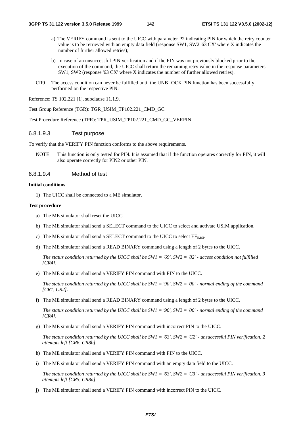- a) The VERIFY command is sent to the UICC with parameter P2 indicating PIN for which the retry counter value is to be retrieved with an empty data field (response SW1, SW2 '63 CX' where X indicates the number of further allowed retries);
- b) In case of an unsuccessful PIN verification and if the PIN was not previously blocked prior to the execution of the command, the UICC shall return the remaining retry value in the response parameters SW1, SW2 (response '63 CX' where X indicates the number of further allowed retries).
- CR9 The access condition can never be fulfilled until the UNBLOCK PIN function has been successfully performed on the respective PIN.

Reference: TS 102.221 [1], subclause 11.1.9.

Test Group Reference (TGR): TGR\_USIM\_TP102.221\_CMD\_GC

Test Procedure Reference (TPR): TPR\_USIM\_TP102.221\_CMD\_GC\_VERPIN

# 6.8.1.9.3 Test purpose

To verify that the VERIFY PIN function conforms to the above requirements.

NOTE: This function is only tested for PIN. It is assumed that if the function operates correctly for PIN, it will also operate correctly for PIN2 or other PIN.

# 6.8.1.9.4 Method of test

#### **Initial conditions**

1) The UICC shall be connected to a ME simulator.

#### **Test procedure**

- a) The ME simulator shall reset the UICC.
- b) The ME simulator shall send a SELECT command to the UICC to select and activate USIM application.
- c) The ME simulator shall send a SELECT command to the UICC to select  $EF_{MSI}$ .
- d) The ME simulator shall send a READ BINARY command using a length of 2 bytes to the UICC.

 *The status condition returned by the UICC shall be SW1 = '69', SW2 = '82' - access condition not fulfilled [CR4].*

e) The ME simulator shall send a VERIFY PIN command with PIN to the UICC.

 *The status condition returned by the UICC shall be SW1 = '90', SW2 = '00' - normal ending of the command [CR1, CR2].*

f) The ME simulator shall send a READ BINARY command using a length of 2 bytes to the UICC.

 *The status condition returned by the UICC shall be SW1 = '90', SW2 = '00' - normal ending of the command [CR4].*

g) The ME simulator shall send a VERIFY PIN command with incorrect PIN to the UICC.

 *The status condition returned by the UICC shall be SW1 = '63', SW2 = 'C2' - unsuccessful PIN verification, 2 attempts left [CR6, CR8b].*

- h) The ME simulator shall send a VERIFY PIN command with PIN to the UICC.
- i) The ME simulator shall send a VERIFY PIN command with an empty data field to the UICC.

 *The status condition returned by the UICC shall be SW1 = '63', SW2 = 'C3' - unsuccessful PIN verification, 3 attempts left [CR5, CR8a].*

j) The ME simulator shall send a VERIFY PIN command with incorrect PIN to the UICC.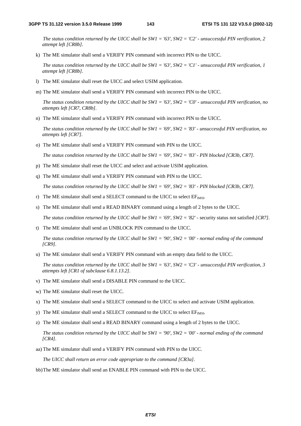*The status condition returned by the UICC shall be SW1 = '63', SW2 = 'C2' - unsuccessful PIN verification, 2 attempt left [CR8b].*

k) The ME simulator shall send a VERIFY PIN command with incorrect PIN to the UICC.

 *The status condition returned by the UICC shall be SW1 = '63', SW2 = 'C1' - unsuccessful PIN verification, 1 attempt left [CR8b].*

- l) The ME simulator shall reset the UICC and select USIM application.
- m) The ME simulator shall send a VERIFY PIN command with incorrect PIN to the UICC.

 *The status condition returned by the UICC shall be SW1 = '63', SW2 = 'C0' - unsuccessful PIN verification, no attempts left [CR7, CR8b].* 

n) The ME simulator shall send a VERIFY PIN command with incorrect PIN to the UICC.

*The status condition returned by the UICC shall be SW1 = '69', SW2 = '83' - unsuccessful PIN verification, no attempts left [CR7].*

o) The ME simulator shall send a VERIFY PIN command with PIN to the UICC.

 *The status condition returned by the UICC shall be SW1 = '69', SW2 = '83' - PIN blocked [CR3b, CR7].*

- p) The ME simulator shall reset the UICC and select and activate USIM application.
- q) The ME simulator shall send a VERIFY PIN command with PIN to the UICC.

 *The status condition returned by the UICC shall be SW1 = '69', SW2 = '83' - PIN blocked [CR3b, CR7].*

- r) The ME simulator shall send a SELECT command to the UICC to select  $EF_{MSI}$ .
- s) The ME simulator shall send a READ BINARY command using a length of 2 bytes to the UICC. *The status condition returned by the UICC shall be SW1 = '69', SW2 = '82' - security status not satisfied [CR7].*
- t) The ME simulator shall send an UNBLOCK PIN command to the UICC.

 *The status condition returned by the UICC shall be SW1 = '90', SW2 = '00' - normal ending of the command [CR9].* 

u) The ME simulator shall send a VERIFY PIN command with an empty data field to the UICC.

 *The status condition returned by the UICC shall be SW1 = '63', SW2 = 'C3' - unsuccessful PIN verification, 3 attempts left [CR1 of subclause 6.8.1.13.2].* 

- v) The ME simulator shall send a DISABLE PIN command to the UICC.
- w) The ME simulator shall reset the UICC.
- x) The ME simulator shall send a SELECT command to the UICC to select and activate USIM application.
- y) The ME simulator shall send a SELECT command to the UICC to select  $EF_{MSI}$ .
- z) The ME simulator shall send a READ BINARY command using a length of 2 bytes to the UICC.

 *The status condition returned by the UICC shall be SW1 = '90', SW2 = '00' - normal ending of the command [CR4].*

aa) The ME simulator shall send a VERIFY PIN command with PIN to the UICC.

*The UICC shall return an error code appropriate to the command [CR3a].* 

bb)The ME simulator shall send an ENABLE PIN command with PIN to the UICC.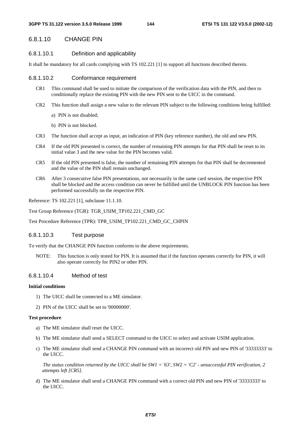## 6.8.1.10 CHANGE PIN

### 6.8.1.10.1 Definition and applicability

It shall be mandatory for all cards complying with TS 102.221 [1] to support all functions described therein.

### 6.8.1.10.2 Conformance requirement

- CR1 This command shall be used to initiate the comparison of the verification data with the PIN, and then to conditionally replace the existing PIN with the new PIN sent to the UICC in the command.
- CR2 This function shall assign a new value to the relevant PIN subject to the following conditions being fulfilled:
	- a) PIN is not disabled;
	- b) PIN is not blocked.
- CR3 The function shall accept as input, an indication of PIN (key reference number), the old and new PIN.
- CR4 If the old PIN presented is correct, the number of remaining PIN attempts for that PIN shall be reset to its initial value 3 and the new value for the PIN becomes valid.
- CR5 If the old PIN presented is false, the number of remaining PIN attempts for that PIN shall be decremented and the value of the PIN shall remain unchanged.
- CR6 After 3 consecutive false PIN presentations, not necessarily in the same card session, the respective PIN shall be blocked and the access condition can never be fulfilled until the UNBLOCK PIN function has been performed successfully on the respective PIN.

Reference: TS 102.221 [1], subclause 11.1.10.

Test Group Reference (TGR): TGR\_USIM\_TP102.221\_CMD\_GC

Test Procedure Reference (TPR): TPR\_USIM\_TP102.221\_CMD\_GC\_CHPIN

### 6.8.1.10.3 Test purpose

To verify that the CHANGE PIN function conforms to the above requirements.

NOTE: This function is only tested for PIN. It is assumed that if the function operates correctly for PIN, it will also operate correctly for PIN2 or other PIN.

## 6.8.1.10.4 Method of test

### **Initial conditions**

- 1) The UICC shall be connected to a ME simulator.
- 2) PIN of the UICC shall be set to '00000000'.

### **Test procedure**

- a) The ME simulator shall reset the UICC.
- b) The ME simulator shall send a SELECT command to the UICC to select and activate USIM application.
- c) The ME simulator shall send a CHANGE PIN command with an incorrect old PIN and new PIN of '33333333' to the UICC.

*The status condition returned by the UICC shall be SW1 = '63', SW2 = 'C2' - unsuccessful PIN verification, 2 attempts left [CR5].* 

d) The ME simulator shall send a CHANGE PIN command with a correct old PIN and new PIN of '33333333' to the UICC.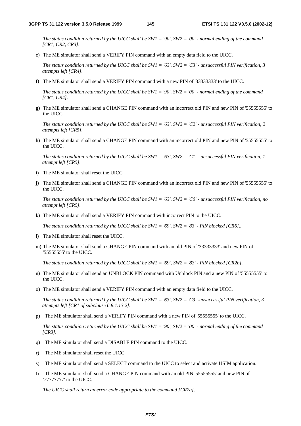*The status condition returned by the UICC shall be SW1 = '90', SW2 = '00' - normal ending of the command [CR1, CR2, CR3].*

e) The ME simulator shall send a VERIFY PIN command with an empty data field to the UICC.

 *The status condition returned by the UICC shall be SW1 = '63', SW2 = 'C3' - unsuccessful PIN verification, 3 attempts left [CR4].* 

f) The ME simulator shall send a VERIFY PIN command with a new PIN of '33333333' to the UICC.

*The status condition returned by the UICC shall be SW1 = '90', SW2 = '00' - normal ending of the command [CR1, CR4].*

g) The ME simulator shall send a CHANGE PIN command with an incorrect old PIN and new PIN of '55555555' to the UICC.

 *The status condition returned by the UICC shall be SW1 = '63', SW2 = 'C2' - unsuccessful PIN verification, 2 attempts left [CR5].* 

h) The ME simulator shall send a CHANGE PIN command with an incorrect old PIN and new PIN of '555555555' to the UICC.

 *The status condition returned by the UICC shall be SW1 = '63', SW2 = 'C1' - unsuccessful PIN verification, 1 attempt left [CR5].*

- i) The ME simulator shall reset the UICC.
- j) The ME simulator shall send a CHANGE PIN command with an incorrect old PIN and new PIN of '55555555' to the UICC.

 *The status condition returned by the UICC shall be SW1 = '63', SW2 = 'C0' - unsuccessful PIN verification, no attempt left [CR5].* 

k) The ME simulator shall send a VERIFY PIN command with incorrect PIN to the UICC.

*The status condition returned by the UICC shall be SW1 = '69', SW2 = '83' - PIN blocked [CR6]..*

- l) The ME simulator shall reset the UICC.
- m) The ME simulator shall send a CHANGE PIN command with an old PIN of '33333333' and new PIN of '55555555' to the UICC.

 *The status condition returned by the UICC shall be SW1 = '69', SW2 = '83' - PIN blocked [CR2b].*

- n) The ME simulator shall send an UNBLOCK PIN command with Unblock PIN and a new PIN of '55555555' to the UICC.
- o) The ME simulator shall send a VERIFY PIN command with an empty data field to the UICC.

*The status condition returned by the UICC shall be SW1 = '63', SW2 = 'C3' -unsuccessful PIN verification, 3 attempts left [CR1 of subclause 6.8.1.13.2].*

p) The ME simulator shall send a VERIFY PIN command with a new PIN of '55555555' to the UICC.

*The status condition returned by the UICC shall be SW1 = '90', SW2 = '00' - normal ending of the command [CR3].*

- q) The ME simulator shall send a DISABLE PIN command to the UICC.
- r) The ME simulator shall reset the UICC.
- s) The ME simulator shall send a SELECT command to the UICC to select and activate USIM application.
- t) The ME simulator shall send a CHANGE PIN command with an old PIN '55555555' and new PIN of '77777777' to the UICC.

 *The UICC shall return an error code appropriate to the command [CR2a].*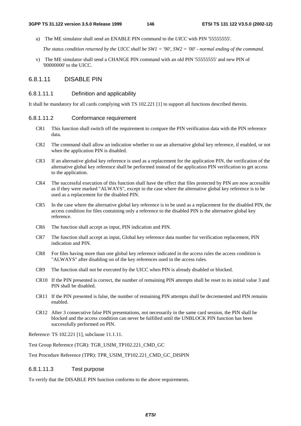u) The ME simulator shall send an ENABLE PIN command to the *UICC* with PIN '55555555'.

 *The status condition returned by the UICC shall be SW1 = '90', SW2 = '00' - normal ending of the command.* 

v) The ME simulator shall send a CHANGE PIN command with an old PIN '55555555' and new PIN of '00000000' to the UICC.

### 6.8.1.11 DISABLE PIN

### 6.8.1.11.1 Definition and applicability

It shall be mandatory for all cards complying with TS 102.221 [1] to support all functions described therein.

### 6.8.1.11.2 Conformance requirement

- CR1 This function shall switch off the requirement to compare the PIN verification data with the PIN reference data.
- CR2 The command shall allow an indication whether to use an alternative global key reference, if enabled, or not when the application PIN is disabled.
- CR3 If an alternative global key reference is used as a replacement for the application PIN, the verification of the alternative global key reference shall be performed instead of the application PIN verification to get access to the application.
- CR4 The successful execution of this function shall have the effect that files protected by PIN are now accessible as if they were marked "ALWAYS", except in the case where the alternative global key reference is to be used as a replacement for the disabled PIN.
- CR5 In the case where the alternative global key reference is to be used as a replacement for the disabled PIN, the access condition for files containing only a reference to the disabled PIN is the alternative global key reference.
- CR6 The function shall accept as input, PIN indication and PIN.
- CR7 The function shall accept as input, Global key reference data number for verification replacement, PIN indication and PIN.
- CR8 For files having more than one global key reference indicated in the access rules the access condition is "ALWAYS" after disabling on of the key references used in the access rules.
- CR9 The function shall not be executed by the UICC when PIN is already disabled or blocked.
- CR10 If the PIN presented is correct, the number of remaining PIN attempts shall be reset to its initial value 3 and PIN shall be disabled.
- CR11 If the PIN presented is false, the number of remaining PIN attempts shall be decremented and PIN remains enabled.
- CR12 After 3 consecutive false PIN presentations, not necessarily in the same card session, the PIN shall be blocked and the access condition can never be fulfilled until the UNBLOCK PIN function has been successfully performed on PIN.

Reference: TS 102.221 [1], subclause 11.1.11.

Test Group Reference (TGR): TGR\_USIM\_TP102.221\_CMD\_GC

Test Procedure Reference (TPR): TPR\_USIM\_TP102.221\_CMD\_GC\_DISPIN

### 6.8.1.11.3 Test purpose

To verify that the DISABLE PIN function conforms to the above requirements.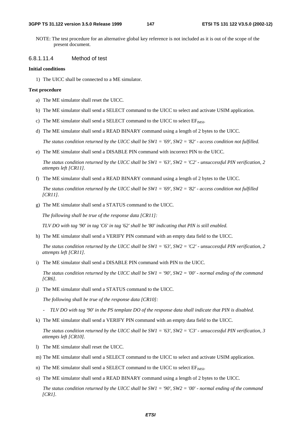NOTE: The test procedure for an alternative global key reference is not included as it is out of the scope of the present document.

### 6.8.1.11.4 Method of test

### **Initial conditions**

1) The UICC shall be connected to a ME simulator.

### **Test procedure**

- a) The ME simulator shall reset the UICC.
- b) The ME simulator shall send a SELECT command to the UICC to select and activate USIM application.
- c) The ME simulator shall send a SELECT command to the UICC to select  $EF_{MST}$ .
- d) The ME simulator shall send a READ BINARY command using a length of 2 bytes to the UICC.

 *The status condition returned by the UICC shall be SW1 = '69', SW2 = '82' - access condition not fulfilled.*

e) The ME simulator shall send a DISABLE PIN command with incorrect PIN to the UICC.

*The status condition returned by the UICC shall be SW1 = '63', SW2 = 'C2' - unsuccessful PIN verification, 2 attempts left [CR11].*

f) The ME simulator shall send a READ BINARY command using a length of 2 bytes to the UICC.

 *The status condition returned by the UICC shall be SW1 = '69', SW2 = '82' - access condition not fulfilled [CR11].*

g) The ME simulator shall send a STATUS command to the UICC.

*The following shall be true of the response data [CR11]:* 

*TLV DO with tag '90' in tag 'C6' in tag '62' shall be '80' indicating that PIN is still enabled.* 

h) The ME simulator shall send a VERIFY PIN command with an empty data field to the UICC.

 *The status condition returned by the UICC shall be SW1 = '63', SW2 = 'C2' - unsuccessful PIN verification, 2 attempts left [CR11].*

i) The ME simulator shall send a DISABLE PIN command with PIN to the UICC.

 *The status condition returned by the UICC shall be SW1 = '90', SW2 = '00' - normal ending of the command [CR6].*

j) The ME simulator shall send a STATUS command to the UICC.

 *The following shall be true of the response data [CR10]:* 

- *TLV DO with tag '90' in the PS template DO of the response data shall indicate that PIN is disabled.*
- k) The ME simulator shall send a VERIFY PIN command with an empty data field to the UICC.

 *The status condition returned by the UICC shall be SW1 = '63', SW2 = 'C3' - unsuccessful PIN verification, 3 attempts left [CR10].*

- l) The ME simulator shall reset the UICC.
- m) The ME simulator shall send a SELECT command to the UICC to select and activate USIM application.
- n) The ME simulator shall send a SELECT command to the UICC to select EF<sub>IMSI</sub>.
- o) The ME simulator shall send a READ BINARY command using a length of 2 bytes to the UICC.

 *The status condition returned by the UICC shall be SW1 = '90', SW2 = '00' - normal ending of the command [CR1].*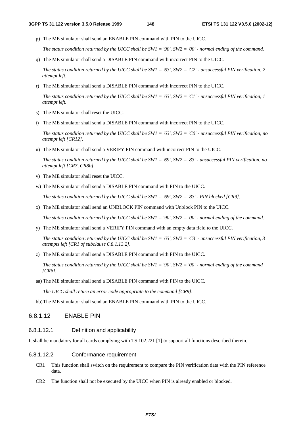p) The ME simulator shall send an ENABLE PIN command with PIN to the UICC.

 *The status condition returned by the UICC shall be SW1 = '90', SW2 = '00' - normal ending of the command.* 

q) The ME simulator shall send a DISABLE PIN command with incorrect PIN to the UICC.

 *The status condition returned by the UICC shall be SW1 = '63', SW2 = 'C2' - unsuccessful PIN verification, 2 attempt left.*

r) The ME simulator shall send a DISABLE PIN command with incorrect PIN to the UICC.

 *The status condition returned by the UICC shall be SW1 = '63', SW2 = 'C1' - unsuccessful PIN verification, 1 attempt left.*

- s) The ME simulator shall reset the UICC.
- t) The ME simulator shall send a DISABLE PIN command with incorrect PIN to the UICC.

 *The status condition returned by the UICC shall be SW1 = '63', SW2 = 'C0' - unsuccessful PIN verification, no attempt left [CR12].*

u) The ME simulator shall send a VERIFY PIN command with incorrect PIN to the UICC.

*The status condition returned by the UICC shall be SW1 = '69', SW2 = '83' - unsuccessful PIN verification, no attempt left [CR7, CR8b].*

- v) The ME simulator shall reset the UICC.
- w) The ME simulator shall send a DISABLE PIN command with PIN to the UICC.

 *The status condition returned by the UICC shall be SW1 = '69', SW2 = '83' - PIN blocked [CR9].*

x) The ME simulator shall send an UNBLOCK PIN command with Unblock PIN to the UICC.

 *The status condition returned by the UICC shall be SW1 = '90', SW2 = '00' - normal ending of the command.*

y) The ME simulator shall send a VERIFY PIN command with an empty data field to the UICC.

*The status condition returned by the UICC shall be SW1 = '63', SW2 = 'C3' - unsuccessful PIN verification, 3 attempts left [CR1 of subclause 6.8.1.13.2].*

z) The ME simulator shall send a DISABLE PIN command with PIN to the UICC.

*The status condition returned by the UICC shall be SW1 = '90', SW2 = '00' - normal ending of the command [CR6].* 

aa) The ME simulator shall send a DISABLE PIN command with PIN to the UICC.

 *The UICC shall return an error code appropriate to the command [CR9].* 

bb) The ME simulator shall send an ENABLE PIN command with PIN to the UICC.

## 6.8.1.12 ENABLE PIN

## 6.8.1.12.1 Definition and applicability

It shall be mandatory for all cards complying with TS 102.221 [1] to support all functions described therein.

### 6.8.1.12.2 Conformance requirement

- CR1 This function shall switch on the requirement to compare the PIN verification data with the PIN reference data.
- CR2 The function shall not be executed by the UICC when PIN is already enabled or blocked.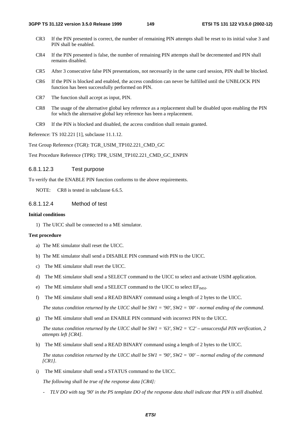- CR3 If the PIN presented is correct, the number of remaining PIN attempts shall be reset to its initial value 3 and PIN shall be enabled.
- CR4 If the PIN presented is false, the number of remaining PIN attempts shall be decremented and PIN shall remains disabled.
- CR5 After 3 consecutive false PIN presentations, not necessarily in the same card session, PIN shall be blocked.
- CR6 If the PIN is blocked and enabled, the access condition can never be fulfilled until the UNBLOCK PIN function has been successfully performed on PIN.
- CR7 The function shall accept as input, PIN.
- CR8 The usage of the alternative global key reference as a replacement shall be disabled upon enabling the PIN for which the alternative global key reference has been a replacement.
- CR9 If the PIN is blocked and disabled, the access condition shall remain granted.

Reference: TS 102.221 [1], subclause 11.1.12.

Test Group Reference (TGR): TGR\_USIM\_TP102.221\_CMD\_GC

Test Procedure Reference (TPR): TPR\_USIM\_TP102.221\_CMD\_GC\_ENPIN

### 6.8.1.12.3 Test purpose

To verify that the ENABLE PIN function conforms to the above requirements.

NOTE: CR8 is tested in subclause 6.6.5.

### 6.8.1.12.4 Method of test

### **Initial conditions**

1) The UICC shall be connected to a ME simulator.

#### **Test procedure**

- a) The ME simulator shall reset the UICC.
- b) The ME simulator shall send a DISABLE PIN command with PIN to the UICC.
- c) The ME simulator shall reset the UICC.
- d) The ME simulator shall send a SELECT command to the UICC to select and activate USIM application.
- e) The ME simulator shall send a SELECT command to the UICC to select  $EF_{MST}$ .
- f) The ME simulator shall send a READ BINARY command using a length of 2 bytes to the UICC.

 *The status condition returned by the UICC shall be SW1 = '90', SW2 = '00' - normal ending of the command.*

g) The ME simulator shall send an ENABLE PIN command with incorrect PIN to the UICC.

*The status condition returned by the UICC shall be SW1 = '63', SW2 = 'C2' – unsuccessful PIN verification, 2 attempts left [CR4].*

h) The ME simulator shall send a READ BINARY command using a length of 2 bytes to the UICC.

 *The status condition returned by the UICC shall be SW1 = '90', SW2 = '00' – normal ending of the command [CR1].*

i) The ME simulator shall send a STATUS command to the UICC.

 *The following shall be true of the response data [CR4]:* 

*- TLV DO with tag '90' in the PS template DO of the response data shall indicate that PIN is still disabled.*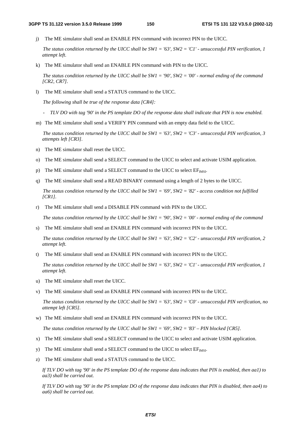j) The ME simulator shall send an ENABLE PIN command with incorrect PIN to the UICC.

 *The status condition returned by the UICC shall be SW1 = '63', SW2 = 'C1' - unsuccessful PIN verification, 1 attempt left.*

k) The ME simulator shall send an ENABLE PIN command with PIN to the UICC.

 *The status condition returned by the UICC shall be SW1 = '90', SW2 = '00' - normal ending of the command [CR2, CR7].*

l) The ME simulator shall send a STATUS command to the UICC.

 *The following shall be true of the response data [CR4]:* 

- *TLV DO with tag '90' in the PS template DO of the response data shall indicate that PIN is now enabled.*
- m) The ME simulator shall send a VERIFY PIN command with an empty data field to the UICC.

 *The status condition returned by the UICC shall be SW1 = '63', SW2 = 'C3' - unsuccessful PIN verification, 3 attempts left [CR3].* 

- n) The ME simulator shall reset the UICC.
- o) The ME simulator shall send a SELECT command to the UICC to select and activate USIM application.
- p) The ME simulator shall send a SELECT command to the UICC to select  $EF_{MSL}$ .
- q) The ME simulator shall send a READ BINARY command using a length of 2 bytes to the UICC.

 *The status condition returned by the UICC shall be SW1 = '69', SW2 = '82' - access condition not fulfilled [CR1].*

r) The ME simulator shall send a DISABLE PIN command with PIN to the UICC.

*The status condition returned by the UICC shall be SW1 = '90', SW2 = '00' - normal ending of the command*

s) The ME simulator shall send an ENABLE PIN command with incorrect PIN to the UICC.

 *The status condition returned by the UICC shall be SW1 = '63', SW2 = 'C2' - unsuccessful PIN verification, 2 attempt left.*

t) The ME simulator shall send an ENABLE PIN command with incorrect PIN to the UICC.

 *The status condition returned by the UICC shall be SW1 = '63', SW2 = 'C1' - unsuccessful PIN verification, 1 attempt left.*

- u) The ME simulator shall reset the UICC.
- v) The ME simulator shall send an ENABLE PIN command with incorrect PIN to the UICC.

 *The status condition returned by the UICC shall be SW1 = '63', SW2 = 'C0' - unsuccessful PIN verification, no attempt left [CR5].* 

w) The ME simulator shall send an ENABLE PIN command with incorrect PIN to the UICC.

*The status condition returned by the UICC shall be SW1 = '69', SW2 = '83' – PIN blocked [CR5].*

- x) The ME simulator shall send a SELECT command to the UICC to select and activate USIM application.
- y) The ME simulator shall send a SELECT command to the UICC to select  $EF_{MSE}$ .
- z) The ME simulator shall send a STATUS command to the UICC.

*If TLV DO with tag '90' in the PS template DO of the response data indicates that PIN is enabled, then aa1) to aa3) shall be carried out.* 

*If TLV DO with tag '90' in the PS template DO of the response data indicates that PIN is disabled, then aa4) to aa6) shall be carried out.*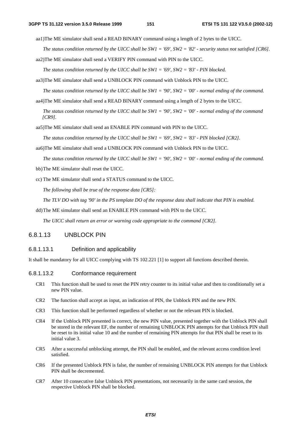aa1)The ME simulator shall send a READ BINARY command using a length of 2 bytes to the UICC.

*The status condition returned by the UICC shall be SW1 = '69', SW2 = '82' - security status not satisfied [CR6].* 

aa2)The ME simulator shall send a VERIFY PIN command with PIN to the UICC.

*The status condition returned by the UICC shall be SW1 = '69', SW2 = '83' - PIN blocked.* 

aa3)The ME simulator shall send a UNBLOCK PIN command with Unblock PIN to the UICC.

*The status condition returned by the UICC shall be SW1 = '90', SW2 = '00' - normal ending of the command.* 

aa4)The ME simulator shall send a READ BINARY command using a length of 2 bytes to the UICC.

*The status condition returned by the UICC shall be SW1 = '90', SW2 = '00' - normal ending of the command [CR9].* 

aa5)The ME simulator shall send an ENABLE PIN command with PIN to the UICC.

 *The status condition returned by the UICC shall be SW1 = '69', SW2 = '83' - PIN blocked [CR2].*

aa6)The ME simulator shall send a UNBLOCK PIN command with Unblock PIN to the UICC.

*The status condition returned by the UICC shall be SW1 = '90', SW2 = '00' - normal ending of the command.* 

bb) The ME simulator shall reset the UICC.

cc) The ME simulator shall send a STATUS command to the UICC.

*The following shall be true of the response data [CR5]:* 

*The TLV DO with tag '90' in the PS template DO of the response data shall indicate that PIN is enabled.* 

dd) The ME simulator shall send an ENABLE PIN command with PIN to the UICC.

*The UICC shall return an error or warning code appropriate to the command [CR2].* 

## 6.8.1.13 UNBLOCK PIN

### 6.8.1.13.1 Definition and applicability

It shall be mandatory for all UICC complying with TS 102.221 [1] to support all functions described therein.

### 6.8.1.13.2 Conformance requirement

- CR1 This function shall be used to reset the PIN retry counter to its initial value and then to conditionally set a new PIN value.
- CR2 The function shall accept as input, an indication of PIN, the Unblock PIN and the new PIN.
- CR3 This function shall be performed regardless of whether or not the relevant PIN is blocked.
- CR4 If the Unblock PIN presented is correct, the new PIN value, presented together with the Unblock PIN shall be stored in the relevant EF, the number of remaining UNBLOCK PIN attempts for that Unblock PIN shall be reset to its initial value 10 and the number of remaining PIN attempts for that PIN shall be reset to its initial value 3.
- CR5 After a successful unblocking attempt, the PIN shall be enabled, and the relevant access condition level satisfied.
- CR6 If the presented Unblock PIN is false, the number of remaining UNBLOCK PIN attempts for that Unblock PIN shall be decremented.
- CR7 After 10 consecutive false Unblock PIN presentations, not necessarily in the same card session, the respective Unblock PIN shall be blocked.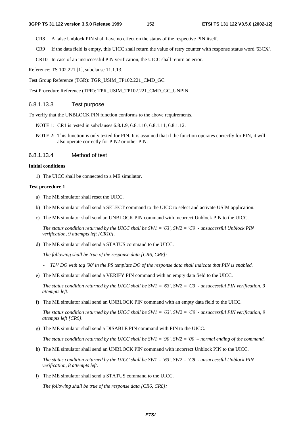- CR8 A false Unblock PIN shall have no effect on the status of the respective PIN itself.
- CR9 If the data field is empty, this UICC shall return the value of retry counter with response status word '63CX'.
- CR10 In case of an unsuccessful PIN verification, the UICC shall return an error.

Reference: TS 102.221 [1], subclause 11.1.13.

Test Group Reference (TGR): TGR\_USIM\_TP102.221\_CMD\_GC

Test Procedure Reference (TPR): TPR\_USIM\_TP102.221\_CMD\_GC\_UNPIN

### 6.8.1.13.3 Test purpose

To verify that the UNBLOCK PIN function conforms to the above requirements.

- NOTE 1: CR1 is tested in subclauses 6.8.1.9, 6.8.1.10, 6.8.1.11, 6.8.1.12.
- NOTE 2: This function is only tested for PIN. It is assumed that if the function operates correctly for PIN, it will also operate correctly for PIN2 or other PIN.

### 6.8.1.13.4 Method of test

#### **Initial conditions**

1) The UICC shall be connected to a ME simulator.

#### **Test procedure 1**

- a) The ME simulator shall reset the UICC.
- b) The ME simulator shall send a SELECT command to the UICC to select and activate USIM application.
- c) The ME simulator shall send an UNBLOCK PIN command with incorrect Unblock PIN to the UICC.

 *The status condition returned by the UICC shall be SW1 = '63', SW2 = 'C9' - unsuccessful Unblock PIN verification, 9 attempts left [CR10].* 

d) The ME simulator shall send a STATUS command to the UICC.

 *The following shall be true of the response data [CR6, CR8]:* 

- *TLV DO with tag '90' in the PS template DO of the response data shall indicate that PIN is enabled.*
- e) The ME simulator shall send a VERIFY PIN command with an empty data field to the UICC.

*The status condition returned by the UICC shall be SW1 = '63', SW2 = 'C3' - unsuccessful PIN verification, 3 attempts left.*

f) The ME simulator shall send an UNBLOCK PIN command with an empty data field to the UICC.

*The status condition returned by the UICC shall be SW1 = '63', SW2 = 'C9' - unsuccessful PIN verification, 9 attempts left [CR9].* 

g) The ME simulator shall send a DISABLE PIN command with PIN to the UICC.

*The status condition returned by the UICC shall be SW1 = '90', SW2 = '00' – normal ending of the command.* 

h) The ME simulator shall send an UNBLOCK PIN command with incorrect Unblock PIN to the UICC.

*The status condition returned by the UICC shall be SW1 = '63', SW2 = 'C8' - unsuccessful Unblock PIN verification, 8 attempts left.*

i) The ME simulator shall send a STATUS command to the UICC.

 *The following shall be true of the response data [CR6, CR8]:*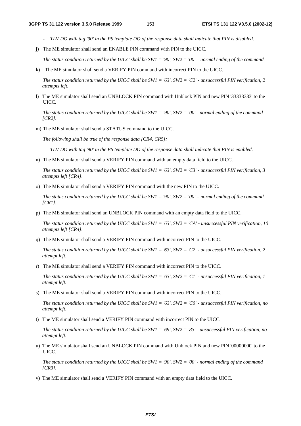- *TLV DO with tag '90' in the PS template DO of the response data shall indicate that PIN is disabled.*
- j) The ME simulator shall send an ENABLE PIN command with PIN to the UICC.

*The status condition returned by the UICC shall be SW1 = '90', SW2 = '00' – normal ending of the command.* 

k) The ME simulator shall send a VERIFY PIN command with incorrect PIN to the UICC.

*The status condition returned by the UICC shall be SW1 = '63', SW2 = 'C2' - unsuccessful PIN verification, 2 attempts left.* 

l) The ME simulator shall send an UNBLOCK PIN command with Unblock PIN and new PIN '33333333' to the UICC.

 *The status condition returned by the UICC shall be SW1 = '90', SW2 = '00' - normal ending of the command [CR2].*

m) The ME simulator shall send a STATUS command to the UICC.

 *The following shall be true of the response data [CR4, CR5]:* 

- *TLV DO with tag '90' in the PS template DO of the response data shall indicate that PIN is enabled*.
- n) The ME simulator shall send a VERIFY PIN command with an empty data field to the UICC.

*The status condition returned by the UICC shall be SW1 = '63', SW2 = 'C3' - unsuccessful PIN verification, 3 attempts left [CR4].*

o) The ME simulator shall send a VERIFY PIN command with the new PIN to the UICC.

*The status condition returned by the UICC shall be SW1 = '90', SW2 = '00' – normal ending of the command [CR1].*

p) The ME simulator shall send an UNBLOCK PIN command with an empty data field to the UICC.

*The status condition returned by the UICC shall be SW1 = '63', SW2 = 'CA' - unsuccessful PIN verification, 10 attempts left [CR4].*

q) The ME simulator shall send a VERIFY PIN command with incorrect PIN to the UICC.

*The status condition returned by the UICC shall be SW1 = '63', SW2 = 'C2' - unsuccessful PIN verification, 2 attempt left.*

r) The ME simulator shall send a VERIFY PIN command with incorrect PIN to the UICC.

 *The status condition returned by the UICC shall be SW1 = '63', SW2 = 'C1' - unsuccessful PIN verification, 1 attempt left.*

s) The ME simulator shall send a VERIFY PIN command with incorrect PIN to the UICC.

 *The status condition returned by the UICC shall be SW1 = '63', SW2 = 'C0' - unsuccessful PIN verification, no attempt left.* 

t) The ME simulator shall send a VERIFY PIN command with incorrect PIN to the UICC.

*The status condition returned by the UICC shall be SW1 = '69', SW2 = '83' - unsuccessful PIN verification, no attempt left.*

u) The ME simulator shall send an UNBLOCK PIN command with Unblock PIN and new PIN '00000000' to the UICC.

 *The status condition returned by the UICC shall be SW1 = '90', SW2 = '00' - normal ending of the command [CR3].*

v) The ME simulator shall send a VERIFY PIN command with an empty data field to the UICC.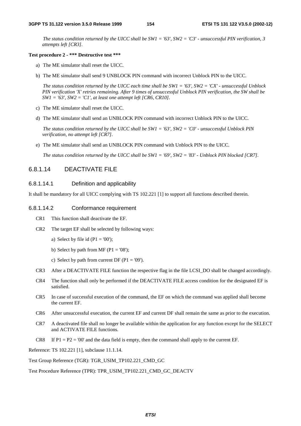*The status condition returned by the UICC shall be SW1 = '63', SW2 = 'C3' - unsuccessful PIN verification, 3 attempts left [CR3].*

#### **Test procedure 2 - \*\*\* Destructive test \*\*\***

- a) The ME simulator shall reset the UICC.
- b) The ME simulator shall send 9 UNBLOCK PIN command with incorrect Unblock PIN to the UICC.

 *The status condition returned by the UICC each time shall be SW1 = '63', SW2 = 'CX' - unsuccessful Unblock PIN verification 'X' retries remaining. After 9 times of unsuccessful Unblock PIN verification, the SW shall be SW1 = '63', SW2 = 'C1', at least one attempt left [CR6, CR10].*

- c) The ME simulator shall reset the UICC.
- d) The ME simulator shall send an UNBLOCK PIN command with incorrect Unblock PIN to the UICC.

 *The status condition returned by the UICC shall be SW1 = '63', SW2 = 'C0' - unsuccessful Unblock PIN verification, no attempt left [CR7].*

e) The ME simulator shall send an UNBLOCK PIN command with Unblock PIN to the UICC.

 *The status condition returned by the UICC shall be SW1 = '69', SW2 = '83' - Unblock PIN blocked [CR7].*

## 6.8.1.14 DEACTIVATE FILE

### 6.8.1.14.1 Definition and applicability

It shall be mandatory for all UICC complying with TS 102.221 [1] to support all functions described therein.

### 6.8.1.14.2 Conformance requirement

- CR1 This function shall deactivate the EF.
- CR2 The target EF shall be selected by following ways:
	- a) Select by file id  $(P1 = '00')$ ;
	- b) Select by path from MF ( $P1 = '08$ );
	- c) Select by path from current DF ( $P1 = 09$ ).
- CR3 After a DEACTIVATE FILE function the respective flag in the file LCSI\_DO shall be changed accordingly.
- CR4 The function shall only be performed if the DEACTIVATE FILE access condition for the designated EF is satisfied.
- CR5 In case of successful execution of the command, the EF on which the command was applied shall become the current EF.
- CR6 After unsuccessful execution, the current EF and current DF shall remain the same as prior to the execution.
- CR7 A deactivated file shall no longer be available within the application for any function except for the SELECT and ACTIVATE FILE functions.
- CR8 If  $P1 = P2 = '00'$  and the data field is empty, then the command shall apply to the current EF.

Reference: TS 102.221 [1], subclause 11.1.14.

Test Group Reference (TGR): TGR\_USIM\_TP102.221\_CMD\_GC

Test Procedure Reference (TPR): TPR\_USIM\_TP102.221\_CMD\_GC\_DEACTV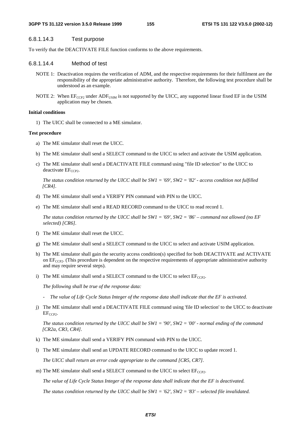### 6.8.1.14.3 Test purpose

To verify that the DEACTIVATE FILE function conforms to the above requirements.

### 6.8.1.14.4 Method of test

- NOTE 1: Deactivation requires the verification of ADM, and the respective requirements for their fulfilment are the responsibility of the appropriate administrative authority. Therefore, the following test procedure shall be understood as an example.
- NOTE 2: When  $E_{CCP2}$  under  $ADF_{USIM}$  is not supported by the UICC, any supported linear fixed EF in the USIM application may be chosen.

### **Initial conditions**

1) The UICC shall be connected to a ME simulator.

#### **Test procedure**

- a) The ME simulator shall reset the UICC.
- b) The ME simulator shall send a SELECT command to the UICC to select and activate the USIM application.
- c) The ME simulator shall send a DEACTIVATE FILE command using "file ID selection" to the UICC to  $deactive EF<sub>CCP2</sub>$ .

 *The status condition returned by the UICC shall be SW1 = '69', SW2 = '82' - access condition not fulfilled [CR4].*

- d) The ME simulator shall send a VERIFY PIN command with PIN to the UICC.
- e) The ME simulator shall send a READ RECORD command to the UICC to read record 1.

*The status condition returned by the UICC shall be SW1 = '69', SW2 = '86' – command not allowed (no EF selected) [CR6].*

- f) The ME simulator shall reset the UICC.
- g) The ME simulator shall send a SELECT command to the UICC to select and activate USIM application.
- h) The ME simulator shall gain the security access condition(s) specified for both DEACTIVATE and ACTIVATE on  $EF_{CCP2}$ . (This procedure is dependent on the respective requirements of appropriate administrative authority and may require several steps).
- i) The ME simulator shall send a SELECT command to the UICC to select  $EF_{CCP2}$ .

 *The following shall be true of the response data:* 

- *The value of Life Cycle Status Integer of the response data shall indicate that the EF is activated.*
- j) The ME simulator shall send a DEACTIVATE FILE command using 'file ID selection' to the UICC to deactivate  $EF_{CCP2}$ .

 *The status condition returned by the UICC shall be SW1 = '90', SW2 = '00' - normal ending of the command [CR2a, CR3, CR4].*

- k) The ME simulator shall send a VERIFY PIN command with PIN to the UICC.
- l) The ME simulator shall send an UPDATE RECORD command to the UICC to update record 1.

 *The UICC shall return an error code appropriate to the command [CR5, CR7].*

m) The ME simulator shall send a SELECT command to the UICC to select  $EF_{CCP2}$ .

*The value of Life Cycle Status Integer of the response data shall indicate that the EF is deactivated.* 

*The status condition returned by the UICC shall be SW1 = '62', SW2 = '83' – selected file invalidated.*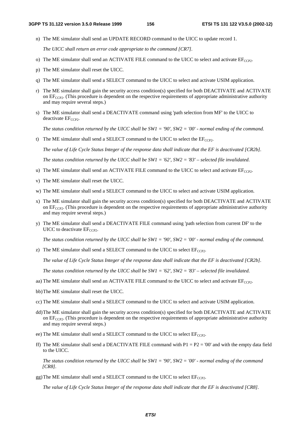n) The ME simulator shall send an UPDATE RECORD command to the UICC to update record 1.

*The UICC shall return an error code appropriate to the command [CR7].*

- o) The ME simulator shall send an ACTIVATE FILE command to the UICC to select and activate  $EF_{CCP2}$ .
- p) The ME simulator shall reset the UICC.
- q) The ME simulator shall send a SELECT command to the UICC to select and activate USIM application.
- r) The ME simulator shall gain the security access condition(s) specified for both DEACTIVATE and ACTIVATE on  $EF_{CCP2}$ . (This procedure is dependent on the respective requirements of appropriate administrative authority and may require several steps.)
- s) The ME simulator shall send a DEACTIVATE command using 'path selection from MF' to the UICC to deactivate  $EF_{CCP2}$ .

 *The status condition returned by the UICC shall be SW1 = '90', SW2 = '00' - normal ending of the command.*

t) The ME simulator shall send a SELECT command to the UICC to select the  $E_{CCP2}$ .

*The value of Life Cycle Status Integer of the response data shall indicate that the EF is deactivated [CR2b].* 

*The status condition returned by the UICC shall be SW1 = '62', SW2 = '83' – selected file invalidated*.

- u) The ME simulator shall send an ACTIVATE FILE command to the UICC to select and activate  $EF_{CCP2}$ .
- v) The ME simulator shall reset the UICC.
- w) The ME simulator shall send a SELECT command to the UICC to select and activate USIM application.
- x) The ME simulator shall gain the security access condition(s) specified for both DEACTIVATE and ACTIVATE on  $EF_{CCP2}$ . (This procedure is dependent on the respective requirements of appropriate administrative authority and may require several steps.)
- y) The ME simulator shall send a DEACTIVATE FILE command using 'path selection from current DF' to the UICC to deactivate  $EF_{CCP2}$ .

*The status condition returned by the UICC shall be SW1 = '90', SW2 = '00' - normal ending of the command.*

z) The ME simulator shall send a SELECT command to the UICC to select  $EF_{CCP2}$ .

*The value of Life Cycle Status Integer of the response data shall indicate that the EF is deactivated [CR2b].* 

*The status condition returned by the UICC shall be SW1 = '62', SW2 = '83' – selected file invalidated.* 

- aa) The ME simulator shall send an ACTIVATE FILE command to the UICC to select and activate  $E_{CCP2}$ .
- bb)The ME simulator shall reset the UICC.
- cc) The ME simulator shall send a SELECT command to the UICC to select and activate USIM application.
- dd)The ME simulator shall gain the security access condition(s) specified for both DEACTIVATE and ACTIVATE on  $EF_{CCP2}$ . (This procedure is dependent on the respective requirements of appropriate administrative authority and may require several steps.)
- ee) The ME simulator shall send a SELECT command to the UICC to select  $EF_{CCP2}$ .
- ff) The ME simulator shall send a DEACTIVATE FILE command with  $P1 = P2 = 0$ <sup>o</sup> and with the empty data field to the UICC.

*The status condition returned by the UICC shall be SW1 = '90', SW2 = '00' - normal ending of the command [CR8].*

gg) The ME simulator shall send a SELECT command to the UICC to select  $EF_{CCP2}$ .

*The value of Life Cycle Status Integer of the response data shall indicate that the EF is deactivated [CR8].*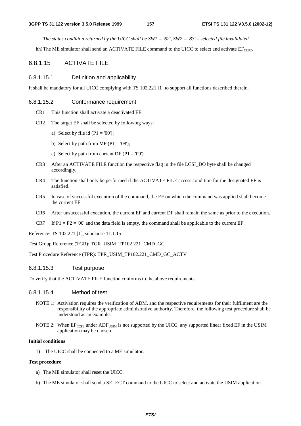*The status condition returned by the UICC shall be SW1 = '62', SW2 = '83' – selected file invalidated.* 

hh) The ME simulator shall send an ACTIVATE FILE command to the UICC to select and activate  $EF_{CCP2}$ .

## 6.8.1.15 ACTIVATE FILE

### 6.8.1.15.1 Definition and applicability

It shall be mandatory for all UICC complying with TS 102.221 [1] to support all functions described therein.

### 6.8.1.15.2 Conformance requirement

- CR1 This function shall activate a deactivated EF.
- CR2 The target EF shall be selected by following ways:
	- a) Select by file id  $(P1 = '00')$ ;
	- b) Select by path from MF ( $P1 = '08'$ );
	- c) Select by path from current DF ( $P1 = '09'$ ).
- CR3 After an ACTIVATE FILE function the respective flag in the file LCSI\_DO byte shall be changed accordingly.
- CR4 The function shall only be performed if the ACTIVATE FILE access condition for the designated EF is satisfied.
- CR5 In case of successful execution of the command, the EF on which the command was applied shall become the current EF.
- CR6 After unsuccessful execution, the current EF and current DF shall remain the same as prior to the execution.
- CR7 If  $P1 = P2 = '00'$  and the data field is empty, the command shall be applicable to the current EF.

Reference: TS 102.221 [1], subclause 11.1.15.

Test Group Reference (TGR): TGR\_USIM\_TP102.221\_CMD\_GC

Test Procedure Reference (TPR): TPR\_USIM\_TP102.221\_CMD\_GC\_ACTV

### 6.8.1.15.3 Test purpose

To verify that the ACTIVATE FILE function conforms to the above requirements.

### 6.8.1.15.4 Method of test

- NOTE 1: Activation requires the verification of ADM, and the respective requirements for their fulfilment are the responsibility of the appropriate administrative authority. Therefore, the following test procedure shall be understood as an example.
- NOTE 2: When  $E_{\text{CCP2}}$  under ADF<sub>USIM</sub> is not supported by the UICC, any supported linear fixed EF in the USIM application may be chosen.

### **Initial conditions**

1) The UICC shall be connected to a ME simulator.

### **Test procedure**

- a) The ME simulator shall reset the UICC.
- b) The ME simulator shall send a SELECT command to the UICC to select and activate the USIM application.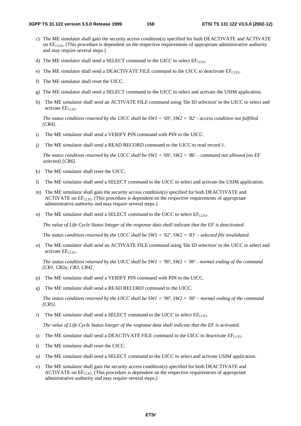- c) The ME simulator shall gain the security access condition(s) specified for both DEACTIVATE and ACTIVATE on  $EF_{CCP2}$ . (This procedure is dependent on the respective requirements of appropriate administrative authority and may require several steps.)
- d) The ME simulator shall send a SELECT command to the UICC to select  $EF_{CCP2}$ .
- e) The ME simulator shall send a DEACTIVATE FILE command to the UICC to deactivate  $EF_{CCP2}$ .
- f) The ME simulator shall reset the UICC.
- g) The ME simulator shall send a SELECT command to the UICC to select and activate the USIM application.
- h) The ME simulator shall send an ACTIVATE FILE command using 'file ID selection' to the UICC to select and activate  $EF_{CCP2}$ .

 *The status condition returned by the UICC shall be SW1 = '69', SW2 = '82' - access condition not fulfilled [CR4].*

- i) The ME simulator shall send a VERIFY PIN command with PIN to the UICC.
- j) The ME simulator shall send a READ RECORD command to the UICC to read record 1.

*The status condition returned by the UICC shall be SW1 = '69', SW2 = '86' – command not allowed (no EF selected) [CR6].*

- k) The ME simulator shall reset the UICC.
- l) The ME simulator shall send a SELECT command to the UICC to select and activate the USIM application.
- m) The ME simulator shall gain the security access condition(s) specified for both DEACTIVATE and ACTIVATE on  $EF_{CCP2}$ . (This procedure is dependent on the respective requirements of appropriate administrative authority and may require several steps.)
- n) The ME simulator shall send a SELECT command to the UICC to select  $EF_{CCP2}$ .

*The value of Life Cycle Status Integer of the response data shall indicate that the EF is deactivated.* 

*The status condition returned by the UICC shall be SW1 = '62', SW2 = '83' – selected file invalidated.* 

o) The ME simulator shall send an ACTIVATE FILE command using 'file ID selection' to the UICC to select and activate  $EF_{CCP2}$ .

 *The status condition returned by the UICC shall be SW1 = '90', SW2 = '00' - normal ending of the command [CR1, CR2a, CR3, CR4].*

- p) The ME simulator shall send a VERIFY PIN command with PIN to the UICC.
- q) The ME simulator shall send a READ RECORD command to the UICC.

 *The status condition returned by the UICC shall be SW1 = '90', SW2 = '00' – normal ending of the command [CR5].*

r) The ME simulator shall send a SELECT command to the UICC to select  $EF_{CCP2}$ .

*The value of Life Cycle Status Integer of the response data shall indicate that the EF is activated.* 

- s) The ME simulator shall send a DEACTIVATE FILE command to the UICC to deactivate  $EF_{CCP2}$ .
- t) The ME simulator shall reset the UICC.
- u) The ME simulator shall send a SELECT command to the UICC to select and activate USIM application.
- v) The ME simulator shall gain the security access condition(s) specified for both DEACTIVATE and ACTIVATE on  $EF_{CCP2}$ . (This procedure is dependent on the respective requirements of appropriate administrative authority and may require several steps.)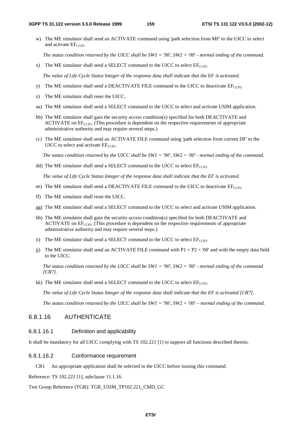w) The ME simulator shall send an ACTIVATE command using 'path selection from MF' to the UICC to select and activate  $EF_{CCP2}$ .

 *The status condition returned by the UICC shall be SW1 = '90', SW2 = '00' - normal ending of the command.*

x) The ME simulator shall send a SELECT command to the UICC to select  $EF_{CCP2}$ .

*The value of Life Cycle Status Integer of the response data shall indicate that the EF is activated.* 

- y) The ME simulator shall send a DEACTIVATE FILE command to the UICC to deactivate  $EF_{CCP2}$ .
- z) The ME simulator shall reset the UICC.
- aa) The ME simulator shall send a SELECT command to the UICC to select and activate USIM application.
- bb) The ME simulator shall gain the security access condition(s) specified for both DEACTIVATE and  $ACTIVATE$  on  $EF<sub>CCP2</sub>$ . (This procedure is dependent on the respective requirements of appropriate administrative authority and may require several steps.)
- cc) The ME simulator shall send an ACTIVATE FILE command using 'path selection from current DF' to the UICC to select and activate  $EF_{CCP2}$ .

*The status condition returned by the UICC shall be SW1 = '90', SW2 = '00' - normal ending of the command.*

dd) The ME simulator shall send a SELECT command to the UICC to select  $EF_{CCP2}$ .

*The value of Life Cycle Status Integer of the response data shall indicate that the EF is activated.* 

- ee) The ME simulator shall send a DEACTIVATE FILE command to the UICC to deactivate  $EF_{CCP2}$ .
- ff) The ME simulator shall reset the UICC.
- gg) The ME simulator shall send a SELECT command to the UICC to select and activate USIM application.
- hh) The ME simulator shall gain the security access condition(s) specified for both DEACTIVATE and ACTIVATE on  $EF_{CCP2}$ . (This procedure is dependent on the respective requirements of appropriate administrative authority and may require several steps.)
- ii) The ME simulator shall send a SELECT command to the UICC to select  $E_{CCP2}$ .
- j) The ME simulator shall send an ACTIVATE FILE command with  $P1 = P2 = '00'$  and with the empty data field to the UICC.

*The status condition returned by the UICC shall be SW1 = '90', SW2 = '00' - normal ending of the command [CR7].*

kk) The ME simulator shall send a SELECT command to the UICC to select  $EF_{CCP2}$ .

*The value of Life Cycle Status Integer of the response data shall indicate that the EF is activated [CR7].* 

*The status condition returned by the UICC shall be SW1 = '90', SW2 = '00' – normal ending of the command.*

### 6.8.1.16 AUTHENTICATE

### 6.8.1.16.1 Definition and applicability

It shall be mandatory for all UICC complying with TS 102.221 [1] to support all functions described therein.

### 6.8.1.16.2 Conformance requirement

CR1 An appropriate application shall be selected in the UICC before issuing this command.

Reference: TS 102.221 [1], subclause 11.1.16.

### Test Group Reference (TGR): TGR\_USIM\_TP102.221\_CMD\_GC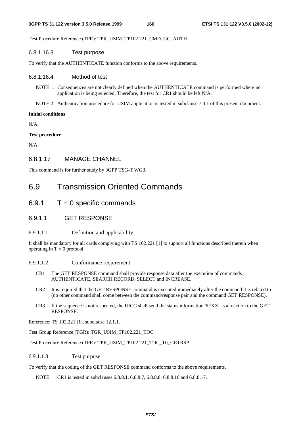Test Procedure Reference (TPR): TPR\_USIM\_TP102.221\_CMD\_GC\_AUTH

### 6.8.1.16.3 Test purpose

To verify that the AUTHENTICATE function conforms to the above requirements.

### 6.8.1.16.4 Method of test

- NOTE 1: Consequences are not clearly defined when the AUTHENTICATE command is performed where no application is being selected. Therefore, the test for CR1 should be left N/A.
- NOTE 2: Authentication procedure for USIM application is tested in subclause 7.3.1 of this present document.

### **Initial conditions**

 $N/A$ 

### **Test procedure**

N/A

## 6.8.1.17 MANAGE CHANNEL

This command is for further study by 3GPP TSG-T WG3.

## 6.9 Transmission Oriented Commands

- $6.9.1$   $T = 0$  specific commands
- 6.9.1.1 GET RESPONSE

### 6.9.1.1.1 Definition and applicability

It shall be mandatory for all cards complying with TS 102.221 [1] to support all functions described therein when operating in  $T = 0$  protocol.

6.9.1.1.2 Conformance requirement

- CR1 The GET RESPONSE command shall provide response data after the execution of commands AUTHENTICATE, SEARCH RECORD, SELECT and INCREASE.
- CR2 It is required that the GET RESPONSE command is executed immediately after the command it is related to (no other command shall come between the command/response pair and the command GET RESPONSE).
- CR3 If the sequence is not respected, the UICC shall send the status information '6FXX' as a reaction to the GET RESPONSE.

Reference: TS 102.221 [1], subclause 12.1.1.

Test Group Reference (TGR): TGR\_USIM\_TP102.221\_TOC

Test Procedure Reference (TPR): TPR\_USIM\_TP102.221\_TOC\_T0\_GETRSP

### 6.9.1.1.3 Test purpose

To verify that the coding of the GET RESPONSE command conforms to the above requirements.

NOTE: CR1 is tested in subclauses 6.8.8.1, 6.8.8.7, 6.8.8.8, 6.8.8.16 and 6.8.8.17.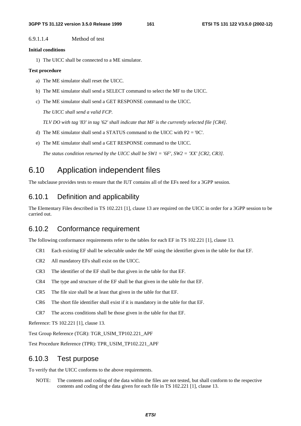6.9.1.1.4 Method of test

### **Initial conditions**

1) The UICC shall be connected to a ME simulator.

### **Test procedure**

- a) The ME simulator shall reset the UICC.
- b) The ME simulator shall send a SELECT command to select the MF to the UICC.
- c) The ME simulator shall send a GET RESPONSE command to the UICC.

 *The UICC shall send a valid FCP.* 

*TLV DO with tag '83' in tag '62' shall indicate that MF is the currently selected file [CR4].* 

- d) The ME simulator shall send a STATUS command to the UICC with P2 = '0C'.
- e) The ME simulator shall send a GET RESPONSE command to the UICC.

 *The status condition returned by the UICC shall be SW1 = '6F', SW2 = 'XX' [CR2, CR3].*

## 6.10 Application independent files

The subclause provides tests to ensure that the IUT contains all of the EFs need for a 3GPP session.

## 6.10.1 Definition and applicability

The Elementary Files described in TS 102.221 [1], clause 13 are required on the UICC in order for a 3GPP session to be carried out.

## 6.10.2 Conformance requirement

The following conformance requirements refer to the tables for each EF in TS 102.221 [1], clause 13.

- CR1 Each existing EF shall be selectable under the MF using the identifier given in the table for that EF.
- CR2 All mandatory EFs shall exist on the UICC.
- CR3 The identifier of the EF shall be that given in the table for that EF.
- CR4 The type and structure of the EF shall be that given in the table for that EF.
- CR5 The file size shall be at least that given in the table for that EF.
- CR6 The short file identifier shall exist if it is mandatory in the table for that EF.
- CR7 The access conditions shall be those given in the table for that EF.

Reference: TS 102.221 [1], clause 13.

Test Group Reference (TGR): TGR\_USIM\_TP102.221\_APF

Test Procedure Reference (TPR): TPR\_USIM\_TP102.221\_APF

## 6.10.3 Test purpose

To verify that the UICC conforms to the above requirements.

NOTE: The contents and coding of the data within the files are not tested, but shall conform to the respective contents and coding of the data given for each file in TS 102.221 [1], clause 13.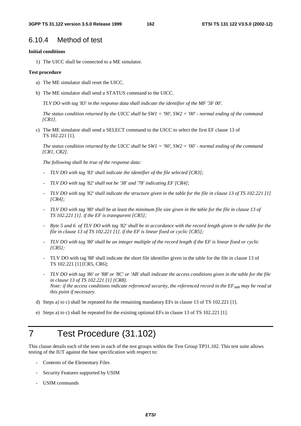## 6.10.4 Method of test

### **Initial conditions**

1) The UICC shall be connected to a ME simulator.

### **Test procedure**

- a) The ME simulator shall reset the UICC.
- b) The ME simulator shall send a STATUS command to the UICC.

*TLV DO with tag '83' in the response data shall indicate the identifier of the MF '3F 00'.*

*The status condition returned by the UICC shall be SW1 = '90', SW2 = '00' - normal ending of the command [CR1].*

c) The ME simulator shall send a SELECT command to the UICC to select the first EF clause 13 of TS 102.221 [1].

*The status condition returned by the UICC shall be SW1 = '90', SW2 = '00' - normal ending of the command [CR1, CR2].*

*The following shall be true of the response data:* 

- *TLV DO with tag '83' shall indicate the identifier of the file selected [CR3];*
- *TLV DO with tag '82' shall not be '38' and '78' indicating EF [CR4];*
- *TLV DO with tag '82' shall indicate the structure given in the table for the file in clause 13 of TS 102.221 [1] [CR4];*
- *TLV DO with tag '80' shall be at least the minimum file size given in the table for the file in clause 13 of TS 102.221 [1]. if the EF is transparent [CR5];*
- *Byte 5 and 6 of TLV DO with tag '82' shall be in accordance with the record length given in the table for the file in clause 13 of TS 102.221 [1]. if the EF is linear fixed or cyclic [CR5];*
- *TLV DO with tag '80' shall be an integer multiple of the record length if the EF is linear fixed or cyclic [CR5];*
- TLV DO with tag '88' shall indicate the short file identifier given in the table for the file in clause 13 of TS 102.221 [1] [CR5, CR6];
- *TLV DO with tag '86' or '8B' or '8C' or 'AB' shall indicate the access conditions given in the table for the file in clause 13 of TS 102.221 [1] [CR8]. Note: if the access conditions indicate referenced security, the referenced record in the EF<sub>ARR</sub> may be read at this point if necessary.*
- d) Steps a) to c) shall be repeated for the remaining mandatory EFs in clause 13 of TS 102.221 [1].
- e) Steps a) to c) shall be repeated for the existing optional EFs in clause 13 of TS 102.221 [1].

# 7 Test Procedure (31.102)

This clause details each of the tests in each of the test groups within the Test Group TP31.102. This test suite allows testing of the IUT against the base specification with respect to:

- Contents of the Elementary Files
- Security Features supported by USIM
- USIM commands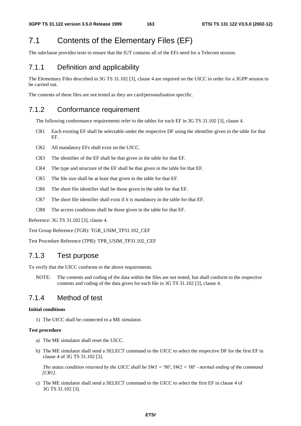## 7.1 Contents of the Elementary Files (EF)

The subclause provides tests to ensure that the IUT contains all of the EFs need for a Telecom session.

## 7.1.1 Definition and applicability

The Elementary Files described in 3G TS 31.102 [3], clause 4 are required on the UICC in order for a 3GPP session to be carried out.

The contents of these files are not tested as they are card/personalisation specific.

## 7.1.2 Conformance requirement

The following conformance requirements refer to the tables for each EF in 3G TS 31.102 [3], clause 4.

- CR1 Each existing EF shall be selectable under the respective DF using the identifier given in the table for that EF.
- CR2 All mandatory EFs shall exist on the UICC.
- CR3 The identifier of the EF shall be that given in the table for that EF.
- CR4 The type and structure of the EF shall be that given in the table for that EF.
- CR5 The file size shall be at least that given in the table for that EF.
- CR6 The short file identifier shall be those given in the table for that EF.
- CR7 The short file identifier shall exist if it is mandatory in the table for that EF.
- CR8 The access conditions shall be those given in the table for that EF.

Reference: 3G TS 31.102 [3], clause 4.

Test Group Reference (TGR): TGR\_USIM\_TP31.102\_CEF

Test Procedure Reference (TPR): TPR\_USIM\_TP31.102\_CEF

## 7.1.3 Test purpose

To verify that the UICC conforms to the above requirements.

NOTE: The contents and coding of the data within the files are not tested, but shall conform to the respective contents and coding of the data given for each file in 3G TS 31.102 [3], clause 4.

## 7.1.4 Method of test

### **Initial conditions**

1) The UICC shall be connected to a ME simulator.

### **Test procedure**

- a) The ME simulator shall reset the UICC.
- b) The ME simulator shall send a SELECT command to the UICC to select the respective DF for the first EF in clause 4 of 3G TS 31.102 [3].

*The status condition returned by the UICC shall be SW1 = '90', SW2 = '00' - normal ending of the command [CR1].*

c) The ME simulator shall send a SELECT command to the UICC to select the first EF in clause 4 of 3G TS 31.102 [3].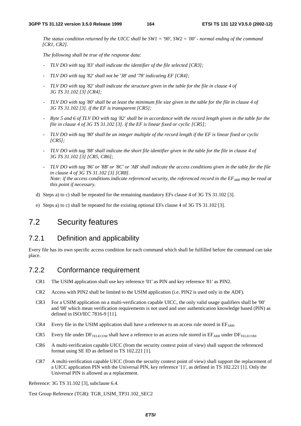*The status condition returned by the UICC shall be SW1 = '90', SW2 = '00' - normal ending of the command [CR1, CR2].*

*The following shall be true of the response data:* 

- *TLV DO with tag '83' shall indicate the identifier of the file selected [CR3];*
- *TLV DO with tag '82' shall not be '38' and '78' indicating EF [CR4];*
- *TLV DO with tag '82' shall indicate the structure given in the table for the file in clause 4 of 3G TS 31.102 [3] [CR4];*
- *TLV DO with tag '80' shall be at least the minimum file size given in the table for the file in clause 4 of 3G TS 31.102 [3]. if the EF is transparent [CR5];*
- *Byte 5 and 6 of TLV DO with tag '82' shall be in accordance with the record length given in the table for the file in clause 4 of 3G TS 31.102 [3]. if the EF is linear fixed or cyclic [CR5];*
- *TLV DO with tag '80' shall be an integer multiple of the record length if the EF is linear fixed or cyclic [CR5];*
- *TLV DO with tag '88' shall indicate the short file identifier given in the table for the file in clause 4 of 3G TS 31.102 [3] [CR5, CR6];*
- *TLV DO with tag '86' or '8B' or '8C' or 'AB' shall indicate the access conditions given in the table for the file in clause 4 of 3G TS 31.102 [3] [CR8]. Note: if the access conditions indicate referenced security, the referenced record in the*  $EF_{ARR}$  *may be read at this point if necessary.*
- d) Steps a) to c) shall be repeated for the remaining mandatory EFs clause 4 of 3G TS 31.102 [3].
- e) Steps a) to c) shall be repeated for the existing optional EFs clause 4 of 3G TS 31.102 [3].

## 7.2 Security features

## 7.2.1 Definition and applicability

Every file has its own specific access condition for each command which shall be fulfilled before the command can take place.

## 7.2.2 Conformance requirement

- CR1 The USIM application shall use key reference '01' as PIN and key reference '81' as PIN2.
- CR2 Access with PIN2 shall be limited to the USIM application (i.e. PIN2 is used only in the ADF).
- CR3 For a USIM application on a multi-verification capable UICC, the only valid usage qualifiers shall be '00' and '08' which mean verification requirements is not used and user authentication knowledge based (PIN) as defined in ISO/IEC 7816-9 [11].
- CR4 Every file in the USIM application shall have a reference to an access rule stored in  $E_{ARR}$ .
- CR5 Every file under  $DF_{TELECOM}$  shall have a reference to an access rule stored in  $EF_{ARR}$  under  $DF_{TELECOM}$ .
- CR6 A multi-verification capable UICC (from the security context point of view) shall support the referenced format using SE ID as defined in TS 102.221 [1].
- CR7 A multi-verification capable UICC (from the security context point of view) shall support the replacement of a UICC application PIN with the Universal PIN, key reference '11', as defined in TS 102.221 [1]. Only the Universal PIN is allowed as a replacement.

Reference: 3G TS 31.102 [3], subclause 6.4.

Test Group Reference (TGR): TGR\_USIM\_TP31.102\_SEC2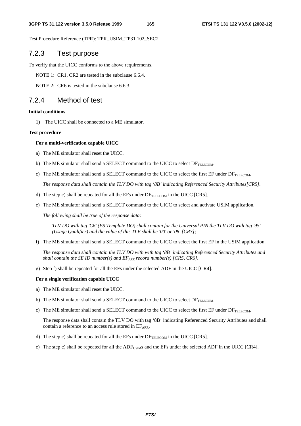Test Procedure Reference (TPR): TPR\_USIM\_TP31.102\_SEC2

## 7.2.3 Test purpose

To verify that the UICC conforms to the above requirements.

NOTE 1: CR1, CR2 are tested in the subclause 6.6.4.

NOTE 2: CR6 is tested in the subclause 6.6.3.

## 7.2.4 Method of test

### **Initial conditions**

1) The UICC shall be connected to a ME simulator.

#### **Test procedure**

#### **For a multi-verification capable UICC**

- a) The ME simulator shall reset the UICC.
- b) The ME simulator shall send a SELECT command to the UICC to select  $DF_{TELECOM}$ .
- c) The ME simulator shall send a SELECT command to the UICC to select the first EF under DFTELECOM.

*The response data shall contain the TLV DO with tag '8B' indicating Referenced Security Attributes[CR5].* 

- d) The step c) shall be repeated for all the EFs under  $DF_{TELECOM}$  in the UICC [CR5].
- e) The ME simulator shall send a SELECT command to the UICC to select and activate USIM application.

*The following shall be true of the response data:* 

- *TLV DO with tag 'C6' (PS Template DO) shall contain for the Universal PIN the TLV DO with tag '95' (Usage Qualifier) and the value of this TLV shall be '00' or '08' [CR3];*
- f) The ME simulator shall send a SELECT command to the UICC to select the first EF in the USIM application.

*The response data shall contain the TLV DO with with tag '8B' indicating Referenced Security Attributes and shall contain the SE ID number(s) and*  $EF_{ARR}$  *record number(s) [CR5, CR6].* 

g) Step f) shall be repeated for all the EFs under the selected ADF in the UICC [CR4].

### **For a single verification capable UICC**

- a) The ME simulator shall reset the UICC.
- b) The ME simulator shall send a SELECT command to the UICC to select  $DF_{\text{TELECOM}}$ .
- c) The ME simulator shall send a SELECT command to the UICC to select the first EF under  $DF_{TELECOM}$ .

The response data shall contain the TLV DO with tag '8B' indicating Referenced Security Attributes and shall contain a reference to an access rule stored in  $EF_{ARR}$ .

- d) The step c) shall be repeated for all the EFs under  $DF_{TELECOM}$  in the UICC [CR5].
- e) The step c) shall be repeated for all the  $ADE_{USIM}$ s and the EFs under the selected ADF in the UICC [CR4].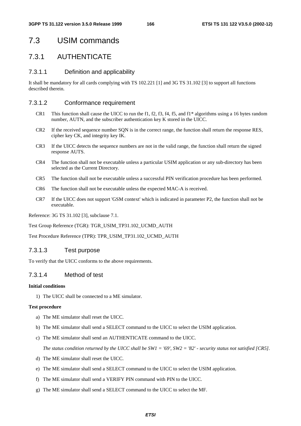## 7.3 USIM commands

## 7.3.1 AUTHENTICATE

### 7.3.1.1 Definition and applicability

It shall be mandatory for all cards complying with TS 102.221 [1] and 3G TS 31.102 [3] to support all functions described therein.

### 7.3.1.2 Conformance requirement

- CR1 This function shall cause the UICC to run the f1, f2, f3, f4, f5, and f1\* algorithms using a 16 bytes random number, AUTN, and the subscriber authentication key K stored in the UICC.
- CR2 If the received sequence number SQN is in the correct range, the function shall return the response RES, cipher key CK, and integrity key IK.
- CR3 If the UICC detects the sequence numbers are not in the valid range, the function shall return the signed response AUTS.
- CR4 The function shall not be executable unless a particular USIM application or any sub-directory has been selected as the Current Directory.
- CR5 The function shall not be executable unless a successful PIN verification procedure has been performed.
- CR6 The function shall not be executable unless the expected MAC-A is received.
- CR7 If the UICC does not support 'GSM context' which is indicated in parameter P2, the function shall not be executable.

Reference: 3G TS 31.102 [3], subclause 7.1.

Test Group Reference (TGR): TGR\_USIM\_TP31.102\_UCMD\_AUTH

Test Procedure Reference (TPR): TPR\_USIM\_TP31.102\_UCMD\_AUTH

### 7.3.1.3 Test purpose

To verify that the UICC conforms to the above requirements.

### 7.3.1.4 Method of test

### **Initial conditions**

1) The UICC shall be connected to a ME simulator.

### **Test procedure**

- a) The ME simulator shall reset the UICC.
- b) The ME simulator shall send a SELECT command to the UICC to select the USIM application.
- c) The ME simulator shall send an AUTHENTICATE command to the UICC.

*The status condition returned by the UICC shall be SW1 = '69', SW2 = '82' - security status not satisfied [CR5].*

- d) The ME simulator shall reset the UICC.
- e) The ME simulator shall send a SELECT command to the UICC to select the USIM application.
- f) The ME simulator shall send a VERIFY PIN command with PIN to the UICC.
- g) The ME simulator shall send a SELECT command to the UICC to select the MF.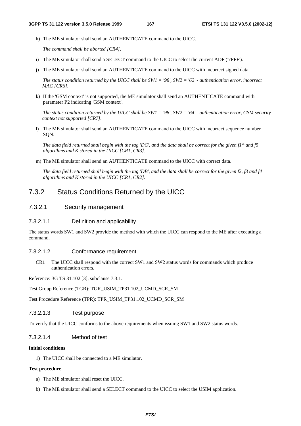h) The ME simulator shall send an AUTHENTICATE command to the UICC.

*The command shall be aborted [CR4].* 

- i) The ME simulator shall send a SELECT command to the UICC to select the current ADF ('7FFF').
- j) The ME simulator shall send an AUTHENTICATE command to the UICC with incorrect signed data.

*The status condition returned by the UICC shall be SW1 = '98', SW2 = '62' - authentication error, incorrect MAC [CR6].*

k) If the 'GSM context' is not supported, the ME simulator shall send an AUTHENTICATE command with parameter P2 indicating 'GSM context'.

*The status condition returned by the UICC shall be SW1 = '98', SW2 = '64' - authentication error, GSM security context not supported [CR7].*

l) The ME simulator shall send an AUTHENTICATE command to the UICC with incorrect sequence number SQN.

*The data field returned shall begin with the tag 'DC', and the data shall be correct for the given f1\* and f5 algorithms and K stored in the UICC [CR1, CR3].*

m) The ME simulator shall send an AUTHENTICATE command to the UICC with correct data.

*The data field returned shall begin with the tag 'DB', and the data shall be correct for the given f2, f3 and f4 algorithms and K stored in the UICC [CR1, CR2].*

## 7.3.2 Status Conditions Returned by the UICC

### 7.3.2.1 Security management

### 7.3.2.1.1 Definition and applicability

The status words SW1 and SW2 provide the method with which the UICC can respond to the ME after executing a command.

### 7.3.2.1.2 Conformance requirement

CR1 The UICC shall respond with the correct SW1 and SW2 status words for commands which produce authentication errors.

Reference: 3G TS 31.102 [3], subclause 7.3.1.

Test Group Reference (TGR): TGR\_USIM\_TP31.102\_UCMD\_SCR\_SM

Test Procedure Reference (TPR): TPR\_USIM\_TP31.102\_UCMD\_SCR\_SM

### 7.3.2.1.3 Test purpose

To verify that the UICC conforms to the above requirements when issuing SW1 and SW2 status words.

### 7.3.2.1.4 Method of test

### **Initial conditions**

1) The UICC shall be connected to a ME simulator.

### **Test procedure**

- a) The ME simulator shall reset the UICC.
- b) The ME simulator shall send a SELECT command to the UICC to select the USIM application.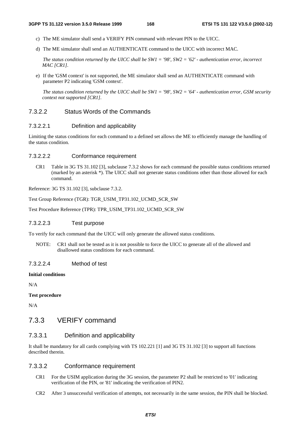- c) The ME simulator shall send a VERIFY PIN command with relevant PIN to the UICC.
- d) The ME simulator shall send an AUTHENTICATE command to the UICC with incorrect MAC.

*The status condition returned by the UICC shall be SW1 = '98', SW2 = '62' - authentication error, incorrect MAC [CR1].*

e) If the 'GSM context' is not supported, the ME simulator shall send an AUTHENTICATE command with parameter P2 indicating 'GSM context'.

*The status condition returned by the UICC shall be SW1 = '98', SW2 = '64' - authentication error, GSM security context not supported [CR1].*

## 7.3.2.2 Status Words of the Commands

## 7.3.2.2.1 Definition and applicability

Limiting the status conditions for each command to a defined set allows the ME to efficiently manage the handling of the status condition.

## 7.3.2.2.2 Conformance requirement

CR1 Table in 3G TS 31.102 [3], subclause 7.3.2 shows for each command the possible status conditions returned (marked by an asterisk \*). The UICC shall not generate status conditions other than those allowed for each command.

Reference: 3G TS 31.102 [3], subclause 7.3.2.

Test Group Reference (TGR): TGR\_USIM\_TP31.102\_UCMD\_SCR\_SW

Test Procedure Reference (TPR): TPR\_USIM\_TP31.102\_UCMD\_SCR\_SW

## 7.3.2.2.3 Test purpose

To verify for each command that the UICC will only generate the allowed status conditions.

NOTE: CR1 shall not be tested as it is not possible to force the UICC to generate all of the allowed and disallowed status conditions for each command.

## 7.3.2.2.4 Method of test

## **Initial conditions**

N/A

**Test procedure** 

N/A

## 7.3.3 VERIFY command

## 7.3.3.1 Definition and applicability

It shall be mandatory for all cards complying with TS 102.221 [1] and 3G TS 31.102 [3] to support all functions described therein.

## 7.3.3.2 Conformance requirement

- CR1 For the USIM application during the 3G session, the parameter P2 shall be restricted to '01' indicating verification of the PIN, or '81' indicating the verification of PIN2.
- CR2 After 3 unsuccessful verification of attempts, not necessarily in the same session, the PIN shall be blocked.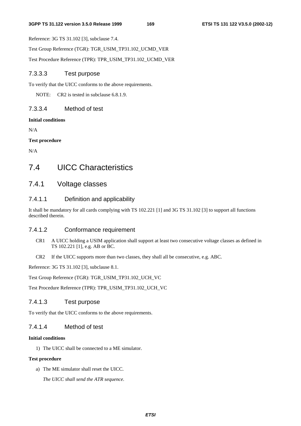Reference: 3G TS 31.102 [3], subclause 7.4.

Test Group Reference (TGR): TGR\_USIM\_TP31.102\_UCMD\_VER

Test Procedure Reference (TPR): TPR\_USIM\_TP31.102\_UCMD\_VER

## 7.3.3.3 Test purpose

To verify that the UICC conforms to the above requirements.

NOTE: CR2 is tested in subclause 6.8.1.9.

## 7.3.3.4 Method of test

## **Initial conditions**

N/A

**Test procedure** 

N/A

## 7.4 UICC Characteristics

## 7.4.1 Voltage classes

## 7.4.1.1 Definition and applicability

It shall be mandatory for all cards complying with TS 102.221 [1] and 3G TS 31.102 [3] to support all functions described therein.

## 7.4.1.2 Conformance requirement

- CR1 A UICC holding a USIM application shall support at least two consecutive voltage classes as defined in TS 102.221 [1], e.g. AB or BC.
- CR2 If the UICC supports more than two classes, they shall all be consecutive, e.g. ABC.

Reference: 3G TS 31.102 [3], subclause 8.1.

Test Group Reference (TGR): TGR\_USIM\_TP31.102\_UCH\_VC

Test Procedure Reference (TPR): TPR\_USIM\_TP31.102\_UCH\_VC

## 7.4.1.3 Test purpose

To verify that the UICC conforms to the above requirements.

## 7.4.1.4 Method of test

### **Initial conditions**

1) The UICC shall be connected to a ME simulator.

### **Test procedure**

a) The ME simulator shall reset the UICC.

 *The UICC shall send the ATR sequence.*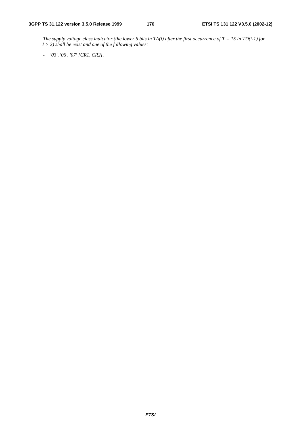*The supply voltage class indicator (the lower 6 bits in TA(i) after the first occurrence of T = 15 in TD(i-1) for I > 2) shall be exist and one of the following values:* 

*- '03', '06', '07' [CR1, CR2].*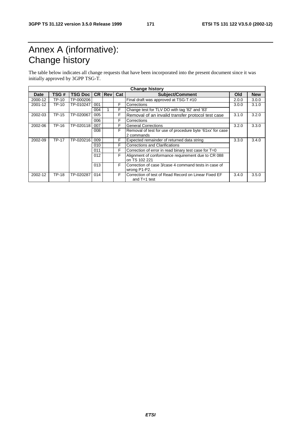# Annex A (informative): Change history

The table below indicates all change requests that have been incorporated into the present document since it was initially approved by 3GPP TSG-T.

| <b>Change history</b> |              |                |     |                   |   |                                                           |       |            |
|-----------------------|--------------|----------------|-----|-------------------|---|-----------------------------------------------------------|-------|------------|
| <b>Date</b>           | TSG#         | <b>TSG Doc</b> |     | <b>CR Rev Cat</b> |   | <b>Subject/Comment</b>                                    | Old   | <b>New</b> |
| 2000-12               | TP-10        | TP-000206      |     |                   |   | Final draft was approved at TSG-T #10                     | 2.0.0 | 3.0.0      |
| 2001-12               | TP-10        | TP-010247      | 001 |                   | F | Corrections                                               | 3.0.0 | 3.1.0      |
|                       |              |                | 004 |                   | F | Change test for TLV DO with tag '82' and '83'             |       |            |
| 2002-03               | <b>TP-15</b> | TP-020067      | 005 |                   | F | Removal of an invalid transfer protocol test case         | 3.1.0 | 3.2.0      |
|                       |              |                | 006 |                   | F | Corrections                                               |       |            |
| 2002-06               | TP-16        | TP-020118      | 007 |                   | F | <b>General Corrections</b>                                | 3.2.0 | 3.3.0      |
|                       |              |                | 008 |                   | F | Removal of test for use of procedure byte '61xx' for case |       |            |
|                       |              |                |     |                   |   | 2 commands                                                |       |            |
| 2002-09               | <b>TP-17</b> | TP-020216      | 009 |                   | F | Expected remainder of returned data string                | 3.3.0 | 3.4.0      |
|                       |              |                | 010 |                   | F | Corrections and Clarifications                            |       |            |
|                       |              |                | 011 |                   | F | Correction of error in read binary test case for T=0      |       |            |
|                       |              |                | 012 |                   | F | Alignment of conformance requirement due to CR 088        |       |            |
|                       |              |                |     |                   |   | on TS 102 221                                             |       |            |
|                       |              |                | 013 |                   | F | Correction of case 3/case 4 command tests in case of      |       |            |
|                       |              |                |     |                   |   | wrong P1-P2.                                              |       |            |
| 2002-12               | <b>TP-18</b> | TP-020287      | 014 |                   | F | Correction of test of Read Record on Linear Fixed EF      | 3.4.0 | 3.5.0      |
|                       |              |                |     |                   |   | and $T=1$ test                                            |       |            |